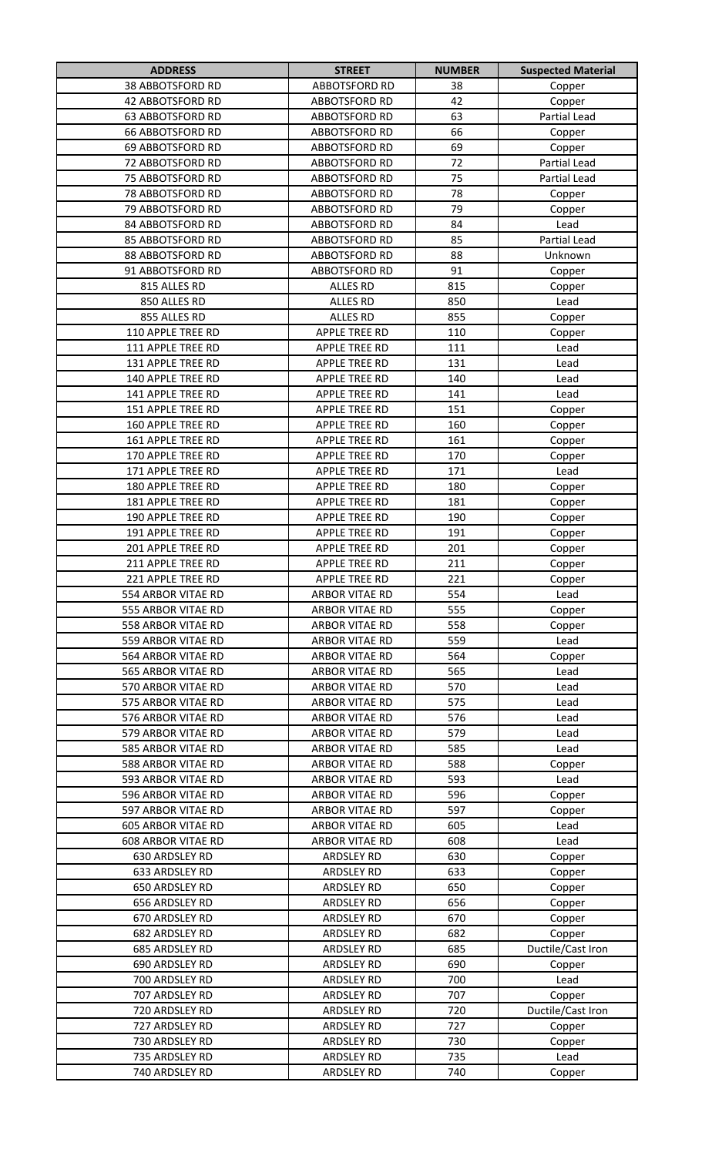| <b>ADDRESS</b>                   | <b>STREET</b>                          | <b>NUMBER</b> | <b>Suspected Material</b>   |
|----------------------------------|----------------------------------------|---------------|-----------------------------|
| <b>38 ABBOTSFORD RD</b>          | <b>ABBOTSFORD RD</b>                   | 38            | Copper                      |
| <b>42 ABBOTSFORD RD</b>          | <b>ABBOTSFORD RD</b>                   | 42            | Copper                      |
| <b>63 ABBOTSFORD RD</b>          | <b>ABBOTSFORD RD</b>                   | 63            | Partial Lead                |
| <b>66 ABBOTSFORD RD</b>          | <b>ABBOTSFORD RD</b>                   | 66            | Copper                      |
| 69 ABBOTSFORD RD                 | <b>ABBOTSFORD RD</b>                   | 69            | Copper                      |
| 72 ABBOTSFORD RD                 | <b>ABBOTSFORD RD</b>                   | 72            | Partial Lead                |
| 75 ABBOTSFORD RD                 | <b>ABBOTSFORD RD</b>                   | 75            | Partial Lead                |
| 78 ABBOTSFORD RD                 | <b>ABBOTSFORD RD</b>                   | 78            | Copper                      |
| 79 ABBOTSFORD RD                 | ABBOTSFORD RD                          | 79            | Copper                      |
| 84 ABBOTSFORD RD                 | ABBOTSFORD RD                          | 84            | Lead                        |
| 85 ABBOTSFORD RD                 | <b>ABBOTSFORD RD</b>                   | 85            | <b>Partial Lead</b>         |
| 88 ABBOTSFORD RD                 | <b>ABBOTSFORD RD</b>                   | 88            | Unknown                     |
| 91 ABBOTSFORD RD                 | ABBOTSFORD RD                          | 91            | Copper                      |
| 815 ALLES RD                     | ALLES RD                               | 815           | Copper                      |
| 850 ALLES RD                     | <b>ALLES RD</b>                        | 850           | Lead                        |
| 855 ALLES RD                     | <b>ALLES RD</b>                        | 855           | Copper                      |
| 110 APPLE TREE RD                | APPLE TREE RD                          | 110           | Copper                      |
| 111 APPLE TREE RD                | <b>APPLE TREE RD</b>                   | 111           | Lead                        |
| 131 APPLE TREE RD                | <b>APPLE TREE RD</b>                   | 131           | Lead                        |
| 140 APPLE TREE RD                | <b>APPLE TREE RD</b>                   | 140           | Lead                        |
| 141 APPLE TREE RD                | <b>APPLE TREE RD</b>                   | 141           | Lead                        |
| 151 APPLE TREE RD                | <b>APPLE TREE RD</b>                   | 151           | Copper                      |
| 160 APPLE TREE RD                | <b>APPLE TREE RD</b>                   | 160           | Copper                      |
| 161 APPLE TREE RD                | <b>APPLE TREE RD</b>                   | 161           | Copper                      |
| 170 APPLE TREE RD                | <b>APPLE TREE RD</b>                   | 170           | Copper                      |
| 171 APPLE TREE RD                | <b>APPLE TREE RD</b>                   | 171           | Lead                        |
| 180 APPLE TREE RD                | <b>APPLE TREE RD</b>                   | 180           | Copper                      |
| 181 APPLE TREE RD                | APPLE TREE RD                          | 181           | Copper                      |
| 190 APPLE TREE RD                | <b>APPLE TREE RD</b>                   | 190           | Copper                      |
| 191 APPLE TREE RD                | <b>APPLE TREE RD</b>                   | 191           | Copper                      |
| 201 APPLE TREE RD                | <b>APPLE TREE RD</b>                   | 201           | Copper                      |
| 211 APPLE TREE RD                | <b>APPLE TREE RD</b>                   | 211           | Copper                      |
| 221 APPLE TREE RD                | <b>APPLE TREE RD</b>                   | 221           | Copper                      |
| 554 ARBOR VITAE RD               | <b>ARBOR VITAE RD</b>                  | 554           | Lead                        |
| 555 ARBOR VITAE RD               | <b>ARBOR VITAE RD</b>                  | 555           | Copper                      |
| 558 ARBOR VITAE RD               | <b>ARBOR VITAE RD</b>                  | 558           | Copper                      |
| 559 ARBOR VITAE RD               | <b>ARBOR VITAE RD</b>                  | 559           | Lead                        |
| 564 ARBOR VITAE RD               | <b>ARBOR VITAE RD</b>                  | 564           | Copper                      |
| 565 ARBOR VITAE RD               | ARBOR VITAE RD                         | 565           | Lead                        |
| 570 ARBOR VITAE RD               | ARBOR VITAE RD                         | 570           | Lead                        |
| 575 ARBOR VITAE RD               | ARBOR VITAE RD                         | 575           | Lead                        |
| 576 ARBOR VITAE RD               | ARBOR VITAE RD                         | 576           | Lead                        |
| 579 ARBOR VITAE RD               | ARBOR VITAE RD                         | 579           | Lead                        |
| 585 ARBOR VITAE RD               | ARBOR VITAE RD                         | 585           | Lead                        |
| 588 ARBOR VITAE RD               | ARBOR VITAE RD                         | 588           | Copper                      |
| 593 ARBOR VITAE RD               | ARBOR VITAE RD                         | 593           | Lead                        |
| 596 ARBOR VITAE RD               | ARBOR VITAE RD                         | 596           | Copper                      |
| 597 ARBOR VITAE RD               | ARBOR VITAE RD                         | 597           | Copper                      |
| <b>605 ARBOR VITAE RD</b>        | ARBOR VITAE RD                         | 605           | Lead                        |
| <b>608 ARBOR VITAE RD</b>        | ARBOR VITAE RD                         | 608           | Lead                        |
| 630 ARDSLEY RD                   | <b>ARDSLEY RD</b>                      | 630<br>633    | Copper                      |
| 633 ARDSLEY RD                   | <b>ARDSLEY RD</b>                      |               | Copper                      |
| 650 ARDSLEY RD                   | <b>ARDSLEY RD</b>                      | 650<br>656    | Copper                      |
| 656 ARDSLEY RD<br>670 ARDSLEY RD | <b>ARDSLEY RD</b>                      |               | Copper                      |
| 682 ARDSLEY RD                   | <b>ARDSLEY RD</b><br><b>ARDSLEY RD</b> | 670<br>682    | Copper                      |
| 685 ARDSLEY RD                   | <b>ARDSLEY RD</b>                      | 685           | Copper<br>Ductile/Cast Iron |
| 690 ARDSLEY RD                   | <b>ARDSLEY RD</b>                      | 690           |                             |
| 700 ARDSLEY RD                   | <b>ARDSLEY RD</b>                      | 700           | Copper<br>Lead              |
| 707 ARDSLEY RD                   | <b>ARDSLEY RD</b>                      | 707           | Copper                      |
| 720 ARDSLEY RD                   | <b>ARDSLEY RD</b>                      | 720           | Ductile/Cast Iron           |
| 727 ARDSLEY RD                   | <b>ARDSLEY RD</b>                      | 727           | Copper                      |
| 730 ARDSLEY RD                   | ARDSLEY RD                             | 730           | Copper                      |
| 735 ARDSLEY RD                   | <b>ARDSLEY RD</b>                      | 735           | Lead                        |
| 740 ARDSLEY RD                   | <b>ARDSLEY RD</b>                      | 740           | Copper                      |
|                                  |                                        |               |                             |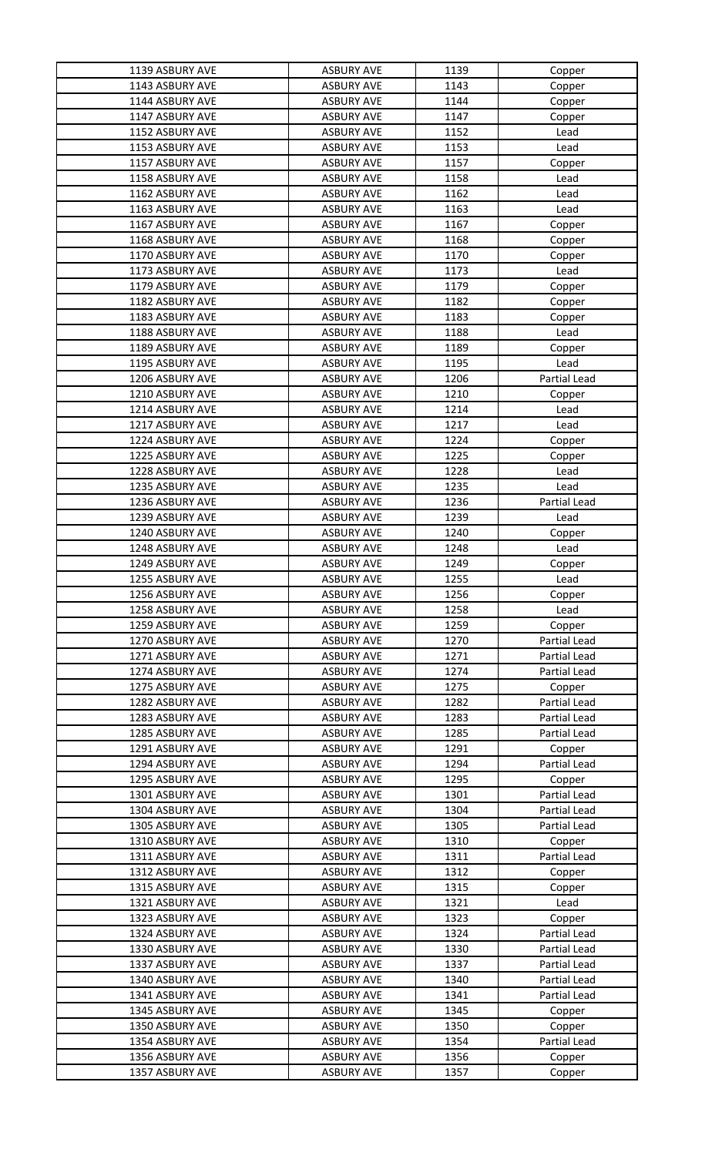| 1139 ASBURY AVE | <b>ASBURY AVE</b> | 1139 | Copper              |
|-----------------|-------------------|------|---------------------|
| 1143 ASBURY AVE | <b>ASBURY AVE</b> | 1143 | Copper              |
| 1144 ASBURY AVE | <b>ASBURY AVE</b> | 1144 | Copper              |
| 1147 ASBURY AVE | <b>ASBURY AVE</b> | 1147 | Copper              |
| 1152 ASBURY AVE | <b>ASBURY AVE</b> | 1152 | Lead                |
| 1153 ASBURY AVE | <b>ASBURY AVE</b> | 1153 | Lead                |
| 1157 ASBURY AVE | <b>ASBURY AVE</b> | 1157 | Copper              |
| 1158 ASBURY AVE | <b>ASBURY AVE</b> | 1158 | Lead                |
| 1162 ASBURY AVE | <b>ASBURY AVE</b> | 1162 | Lead                |
| 1163 ASBURY AVE | <b>ASBURY AVE</b> | 1163 | Lead                |
| 1167 ASBURY AVE | <b>ASBURY AVE</b> | 1167 | Copper              |
| 1168 ASBURY AVE | <b>ASBURY AVE</b> | 1168 | Copper              |
| 1170 ASBURY AVE | <b>ASBURY AVE</b> | 1170 | Copper              |
| 1173 ASBURY AVE | <b>ASBURY AVE</b> | 1173 | Lead                |
| 1179 ASBURY AVE | <b>ASBURY AVE</b> | 1179 | Copper              |
| 1182 ASBURY AVE | <b>ASBURY AVE</b> | 1182 | Copper              |
| 1183 ASBURY AVE | <b>ASBURY AVE</b> | 1183 | Copper              |
| 1188 ASBURY AVE | <b>ASBURY AVE</b> | 1188 | Lead                |
| 1189 ASBURY AVE | <b>ASBURY AVE</b> | 1189 | Copper              |
| 1195 ASBURY AVE | <b>ASBURY AVE</b> | 1195 | Lead                |
| 1206 ASBURY AVE | <b>ASBURY AVE</b> | 1206 | Partial Lead        |
| 1210 ASBURY AVE | <b>ASBURY AVE</b> | 1210 | Copper              |
| 1214 ASBURY AVE | <b>ASBURY AVE</b> | 1214 | Lead                |
| 1217 ASBURY AVE | <b>ASBURY AVE</b> | 1217 | Lead                |
| 1224 ASBURY AVE | <b>ASBURY AVE</b> | 1224 | Copper              |
| 1225 ASBURY AVE | <b>ASBURY AVE</b> | 1225 | Copper              |
| 1228 ASBURY AVE | <b>ASBURY AVE</b> | 1228 | Lead                |
| 1235 ASBURY AVE | <b>ASBURY AVE</b> | 1235 | Lead                |
| 1236 ASBURY AVE | <b>ASBURY AVE</b> | 1236 | Partial Lead        |
| 1239 ASBURY AVE | <b>ASBURY AVE</b> | 1239 | Lead                |
| 1240 ASBURY AVE | <b>ASBURY AVE</b> | 1240 | Copper              |
| 1248 ASBURY AVE | <b>ASBURY AVE</b> | 1248 | Lead                |
| 1249 ASBURY AVE | <b>ASBURY AVE</b> | 1249 | Copper              |
| 1255 ASBURY AVE | <b>ASBURY AVE</b> | 1255 | Lead                |
| 1256 ASBURY AVE | <b>ASBURY AVE</b> | 1256 | Copper              |
| 1258 ASBURY AVE | <b>ASBURY AVE</b> | 1258 | Lead                |
| 1259 ASBURY AVE | <b>ASBURY AVE</b> | 1259 | Copper              |
| 1270 ASBURY AVE | <b>ASBURY AVE</b> | 1270 | Partial Lead        |
| 1271 ASBURY AVE | <b>ASBURY AVE</b> | 1271 | <b>Partial Lead</b> |
| 1274 ASBURY AVE | <b>ASBURY AVE</b> | 1274 | Partial Lead        |
| 1275 ASBURY AVE | <b>ASBURY AVE</b> | 1275 | Copper              |
| 1282 ASBURY AVE | <b>ASBURY AVE</b> | 1282 | Partial Lead        |
| 1283 ASBURY AVE | <b>ASBURY AVE</b> | 1283 | Partial Lead        |
| 1285 ASBURY AVE | <b>ASBURY AVE</b> | 1285 | Partial Lead        |
| 1291 ASBURY AVE | <b>ASBURY AVE</b> | 1291 | Copper              |
| 1294 ASBURY AVE | <b>ASBURY AVE</b> | 1294 | Partial Lead        |
| 1295 ASBURY AVE | <b>ASBURY AVE</b> | 1295 | Copper              |
| 1301 ASBURY AVE | <b>ASBURY AVE</b> | 1301 | <b>Partial Lead</b> |
| 1304 ASBURY AVE | <b>ASBURY AVE</b> | 1304 | Partial Lead        |
| 1305 ASBURY AVE | <b>ASBURY AVE</b> | 1305 | Partial Lead        |
| 1310 ASBURY AVE | <b>ASBURY AVE</b> | 1310 | Copper              |
| 1311 ASBURY AVE | <b>ASBURY AVE</b> | 1311 | <b>Partial Lead</b> |
| 1312 ASBURY AVE | <b>ASBURY AVE</b> | 1312 | Copper              |
| 1315 ASBURY AVE | <b>ASBURY AVE</b> | 1315 | Copper              |
| 1321 ASBURY AVE | <b>ASBURY AVE</b> | 1321 | Lead                |
| 1323 ASBURY AVE | <b>ASBURY AVE</b> | 1323 | Copper              |
| 1324 ASBURY AVE | <b>ASBURY AVE</b> | 1324 | Partial Lead        |
| 1330 ASBURY AVE | <b>ASBURY AVE</b> | 1330 | Partial Lead        |
| 1337 ASBURY AVE | <b>ASBURY AVE</b> | 1337 | Partial Lead        |
| 1340 ASBURY AVE | <b>ASBURY AVE</b> | 1340 | <b>Partial Lead</b> |
| 1341 ASBURY AVE | <b>ASBURY AVE</b> | 1341 | Partial Lead        |
| 1345 ASBURY AVE | <b>ASBURY AVE</b> | 1345 | Copper              |
| 1350 ASBURY AVE | <b>ASBURY AVE</b> | 1350 | Copper              |
| 1354 ASBURY AVE | <b>ASBURY AVE</b> | 1354 | Partial Lead        |
| 1356 ASBURY AVE | <b>ASBURY AVE</b> | 1356 | Copper              |
| 1357 ASBURY AVE | <b>ASBURY AVE</b> | 1357 | Copper              |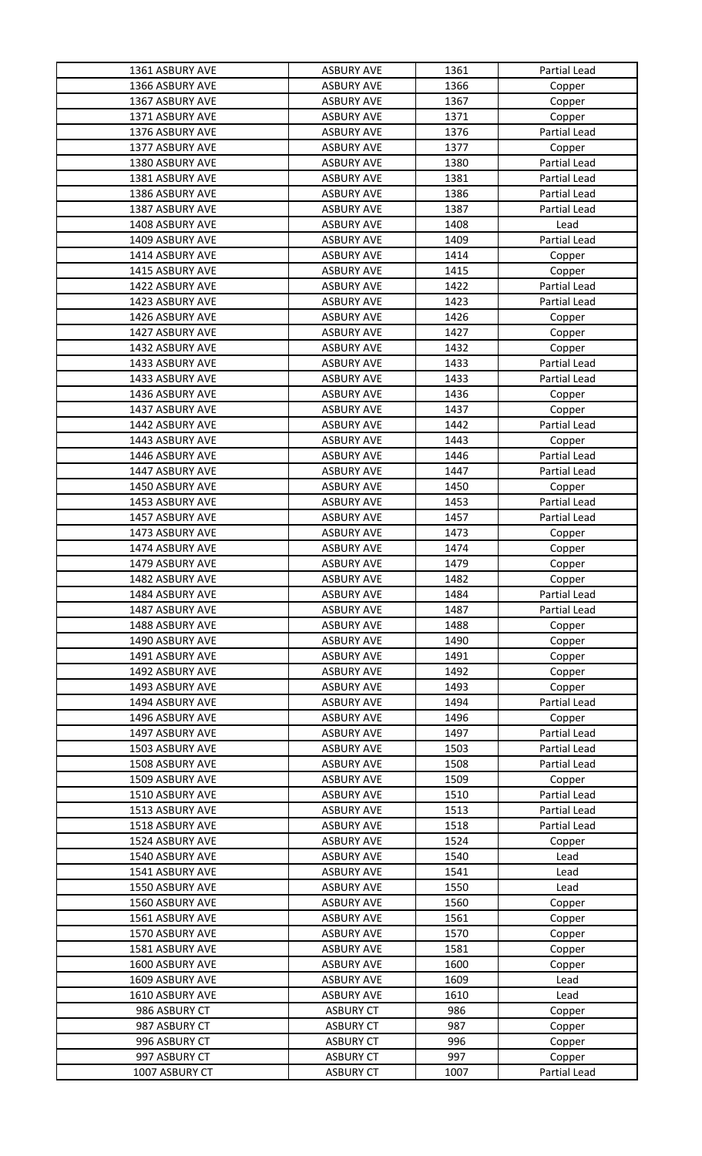| 1361 ASBURY AVE | <b>ASBURY AVE</b> | 1361 | Partial Lead        |
|-----------------|-------------------|------|---------------------|
| 1366 ASBURY AVE | <b>ASBURY AVE</b> | 1366 | Copper              |
| 1367 ASBURY AVE | <b>ASBURY AVE</b> | 1367 | Copper              |
| 1371 ASBURY AVE | <b>ASBURY AVE</b> | 1371 | Copper              |
| 1376 ASBURY AVE | <b>ASBURY AVE</b> | 1376 | Partial Lead        |
| 1377 ASBURY AVE | <b>ASBURY AVE</b> | 1377 | Copper              |
| 1380 ASBURY AVE | <b>ASBURY AVE</b> | 1380 | Partial Lead        |
| 1381 ASBURY AVE | <b>ASBURY AVE</b> | 1381 | <b>Partial Lead</b> |
| 1386 ASBURY AVE | <b>ASBURY AVE</b> | 1386 | Partial Lead        |
| 1387 ASBURY AVE | <b>ASBURY AVE</b> | 1387 | Partial Lead        |
| 1408 ASBURY AVE | <b>ASBURY AVE</b> | 1408 | Lead                |
| 1409 ASBURY AVE | <b>ASBURY AVE</b> | 1409 | <b>Partial Lead</b> |
| 1414 ASBURY AVE | <b>ASBURY AVE</b> | 1414 | Copper              |
| 1415 ASBURY AVE | <b>ASBURY AVE</b> | 1415 | Copper              |
| 1422 ASBURY AVE | <b>ASBURY AVE</b> | 1422 | Partial Lead        |
| 1423 ASBURY AVE | <b>ASBURY AVE</b> | 1423 | Partial Lead        |
| 1426 ASBURY AVE | <b>ASBURY AVE</b> | 1426 | Copper              |
| 1427 ASBURY AVE | <b>ASBURY AVE</b> | 1427 | Copper              |
| 1432 ASBURY AVE | <b>ASBURY AVE</b> | 1432 | Copper              |
| 1433 ASBURY AVE | <b>ASBURY AVE</b> | 1433 | Partial Lead        |
| 1433 ASBURY AVE | <b>ASBURY AVE</b> | 1433 | <b>Partial Lead</b> |
| 1436 ASBURY AVE | <b>ASBURY AVE</b> | 1436 | Copper              |
| 1437 ASBURY AVE | <b>ASBURY AVE</b> | 1437 | Copper              |
| 1442 ASBURY AVE | <b>ASBURY AVE</b> | 1442 | Partial Lead        |
| 1443 ASBURY AVE | <b>ASBURY AVE</b> | 1443 | Copper              |
| 1446 ASBURY AVE | <b>ASBURY AVE</b> | 1446 | Partial Lead        |
| 1447 ASBURY AVE | <b>ASBURY AVE</b> | 1447 | Partial Lead        |
| 1450 ASBURY AVE | <b>ASBURY AVE</b> | 1450 | Copper              |
| 1453 ASBURY AVE | <b>ASBURY AVE</b> | 1453 | Partial Lead        |
| 1457 ASBURY AVE | <b>ASBURY AVE</b> | 1457 | Partial Lead        |
| 1473 ASBURY AVE | <b>ASBURY AVE</b> | 1473 | Copper              |
| 1474 ASBURY AVE | <b>ASBURY AVE</b> | 1474 | Copper              |
| 1479 ASBURY AVE | <b>ASBURY AVE</b> | 1479 | Copper              |
| 1482 ASBURY AVE | <b>ASBURY AVE</b> | 1482 | Copper              |
| 1484 ASBURY AVE | <b>ASBURY AVE</b> | 1484 | Partial Lead        |
| 1487 ASBURY AVE | <b>ASBURY AVE</b> | 1487 | Partial Lead        |
| 1488 ASBURY AVE | <b>ASBURY AVE</b> | 1488 | Copper              |
| 1490 ASBURY AVE | <b>ASBURY AVE</b> | 1490 | Copper              |
| 1491 ASBURY AVE | <b>ASBURY AVE</b> | 1491 | Copper              |
| 1492 ASBURY AVE | <b>ASBURY AVE</b> | 1492 | Copper              |
| 1493 ASBURY AVE | <b>ASBURY AVE</b> | 1493 | Copper              |
| 1494 ASBURY AVE | <b>ASBURY AVE</b> | 1494 | Partial Lead        |
| 1496 ASBURY AVE | <b>ASBURY AVE</b> | 1496 | Copper              |
| 1497 ASBURY AVE | <b>ASBURY AVE</b> | 1497 | Partial Lead        |
| 1503 ASBURY AVE | <b>ASBURY AVE</b> | 1503 | Partial Lead        |
| 1508 ASBURY AVE | <b>ASBURY AVE</b> | 1508 | <b>Partial Lead</b> |
| 1509 ASBURY AVE | <b>ASBURY AVE</b> | 1509 | Copper              |
| 1510 ASBURY AVE | <b>ASBURY AVE</b> | 1510 | <b>Partial Lead</b> |
| 1513 ASBURY AVE | <b>ASBURY AVE</b> | 1513 | Partial Lead        |
| 1518 ASBURY AVE | <b>ASBURY AVE</b> | 1518 | <b>Partial Lead</b> |
| 1524 ASBURY AVE | <b>ASBURY AVE</b> | 1524 | Copper              |
| 1540 ASBURY AVE | <b>ASBURY AVE</b> | 1540 | Lead                |
| 1541 ASBURY AVE | <b>ASBURY AVE</b> | 1541 | Lead                |
| 1550 ASBURY AVE | <b>ASBURY AVE</b> | 1550 | Lead                |
| 1560 ASBURY AVE | <b>ASBURY AVE</b> | 1560 | Copper              |
| 1561 ASBURY AVE | <b>ASBURY AVE</b> | 1561 | Copper              |
| 1570 ASBURY AVE | <b>ASBURY AVE</b> | 1570 | Copper              |
| 1581 ASBURY AVE | <b>ASBURY AVE</b> | 1581 | Copper              |
| 1600 ASBURY AVE | <b>ASBURY AVE</b> | 1600 | Copper              |
| 1609 ASBURY AVE | <b>ASBURY AVE</b> | 1609 | Lead                |
| 1610 ASBURY AVE | <b>ASBURY AVE</b> | 1610 | Lead                |
| 986 ASBURY CT   | <b>ASBURY CT</b>  | 986  | Copper              |
| 987 ASBURY CT   | <b>ASBURY CT</b>  | 987  | Copper              |
| 996 ASBURY CT   | <b>ASBURY CT</b>  | 996  | Copper              |
| 997 ASBURY CT   | <b>ASBURY CT</b>  | 997  | Copper              |
| 1007 ASBURY CT  | <b>ASBURY CT</b>  | 1007 | Partial Lead        |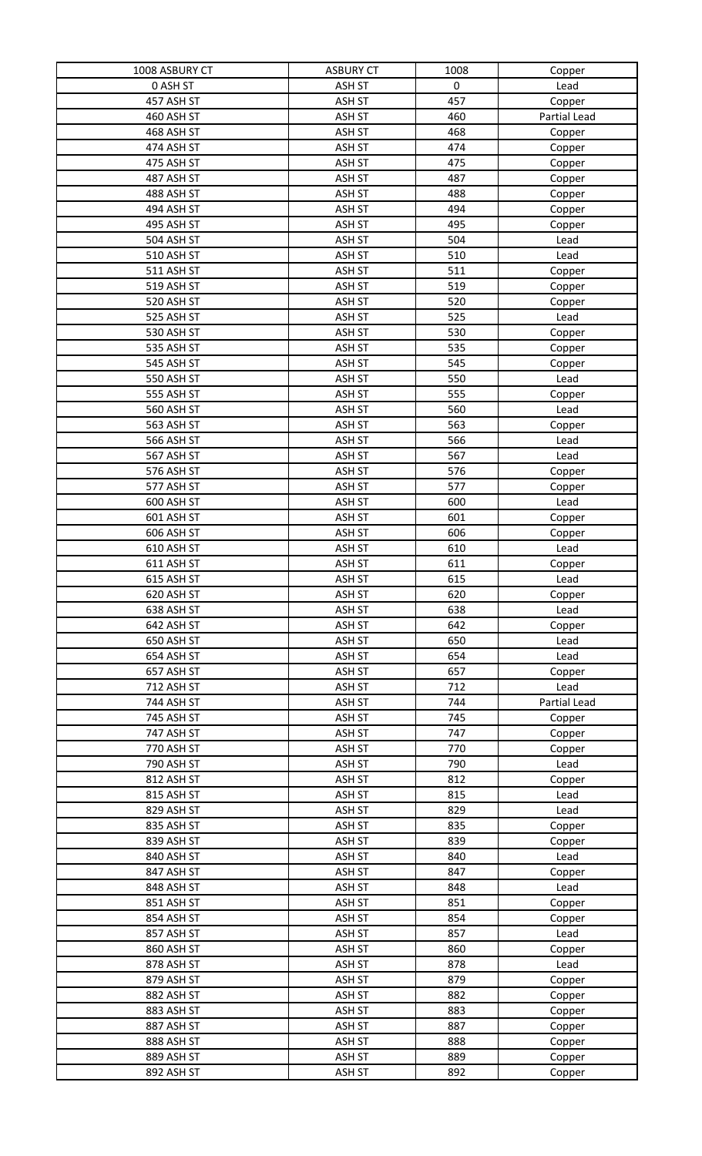| 1008 ASBURY CT    | <b>ASBURY CT</b> | 1008 | Copper       |
|-------------------|------------------|------|--------------|
| 0 ASH ST          | ASH ST           | 0    | Lead         |
| 457 ASH ST        | ASH ST           | 457  | Copper       |
| 460 ASH ST        | ASH ST           | 460  | Partial Lead |
| 468 ASH ST        | ASH ST           | 468  | Copper       |
| 474 ASH ST        | ASH ST           | 474  | Copper       |
| 475 ASH ST        | ASH ST           | 475  | Copper       |
| 487 ASH ST        | ASH ST           | 487  | Copper       |
| 488 ASH ST        | ASH ST           | 488  | Copper       |
| 494 ASH ST        | ASH ST           | 494  | Copper       |
| 495 ASH ST        | ASH ST           | 495  | Copper       |
| 504 ASH ST        | ASH ST           | 504  | Lead         |
| 510 ASH ST        | ASH ST           | 510  | Lead         |
| 511 ASH ST        | ASH ST           | 511  | Copper       |
| 519 ASH ST        | ASH ST           | 519  | Copper       |
| 520 ASH ST        | ASH ST           | 520  | Copper       |
| 525 ASH ST        | ASH ST           | 525  | Lead         |
| 530 ASH ST        | ASH ST           | 530  | Copper       |
| 535 ASH ST        | ASH ST           | 535  | Copper       |
| 545 ASH ST        | ASH ST           | 545  | Copper       |
| 550 ASH ST        | ASH ST           | 550  | Lead         |
| 555 ASH ST        | ASH ST           | 555  | Copper       |
| <b>560 ASH ST</b> | ASH ST           | 560  | Lead         |
| 563 ASH ST        | ASH ST           | 563  | Copper       |
| 566 ASH ST        | ASH ST           | 566  | Lead         |
| 567 ASH ST        | ASH ST           | 567  | Lead         |
| 576 ASH ST        | ASH ST           | 576  | Copper       |
| 577 ASH ST        | ASH ST           | 577  | Copper       |
| 600 ASH ST        | ASH ST           | 600  | Lead         |
| 601 ASH ST        | ASH ST           | 601  | Copper       |
| 606 ASH ST        | ASH ST           | 606  | Copper       |
| 610 ASH ST        | ASH ST           | 610  | Lead         |
| 611 ASH ST        | ASH ST           | 611  | Copper       |
| 615 ASH ST        | ASH ST           | 615  | Lead         |
| 620 ASH ST        | ASH ST           | 620  | Copper       |
| 638 ASH ST        | ASH ST           | 638  | Lead         |
| 642 ASH ST        | ASH ST           | 642  | Copper       |
| 650 ASH ST        | ASH ST           | 650  | Lead         |
| 654 ASH ST        | ASH ST           | 654  | Lead         |
| 657 ASH ST        | ASH ST           | 657  | Copper       |
| 712 ASH ST        | ASH ST           | 712  | Lead         |
| 744 ASH ST        | ASH ST           | 744  | Partial Lead |
| 745 ASH ST        | ASH ST           | 745  | Copper       |
| 747 ASH ST        | ASH ST           | 747  | Copper       |
| 770 ASH ST        | ASH ST           | 770  | Copper       |
| 790 ASH ST        | ASH ST           | 790  | Lead         |
| 812 ASH ST        | ASH ST           | 812  | Copper       |
| 815 ASH ST        | ASH ST           | 815  | Lead         |
| 829 ASH ST        | ASH ST           | 829  | Lead         |
| 835 ASH ST        | ASH ST           | 835  | Copper       |
| 839 ASH ST        | ASH ST           | 839  | Copper       |
| 840 ASH ST        | ASH ST           | 840  | Lead         |
| 847 ASH ST        | ASH ST           | 847  | Copper       |
| 848 ASH ST        | ASH ST           | 848  | Lead         |
| 851 ASH ST        | ASH ST           | 851  | Copper       |
| 854 ASH ST        | ASH ST           | 854  | Copper       |
| 857 ASH ST        | ASH ST           | 857  | Lead         |
| 860 ASH ST        | ASH ST           | 860  | Copper       |
| 878 ASH ST        | ASH ST           | 878  | Lead         |
| 879 ASH ST        | ASH ST           | 879  | Copper       |
| 882 ASH ST        | ASH ST           | 882  | Copper       |
| 883 ASH ST        | ASH ST           | 883  | Copper       |
| 887 ASH ST        | ASH ST           | 887  | Copper       |
| 888 ASH ST        | ASH ST           | 888  | Copper       |
| 889 ASH ST        | ASH ST           | 889  | Copper       |
| 892 ASH ST        | ASH ST           | 892  | Copper       |
|                   |                  |      |              |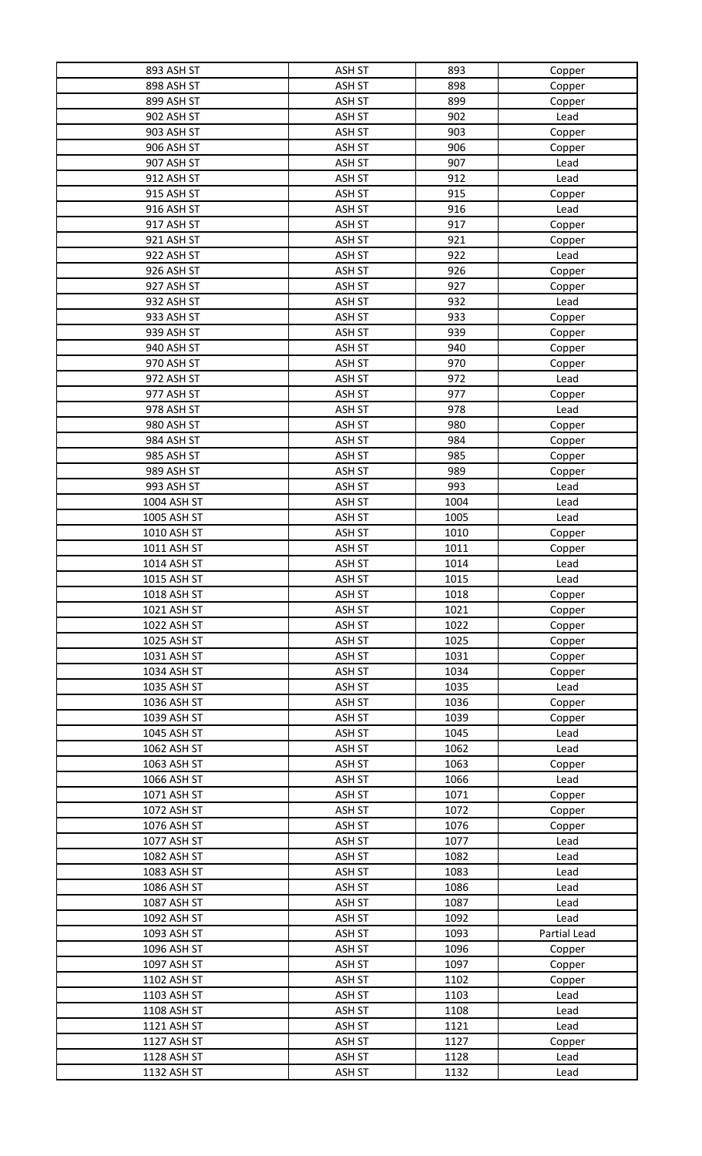| 893 ASH ST        | ASH ST        | 893  | Copper       |
|-------------------|---------------|------|--------------|
| 898 ASH ST        | ASH ST        | 898  | Copper       |
| 899 ASH ST        | ASH ST        | 899  | Copper       |
| 902 ASH ST        | ASH ST        | 902  | Lead         |
| 903 ASH ST        | ASH ST        | 903  | Copper       |
| <b>906 ASH ST</b> | <b>ASH ST</b> | 906  | Copper       |
| 907 ASH ST        | ASH ST        | 907  | Lead         |
| 912 ASH ST        | ASH ST        | 912  | Lead         |
| 915 ASH ST        | ASH ST        | 915  | Copper       |
| 916 ASH ST        | ASH ST        | 916  | Lead         |
| 917 ASH ST        | ASH ST        | 917  |              |
|                   |               |      | Copper       |
| 921 ASH ST        | ASH ST        | 921  | Copper       |
| 922 ASH ST        | ASH ST        | 922  | Lead         |
| 926 ASH ST        | ASH ST        | 926  | Copper       |
| 927 ASH ST        | ASH ST        | 927  | Copper       |
| 932 ASH ST        | ASH ST        | 932  | Lead         |
| 933 ASH ST        | ASH ST        | 933  | Copper       |
| 939 ASH ST        | ASH ST        | 939  | Copper       |
| 940 ASH ST        | ASH ST        | 940  | Copper       |
| 970 ASH ST        | ASH ST        | 970  | Copper       |
| 972 ASH ST        | ASH ST        | 972  | Lead         |
| 977 ASH ST        | ASH ST        | 977  | Copper       |
| 978 ASH ST        | ASH ST        | 978  | Lead         |
| 980 ASH ST        | ASH ST        | 980  | Copper       |
| 984 ASH ST        | ASH ST        | 984  | Copper       |
| 985 ASH ST        | ASH ST        | 985  | Copper       |
| 989 ASH ST        | ASH ST        | 989  | Copper       |
| 993 ASH ST        | ASH ST        | 993  | Lead         |
| 1004 ASH ST       | ASH ST        | 1004 | Lead         |
| 1005 ASH ST       | ASH ST        | 1005 | Lead         |
| 1010 ASH ST       | <b>ASH ST</b> | 1010 | Copper       |
| 1011 ASH ST       | ASH ST        | 1011 | Copper       |
| 1014 ASH ST       | ASH ST        | 1014 | Lead         |
| 1015 ASH ST       | ASH ST        | 1015 | Lead         |
| 1018 ASH ST       | <b>ASH ST</b> | 1018 | Copper       |
| 1021 ASH ST       | ASH ST        | 1021 | Copper       |
| 1022 ASH ST       | ASH ST        | 1022 | Copper       |
| 1025 ASH ST       | ASH ST        | 1025 | Copper       |
| 1031 ASH ST       | ASH ST        | 1031 | Copper       |
| 1034 ASH ST       | ASH ST        | 1034 | Copper       |
| 1035 ASH ST       | ASH ST        | 1035 | Lead         |
| 1036 ASH ST       | ASH ST        | 1036 | Copper       |
| 1039 ASH ST       | ASH ST        | 1039 | Copper       |
| 1045 ASH ST       | ASH ST        | 1045 | Lead         |
| 1062 ASH ST       | ASH ST        | 1062 | Lead         |
| 1063 ASH ST       | ASH ST        | 1063 | Copper       |
| 1066 ASH ST       | ASH ST        | 1066 | Lead         |
| 1071 ASH ST       | ASH ST        | 1071 | Copper       |
| 1072 ASH ST       | ASH ST        | 1072 | Copper       |
| 1076 ASH ST       | <b>ASH ST</b> | 1076 | Copper       |
| 1077 ASH ST       | ASH ST        | 1077 | Lead         |
| 1082 ASH ST       | <b>ASH ST</b> | 1082 | Lead         |
| 1083 ASH ST       | ASH ST        | 1083 | Lead         |
| 1086 ASH ST       | ASH ST        | 1086 | Lead         |
| 1087 ASH ST       | ASH ST        | 1087 | Lead         |
| 1092 ASH ST       | ASH ST        | 1092 | Lead         |
| 1093 ASH ST       | ASH ST        | 1093 | Partial Lead |
| 1096 ASH ST       | ASH ST        | 1096 | Copper       |
| 1097 ASH ST       | ASH ST        | 1097 | Copper       |
| 1102 ASH ST       | ASH ST        | 1102 | Copper       |
| 1103 ASH ST       | ASH ST        | 1103 | Lead         |
| 1108 ASH ST       | ASH ST        | 1108 | Lead         |
| 1121 ASH ST       | ASH ST        | 1121 | Lead         |
| 1127 ASH ST       | ASH ST        | 1127 | Copper       |
| 1128 ASH ST       | ASH ST        | 1128 | Lead         |
| 1132 ASH ST       | ASH ST        | 1132 | Lead         |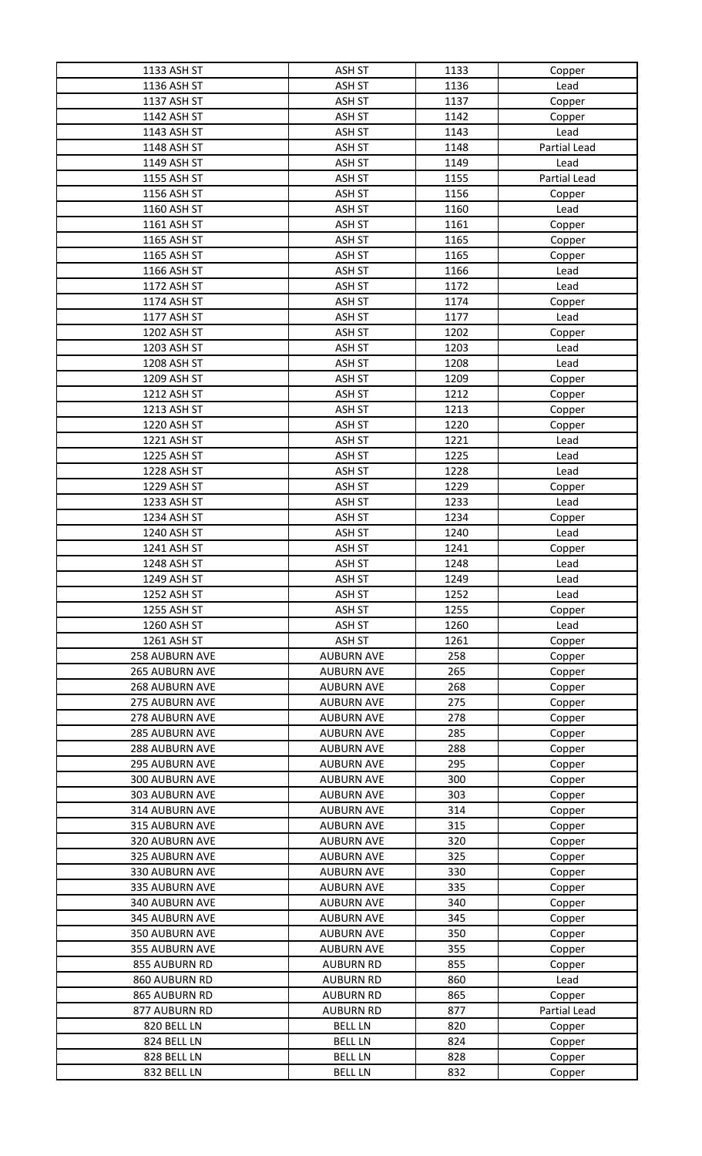| 1133 ASH ST           | ASH ST            | 1133 | Copper       |
|-----------------------|-------------------|------|--------------|
| 1136 ASH ST           | ASH ST            | 1136 | Lead         |
| 1137 ASH ST           | ASH ST            | 1137 | Copper       |
| 1142 ASH ST           | ASH ST            | 1142 | Copper       |
| 1143 ASH ST           | ASH ST            | 1143 | Lead         |
| 1148 ASH ST           | ASH ST            | 1148 | Partial Lead |
| 1149 ASH ST           | ASH ST            | 1149 | Lead         |
| 1155 ASH ST           | ASH ST            | 1155 | Partial Lead |
| 1156 ASH ST           | ASH ST            | 1156 | Copper       |
| 1160 ASH ST           | ASH ST            | 1160 | Lead         |
| 1161 ASH ST           | ASH ST            | 1161 | Copper       |
| 1165 ASH ST           | ASH ST            | 1165 | Copper       |
| 1165 ASH ST           | ASH ST            | 1165 | Copper       |
| 1166 ASH ST           | ASH ST            | 1166 | Lead         |
| 1172 ASH ST           | ASH ST            | 1172 | Lead         |
| 1174 ASH ST           | ASH ST            | 1174 | Copper       |
| 1177 ASH ST           | ASH ST            | 1177 | Lead         |
| 1202 ASH ST           | ASH ST            | 1202 | Copper       |
| 1203 ASH ST           | ASH ST            | 1203 | Lead         |
| 1208 ASH ST           | ASH ST            | 1208 | Lead         |
| 1209 ASH ST           | <b>ASH ST</b>     | 1209 | Copper       |
| 1212 ASH ST           | ASH ST            | 1212 | Copper       |
| 1213 ASH ST           | ASH ST            | 1213 | Copper       |
| 1220 ASH ST           | ASH ST            | 1220 | Copper       |
| 1221 ASH ST           | ASH ST            | 1221 | Lead         |
| 1225 ASH ST           | ASH ST            | 1225 | Lead         |
| 1228 ASH ST           | ASH ST            | 1228 | Lead         |
| 1229 ASH ST           | ASH ST            | 1229 | Copper       |
| 1233 ASH ST           | ASH ST            | 1233 | Lead         |
| 1234 ASH ST           | ASH ST            | 1234 | Copper       |
| 1240 ASH ST           | ASH ST            | 1240 | Lead         |
| 1241 ASH ST           | ASH ST            | 1241 | Copper       |
| 1248 ASH ST           | ASH ST            | 1248 | Lead         |
| 1249 ASH ST           | ASH ST            | 1249 | Lead         |
| 1252 ASH ST           | <b>ASH ST</b>     | 1252 | Lead         |
| 1255 ASH ST           | <b>ASH ST</b>     | 1255 | Copper       |
| 1260 ASH ST           | ASH ST            | 1260 | Lead         |
| 1261 ASH ST           | ASH ST            | 1261 | Copper       |
| 258 AUBURN AVE        | <b>AUBURN AVE</b> | 258  | Copper       |
| 265 AUBURN AVE        | <b>AUBURN AVE</b> | 265  | Copper       |
| 268 AUBURN AVE        | <b>AUBURN AVE</b> | 268  | Copper       |
| 275 AUBURN AVE        | <b>AUBURN AVE</b> | 275  | Copper       |
| 278 AUBURN AVE        | <b>AUBURN AVE</b> | 278  | Copper       |
| <b>285 AUBURN AVE</b> | <b>AUBURN AVE</b> | 285  | Copper       |
| 288 AUBURN AVE        | <b>AUBURN AVE</b> | 288  | Copper       |
| <b>295 AUBURN AVE</b> | <b>AUBURN AVE</b> | 295  | Copper       |
| 300 AUBURN AVE        | <b>AUBURN AVE</b> | 300  | Copper       |
| 303 AUBURN AVE        | <b>AUBURN AVE</b> | 303  | Copper       |
| 314 AUBURN AVE        | <b>AUBURN AVE</b> | 314  | Copper       |
| 315 AUBURN AVE        | <b>AUBURN AVE</b> | 315  | Copper       |
| 320 AUBURN AVE        | <b>AUBURN AVE</b> | 320  | Copper       |
| 325 AUBURN AVE        | <b>AUBURN AVE</b> | 325  | Copper       |
| 330 AUBURN AVE        | <b>AUBURN AVE</b> | 330  | Copper       |
| <b>335 AUBURN AVE</b> | <b>AUBURN AVE</b> | 335  | Copper       |
| 340 AUBURN AVE        | <b>AUBURN AVE</b> | 340  | Copper       |
| 345 AUBURN AVE        | <b>AUBURN AVE</b> | 345  | Copper       |
| 350 AUBURN AVE        | <b>AUBURN AVE</b> | 350  | Copper       |
| 355 AUBURN AVE        | <b>AUBURN AVE</b> | 355  | Copper       |
| 855 AUBURN RD         | <b>AUBURN RD</b>  | 855  | Copper       |
| 860 AUBURN RD         | <b>AUBURN RD</b>  | 860  | Lead         |
| 865 AUBURN RD         | <b>AUBURN RD</b>  | 865  | Copper       |
| 877 AUBURN RD         | <b>AUBURN RD</b>  | 877  | Partial Lead |
| 820 BELL LN           | <b>BELL LN</b>    | 820  | Copper       |
| 824 BELL LN           | <b>BELL LN</b>    | 824  | Copper       |
| 828 BELL LN           | <b>BELL LN</b>    | 828  | Copper       |
| 832 BELL LN           | <b>BELL LN</b>    | 832  | Copper       |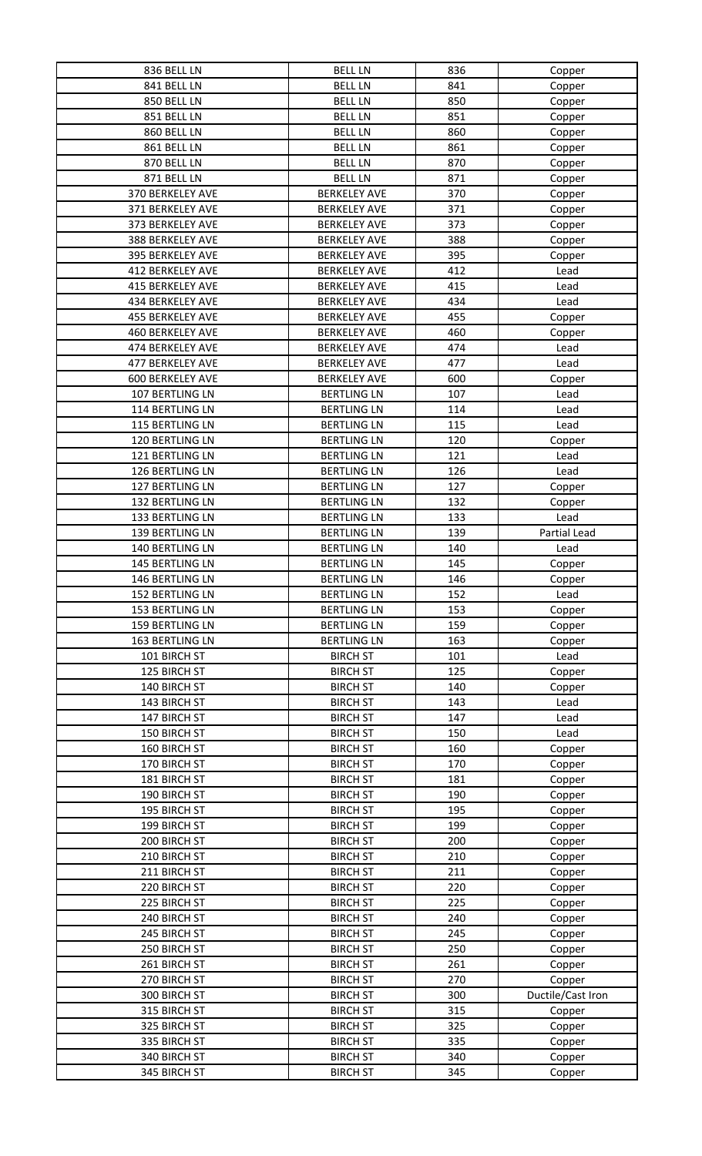| 836 BELL LN             | <b>BELL LN</b>      | 836 | Copper            |
|-------------------------|---------------------|-----|-------------------|
| 841 BELL LN             | <b>BELL LN</b>      | 841 | Copper            |
| 850 BELL LN             | <b>BELL LN</b>      | 850 | Copper            |
| 851 BELL LN             | <b>BELL LN</b>      | 851 | Copper            |
| 860 BELL LN             | <b>BELL LN</b>      | 860 | Copper            |
| 861 BELL LN             | <b>BELL LN</b>      | 861 | Copper            |
| 870 BELL LN             | <b>BELL LN</b>      | 870 | Copper            |
| 871 BELL LN             | <b>BELL LN</b>      | 871 | Copper            |
| 370 BERKELEY AVE        | <b>BERKELEY AVE</b> | 370 | Copper            |
| 371 BERKELEY AVE        | <b>BERKELEY AVE</b> | 371 | Copper            |
| 373 BERKELEY AVE        | <b>BERKELEY AVE</b> | 373 | Copper            |
| 388 BERKELEY AVE        | <b>BERKELEY AVE</b> | 388 | Copper            |
| 395 BERKELEY AVE        | <b>BERKELEY AVE</b> | 395 |                   |
| 412 BERKELEY AVE        | <b>BERKELEY AVE</b> | 412 | Copper<br>Lead    |
| 415 BERKELEY AVE        |                     | 415 |                   |
|                         | <b>BERKELEY AVE</b> |     | Lead              |
| 434 BERKELEY AVE        | <b>BERKELEY AVE</b> | 434 | Lead              |
| <b>455 BERKELEY AVE</b> | <b>BERKELEY AVE</b> | 455 | Copper            |
| <b>460 BERKELEY AVE</b> | <b>BERKELEY AVE</b> | 460 | Copper            |
| 474 BERKELEY AVE        | <b>BERKELEY AVE</b> | 474 | Lead              |
| 477 BERKELEY AVE        | <b>BERKELEY AVE</b> | 477 | Lead              |
| <b>600 BERKELEY AVE</b> | <b>BERKELEY AVE</b> | 600 | Copper            |
| 107 BERTLING LN         | <b>BERTLING LN</b>  | 107 | Lead              |
| 114 BERTLING LN         | <b>BERTLING LN</b>  | 114 | Lead              |
| 115 BERTLING LN         | <b>BERTLING LN</b>  | 115 | Lead              |
| 120 BERTLING LN         | <b>BERTLING LN</b>  | 120 | Copper            |
| 121 BERTLING LN         | <b>BERTLING LN</b>  | 121 | Lead              |
| 126 BERTLING LN         | <b>BERTLING LN</b>  | 126 | Lead              |
| 127 BERTLING LN         | <b>BERTLING LN</b>  | 127 | Copper            |
| 132 BERTLING LN         | <b>BERTLING LN</b>  | 132 | Copper            |
| 133 BERTLING LN         | <b>BERTLING LN</b>  | 133 | Lead              |
| 139 BERTLING LN         | <b>BERTLING LN</b>  | 139 | Partial Lead      |
| 140 BERTLING LN         | <b>BERTLING LN</b>  | 140 | Lead              |
| 145 BERTLING LN         | <b>BERTLING LN</b>  | 145 | Copper            |
| 146 BERTLING LN         | <b>BERTLING LN</b>  | 146 | Copper            |
| <b>152 BERTLING LN</b>  | <b>BERTLING LN</b>  | 152 | Lead              |
| 153 BERTLING LN         | <b>BERTLING LN</b>  | 153 | Copper            |
| 159 BERTLING LN         | <b>BERTLING LN</b>  | 159 | Copper            |
| 163 BERTLING LN         | <b>BERTLING LN</b>  | 163 | Copper            |
| 101 BIRCH ST            | <b>BIRCH ST</b>     | 101 | Lead              |
| 125 BIRCH ST            | <b>BIRCH ST</b>     | 125 | Copper            |
| 140 BIRCH ST            | <b>BIRCH ST</b>     | 140 |                   |
|                         |                     |     | Copper            |
| 143 BIRCH ST            | <b>BIRCH ST</b>     | 143 | Lead              |
| 147 BIRCH ST            | <b>BIRCH ST</b>     | 147 | Lead              |
| 150 BIRCH ST            | <b>BIRCH ST</b>     | 150 | Lead              |
| 160 BIRCH ST            | <b>BIRCH ST</b>     | 160 | Copper            |
| 170 BIRCH ST            | <b>BIRCH ST</b>     | 170 | Copper            |
| 181 BIRCH ST            | <b>BIRCH ST</b>     | 181 | Copper            |
| 190 BIRCH ST            | <b>BIRCH ST</b>     | 190 | Copper            |
| 195 BIRCH ST            | <b>BIRCH ST</b>     | 195 | Copper            |
| 199 BIRCH ST            | <b>BIRCH ST</b>     | 199 | Copper            |
| 200 BIRCH ST            | <b>BIRCH ST</b>     | 200 | Copper            |
| 210 BIRCH ST            | <b>BIRCH ST</b>     | 210 | Copper            |
| 211 BIRCH ST            | <b>BIRCH ST</b>     | 211 | Copper            |
| 220 BIRCH ST            | <b>BIRCH ST</b>     | 220 | Copper            |
| 225 BIRCH ST            | <b>BIRCH ST</b>     | 225 | Copper            |
| 240 BIRCH ST            | <b>BIRCH ST</b>     | 240 | Copper            |
| 245 BIRCH ST            | <b>BIRCH ST</b>     | 245 | Copper            |
| 250 BIRCH ST            | <b>BIRCH ST</b>     | 250 | Copper            |
| 261 BIRCH ST            | <b>BIRCH ST</b>     | 261 | Copper            |
| 270 BIRCH ST            | <b>BIRCH ST</b>     | 270 | Copper            |
| 300 BIRCH ST            | <b>BIRCH ST</b>     | 300 | Ductile/Cast Iron |
| 315 BIRCH ST            | <b>BIRCH ST</b>     | 315 | Copper            |
| 325 BIRCH ST            | <b>BIRCH ST</b>     | 325 | Copper            |
| 335 BIRCH ST            | <b>BIRCH ST</b>     | 335 | Copper            |
| 340 BIRCH ST            | <b>BIRCH ST</b>     | 340 | Copper            |
| 345 BIRCH ST            | <b>BIRCH ST</b>     | 345 | Copper            |
|                         |                     |     |                   |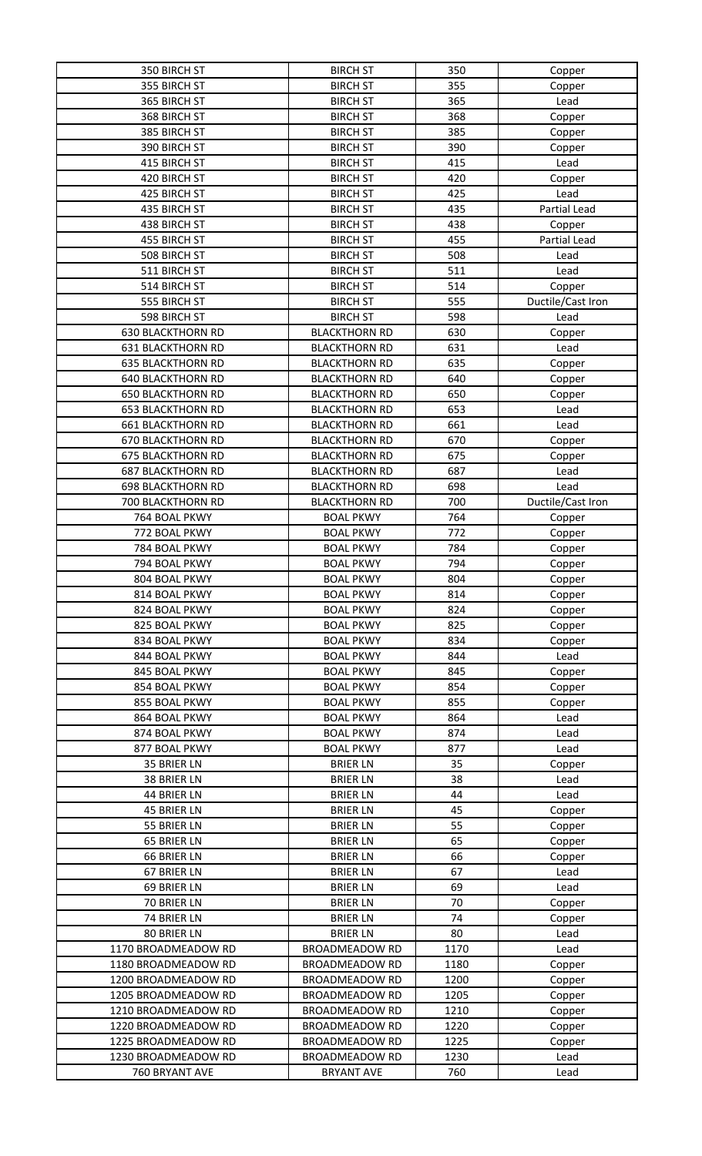| 350 BIRCH ST             | <b>BIRCH ST</b>       | 350  | Copper            |
|--------------------------|-----------------------|------|-------------------|
| 355 BIRCH ST             | <b>BIRCH ST</b>       | 355  | Copper            |
| 365 BIRCH ST             | <b>BIRCH ST</b>       | 365  | Lead              |
| 368 BIRCH ST             | <b>BIRCH ST</b>       | 368  | Copper            |
| 385 BIRCH ST             | <b>BIRCH ST</b>       | 385  | Copper            |
| 390 BIRCH ST             | <b>BIRCH ST</b>       | 390  | Copper            |
| 415 BIRCH ST             | <b>BIRCH ST</b>       | 415  | Lead              |
| 420 BIRCH ST             | <b>BIRCH ST</b>       | 420  | Copper            |
| 425 BIRCH ST             | <b>BIRCH ST</b>       | 425  | Lead              |
| 435 BIRCH ST             | <b>BIRCH ST</b>       | 435  | Partial Lead      |
| 438 BIRCH ST             | <b>BIRCH ST</b>       | 438  | Copper            |
| 455 BIRCH ST             | <b>BIRCH ST</b>       | 455  | Partial Lead      |
| 508 BIRCH ST             | <b>BIRCH ST</b>       | 508  | Lead              |
| 511 BIRCH ST             | <b>BIRCH ST</b>       | 511  | Lead              |
| 514 BIRCH ST             | <b>BIRCH ST</b>       | 514  | Copper            |
| 555 BIRCH ST             | <b>BIRCH ST</b>       | 555  | Ductile/Cast Iron |
| 598 BIRCH ST             | <b>BIRCH ST</b>       | 598  | Lead              |
| <b>630 BLACKTHORN RD</b> | <b>BLACKTHORN RD</b>  | 630  |                   |
| <b>631 BLACKTHORN RD</b> | <b>BLACKTHORN RD</b>  | 631  | Copper            |
| <b>635 BLACKTHORN RD</b> | <b>BLACKTHORN RD</b>  | 635  | Lead              |
|                          |                       |      | Copper            |
| <b>640 BLACKTHORN RD</b> | <b>BLACKTHORN RD</b>  | 640  | Copper            |
| <b>650 BLACKTHORN RD</b> | <b>BLACKTHORN RD</b>  | 650  | Copper            |
| <b>653 BLACKTHORN RD</b> | <b>BLACKTHORN RD</b>  | 653  | Lead              |
| <b>661 BLACKTHORN RD</b> | <b>BLACKTHORN RD</b>  | 661  | Lead              |
| <b>670 BLACKTHORN RD</b> | <b>BLACKTHORN RD</b>  | 670  | Copper            |
| <b>675 BLACKTHORN RD</b> | <b>BLACKTHORN RD</b>  | 675  | Copper            |
| <b>687 BLACKTHORN RD</b> | <b>BLACKTHORN RD</b>  | 687  | Lead              |
| <b>698 BLACKTHORN RD</b> | <b>BLACKTHORN RD</b>  | 698  | Lead              |
| 700 BLACKTHORN RD        | <b>BLACKTHORN RD</b>  | 700  | Ductile/Cast Iron |
| 764 BOAL PKWY            | <b>BOAL PKWY</b>      | 764  | Copper            |
| 772 BOAL PKWY            | <b>BOAL PKWY</b>      | 772  | Copper            |
| 784 BOAL PKWY            | <b>BOAL PKWY</b>      | 784  | Copper            |
| 794 BOAL PKWY            | <b>BOAL PKWY</b>      | 794  | Copper            |
| 804 BOAL PKWY            | <b>BOAL PKWY</b>      | 804  | Copper            |
| 814 BOAL PKWY            | <b>BOAL PKWY</b>      | 814  | Copper            |
| 824 BOAL PKWY            | <b>BOAL PKWY</b>      | 824  | Copper            |
| 825 BOAL PKWY            | <b>BOAL PKWY</b>      | 825  | Copper            |
| 834 BOAL PKWY            | <b>BOAL PKWY</b>      | 834  | Copper            |
| 844 BOAL PKWY            | <b>BOAL PKWY</b>      | 844  | Lead              |
| 845 BOAL PKWY            | <b>BOAL PKWY</b>      | 845  | Copper            |
| 854 BOAL PKWY            | <b>BOAL PKWY</b>      | 854  | Copper            |
| 855 BOAL PKWY            | <b>BOAL PKWY</b>      | 855  | Copper            |
| 864 BOAL PKWY            | <b>BOAL PKWY</b>      | 864  | Lead              |
| 874 BOAL PKWY            | <b>BOAL PKWY</b>      | 874  | Lead              |
| 877 BOAL PKWY            | <b>BOAL PKWY</b>      | 877  | Lead              |
| 35 BRIER LN              | <b>BRIER LN</b>       | 35   | Copper            |
| 38 BRIER LN              | <b>BRIER LN</b>       | 38   | Lead              |
| 44 BRIER LN              | <b>BRIER LN</b>       | 44   | Lead              |
| 45 BRIER LN              | <b>BRIER LN</b>       | 45   | Copper            |
| 55 BRIER LN              | <b>BRIER LN</b>       | 55   | Copper            |
| 65 BRIER LN              | <b>BRIER LN</b>       | 65   | Copper            |
| 66 BRIER LN              | <b>BRIER LN</b>       | 66   | Copper            |
| 67 BRIER LN              | <b>BRIER LN</b>       | 67   | Lead              |
| 69 BRIER LN              | <b>BRIER LN</b>       | 69   | Lead              |
| 70 BRIER LN              | <b>BRIER LN</b>       | 70   | Copper            |
| 74 BRIER LN              | <b>BRIER LN</b>       | 74   |                   |
| 80 BRIER LN              | <b>BRIER LN</b>       | 80   | Copper            |
| 1170 BROADMEADOW RD      | <b>BROADMEADOW RD</b> | 1170 | Lead              |
|                          |                       |      | Lead              |
| 1180 BROADMEADOW RD      | <b>BROADMEADOW RD</b> | 1180 | Copper            |
| 1200 BROADMEADOW RD      | <b>BROADMEADOW RD</b> | 1200 | Copper            |
| 1205 BROADMEADOW RD      | <b>BROADMEADOW RD</b> | 1205 | Copper            |
| 1210 BROADMEADOW RD      | <b>BROADMEADOW RD</b> | 1210 | Copper            |
| 1220 BROADMEADOW RD      | <b>BROADMEADOW RD</b> | 1220 | Copper            |
| 1225 BROADMEADOW RD      | <b>BROADMEADOW RD</b> | 1225 | Copper            |
| 1230 BROADMEADOW RD      | <b>BROADMEADOW RD</b> | 1230 | Lead              |
| 760 BRYANT AVE           | <b>BRYANT AVE</b>     | 760  | Lead              |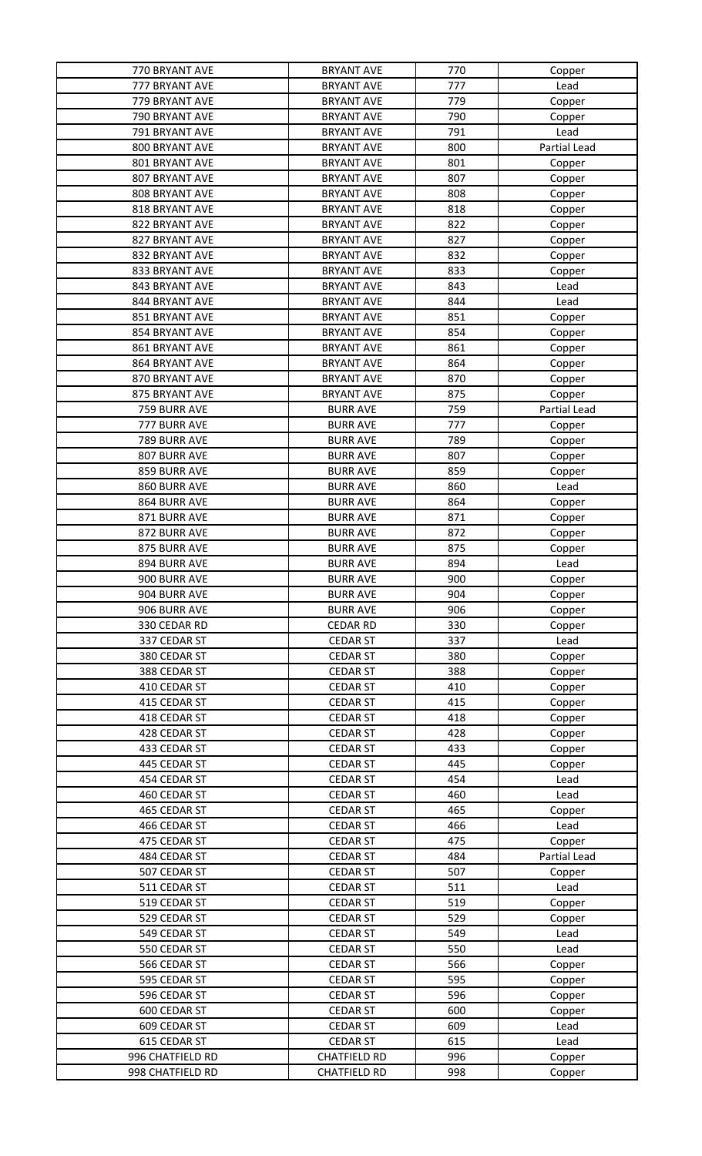| 770 BRYANT AVE   | <b>BRYANT AVE</b>   | 770 | Copper       |
|------------------|---------------------|-----|--------------|
| 777 BRYANT AVE   | <b>BRYANT AVE</b>   | 777 | Lead         |
| 779 BRYANT AVE   | <b>BRYANT AVE</b>   | 779 | Copper       |
| 790 BRYANT AVE   | <b>BRYANT AVE</b>   | 790 | Copper       |
| 791 BRYANT AVE   | <b>BRYANT AVE</b>   | 791 | Lead         |
| 800 BRYANT AVE   | <b>BRYANT AVE</b>   | 800 | Partial Lead |
| 801 BRYANT AVE   | <b>BRYANT AVE</b>   | 801 | Copper       |
| 807 BRYANT AVE   | <b>BRYANT AVE</b>   | 807 | Copper       |
| 808 BRYANT AVE   | <b>BRYANT AVE</b>   | 808 | Copper       |
| 818 BRYANT AVE   | <b>BRYANT AVE</b>   | 818 | Copper       |
| 822 BRYANT AVE   | <b>BRYANT AVE</b>   | 822 | Copper       |
| 827 BRYANT AVE   | <b>BRYANT AVE</b>   | 827 |              |
| 832 BRYANT AVE   | <b>BRYANT AVE</b>   | 832 | Copper       |
| 833 BRYANT AVE   | <b>BRYANT AVE</b>   | 833 | Copper       |
|                  |                     |     | Copper       |
| 843 BRYANT AVE   | <b>BRYANT AVE</b>   | 843 | Lead         |
| 844 BRYANT AVE   | <b>BRYANT AVE</b>   | 844 | Lead         |
| 851 BRYANT AVE   | <b>BRYANT AVE</b>   | 851 | Copper       |
| 854 BRYANT AVE   | <b>BRYANT AVE</b>   | 854 | Copper       |
| 861 BRYANT AVE   | <b>BRYANT AVE</b>   | 861 | Copper       |
| 864 BRYANT AVE   | <b>BRYANT AVE</b>   | 864 | Copper       |
| 870 BRYANT AVE   | <b>BRYANT AVE</b>   | 870 | Copper       |
| 875 BRYANT AVE   | <b>BRYANT AVE</b>   | 875 | Copper       |
| 759 BURR AVE     | <b>BURR AVE</b>     | 759 | Partial Lead |
| 777 BURR AVE     | <b>BURR AVE</b>     | 777 | Copper       |
| 789 BURR AVE     | <b>BURR AVE</b>     | 789 | Copper       |
| 807 BURR AVE     | <b>BURR AVE</b>     | 807 | Copper       |
| 859 BURR AVE     | <b>BURR AVE</b>     | 859 | Copper       |
| 860 BURR AVE     | <b>BURR AVE</b>     | 860 | Lead         |
| 864 BURR AVE     | <b>BURR AVE</b>     | 864 | Copper       |
| 871 BURR AVE     | <b>BURR AVE</b>     | 871 | Copper       |
| 872 BURR AVE     | <b>BURR AVE</b>     | 872 | Copper       |
| 875 BURR AVE     | <b>BURR AVE</b>     | 875 | Copper       |
| 894 BURR AVE     | <b>BURR AVE</b>     | 894 | Lead         |
| 900 BURR AVE     | <b>BURR AVE</b>     | 900 | Copper       |
| 904 BURR AVE     | <b>BURR AVE</b>     | 904 | Copper       |
| 906 BURR AVE     | <b>BURR AVE</b>     | 906 | Copper       |
| 330 CEDAR RD     | <b>CEDAR RD</b>     | 330 | Copper       |
| 337 CEDAR ST     | <b>CEDAR ST</b>     | 337 | Lead         |
| 380 CEDAR ST     | <b>CEDAR ST</b>     | 380 |              |
| 388 CEDAR ST     | <b>CEDAR ST</b>     | 388 | Copper       |
|                  |                     |     | Copper       |
| 410 CEDAR ST     | <b>CEDAR ST</b>     | 410 | Copper       |
| 415 CEDAR ST     | <b>CEDAR ST</b>     | 415 | Copper       |
| 418 CEDAR ST     | <b>CEDAR ST</b>     | 418 | Copper       |
| 428 CEDAR ST     | <b>CEDAR ST</b>     | 428 | Copper       |
| 433 CEDAR ST     | <b>CEDAR ST</b>     | 433 | Copper       |
| 445 CEDAR ST     | <b>CEDAR ST</b>     | 445 | Copper       |
| 454 CEDAR ST     | <b>CEDAR ST</b>     | 454 | Lead         |
| 460 CEDAR ST     | <b>CEDAR ST</b>     | 460 | Lead         |
| 465 CEDAR ST     | <b>CEDAR ST</b>     | 465 | Copper       |
| 466 CEDAR ST     | <b>CEDAR ST</b>     | 466 | Lead         |
| 475 CEDAR ST     | <b>CEDAR ST</b>     | 475 | Copper       |
| 484 CEDAR ST     | <b>CEDAR ST</b>     | 484 | Partial Lead |
| 507 CEDAR ST     | <b>CEDAR ST</b>     | 507 | Copper       |
| 511 CEDAR ST     | <b>CEDAR ST</b>     | 511 | Lead         |
| 519 CEDAR ST     | <b>CEDAR ST</b>     | 519 | Copper       |
| 529 CEDAR ST     | <b>CEDAR ST</b>     | 529 | Copper       |
| 549 CEDAR ST     | <b>CEDAR ST</b>     | 549 | Lead         |
| 550 CEDAR ST     | <b>CEDAR ST</b>     | 550 | Lead         |
| 566 CEDAR ST     | <b>CEDAR ST</b>     | 566 | Copper       |
| 595 CEDAR ST     | <b>CEDAR ST</b>     | 595 | Copper       |
| 596 CEDAR ST     | <b>CEDAR ST</b>     | 596 | Copper       |
| 600 CEDAR ST     | <b>CEDAR ST</b>     | 600 | Copper       |
| 609 CEDAR ST     | <b>CEDAR ST</b>     | 609 | Lead         |
| 615 CEDAR ST     | <b>CEDAR ST</b>     | 615 | Lead         |
| 996 CHATFIELD RD | <b>CHATFIELD RD</b> | 996 | Copper       |
| 998 CHATFIELD RD | <b>CHATFIELD RD</b> | 998 | Copper       |
|                  |                     |     |              |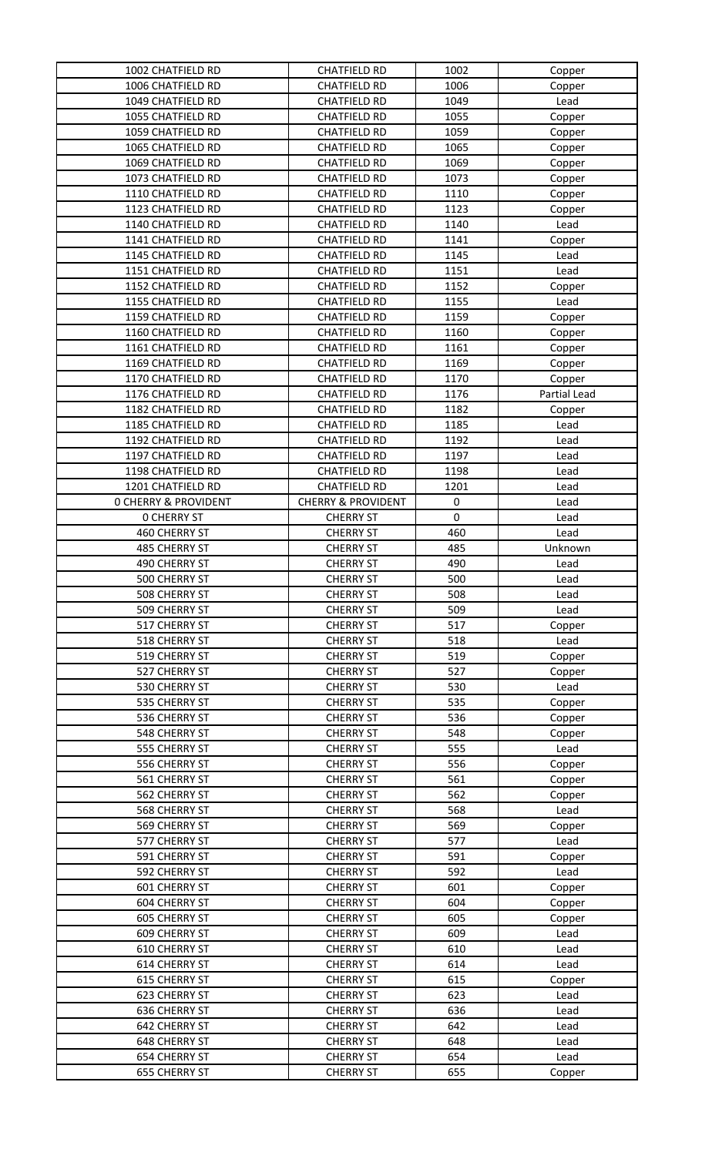| 1002 CHATFIELD RD               | <b>CHATFIELD RD</b>           | 1002      | Copper       |
|---------------------------------|-------------------------------|-----------|--------------|
| 1006 CHATFIELD RD               | <b>CHATFIELD RD</b>           | 1006      | Copper       |
| 1049 CHATFIELD RD               | <b>CHATFIELD RD</b>           | 1049      | Lead         |
| 1055 CHATFIELD RD               | <b>CHATFIELD RD</b>           | 1055      | Copper       |
| 1059 CHATFIELD RD               | <b>CHATFIELD RD</b>           | 1059      | Copper       |
| 1065 CHATFIELD RD               | <b>CHATFIELD RD</b>           | 1065      | Copper       |
| 1069 CHATFIELD RD               | <b>CHATFIELD RD</b>           | 1069      | Copper       |
| 1073 CHATFIELD RD               | <b>CHATFIELD RD</b>           | 1073      | Copper       |
| 1110 CHATFIELD RD               | <b>CHATFIELD RD</b>           | 1110      | Copper       |
| 1123 CHATFIELD RD               | <b>CHATFIELD RD</b>           | 1123      | Copper       |
| 1140 CHATFIELD RD               | <b>CHATFIELD RD</b>           | 1140      | Lead         |
| 1141 CHATFIELD RD               | <b>CHATFIELD RD</b>           | 1141      | Copper       |
| 1145 CHATFIELD RD               | <b>CHATFIELD RD</b>           | 1145      | Lead         |
| 1151 CHATFIELD RD               | <b>CHATFIELD RD</b>           | 1151      | Lead         |
| 1152 CHATFIELD RD               | <b>CHATFIELD RD</b>           | 1152      | Copper       |
| 1155 CHATFIELD RD               | <b>CHATFIELD RD</b>           | 1155      | Lead         |
| 1159 CHATFIELD RD               | <b>CHATFIELD RD</b>           | 1159      | Copper       |
| 1160 CHATFIELD RD               | <b>CHATFIELD RD</b>           | 1160      | Copper       |
| 1161 CHATFIELD RD               | <b>CHATFIELD RD</b>           | 1161      | Copper       |
| 1169 CHATFIELD RD               | <b>CHATFIELD RD</b>           | 1169      | Copper       |
| 1170 CHATFIELD RD               | <b>CHATFIELD RD</b>           | 1170      | Copper       |
| 1176 CHATFIELD RD               | <b>CHATFIELD RD</b>           | 1176      | Partial Lead |
| 1182 CHATFIELD RD               | <b>CHATFIELD RD</b>           | 1182      | Copper       |
| 1185 CHATFIELD RD               | <b>CHATFIELD RD</b>           | 1185      | Lead         |
| 1192 CHATFIELD RD               | <b>CHATFIELD RD</b>           | 1192      | Lead         |
| 1197 CHATFIELD RD               | <b>CHATFIELD RD</b>           | 1197      | Lead         |
| 1198 CHATFIELD RD               | <b>CHATFIELD RD</b>           | 1198      | Lead         |
| 1201 CHATFIELD RD               | <b>CHATFIELD RD</b>           | 1201      | Lead         |
| <b>0 CHERRY &amp; PROVIDENT</b> | <b>CHERRY &amp; PROVIDENT</b> | 0         | Lead         |
| <b>0 CHERRY ST</b>              | <b>CHERRY ST</b>              | $\pmb{0}$ | Lead         |
| 460 CHERRY ST                   | <b>CHERRY ST</b>              | 460       | Lead         |
| 485 CHERRY ST                   | <b>CHERRY ST</b>              | 485       | Unknown      |
| 490 CHERRY ST                   | <b>CHERRY ST</b>              | 490       | Lead         |
| 500 CHERRY ST                   | <b>CHERRY ST</b>              | 500       | Lead         |
| <b>508 CHERRY ST</b>            | <b>CHERRY ST</b>              | 508       | Lead         |
| 509 CHERRY ST                   | <b>CHERRY ST</b>              | 509       | Lead         |
| 517 CHERRY ST                   | <b>CHERRY ST</b>              | 517       | Copper       |
| 518 CHERRY ST                   | <b>CHERRY ST</b>              | 518       | Lead         |
| 519 CHERRY ST                   | <b>CHERRY ST</b>              | 519       | Copper       |
| 527 CHERRY ST                   | <b>CHERRY ST</b>              | 527       | Copper       |
| 530 CHERRY ST                   | <b>CHERRY ST</b>              | 530       | Lead         |
| 535 CHERRY ST                   | <b>CHERRY ST</b>              | 535       | Copper       |
| 536 CHERRY ST                   | <b>CHERRY ST</b>              | 536       | Copper       |
| 548 CHERRY ST                   | <b>CHERRY ST</b>              | 548       | Copper       |
| 555 CHERRY ST                   | <b>CHERRY ST</b>              | 555       | Lead         |
| 556 CHERRY ST                   | <b>CHERRY ST</b>              | 556       | Copper       |
| 561 CHERRY ST                   | <b>CHERRY ST</b>              | 561       | Copper       |
| 562 CHERRY ST                   | <b>CHERRY ST</b>              | 562       | Copper       |
| 568 CHERRY ST                   | <b>CHERRY ST</b>              | 568       | Lead         |
| 569 CHERRY ST                   | <b>CHERRY ST</b>              | 569       | Copper       |
| 577 CHERRY ST                   | <b>CHERRY ST</b>              | 577       | Lead         |
| 591 CHERRY ST                   | <b>CHERRY ST</b>              | 591       | Copper       |
| 592 CHERRY ST                   | <b>CHERRY ST</b>              | 592       | Lead         |
| <b>601 CHERRY ST</b>            | <b>CHERRY ST</b>              | 601       | Copper       |
| 604 CHERRY ST                   | <b>CHERRY ST</b>              | 604       | Copper       |
| 605 CHERRY ST                   | <b>CHERRY ST</b>              | 605       | Copper       |
| 609 CHERRY ST                   | <b>CHERRY ST</b>              | 609       | Lead         |
| 610 CHERRY ST                   | <b>CHERRY ST</b>              | 610       | Lead         |
| 614 CHERRY ST                   | <b>CHERRY ST</b>              | 614       | Lead         |
| 615 CHERRY ST                   | <b>CHERRY ST</b>              | 615       | Copper       |
| 623 CHERRY ST                   | <b>CHERRY ST</b>              | 623       | Lead         |
| 636 CHERRY ST                   | <b>CHERRY ST</b>              | 636       | Lead         |
| 642 CHERRY ST                   | <b>CHERRY ST</b>              | 642       | Lead         |
| 648 CHERRY ST                   | <b>CHERRY ST</b>              | 648       | Lead         |
| 654 CHERRY ST                   | <b>CHERRY ST</b>              | 654       | Lead         |
| <b>655 CHERRY ST</b>            | <b>CHERRY ST</b>              | 655       | Copper       |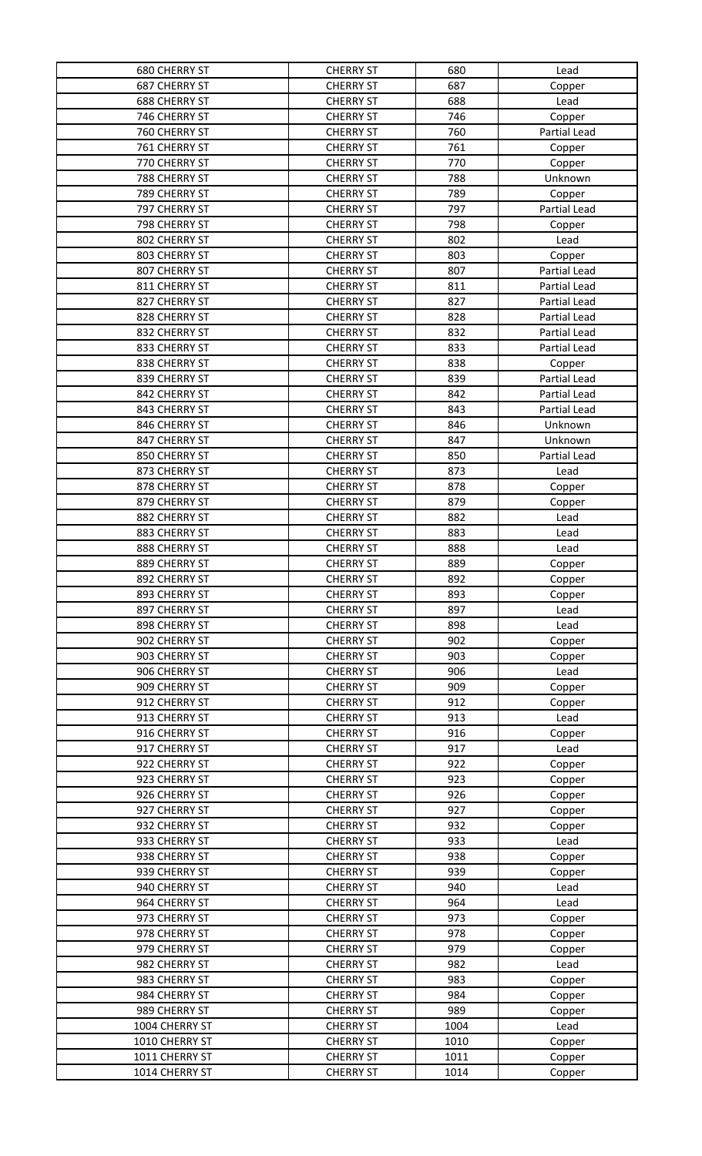| <b>680 CHERRY ST</b> | <b>CHERRY ST</b> | 680  | Lead                |
|----------------------|------------------|------|---------------------|
| <b>687 CHERRY ST</b> | <b>CHERRY ST</b> | 687  | Copper              |
| <b>688 CHERRY ST</b> | <b>CHERRY ST</b> | 688  | Lead                |
| 746 CHERRY ST        | <b>CHERRY ST</b> | 746  | Copper              |
| 760 CHERRY ST        | <b>CHERRY ST</b> | 760  | Partial Lead        |
| 761 CHERRY ST        | <b>CHERRY ST</b> | 761  | Copper              |
| 770 CHERRY ST        | <b>CHERRY ST</b> | 770  | Copper              |
| 788 CHERRY ST        | <b>CHERRY ST</b> | 788  | Unknown             |
| 789 CHERRY ST        | <b>CHERRY ST</b> | 789  | Copper              |
| 797 CHERRY ST        | <b>CHERRY ST</b> | 797  | Partial Lead        |
| 798 CHERRY ST        | <b>CHERRY ST</b> | 798  | Copper              |
| 802 CHERRY ST        | <b>CHERRY ST</b> | 802  | Lead                |
| 803 CHERRY ST        | <b>CHERRY ST</b> | 803  | Copper              |
| 807 CHERRY ST        | <b>CHERRY ST</b> | 807  | Partial Lead        |
| 811 CHERRY ST        | <b>CHERRY ST</b> | 811  | Partial Lead        |
| 827 CHERRY ST        | <b>CHERRY ST</b> | 827  | <b>Partial Lead</b> |
| 828 CHERRY ST        | <b>CHERRY ST</b> | 828  | Partial Lead        |
| 832 CHERRY ST        | <b>CHERRY ST</b> | 832  | Partial Lead        |
| 833 CHERRY ST        | <b>CHERRY ST</b> | 833  | Partial Lead        |
| 838 CHERRY ST        | <b>CHERRY ST</b> | 838  | Copper              |
| 839 CHERRY ST        | <b>CHERRY ST</b> | 839  | Partial Lead        |
| 842 CHERRY ST        | <b>CHERRY ST</b> | 842  | Partial Lead        |
| 843 CHERRY ST        | <b>CHERRY ST</b> | 843  | Partial Lead        |
| 846 CHERRY ST        | <b>CHERRY ST</b> | 846  | Unknown             |
| 847 CHERRY ST        | <b>CHERRY ST</b> | 847  | Unknown             |
| 850 CHERRY ST        | <b>CHERRY ST</b> | 850  | Partial Lead        |
| 873 CHERRY ST        | <b>CHERRY ST</b> | 873  | Lead                |
| 878 CHERRY ST        | <b>CHERRY ST</b> | 878  | Copper              |
| 879 CHERRY ST        | <b>CHERRY ST</b> | 879  | Copper              |
| 882 CHERRY ST        | <b>CHERRY ST</b> | 882  | Lead                |
| 883 CHERRY ST        | <b>CHERRY ST</b> | 883  | Lead                |
| 888 CHERRY ST        | <b>CHERRY ST</b> | 888  | Lead                |
| 889 CHERRY ST        | <b>CHERRY ST</b> | 889  | Copper              |
| 892 CHERRY ST        | <b>CHERRY ST</b> | 892  | Copper              |
| 893 CHERRY ST        | <b>CHERRY ST</b> | 893  | Copper              |
| 897 CHERRY ST        | <b>CHERRY ST</b> | 897  | Lead                |
| 898 CHERRY ST        | <b>CHERRY ST</b> | 898  | Lead                |
| 902 CHERRY ST        | <b>CHERRY ST</b> | 902  | Copper              |
| 903 CHERRY ST        | <b>CHERRY ST</b> | 903  | Copper              |
| 906 CHERRY ST        | <b>CHERRY ST</b> | 906  | Lead                |
| 909 CHERRY ST        | <b>CHERRY ST</b> | 909  | Copper              |
| 912 CHERRY ST        | <b>CHERRY ST</b> | 912  | Copper              |
| 913 CHERRY ST        | <b>CHERRY ST</b> | 913  | Lead                |
| 916 CHERRY ST        | <b>CHERRY ST</b> | 916  | Copper              |
| 917 CHERRY ST        | <b>CHERRY ST</b> | 917  | Lead                |
| 922 CHERRY ST        | <b>CHERRY ST</b> | 922  | Copper              |
| 923 CHERRY ST        | <b>CHERRY ST</b> | 923  | Copper              |
| 926 CHERRY ST        | <b>CHERRY ST</b> | 926  | Copper              |
| 927 CHERRY ST        | <b>CHERRY ST</b> | 927  | Copper              |
| 932 CHERRY ST        | <b>CHERRY ST</b> | 932  | Copper              |
| 933 CHERRY ST        | <b>CHERRY ST</b> | 933  | Lead                |
| 938 CHERRY ST        | <b>CHERRY ST</b> | 938  | Copper              |
| 939 CHERRY ST        | <b>CHERRY ST</b> | 939  | Copper              |
| 940 CHERRY ST        | <b>CHERRY ST</b> | 940  | Lead                |
| 964 CHERRY ST        | <b>CHERRY ST</b> | 964  | Lead                |
| 973 CHERRY ST        | <b>CHERRY ST</b> | 973  | Copper              |
| 978 CHERRY ST        | <b>CHERRY ST</b> | 978  | Copper              |
| 979 CHERRY ST        | <b>CHERRY ST</b> | 979  | Copper              |
| 982 CHERRY ST        | <b>CHERRY ST</b> | 982  | Lead                |
| 983 CHERRY ST        | <b>CHERRY ST</b> | 983  | Copper              |
| 984 CHERRY ST        | <b>CHERRY ST</b> | 984  | Copper              |
| 989 CHERRY ST        | <b>CHERRY ST</b> | 989  | Copper              |
| 1004 CHERRY ST       | <b>CHERRY ST</b> | 1004 | Lead                |
| 1010 CHERRY ST       | <b>CHERRY ST</b> | 1010 | Copper              |
| 1011 CHERRY ST       | <b>CHERRY ST</b> | 1011 | Copper              |
| 1014 CHERRY ST       | <b>CHERRY ST</b> | 1014 | Copper              |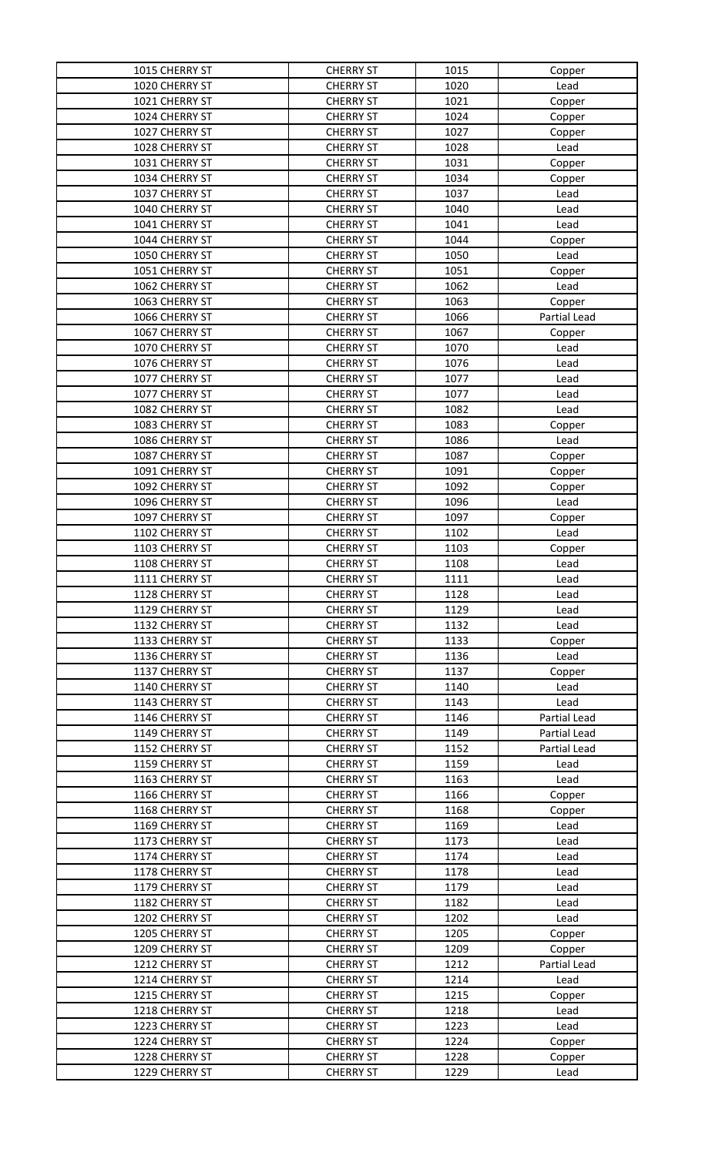| 1015 CHERRY ST | <b>CHERRY ST</b> | 1015 | Copper       |
|----------------|------------------|------|--------------|
| 1020 CHERRY ST | <b>CHERRY ST</b> | 1020 | Lead         |
| 1021 CHERRY ST | <b>CHERRY ST</b> | 1021 | Copper       |
| 1024 CHERRY ST | <b>CHERRY ST</b> | 1024 | Copper       |
| 1027 CHERRY ST | <b>CHERRY ST</b> | 1027 | Copper       |
| 1028 CHERRY ST | <b>CHERRY ST</b> | 1028 | Lead         |
| 1031 CHERRY ST | <b>CHERRY ST</b> | 1031 | Copper       |
| 1034 CHERRY ST | <b>CHERRY ST</b> | 1034 | Copper       |
| 1037 CHERRY ST | <b>CHERRY ST</b> | 1037 | Lead         |
| 1040 CHERRY ST | <b>CHERRY ST</b> | 1040 | Lead         |
| 1041 CHERRY ST | <b>CHERRY ST</b> | 1041 | Lead         |
| 1044 CHERRY ST | <b>CHERRY ST</b> | 1044 | Copper       |
| 1050 CHERRY ST | <b>CHERRY ST</b> | 1050 | Lead         |
| 1051 CHERRY ST | <b>CHERRY ST</b> | 1051 | Copper       |
| 1062 CHERRY ST | <b>CHERRY ST</b> | 1062 | Lead         |
| 1063 CHERRY ST | <b>CHERRY ST</b> | 1063 | Copper       |
| 1066 CHERRY ST | <b>CHERRY ST</b> | 1066 | Partial Lead |
| 1067 CHERRY ST | <b>CHERRY ST</b> | 1067 | Copper       |
| 1070 CHERRY ST | <b>CHERRY ST</b> | 1070 | Lead         |
| 1076 CHERRY ST | <b>CHERRY ST</b> | 1076 | Lead         |
| 1077 CHERRY ST | <b>CHERRY ST</b> | 1077 | Lead         |
| 1077 CHERRY ST | <b>CHERRY ST</b> | 1077 | Lead         |
| 1082 CHERRY ST | <b>CHERRY ST</b> | 1082 | Lead         |
| 1083 CHERRY ST | <b>CHERRY ST</b> | 1083 | Copper       |
| 1086 CHERRY ST | <b>CHERRY ST</b> | 1086 | Lead         |
| 1087 CHERRY ST | <b>CHERRY ST</b> | 1087 | Copper       |
| 1091 CHERRY ST | <b>CHERRY ST</b> | 1091 | Copper       |
| 1092 CHERRY ST | <b>CHERRY ST</b> | 1092 | Copper       |
| 1096 CHERRY ST | <b>CHERRY ST</b> | 1096 | Lead         |
| 1097 CHERRY ST | <b>CHERRY ST</b> | 1097 | Copper       |
| 1102 CHERRY ST | <b>CHERRY ST</b> | 1102 | Lead         |
| 1103 CHERRY ST | <b>CHERRY ST</b> | 1103 | Copper       |
| 1108 CHERRY ST | <b>CHERRY ST</b> | 1108 | Lead         |
| 1111 CHERRY ST | <b>CHERRY ST</b> | 1111 | Lead         |
| 1128 CHERRY ST | <b>CHERRY ST</b> | 1128 | Lead         |
| 1129 CHERRY ST | <b>CHERRY ST</b> | 1129 | Lead         |
| 1132 CHERRY ST | <b>CHERRY ST</b> | 1132 | Lead         |
| 1133 CHERRY ST | <b>CHERRY ST</b> | 1133 | Copper       |
| 1136 CHERRY ST | <b>CHERRY ST</b> | 1136 | Lead         |
| 1137 CHERRY ST | <b>CHERRY ST</b> | 1137 | Copper       |
| 1140 CHERRY ST | <b>CHERRY ST</b> | 1140 | Lead         |
| 1143 CHERRY ST | <b>CHERRY ST</b> | 1143 | Lead         |
| 1146 CHERRY ST | <b>CHERRY ST</b> | 1146 | Partial Lead |
| 1149 CHERRY ST | <b>CHERRY ST</b> | 1149 | Partial Lead |
| 1152 CHERRY ST | <b>CHERRY ST</b> | 1152 | Partial Lead |
| 1159 CHERRY ST | <b>CHERRY ST</b> | 1159 | Lead         |
| 1163 CHERRY ST | <b>CHERRY ST</b> | 1163 | Lead         |
| 1166 CHERRY ST | <b>CHERRY ST</b> | 1166 | Copper       |
| 1168 CHERRY ST | <b>CHERRY ST</b> | 1168 | Copper       |
| 1169 CHERRY ST | <b>CHERRY ST</b> | 1169 | Lead         |
| 1173 CHERRY ST | <b>CHERRY ST</b> | 1173 | Lead         |
| 1174 CHERRY ST | <b>CHERRY ST</b> | 1174 | Lead         |
| 1178 CHERRY ST | <b>CHERRY ST</b> | 1178 | Lead         |
| 1179 CHERRY ST | <b>CHERRY ST</b> | 1179 | Lead         |
| 1182 CHERRY ST | <b>CHERRY ST</b> | 1182 | Lead         |
| 1202 CHERRY ST | <b>CHERRY ST</b> | 1202 | Lead         |
| 1205 CHERRY ST | <b>CHERRY ST</b> | 1205 | Copper       |
| 1209 CHERRY ST | <b>CHERRY ST</b> | 1209 | Copper       |
| 1212 CHERRY ST | <b>CHERRY ST</b> | 1212 | Partial Lead |
| 1214 CHERRY ST | <b>CHERRY ST</b> | 1214 | Lead         |
| 1215 CHERRY ST | <b>CHERRY ST</b> | 1215 | Copper       |
| 1218 CHERRY ST | <b>CHERRY ST</b> | 1218 | Lead         |
| 1223 CHERRY ST | <b>CHERRY ST</b> | 1223 | Lead         |
| 1224 CHERRY ST | <b>CHERRY ST</b> | 1224 | Copper       |
| 1228 CHERRY ST | <b>CHERRY ST</b> | 1228 | Copper       |
| 1229 CHERRY ST | <b>CHERRY ST</b> | 1229 | Lead         |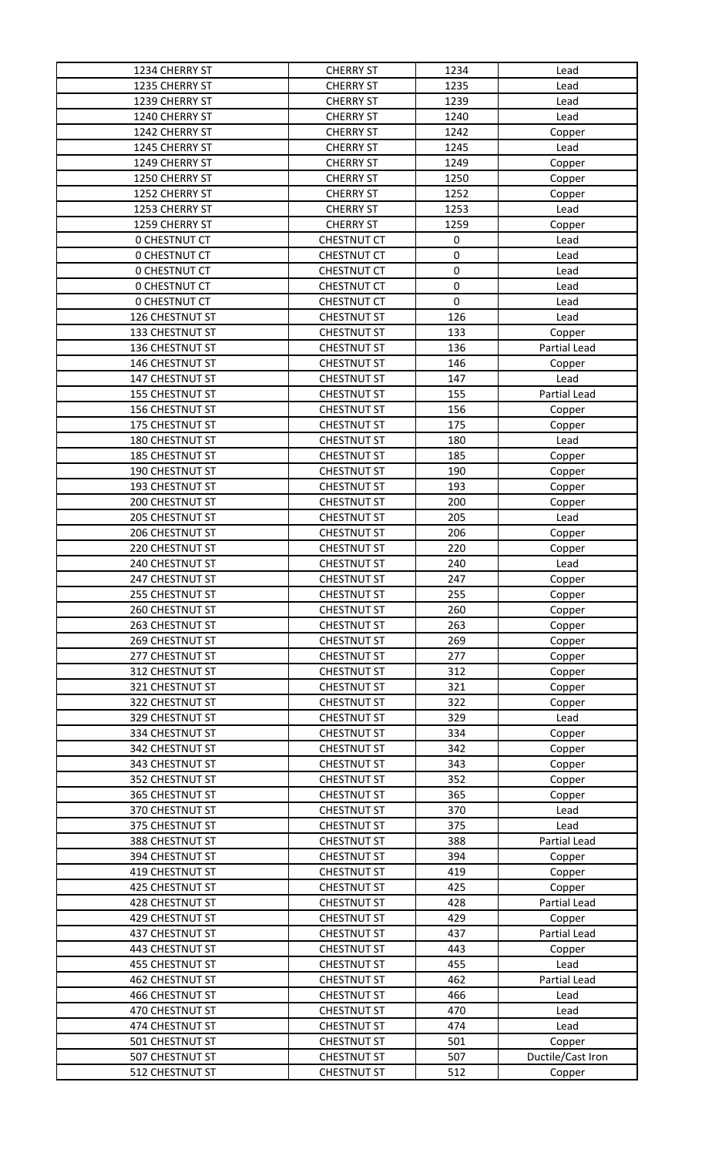| 1234 CHERRY ST       | <b>CHERRY ST</b>   | 1234      | Lead              |
|----------------------|--------------------|-----------|-------------------|
| 1235 CHERRY ST       | <b>CHERRY ST</b>   | 1235      | Lead              |
| 1239 CHERRY ST       | <b>CHERRY ST</b>   | 1239      | Lead              |
| 1240 CHERRY ST       | <b>CHERRY ST</b>   | 1240      | Lead              |
| 1242 CHERRY ST       | <b>CHERRY ST</b>   | 1242      | Copper            |
| 1245 CHERRY ST       | <b>CHERRY ST</b>   | 1245      | Lead              |
| 1249 CHERRY ST       | <b>CHERRY ST</b>   | 1249      | Copper            |
| 1250 CHERRY ST       | <b>CHERRY ST</b>   | 1250      | Copper            |
| 1252 CHERRY ST       | <b>CHERRY ST</b>   | 1252      | Copper            |
| 1253 CHERRY ST       | <b>CHERRY ST</b>   | 1253      | Lead              |
| 1259 CHERRY ST       | <b>CHERRY ST</b>   | 1259      | Copper            |
| <b>0 CHESTNUT CT</b> | <b>CHESTNUT CT</b> | 0         | Lead              |
| <b>0 CHESTNUT CT</b> | <b>CHESTNUT CT</b> | $\pmb{0}$ | Lead              |
| <b>0 CHESTNUT CT</b> | <b>CHESTNUT CT</b> | $\pmb{0}$ | Lead              |
| <b>0 CHESTNUT CT</b> | <b>CHESTNUT CT</b> | $\pmb{0}$ | Lead              |
| <b>0 CHESTNUT CT</b> | <b>CHESTNUT CT</b> | 0         | Lead              |
| 126 CHESTNUT ST      | <b>CHESTNUT ST</b> | 126       | Lead              |
| 133 CHESTNUT ST      | <b>CHESTNUT ST</b> | 133       | Copper            |
| 136 CHESTNUT ST      | <b>CHESTNUT ST</b> | 136       | Partial Lead      |
| 146 CHESTNUT ST      | <b>CHESTNUT ST</b> | 146       | Copper            |
| 147 CHESTNUT ST      | <b>CHESTNUT ST</b> | 147       | Lead              |
| 155 CHESTNUT ST      | <b>CHESTNUT ST</b> | 155       | Partial Lead      |
| 156 CHESTNUT ST      | <b>CHESTNUT ST</b> | 156       | Copper            |
| 175 CHESTNUT ST      | <b>CHESTNUT ST</b> | 175       | Copper            |
| 180 CHESTNUT ST      | <b>CHESTNUT ST</b> | 180       | Lead              |
| 185 CHESTNUT ST      | <b>CHESTNUT ST</b> | 185       | Copper            |
| 190 CHESTNUT ST      | <b>CHESTNUT ST</b> | 190       | Copper            |
| 193 CHESTNUT ST      | <b>CHESTNUT ST</b> | 193       | Copper            |
| 200 CHESTNUT ST      | <b>CHESTNUT ST</b> | 200       | Copper            |
| 205 CHESTNUT ST      | <b>CHESTNUT ST</b> | 205       | Lead              |
| 206 CHESTNUT ST      | <b>CHESTNUT ST</b> | 206       | Copper            |
| 220 CHESTNUT ST      | <b>CHESTNUT ST</b> | 220       | Copper            |
| 240 CHESTNUT ST      | <b>CHESTNUT ST</b> | 240       | Lead              |
| 247 CHESTNUT ST      | <b>CHESTNUT ST</b> | 247       | Copper            |
| 255 CHESTNUT ST      | <b>CHESTNUT ST</b> | 255       | Copper            |
| 260 CHESTNUT ST      | <b>CHESTNUT ST</b> | 260       | Copper            |
| 263 CHESTNUT ST      | <b>CHESTNUT ST</b> | 263       | Copper            |
| 269 CHESTNUT ST      | <b>CHESTNUT ST</b> | 269       | Copper            |
| 277 CHESTNUT ST      | <b>CHESTNUT ST</b> | 277       | Copper            |
| 312 CHESTNUT ST      | <b>CHESTNUT ST</b> | 312       | Copper            |
| 321 CHESTNUT ST      | <b>CHESTNUT ST</b> | 321       | Copper            |
| 322 CHESTNUT ST      | <b>CHESTNUT ST</b> | 322       | Copper            |
| 329 CHESTNUT ST      | <b>CHESTNUT ST</b> | 329       | Lead              |
| 334 CHESTNUT ST      | <b>CHESTNUT ST</b> | 334       | Copper            |
| 342 CHESTNUT ST      | <b>CHESTNUT ST</b> | 342       | Copper            |
| 343 CHESTNUT ST      | <b>CHESTNUT ST</b> | 343       | Copper            |
| 352 CHESTNUT ST      | <b>CHESTNUT ST</b> | 352       | Copper            |
| 365 CHESTNUT ST      | <b>CHESTNUT ST</b> | 365       | Copper            |
| 370 CHESTNUT ST      | <b>CHESTNUT ST</b> | 370       | Lead              |
| 375 CHESTNUT ST      | <b>CHESTNUT ST</b> | 375       | Lead              |
| 388 CHESTNUT ST      | <b>CHESTNUT ST</b> | 388       | Partial Lead      |
| 394 CHESTNUT ST      | <b>CHESTNUT ST</b> | 394       | Copper            |
| 419 CHESTNUT ST      | <b>CHESTNUT ST</b> | 419       | Copper            |
| 425 CHESTNUT ST      | <b>CHESTNUT ST</b> | 425       | Copper            |
| 428 CHESTNUT ST      | <b>CHESTNUT ST</b> | 428       | Partial Lead      |
| 429 CHESTNUT ST      | <b>CHESTNUT ST</b> | 429       | Copper            |
| 437 CHESTNUT ST      | <b>CHESTNUT ST</b> | 437       | Partial Lead      |
| 443 CHESTNUT ST      | <b>CHESTNUT ST</b> | 443       | Copper            |
| 455 CHESTNUT ST      | <b>CHESTNUT ST</b> | 455       | Lead              |
| 462 CHESTNUT ST      | <b>CHESTNUT ST</b> | 462       | Partial Lead      |
| 466 CHESTNUT ST      | <b>CHESTNUT ST</b> | 466       | Lead              |
| 470 CHESTNUT ST      | <b>CHESTNUT ST</b> | 470       | Lead              |
| 474 CHESTNUT ST      | <b>CHESTNUT ST</b> | 474       | Lead              |
| 501 CHESTNUT ST      | <b>CHESTNUT ST</b> | 501       | Copper            |
| 507 CHESTNUT ST      | <b>CHESTNUT ST</b> | 507       | Ductile/Cast Iron |
| 512 CHESTNUT ST      | <b>CHESTNUT ST</b> | 512       | Copper            |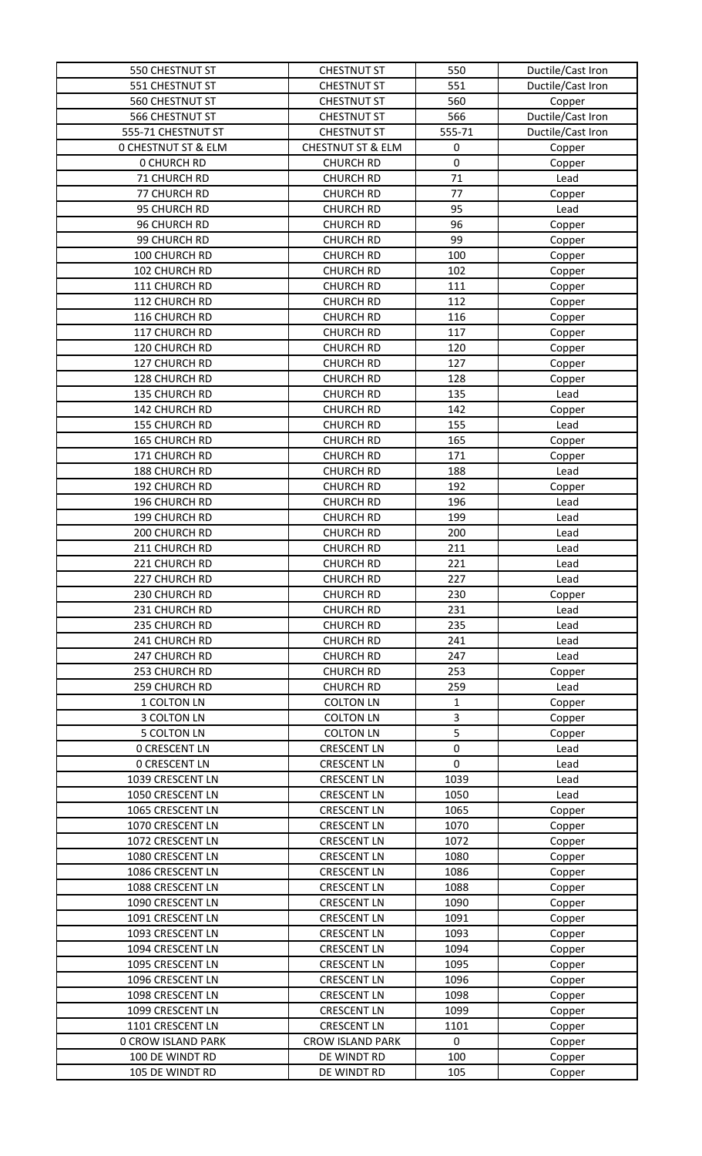| 550 CHESTNUT ST                      | <b>CHESTNUT ST</b>                       | 550          | Ductile/Cast Iron |
|--------------------------------------|------------------------------------------|--------------|-------------------|
| 551 CHESTNUT ST                      | <b>CHESTNUT ST</b>                       | 551          | Ductile/Cast Iron |
| 560 CHESTNUT ST                      | <b>CHESTNUT ST</b>                       | 560          | Copper            |
| 566 CHESTNUT ST                      | <b>CHESTNUT ST</b>                       | 566          | Ductile/Cast Iron |
| 555-71 CHESTNUT ST                   | <b>CHESTNUT ST</b>                       | 555-71       | Ductile/Cast Iron |
| <b>0 CHESTNUT ST &amp; ELM</b>       | <b>CHESTNUT ST &amp; ELM</b>             | $\pmb{0}$    | Copper            |
| <b>0 CHURCH RD</b>                   | <b>CHURCH RD</b>                         | $\mathbf 0$  | Copper            |
| 71 CHURCH RD                         | <b>CHURCH RD</b>                         | 71           | Lead              |
| 77 CHURCH RD                         | <b>CHURCH RD</b>                         | 77           | Copper            |
| 95 CHURCH RD                         | <b>CHURCH RD</b>                         | 95           | Lead              |
| 96 CHURCH RD                         | <b>CHURCH RD</b>                         | 96           | Copper            |
| 99 CHURCH RD                         | <b>CHURCH RD</b>                         | 99           | Copper            |
| 100 CHURCH RD                        | <b>CHURCH RD</b>                         | 100          | Copper            |
| 102 CHURCH RD                        | <b>CHURCH RD</b>                         | 102          | Copper            |
| 111 CHURCH RD                        | <b>CHURCH RD</b>                         | 111          | Copper            |
| 112 CHURCH RD                        | <b>CHURCH RD</b>                         | 112          | Copper            |
| 116 CHURCH RD                        | <b>CHURCH RD</b>                         | 116          | Copper            |
| 117 CHURCH RD                        | <b>CHURCH RD</b>                         | 117          | Copper            |
| 120 CHURCH RD                        | <b>CHURCH RD</b>                         | 120          | Copper            |
| 127 CHURCH RD                        | <b>CHURCH RD</b>                         | 127          | Copper            |
| 128 CHURCH RD                        | <b>CHURCH RD</b>                         | 128          | Copper            |
| 135 CHURCH RD                        | <b>CHURCH RD</b>                         | 135          | Lead              |
| 142 CHURCH RD                        | <b>CHURCH RD</b>                         | 142          | Copper            |
| 155 CHURCH RD                        | <b>CHURCH RD</b>                         | 155          | Lead              |
| 165 CHURCH RD                        | <b>CHURCH RD</b>                         | 165          | Copper            |
| 171 CHURCH RD                        | <b>CHURCH RD</b>                         | 171          | Copper            |
| 188 CHURCH RD                        | <b>CHURCH RD</b>                         | 188          | Lead              |
| 192 CHURCH RD                        | <b>CHURCH RD</b>                         | 192          | Copper            |
| 196 CHURCH RD                        | <b>CHURCH RD</b>                         | 196          | Lead              |
| 199 CHURCH RD                        | <b>CHURCH RD</b>                         | 199          | Lead              |
| 200 CHURCH RD                        | <b>CHURCH RD</b>                         | 200          | Lead              |
| 211 CHURCH RD                        | <b>CHURCH RD</b>                         | 211          | Lead              |
| 221 CHURCH RD                        | <b>CHURCH RD</b>                         | 221          | Lead              |
| 227 CHURCH RD                        | <b>CHURCH RD</b>                         | 227          | Lead              |
| 230 CHURCH RD                        | <b>CHURCH RD</b>                         | 230          | Copper            |
| 231 CHURCH RD                        | <b>CHURCH RD</b>                         | 231          | Lead              |
| 235 CHURCH RD                        | <b>CHURCH RD</b>                         | 235          | Lead              |
| 241 CHURCH RD                        | <b>CHURCH RD</b>                         | 241          | Lead              |
| 247 CHURCH RD                        | <b>CHURCH RD</b>                         | 247          | Lead              |
| 253 CHURCH RD                        | <b>CHURCH RD</b>                         | 253          | Copper            |
| 259 CHURCH RD                        | <b>CHURCH RD</b>                         | 259          | Lead              |
| 1 COLTON LN                          | <b>COLTON LN</b>                         | 1            | Copper            |
| 3 COLTON LN                          | <b>COLTON LN</b>                         | 3            | Copper            |
| <b>5 COLTON LN</b>                   | <b>COLTON LN</b>                         | 5            | Copper            |
| <b>0 CRESCENT LN</b>                 | <b>CRESCENT LN</b>                       | $\mathbf 0$  | Lead              |
| <b>0 CRESCENT LN</b>                 | <b>CRESCENT LN</b>                       | $\mathbf 0$  | Lead              |
| 1039 CRESCENT LN                     | <b>CRESCENT LN</b>                       | 1039         | Lead              |
| 1050 CRESCENT LN                     | <b>CRESCENT LN</b>                       | 1050         | Lead              |
| 1065 CRESCENT LN<br>1070 CRESCENT LN | <b>CRESCENT LN</b><br><b>CRESCENT LN</b> | 1065<br>1070 | Copper            |
| 1072 CRESCENT LN                     | <b>CRESCENT LN</b>                       | 1072         | Copper            |
| 1080 CRESCENT LN                     | <b>CRESCENT LN</b>                       | 1080         | Copper            |
| 1086 CRESCENT LN                     | <b>CRESCENT LN</b>                       | 1086         | Copper<br>Copper  |
| 1088 CRESCENT LN                     | <b>CRESCENT LN</b>                       | 1088         |                   |
| 1090 CRESCENT LN                     | <b>CRESCENT LN</b>                       | 1090         | Copper            |
| 1091 CRESCENT LN                     | <b>CRESCENT LN</b>                       | 1091         | Copper            |
| 1093 CRESCENT LN                     | <b>CRESCENT LN</b>                       | 1093         | Copper            |
| 1094 CRESCENT LN                     | <b>CRESCENT LN</b>                       | 1094         | Copper<br>Copper  |
| 1095 CRESCENT LN                     | <b>CRESCENT LN</b>                       | 1095         | Copper            |
| 1096 CRESCENT LN                     | <b>CRESCENT LN</b>                       | 1096         | Copper            |
| 1098 CRESCENT LN                     | <b>CRESCENT LN</b>                       | 1098         | Copper            |
| 1099 CRESCENT LN                     | <b>CRESCENT LN</b>                       | 1099         | Copper            |
| 1101 CRESCENT LN                     | <b>CRESCENT LN</b>                       | 1101         | Copper            |
| <b>0 CROW ISLAND PARK</b>            | <b>CROW ISLAND PARK</b>                  | $\pmb{0}$    | Copper            |
| 100 DE WINDT RD                      | DE WINDT RD                              | 100          | Copper            |
| 105 DE WINDT RD                      | DE WINDT RD                              | 105          | Copper            |
|                                      |                                          |              |                   |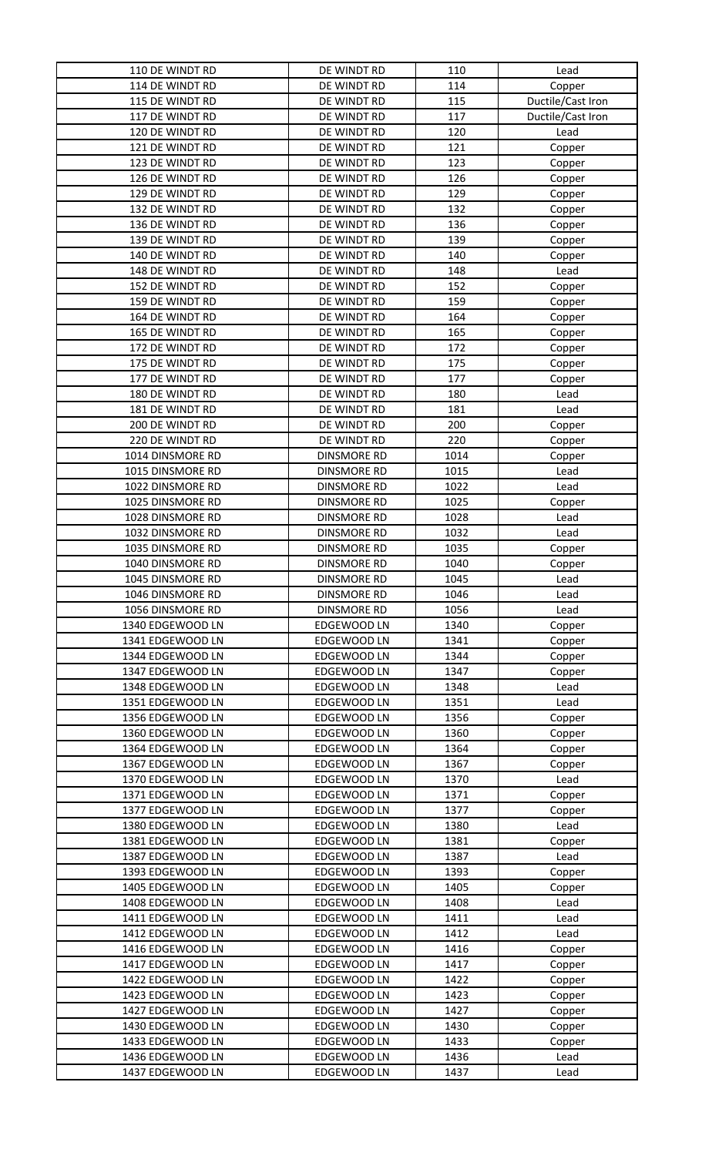| 110 DE WINDT RD  | DE WINDT RD        | 110  | Lead              |
|------------------|--------------------|------|-------------------|
| 114 DE WINDT RD  | DE WINDT RD        | 114  | Copper            |
| 115 DE WINDT RD  | DE WINDT RD        | 115  | Ductile/Cast Iron |
| 117 DE WINDT RD  | DE WINDT RD        | 117  | Ductile/Cast Iron |
| 120 DE WINDT RD  | DE WINDT RD        | 120  | Lead              |
| 121 DE WINDT RD  | DE WINDT RD        | 121  | Copper            |
| 123 DE WINDT RD  | DE WINDT RD        | 123  | Copper            |
| 126 DE WINDT RD  | DE WINDT RD        | 126  | Copper            |
| 129 DE WINDT RD  | DE WINDT RD        | 129  | Copper            |
| 132 DE WINDT RD  | DE WINDT RD        | 132  | Copper            |
| 136 DE WINDT RD  | DE WINDT RD        | 136  | Copper            |
| 139 DE WINDT RD  | DE WINDT RD        | 139  | Copper            |
| 140 DE WINDT RD  | DE WINDT RD        | 140  | Copper            |
| 148 DE WINDT RD  | DE WINDT RD        | 148  | Lead              |
| 152 DE WINDT RD  | DE WINDT RD        | 152  | Copper            |
| 159 DE WINDT RD  | DE WINDT RD        | 159  | Copper            |
| 164 DE WINDT RD  | DE WINDT RD        | 164  | Copper            |
| 165 DE WINDT RD  | DE WINDT RD        | 165  | Copper            |
| 172 DE WINDT RD  | DE WINDT RD        | 172  | Copper            |
| 175 DE WINDT RD  | DE WINDT RD        | 175  | Copper            |
| 177 DE WINDT RD  | DE WINDT RD        | 177  | Copper            |
| 180 DE WINDT RD  | DE WINDT RD        | 180  | Lead              |
| 181 DE WINDT RD  | DE WINDT RD        | 181  | Lead              |
| 200 DE WINDT RD  | DE WINDT RD        | 200  | Copper            |
| 220 DE WINDT RD  | DE WINDT RD        | 220  | Copper            |
| 1014 DINSMORE RD | <b>DINSMORE RD</b> | 1014 | Copper            |
| 1015 DINSMORE RD | <b>DINSMORE RD</b> | 1015 | Lead              |
| 1022 DINSMORE RD | <b>DINSMORE RD</b> | 1022 | Lead              |
| 1025 DINSMORE RD | <b>DINSMORE RD</b> | 1025 | Copper            |
| 1028 DINSMORE RD | <b>DINSMORE RD</b> | 1028 | Lead              |
| 1032 DINSMORE RD | <b>DINSMORE RD</b> | 1032 | Lead              |
| 1035 DINSMORE RD | <b>DINSMORE RD</b> | 1035 | Copper            |
| 1040 DINSMORE RD | <b>DINSMORE RD</b> | 1040 | Copper            |
| 1045 DINSMORE RD | <b>DINSMORE RD</b> | 1045 | Lead              |
| 1046 DINSMORE RD | <b>DINSMORE RD</b> | 1046 | Lead              |
| 1056 DINSMORE RD | <b>DINSMORE RD</b> | 1056 | Lead              |
| 1340 EDGEWOOD LN | EDGEWOOD LN        | 1340 | Copper            |
| 1341 EDGEWOOD LN | EDGEWOOD LN        | 1341 | Copper            |
| 1344 EDGEWOOD LN | EDGEWOOD LN        | 1344 | Copper            |
| 1347 EDGEWOOD LN | EDGEWOOD LN        | 1347 | Copper            |
| 1348 EDGEWOOD LN | EDGEWOOD LN        | 1348 | Lead              |
| 1351 EDGEWOOD LN | EDGEWOOD LN        | 1351 | Lead              |
| 1356 EDGEWOOD LN | <b>EDGEWOOD LN</b> | 1356 | Copper            |
| 1360 EDGEWOOD LN | EDGEWOOD LN        | 1360 | Copper            |
| 1364 EDGEWOOD LN | EDGEWOOD LN        | 1364 | Copper            |
| 1367 EDGEWOOD LN | <b>EDGEWOOD LN</b> | 1367 | Copper            |
| 1370 EDGEWOOD LN | EDGEWOOD LN        | 1370 | Lead              |
| 1371 EDGEWOOD LN | EDGEWOOD LN        | 1371 | Copper            |
| 1377 EDGEWOOD LN | EDGEWOOD LN        | 1377 | Copper            |
| 1380 EDGEWOOD LN | EDGEWOOD LN        | 1380 | Lead              |
| 1381 EDGEWOOD LN | EDGEWOOD LN        | 1381 | Copper            |
| 1387 EDGEWOOD LN | EDGEWOOD LN        | 1387 | Lead              |
| 1393 EDGEWOOD LN | EDGEWOOD LN        | 1393 | Copper            |
| 1405 EDGEWOOD LN | EDGEWOOD LN        | 1405 | Copper            |
| 1408 EDGEWOOD LN | EDGEWOOD LN        | 1408 | Lead              |
| 1411 EDGEWOOD LN | EDGEWOOD LN        | 1411 | Lead              |
| 1412 EDGEWOOD LN | EDGEWOOD LN        | 1412 | Lead              |
| 1416 EDGEWOOD LN | EDGEWOOD LN        | 1416 | Copper            |
| 1417 EDGEWOOD LN | EDGEWOOD LN        | 1417 | Copper            |
| 1422 EDGEWOOD LN | EDGEWOOD LN        | 1422 | Copper            |
| 1423 EDGEWOOD LN | EDGEWOOD LN        | 1423 | Copper            |
| 1427 EDGEWOOD LN | EDGEWOOD LN        | 1427 | Copper            |
| 1430 EDGEWOOD LN | EDGEWOOD LN        | 1430 | Copper            |
| 1433 EDGEWOOD LN | EDGEWOOD LN        | 1433 | Copper            |
| 1436 EDGEWOOD LN | EDGEWOOD LN        | 1436 | Lead              |
| 1437 EDGEWOOD LN | EDGEWOOD LN        | 1437 | Lead              |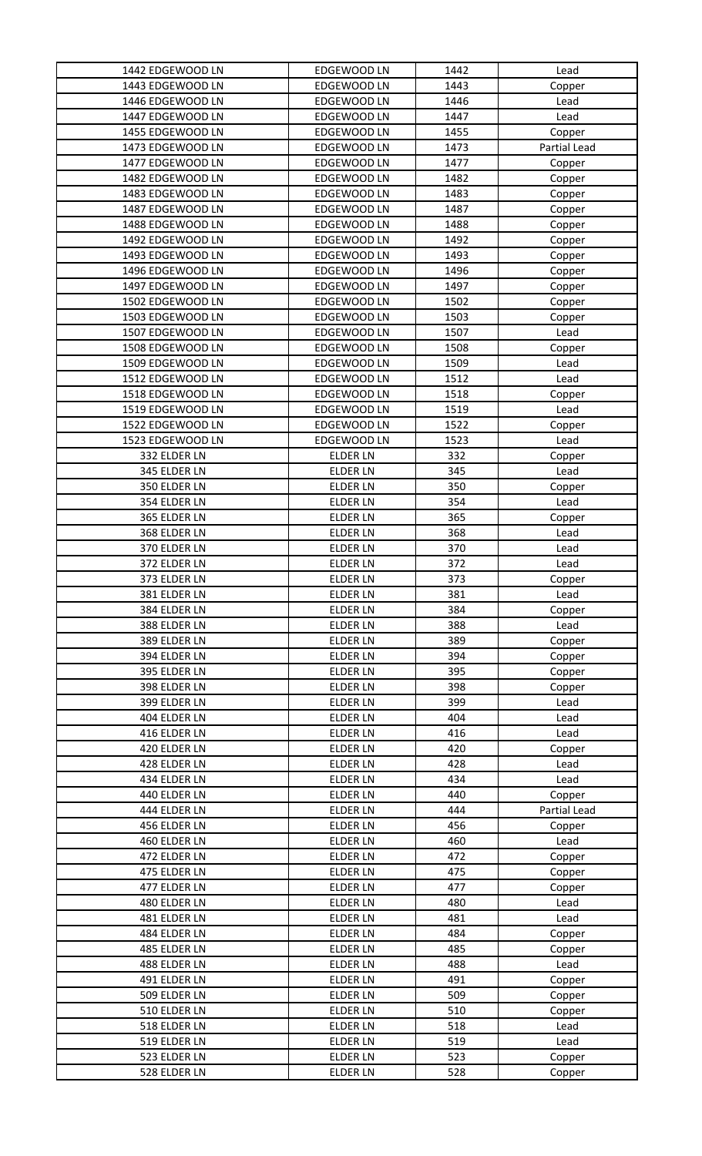| 1442 EDGEWOOD LN | EDGEWOOD LN     | 1442 | Lead         |
|------------------|-----------------|------|--------------|
| 1443 EDGEWOOD LN | EDGEWOOD LN     | 1443 | Copper       |
| 1446 EDGEWOOD LN | EDGEWOOD LN     | 1446 | Lead         |
| 1447 EDGEWOOD LN | EDGEWOOD LN     | 1447 | Lead         |
| 1455 EDGEWOOD LN | EDGEWOOD LN     | 1455 | Copper       |
| 1473 EDGEWOOD LN | EDGEWOOD LN     | 1473 | Partial Lead |
| 1477 EDGEWOOD LN | EDGEWOOD LN     | 1477 | Copper       |
| 1482 EDGEWOOD LN | EDGEWOOD LN     | 1482 | Copper       |
| 1483 EDGEWOOD LN | EDGEWOOD LN     | 1483 | Copper       |
| 1487 EDGEWOOD LN | EDGEWOOD LN     | 1487 | Copper       |
| 1488 EDGEWOOD LN | EDGEWOOD LN     | 1488 | Copper       |
| 1492 EDGEWOOD LN | EDGEWOOD LN     | 1492 | Copper       |
| 1493 EDGEWOOD LN | EDGEWOOD LN     | 1493 | Copper       |
| 1496 EDGEWOOD LN | EDGEWOOD LN     | 1496 | Copper       |
| 1497 EDGEWOOD LN | EDGEWOOD LN     | 1497 | Copper       |
| 1502 EDGEWOOD LN | EDGEWOOD LN     | 1502 | Copper       |
| 1503 EDGEWOOD LN | EDGEWOOD LN     | 1503 | Copper       |
| 1507 EDGEWOOD LN | EDGEWOOD LN     | 1507 | Lead         |
| 1508 EDGEWOOD LN | EDGEWOOD LN     | 1508 | Copper       |
| 1509 EDGEWOOD LN | EDGEWOOD LN     | 1509 | Lead         |
| 1512 EDGEWOOD LN | EDGEWOOD LN     | 1512 | Lead         |
| 1518 EDGEWOOD LN | EDGEWOOD LN     | 1518 | Copper       |
| 1519 EDGEWOOD LN | EDGEWOOD LN     | 1519 | Lead         |
| 1522 EDGEWOOD LN | EDGEWOOD LN     | 1522 | Copper       |
| 1523 EDGEWOOD LN | EDGEWOOD LN     | 1523 | Lead         |
| 332 ELDER LN     | <b>ELDER LN</b> | 332  | Copper       |
| 345 ELDER LN     | <b>ELDER LN</b> | 345  | Lead         |
| 350 ELDER LN     | <b>ELDER LN</b> | 350  | Copper       |
| 354 ELDER LN     | <b>ELDER LN</b> | 354  | Lead         |
| 365 ELDER LN     | <b>ELDER LN</b> | 365  | Copper       |
| 368 ELDER LN     | <b>ELDER LN</b> | 368  | Lead         |
| 370 ELDER LN     | <b>ELDER LN</b> | 370  | Lead         |
| 372 ELDER LN     | <b>ELDER LN</b> | 372  | Lead         |
| 373 ELDER LN     | <b>ELDER LN</b> | 373  | Copper       |
| 381 ELDER LN     | <b>ELDER LN</b> | 381  | Lead         |
| 384 ELDER LN     | <b>ELDER LN</b> | 384  | Copper       |
| 388 ELDER LN     | <b>ELDER LN</b> | 388  | Lead         |
| 389 ELDER LN     | <b>ELDER LN</b> | 389  | Copper       |
| 394 ELDER LN     | <b>ELDER LN</b> | 394  | Copper       |
| 395 ELDER LN     | <b>ELDER LN</b> | 395  | Copper       |
| 398 ELDER LN     | <b>ELDER LN</b> | 398  | Copper       |
| 399 ELDER LN     | <b>ELDER LN</b> | 399  | Lead         |
| 404 ELDER LN     | <b>ELDER LN</b> | 404  | Lead         |
| 416 ELDER LN     | <b>ELDER LN</b> | 416  | Lead         |
| 420 ELDER LN     | <b>ELDER LN</b> | 420  | Copper       |
| 428 ELDER LN     | <b>ELDER LN</b> | 428  | Lead         |
| 434 ELDER LN     | <b>ELDER LN</b> | 434  | Lead         |
| 440 ELDER LN     | <b>ELDER LN</b> | 440  | Copper       |
| 444 ELDER LN     | <b>ELDER LN</b> | 444  | Partial Lead |
| 456 ELDER LN     | <b>ELDER LN</b> | 456  | Copper       |
| 460 ELDER LN     | <b>ELDER LN</b> | 460  | Lead         |
| 472 ELDER LN     | <b>ELDER LN</b> | 472  | Copper       |
| 475 ELDER LN     | <b>ELDER LN</b> | 475  | Copper       |
| 477 ELDER LN     | <b>ELDER LN</b> | 477  | Copper       |
| 480 ELDER LN     | <b>ELDER LN</b> | 480  | Lead         |
| 481 ELDER LN     | <b>ELDER LN</b> | 481  | Lead         |
| 484 ELDER LN     | <b>ELDER LN</b> | 484  | Copper       |
| 485 ELDER LN     | <b>ELDER LN</b> | 485  | Copper       |
| 488 ELDER LN     | <b>ELDER LN</b> | 488  | Lead         |
| 491 ELDER LN     | <b>ELDER LN</b> | 491  | Copper       |
| 509 ELDER LN     | <b>ELDER LN</b> | 509  | Copper       |
| 510 ELDER LN     | <b>ELDER LN</b> | 510  | Copper       |
| 518 ELDER LN     | <b>ELDER LN</b> | 518  | Lead         |
| 519 ELDER LN     | <b>ELDER LN</b> | 519  | Lead         |
| 523 ELDER LN     | <b>ELDER LN</b> | 523  | Copper       |
| 528 ELDER LN     | <b>ELDER LN</b> | 528  | Copper       |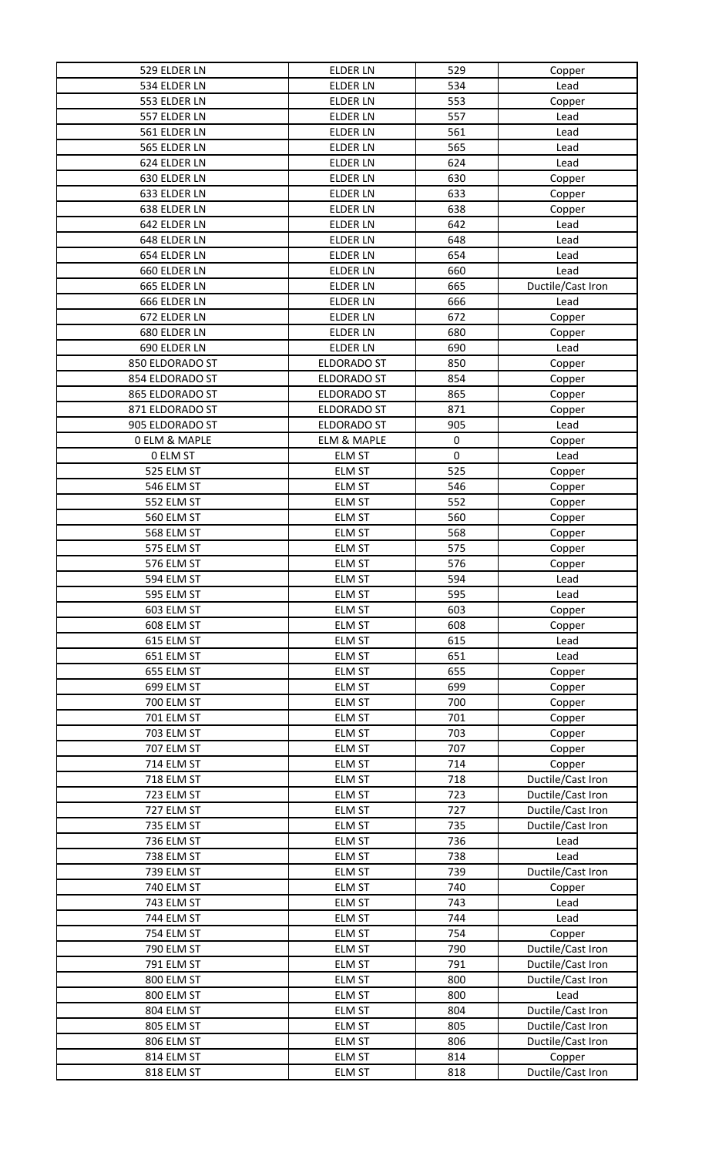| 529 ELDER LN             | <b>ELDER LN</b>    | 529       | Copper            |
|--------------------------|--------------------|-----------|-------------------|
| 534 ELDER LN             | <b>ELDER LN</b>    | 534       | Lead              |
| 553 ELDER LN             | <b>ELDER LN</b>    | 553       | Copper            |
| 557 ELDER LN             | <b>ELDER LN</b>    | 557       | Lead              |
| 561 ELDER LN             | <b>ELDER LN</b>    | 561       | Lead              |
| 565 ELDER LN             | <b>ELDER LN</b>    | 565       | Lead              |
| 624 ELDER LN             | <b>ELDER LN</b>    | 624       | Lead              |
| 630 ELDER LN             | <b>ELDER LN</b>    | 630       | Copper            |
| 633 ELDER LN             | <b>ELDER LN</b>    | 633       | Copper            |
| 638 ELDER LN             | <b>ELDER LN</b>    | 638       | Copper            |
| 642 ELDER LN             | <b>ELDER LN</b>    | 642       | Lead              |
| 648 ELDER LN             | <b>ELDER LN</b>    | 648       | Lead              |
| 654 ELDER LN             | <b>ELDER LN</b>    | 654       | Lead              |
| 660 ELDER LN             | <b>ELDER LN</b>    | 660       | Lead              |
| 665 ELDER LN             | <b>ELDER LN</b>    | 665       | Ductile/Cast Iron |
| 666 ELDER LN             | <b>ELDER LN</b>    | 666       | Lead              |
| 672 ELDER LN             | <b>ELDER LN</b>    | 672       | Copper            |
| 680 ELDER LN             | <b>ELDER LN</b>    | 680       |                   |
| 690 ELDER LN             | <b>ELDER LN</b>    | 690       | Copper            |
| 850 ELDORADO ST          | <b>ELDORADO ST</b> | 850       | Lead              |
|                          |                    |           | Copper            |
| 854 ELDORADO ST          | <b>ELDORADO ST</b> | 854       | Copper            |
| 865 ELDORADO ST          | <b>ELDORADO ST</b> | 865       | Copper            |
| 871 ELDORADO ST          | <b>ELDORADO ST</b> | 871       | Copper            |
| 905 ELDORADO ST          | <b>ELDORADO ST</b> | 905       | Lead              |
| <b>0 ELM &amp; MAPLE</b> | ELM & MAPLE        | $\pmb{0}$ | Copper            |
| 0 ELM ST                 | <b>ELM ST</b>      | $\pmb{0}$ | Lead              |
| 525 ELM ST               | <b>ELM ST</b>      | 525       | Copper            |
| 546 ELM ST               | <b>ELM ST</b>      | 546       | Copper            |
| 552 ELM ST               | <b>ELM ST</b>      | 552       | Copper            |
| 560 ELM ST               | <b>ELM ST</b>      | 560       | Copper            |
| 568 ELM ST               | <b>ELM ST</b>      | 568       | Copper            |
| 575 ELM ST               | <b>ELM ST</b>      | 575       | Copper            |
| 576 ELM ST               | <b>ELM ST</b>      | 576       | Copper            |
| 594 ELM ST               | <b>ELM ST</b>      | 594       | Lead              |
| 595 ELM ST               | <b>ELM ST</b>      | 595       | Lead              |
| 603 ELM ST               | <b>ELM ST</b>      | 603       | Copper            |
| 608 ELM ST               | <b>ELM ST</b>      | 608       | Copper            |
| 615 ELM ST               | <b>ELM ST</b>      | 615       | Lead              |
| 651 ELM ST               | <b>ELM ST</b>      | 651       | Lead              |
| 655 ELM ST               | <b>ELM ST</b>      | 655       | Copper            |
| 699 ELM ST               | <b>ELM ST</b>      | 699       | Copper            |
| 700 ELM ST               | <b>ELM ST</b>      | 700       | Copper            |
| 701 ELM ST               | <b>ELM ST</b>      | 701       | Copper            |
| 703 ELM ST               | <b>ELM ST</b>      | 703       | Copper            |
| 707 ELM ST               | <b>ELM ST</b>      | 707       | Copper            |
| 714 ELM ST               | <b>ELM ST</b>      | 714       | Copper            |
| 718 ELM ST               | <b>ELM ST</b>      | 718       | Ductile/Cast Iron |
| 723 ELM ST               | <b>ELM ST</b>      | 723       | Ductile/Cast Iron |
| 727 ELM ST               | <b>ELM ST</b>      | 727       | Ductile/Cast Iron |
| 735 ELM ST               | <b>ELM ST</b>      | 735       | Ductile/Cast Iron |
| 736 ELM ST               | <b>ELM ST</b>      | 736       | Lead              |
| 738 ELM ST               | <b>ELM ST</b>      | 738       | Lead              |
| 739 ELM ST               | <b>ELM ST</b>      | 739       | Ductile/Cast Iron |
| <b>740 ELM ST</b>        | <b>ELM ST</b>      | 740       | Copper            |
| 743 ELM ST               | <b>ELM ST</b>      | 743       | Lead              |
| 744 ELM ST               | <b>ELM ST</b>      | 744       | Lead              |
| 754 ELM ST               | <b>ELM ST</b>      | 754       |                   |
|                          |                    |           | Copper            |
| 790 ELM ST               | ELM ST             | 790       | Ductile/Cast Iron |
| 791 ELM ST               | <b>ELM ST</b>      | 791       | Ductile/Cast Iron |
| 800 ELM ST               | <b>ELM ST</b>      | 800       | Ductile/Cast Iron |
| 800 ELM ST               | <b>ELM ST</b>      | 800       | Lead              |
| 804 ELM ST               | <b>ELM ST</b>      | 804       | Ductile/Cast Iron |
| 805 ELM ST               | <b>ELM ST</b>      | 805       | Ductile/Cast Iron |
| 806 ELM ST               | <b>ELM ST</b>      | 806       | Ductile/Cast Iron |
| 814 ELM ST               | <b>ELM ST</b>      | 814       | Copper            |
| 818 ELM ST               | <b>ELM ST</b>      | 818       | Ductile/Cast Iron |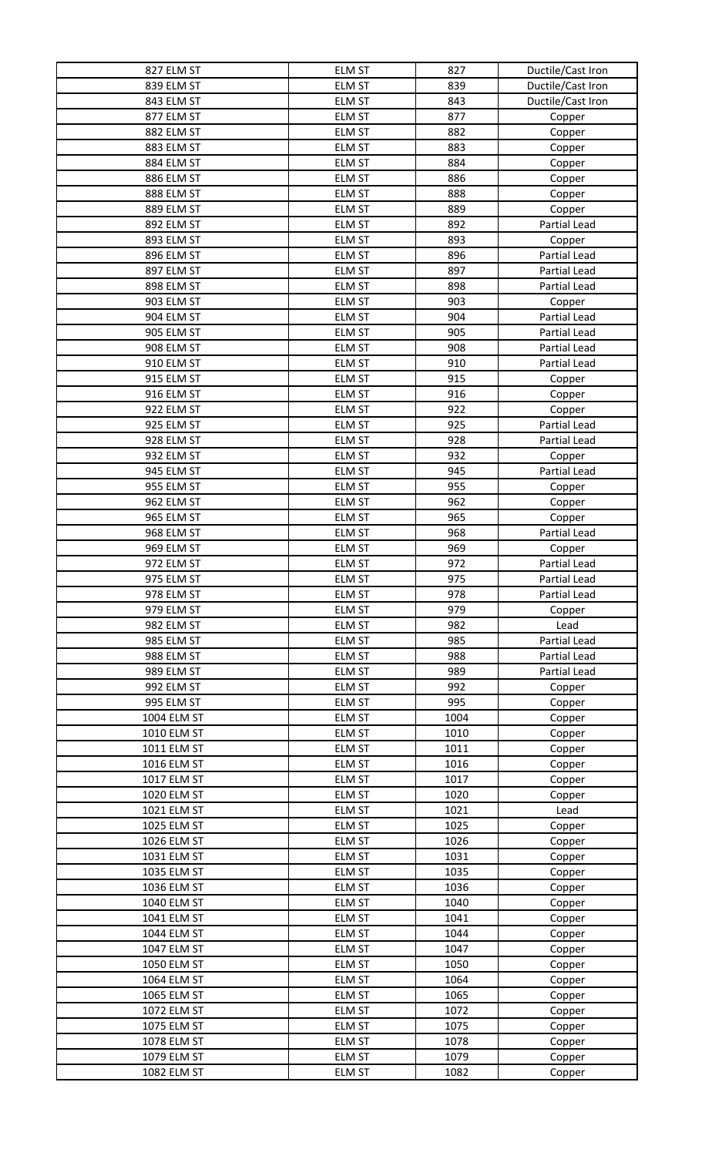| 827 ELM ST  | ELM ST        | 827  | Ductile/Cast Iron   |
|-------------|---------------|------|---------------------|
| 839 ELM ST  | <b>ELM ST</b> | 839  | Ductile/Cast Iron   |
| 843 ELM ST  | <b>ELM ST</b> | 843  | Ductile/Cast Iron   |
| 877 ELM ST  | <b>ELM ST</b> | 877  | Copper              |
| 882 ELM ST  | <b>ELM ST</b> | 882  | Copper              |
| 883 ELM ST  | <b>ELM ST</b> | 883  | Copper              |
| 884 ELM ST  | ELM ST        | 884  | Copper              |
| 886 ELM ST  | <b>ELM ST</b> | 886  | Copper              |
| 888 ELM ST  | ELM ST        | 888  | Copper              |
| 889 ELM ST  | <b>ELM ST</b> | 889  | Copper              |
| 892 ELM ST  | <b>ELM ST</b> | 892  | Partial Lead        |
| 893 ELM ST  | <b>ELM ST</b> | 893  | Copper              |
| 896 ELM ST  | <b>ELM ST</b> | 896  | Partial Lead        |
| 897 ELM ST  | <b>ELM ST</b> | 897  | Partial Lead        |
| 898 ELM ST  | <b>ELM ST</b> | 898  | Partial Lead        |
| 903 ELM ST  | <b>ELM ST</b> | 903  | Copper              |
| 904 ELM ST  | <b>ELM ST</b> | 904  | Partial Lead        |
| 905 ELM ST  |               |      |                     |
|             | <b>ELM ST</b> | 905  | Partial Lead        |
| 908 ELM ST  | <b>ELM ST</b> | 908  | Partial Lead        |
| 910 ELM ST  | <b>ELM ST</b> | 910  | Partial Lead        |
| 915 ELM ST  | <b>ELM ST</b> | 915  | Copper              |
| 916 ELM ST  | <b>ELM ST</b> | 916  | Copper              |
| 922 ELM ST  | <b>ELM ST</b> | 922  | Copper              |
| 925 ELM ST  | <b>ELM ST</b> | 925  | Partial Lead        |
| 928 ELM ST  | <b>ELM ST</b> | 928  | Partial Lead        |
| 932 ELM ST  | <b>ELM ST</b> | 932  | Copper              |
| 945 ELM ST  | <b>ELM ST</b> | 945  | Partial Lead        |
| 955 ELM ST  | <b>ELM ST</b> | 955  | Copper              |
| 962 ELM ST  | <b>ELM ST</b> | 962  | Copper              |
| 965 ELM ST  | <b>ELM ST</b> | 965  | Copper              |
| 968 ELM ST  | <b>ELM ST</b> | 968  | Partial Lead        |
| 969 ELM ST  | <b>ELM ST</b> | 969  | Copper              |
| 972 ELM ST  | <b>ELM ST</b> | 972  | Partial Lead        |
| 975 ELM ST  | <b>ELM ST</b> | 975  | Partial Lead        |
| 978 ELM ST  | <b>ELM ST</b> | 978  | Partial Lead        |
| 979 ELM ST  | <b>ELM ST</b> | 979  | Copper              |
| 982 ELM ST  | <b>ELM ST</b> | 982  | Lead                |
| 985 ELM ST  | <b>ELM ST</b> | 985  | Partial Lead        |
| 988 ELM ST  | <b>ELM ST</b> | 988  | Partial Lead        |
| 989 ELM ST  | <b>ELM ST</b> | 989  | <b>Partial Lead</b> |
| 992 ELM ST  | <b>ELM ST</b> | 992  | Copper              |
| 995 ELM ST  | <b>ELM ST</b> | 995  | Copper              |
| 1004 ELM ST | <b>ELM ST</b> | 1004 | Copper              |
| 1010 ELM ST | <b>ELM ST</b> | 1010 |                     |
|             |               | 1011 | Copper              |
| 1011 ELM ST | <b>ELM ST</b> |      | Copper              |
| 1016 ELM ST | <b>ELM ST</b> | 1016 | Copper              |
| 1017 ELM ST | <b>ELM ST</b> | 1017 | Copper              |
| 1020 ELM ST | <b>ELM ST</b> | 1020 | Copper              |
| 1021 ELM ST | <b>ELM ST</b> | 1021 | Lead                |
| 1025 ELM ST | <b>ELM ST</b> | 1025 | Copper              |
| 1026 ELM ST | <b>ELM ST</b> | 1026 | Copper              |
| 1031 ELM ST | <b>ELM ST</b> | 1031 | Copper              |
| 1035 ELM ST | <b>ELM ST</b> | 1035 | Copper              |
| 1036 ELM ST | <b>ELM ST</b> | 1036 | Copper              |
| 1040 ELM ST | <b>ELM ST</b> | 1040 | Copper              |
| 1041 ELM ST | <b>ELM ST</b> | 1041 | Copper              |
| 1044 ELM ST | <b>ELM ST</b> | 1044 | Copper              |
| 1047 ELM ST | <b>ELM ST</b> | 1047 | Copper              |
| 1050 ELM ST | <b>ELM ST</b> | 1050 | Copper              |
| 1064 ELM ST | <b>ELM ST</b> | 1064 | Copper              |
| 1065 ELM ST | <b>ELM ST</b> | 1065 | Copper              |
| 1072 ELM ST | <b>ELM ST</b> | 1072 | Copper              |
| 1075 ELM ST | <b>ELM ST</b> | 1075 | Copper              |
| 1078 ELM ST | ELM ST        | 1078 | Copper              |
| 1079 ELM ST | <b>ELM ST</b> | 1079 | Copper              |
| 1082 ELM ST | ELM ST        | 1082 | Copper              |
|             |               |      |                     |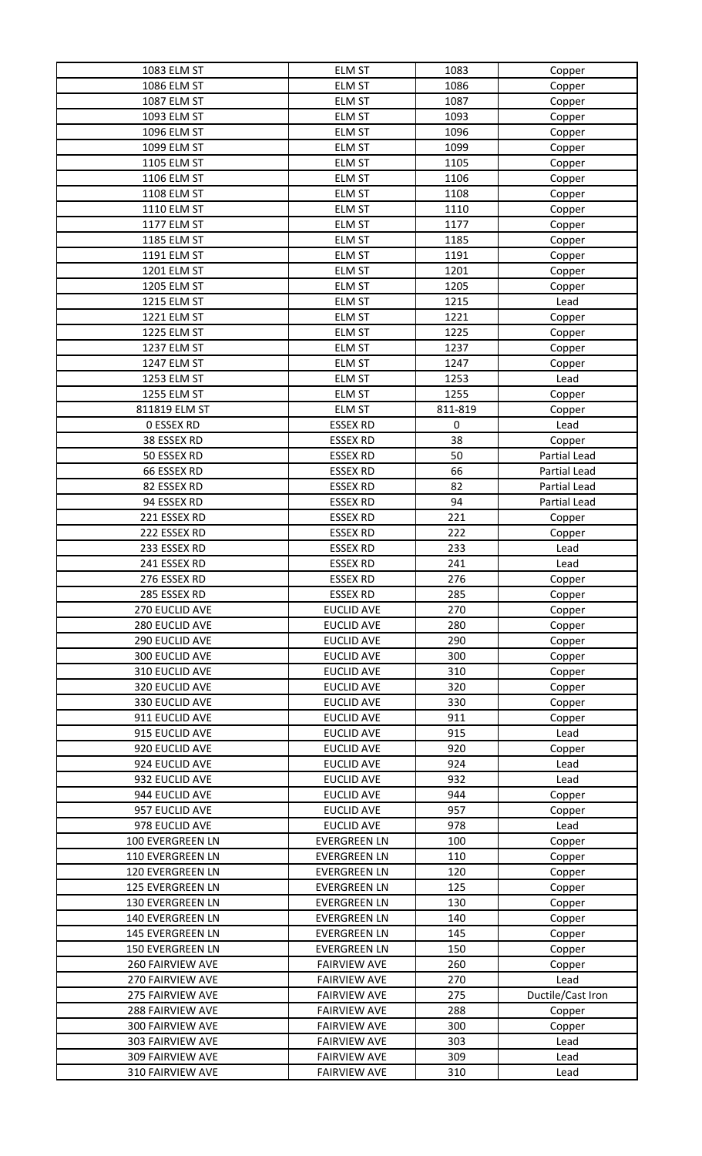| 1083 ELM ST             | <b>ELM ST</b>       | 1083    | Copper            |
|-------------------------|---------------------|---------|-------------------|
| 1086 ELM ST             | <b>ELM ST</b>       | 1086    | Copper            |
| 1087 ELM ST             | <b>ELM ST</b>       | 1087    | Copper            |
| 1093 ELM ST             | <b>ELM ST</b>       | 1093    | Copper            |
| 1096 ELM ST             | <b>ELM ST</b>       | 1096    | Copper            |
| 1099 ELM ST             | <b>ELM ST</b>       | 1099    | Copper            |
| 1105 ELM ST             | <b>ELM ST</b>       | 1105    | Copper            |
| 1106 ELM ST             | <b>ELM ST</b>       | 1106    | Copper            |
| 1108 ELM ST             | <b>ELM ST</b>       | 1108    | Copper            |
| 1110 ELM ST             | <b>ELM ST</b>       | 1110    | Copper            |
| 1177 ELM ST             | <b>ELM ST</b>       | 1177    | Copper            |
| 1185 ELM ST             | <b>ELM ST</b>       | 1185    | Copper            |
| 1191 ELM ST             | <b>ELM ST</b>       | 1191    | Copper            |
| 1201 ELM ST             | <b>ELM ST</b>       | 1201    | Copper            |
| 1205 ELM ST             | <b>ELM ST</b>       | 1205    | Copper            |
| 1215 ELM ST             | <b>ELM ST</b>       | 1215    | Lead              |
| 1221 ELM ST             | <b>ELM ST</b>       | 1221    | Copper            |
| 1225 ELM ST             | <b>ELM ST</b>       | 1225    | Copper            |
| 1237 ELM ST             | <b>ELM ST</b>       | 1237    | Copper            |
| 1247 ELM ST             | <b>ELM ST</b>       | 1247    | Copper            |
| 1253 ELM ST             | <b>ELM ST</b>       | 1253    | Lead              |
| 1255 ELM ST             | <b>ELM ST</b>       | 1255    | Copper            |
| 811819 ELM ST           | <b>ELM ST</b>       | 811-819 | Copper            |
| <b>0 ESSEX RD</b>       | <b>ESSEX RD</b>     | 0       | Lead              |
| 38 ESSEX RD             | <b>ESSEX RD</b>     | 38      | Copper            |
| 50 ESSEX RD             | <b>ESSEX RD</b>     | 50      | Partial Lead      |
| 66 ESSEX RD             | <b>ESSEX RD</b>     | 66      | Partial Lead      |
| 82 ESSEX RD             | <b>ESSEX RD</b>     | 82      | Partial Lead      |
| 94 ESSEX RD             | <b>ESSEX RD</b>     | 94      | Partial Lead      |
| 221 ESSEX RD            | <b>ESSEX RD</b>     | 221     | Copper            |
| 222 ESSEX RD            | <b>ESSEX RD</b>     | 222     | Copper            |
| 233 ESSEX RD            | <b>ESSEX RD</b>     | 233     | Lead              |
| 241 ESSEX RD            | <b>ESSEX RD</b>     | 241     | Lead              |
| 276 ESSEX RD            | <b>ESSEX RD</b>     | 276     | Copper            |
| 285 ESSEX RD            | <b>ESSEX RD</b>     | 285     | Copper            |
| 270 EUCLID AVE          | <b>EUCLID AVE</b>   | 270     | Copper            |
| 280 EUCLID AVE          | <b>EUCLID AVE</b>   | 280     | Copper            |
| 290 EUCLID AVE          | <b>EUCLID AVE</b>   | 290     | Copper            |
| 300 EUCLID AVE          | <b>EUCLID AVE</b>   | 300     | Copper            |
| 310 EUCLID AVE          | <b>EUCLID AVE</b>   | 310     | Copper            |
| 320 EUCLID AVE          | <b>EUCLID AVE</b>   | 320     | Copper            |
| 330 EUCLID AVE          | <b>EUCLID AVE</b>   | 330     | Copper            |
| 911 EUCLID AVE          | <b>EUCLID AVE</b>   | 911     | Copper            |
| 915 EUCLID AVE          | <b>EUCLID AVE</b>   | 915     | Lead              |
| 920 EUCLID AVE          | <b>EUCLID AVE</b>   | 920     | Copper            |
| 924 EUCLID AVE          | <b>EUCLID AVE</b>   | 924     | Lead              |
| 932 EUCLID AVE          | <b>EUCLID AVE</b>   | 932     | Lead              |
| 944 EUCLID AVE          | <b>EUCLID AVE</b>   | 944     | Copper            |
| 957 EUCLID AVE          | <b>EUCLID AVE</b>   | 957     | Copper            |
| 978 EUCLID AVE          | <b>EUCLID AVE</b>   | 978     | Lead              |
| 100 EVERGREEN LN        | <b>EVERGREEN LN</b> | 100     | Copper            |
| 110 EVERGREEN LN        | <b>EVERGREEN LN</b> | 110     | Copper            |
| 120 EVERGREEN LN        | <b>EVERGREEN LN</b> | 120     | Copper            |
| 125 EVERGREEN LN        | <b>EVERGREEN LN</b> | 125     | Copper            |
| 130 EVERGREEN LN        | <b>EVERGREEN LN</b> | 130     | Copper            |
| 140 EVERGREEN LN        | <b>EVERGREEN LN</b> | 140     | Copper            |
| 145 EVERGREEN LN        | <b>EVERGREEN LN</b> | 145     | Copper            |
| <b>150 EVERGREEN LN</b> | <b>EVERGREEN LN</b> | 150     | Copper            |
| 260 FAIRVIEW AVE        | <b>FAIRVIEW AVE</b> | 260     | Copper            |
| 270 FAIRVIEW AVE        | <b>FAIRVIEW AVE</b> | 270     | Lead              |
| 275 FAIRVIEW AVE        | <b>FAIRVIEW AVE</b> | 275     | Ductile/Cast Iron |
| 288 FAIRVIEW AVE        | <b>FAIRVIEW AVE</b> | 288     | Copper            |
| 300 FAIRVIEW AVE        | <b>FAIRVIEW AVE</b> | 300     | Copper            |
| 303 FAIRVIEW AVE        | <b>FAIRVIEW AVE</b> | 303     | Lead              |
| 309 FAIRVIEW AVE        | <b>FAIRVIEW AVE</b> | 309     | Lead              |
| 310 FAIRVIEW AVE        | <b>FAIRVIEW AVE</b> | 310     | Lead              |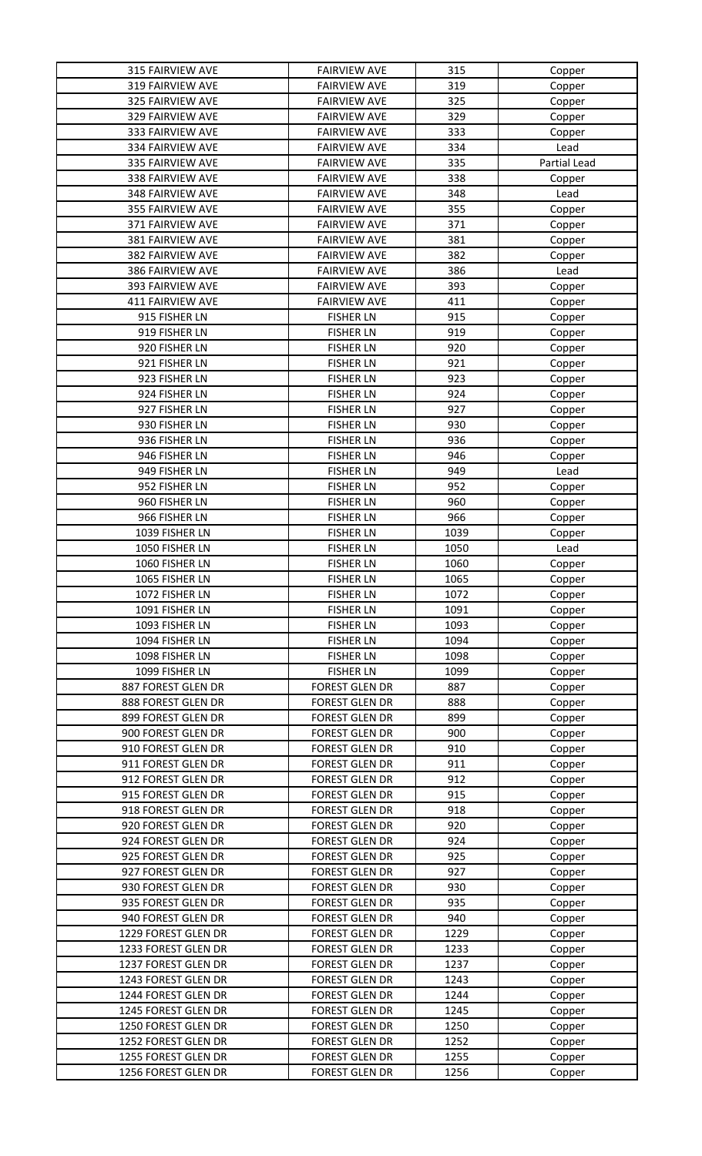| <b>315 FAIRVIEW AVE</b> | <b>FAIRVIEW AVE</b>   | 315        | Copper       |
|-------------------------|-----------------------|------------|--------------|
| 319 FAIRVIEW AVE        | <b>FAIRVIEW AVE</b>   | 319        | Copper       |
| 325 FAIRVIEW AVE        | <b>FAIRVIEW AVE</b>   | 325        | Copper       |
| 329 FAIRVIEW AVE        | <b>FAIRVIEW AVE</b>   | 329        | Copper       |
| 333 FAIRVIEW AVE        | <b>FAIRVIEW AVE</b>   | 333        | Copper       |
| 334 FAIRVIEW AVE        | <b>FAIRVIEW AVE</b>   | 334        | Lead         |
| 335 FAIRVIEW AVE        | <b>FAIRVIEW AVE</b>   | 335        | Partial Lead |
| 338 FAIRVIEW AVE        | <b>FAIRVIEW AVE</b>   | 338        | Copper       |
| 348 FAIRVIEW AVE        | <b>FAIRVIEW AVE</b>   | 348        | Lead         |
| 355 FAIRVIEW AVE        | <b>FAIRVIEW AVE</b>   | 355        | Copper       |
| 371 FAIRVIEW AVE        | <b>FAIRVIEW AVE</b>   | 371        | Copper       |
| 381 FAIRVIEW AVE        | <b>FAIRVIEW AVE</b>   | 381        | Copper       |
| 382 FAIRVIEW AVE        | <b>FAIRVIEW AVE</b>   | 382        | Copper       |
| 386 FAIRVIEW AVE        | <b>FAIRVIEW AVE</b>   | 386        | Lead         |
| 393 FAIRVIEW AVE        | <b>FAIRVIEW AVE</b>   | 393        | Copper       |
| 411 FAIRVIEW AVE        | <b>FAIRVIEW AVE</b>   | 411        | Copper       |
| 915 FISHER LN           | <b>FISHER LN</b>      | 915        | Copper       |
| 919 FISHER LN           | <b>FISHER LN</b>      | 919        | Copper       |
|                         |                       |            |              |
| 920 FISHER LN           | <b>FISHER LN</b>      | 920<br>921 | Copper       |
| 921 FISHER LN           | <b>FISHER LN</b>      |            | Copper       |
| 923 FISHER LN           | <b>FISHER LN</b>      | 923        | Copper       |
| 924 FISHER LN           | <b>FISHER LN</b>      | 924        | Copper       |
| 927 FISHER LN           | <b>FISHER LN</b>      | 927        | Copper       |
| 930 FISHER LN           | <b>FISHER LN</b>      | 930        | Copper       |
| 936 FISHER LN           | <b>FISHER LN</b>      | 936        | Copper       |
| 946 FISHER LN           | <b>FISHER LN</b>      | 946        | Copper       |
| 949 FISHER LN           | <b>FISHER LN</b>      | 949        | Lead         |
| 952 FISHER LN           | <b>FISHER LN</b>      | 952        | Copper       |
| 960 FISHER LN           | <b>FISHER LN</b>      | 960        | Copper       |
| 966 FISHER LN           | <b>FISHER LN</b>      | 966        | Copper       |
| 1039 FISHER LN          | <b>FISHER LN</b>      | 1039       | Copper       |
| 1050 FISHER LN          | <b>FISHER LN</b>      | 1050       | Lead         |
| 1060 FISHER LN          | <b>FISHER LN</b>      | 1060       | Copper       |
| 1065 FISHER LN          | <b>FISHER LN</b>      | 1065       | Copper       |
| 1072 FISHER LN          | <b>FISHER LN</b>      | 1072       | Copper       |
| 1091 FISHER LN          | <b>FISHER LN</b>      | 1091       | Copper       |
| 1093 FISHER LN          | <b>FISHER LN</b>      | 1093       | Copper       |
| 1094 FISHER LN          | <b>FISHER LN</b>      | 1094       | Copper       |
| 1098 FISHER LN          | <b>FISHER LN</b>      | 1098       | Copper       |
| 1099 FISHER LN          | <b>FISHER LN</b>      | 1099       | Copper       |
| 887 FOREST GLEN DR      | <b>FOREST GLEN DR</b> | 887        | Copper       |
| 888 FOREST GLEN DR      | <b>FOREST GLEN DR</b> | 888        | Copper       |
| 899 FOREST GLEN DR      | <b>FOREST GLEN DR</b> | 899        | Copper       |
| 900 FOREST GLEN DR      | <b>FOREST GLEN DR</b> | 900        | Copper       |
| 910 FOREST GLEN DR      | <b>FOREST GLEN DR</b> | 910        | Copper       |
| 911 FOREST GLEN DR      | <b>FOREST GLEN DR</b> | 911        | Copper       |
| 912 FOREST GLEN DR      | <b>FOREST GLEN DR</b> | 912        | Copper       |
| 915 FOREST GLEN DR      | <b>FOREST GLEN DR</b> | 915        | Copper       |
| 918 FOREST GLEN DR      | <b>FOREST GLEN DR</b> | 918        | Copper       |
| 920 FOREST GLEN DR      | <b>FOREST GLEN DR</b> | 920        | Copper       |
| 924 FOREST GLEN DR      | <b>FOREST GLEN DR</b> | 924        | Copper       |
| 925 FOREST GLEN DR      | <b>FOREST GLEN DR</b> | 925        | Copper       |
| 927 FOREST GLEN DR      | <b>FOREST GLEN DR</b> | 927        | Copper       |
| 930 FOREST GLEN DR      | <b>FOREST GLEN DR</b> | 930        |              |
| 935 FOREST GLEN DR      | <b>FOREST GLEN DR</b> | 935        | Copper       |
| 940 FOREST GLEN DR      | <b>FOREST GLEN DR</b> | 940        | Copper       |
|                         |                       |            | Copper       |
| 1229 FOREST GLEN DR     | <b>FOREST GLEN DR</b> | 1229       | Copper       |
| 1233 FOREST GLEN DR     | <b>FOREST GLEN DR</b> | 1233       | Copper       |
| 1237 FOREST GLEN DR     | <b>FOREST GLEN DR</b> | 1237       | Copper       |
| 1243 FOREST GLEN DR     | <b>FOREST GLEN DR</b> | 1243       | Copper       |
| 1244 FOREST GLEN DR     | <b>FOREST GLEN DR</b> | 1244       | Copper       |
| 1245 FOREST GLEN DR     | <b>FOREST GLEN DR</b> | 1245       | Copper       |
| 1250 FOREST GLEN DR     | <b>FOREST GLEN DR</b> | 1250       | Copper       |
| 1252 FOREST GLEN DR     | <b>FOREST GLEN DR</b> | 1252       | Copper       |
| 1255 FOREST GLEN DR     | <b>FOREST GLEN DR</b> | 1255       | Copper       |
| 1256 FOREST GLEN DR     | <b>FOREST GLEN DR</b> | 1256       | Copper       |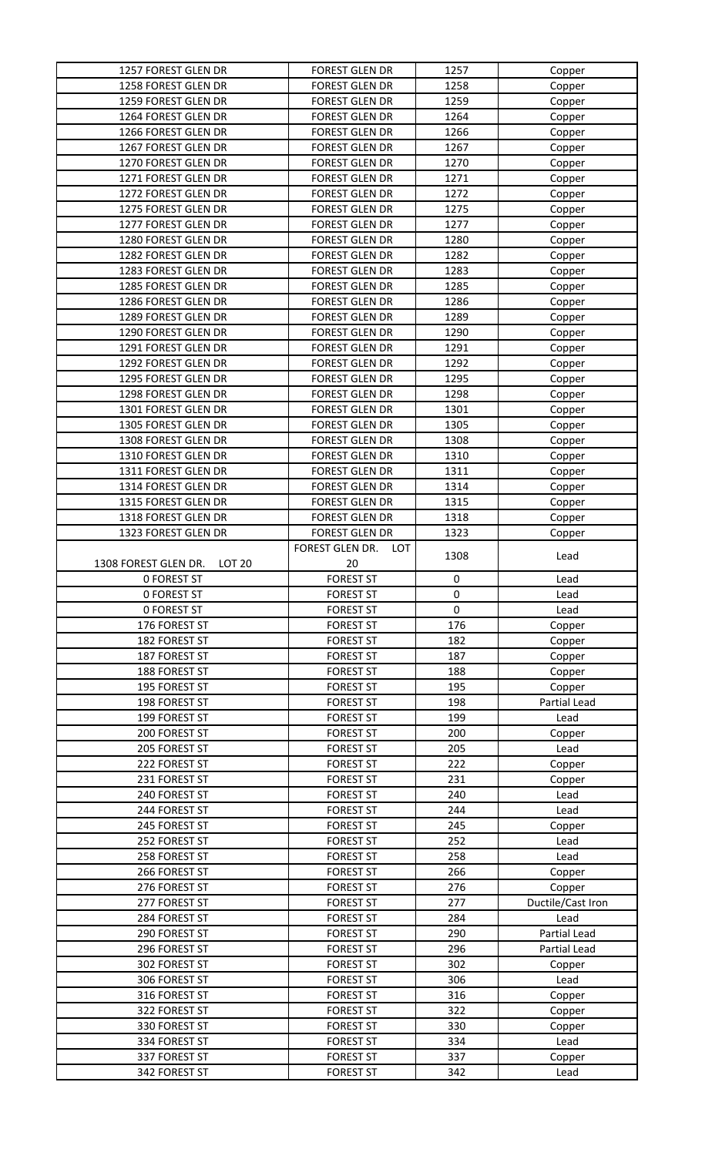| 1257 FOREST GLEN DR                   | <b>FOREST GLEN DR</b>                | 1257       | Copper            |
|---------------------------------------|--------------------------------------|------------|-------------------|
| 1258 FOREST GLEN DR                   | <b>FOREST GLEN DR</b>                | 1258       | Copper            |
| 1259 FOREST GLEN DR                   | <b>FOREST GLEN DR</b>                | 1259       | Copper            |
| 1264 FOREST GLEN DR                   | <b>FOREST GLEN DR</b>                | 1264       | Copper            |
| 1266 FOREST GLEN DR                   | <b>FOREST GLEN DR</b>                | 1266       | Copper            |
| 1267 FOREST GLEN DR                   | <b>FOREST GLEN DR</b>                | 1267       | Copper            |
| 1270 FOREST GLEN DR                   | <b>FOREST GLEN DR</b>                | 1270       | Copper            |
| 1271 FOREST GLEN DR                   | <b>FOREST GLEN DR</b>                | 1271       |                   |
|                                       |                                      |            | Copper            |
| 1272 FOREST GLEN DR                   | <b>FOREST GLEN DR</b>                | 1272       | Copper            |
| 1275 FOREST GLEN DR                   | <b>FOREST GLEN DR</b>                | 1275       | Copper            |
| 1277 FOREST GLEN DR                   | <b>FOREST GLEN DR</b>                | 1277       | Copper            |
| 1280 FOREST GLEN DR                   | <b>FOREST GLEN DR</b>                | 1280       | Copper            |
| 1282 FOREST GLEN DR                   | <b>FOREST GLEN DR</b>                | 1282       | Copper            |
| 1283 FOREST GLEN DR                   | <b>FOREST GLEN DR</b>                | 1283       | Copper            |
| 1285 FOREST GLEN DR                   | <b>FOREST GLEN DR</b>                | 1285       | Copper            |
| 1286 FOREST GLEN DR                   | <b>FOREST GLEN DR</b>                | 1286       | Copper            |
| 1289 FOREST GLEN DR                   | <b>FOREST GLEN DR</b>                | 1289       | Copper            |
| 1290 FOREST GLEN DR                   | <b>FOREST GLEN DR</b>                | 1290       | Copper            |
| 1291 FOREST GLEN DR                   | <b>FOREST GLEN DR</b>                | 1291       | Copper            |
| 1292 FOREST GLEN DR                   | <b>FOREST GLEN DR</b>                | 1292       | Copper            |
| 1295 FOREST GLEN DR                   | <b>FOREST GLEN DR</b>                | 1295       | Copper            |
|                                       |                                      |            |                   |
| 1298 FOREST GLEN DR                   | <b>FOREST GLEN DR</b>                | 1298       | Copper            |
| 1301 FOREST GLEN DR                   | <b>FOREST GLEN DR</b>                | 1301       | Copper            |
| 1305 FOREST GLEN DR                   | <b>FOREST GLEN DR</b>                | 1305       | Copper            |
| 1308 FOREST GLEN DR                   | <b>FOREST GLEN DR</b>                | 1308       | Copper            |
| 1310 FOREST GLEN DR                   | <b>FOREST GLEN DR</b>                | 1310       | Copper            |
| 1311 FOREST GLEN DR                   | <b>FOREST GLEN DR</b>                | 1311       | Copper            |
| 1314 FOREST GLEN DR                   | <b>FOREST GLEN DR</b>                | 1314       | Copper            |
| 1315 FOREST GLEN DR                   | <b>FOREST GLEN DR</b>                | 1315       | Copper            |
| 1318 FOREST GLEN DR                   | <b>FOREST GLEN DR</b>                | 1318       | Copper            |
| 1323 FOREST GLEN DR                   | <b>FOREST GLEN DR</b>                | 1323       | Copper            |
|                                       | FOREST GLEN DR.<br>LOT               |            |                   |
| 1308 FOREST GLEN DR.<br><b>LOT 20</b> | 20                                   | 1308       | Lead              |
| <b>0 FOREST ST</b>                    | <b>FOREST ST</b>                     | 0          | Lead              |
| <b>0 FOREST ST</b>                    | <b>FOREST ST</b>                     | 0          | Lead              |
| <b>0 FOREST ST</b>                    |                                      | $\pmb{0}$  |                   |
|                                       | <b>FOREST ST</b>                     |            | Lead              |
| 176 FOREST ST                         | <b>FOREST ST</b>                     | 176        | Copper            |
|                                       |                                      |            |                   |
| 182 FOREST ST                         | <b>FOREST ST</b>                     | 182        | Copper            |
| 187 FOREST ST                         | <b>FOREST ST</b>                     | 187        | Copper            |
| 188 FOREST ST                         | <b>FOREST ST</b>                     | 188        | Copper            |
| 195 FOREST ST                         | <b>FOREST ST</b>                     | 195        | Copper            |
| 198 FOREST ST                         | <b>FOREST ST</b>                     | 198        | Partial Lead      |
| 199 FOREST ST                         | <b>FOREST ST</b>                     | 199        | Lead              |
| 200 FOREST ST                         | <b>FOREST ST</b>                     | 200        |                   |
| 205 FOREST ST                         | <b>FOREST ST</b>                     | 205        | Copper<br>Lead    |
|                                       |                                      |            |                   |
| 222 FOREST ST                         | <b>FOREST ST</b>                     | 222        | Copper            |
| 231 FOREST ST                         | <b>FOREST ST</b>                     | 231        | Copper            |
| 240 FOREST ST                         | <b>FOREST ST</b>                     | 240        | Lead              |
| 244 FOREST ST                         | <b>FOREST ST</b>                     | 244        | Lead              |
| 245 FOREST ST                         | <b>FOREST ST</b>                     | 245        | Copper            |
| 252 FOREST ST                         | <b>FOREST ST</b>                     | 252        | Lead              |
| 258 FOREST ST                         | <b>FOREST ST</b>                     | 258        | Lead              |
| 266 FOREST ST                         | <b>FOREST ST</b>                     | 266        | Copper            |
| 276 FOREST ST                         | <b>FOREST ST</b>                     | 276        | Copper            |
| 277 FOREST ST                         | <b>FOREST ST</b>                     | 277        | Ductile/Cast Iron |
| 284 FOREST ST                         | <b>FOREST ST</b>                     | 284        | Lead              |
| 290 FOREST ST                         | <b>FOREST ST</b>                     | 290        | Partial Lead      |
| 296 FOREST ST                         | <b>FOREST ST</b>                     | 296        | Partial Lead      |
| 302 FOREST ST                         | <b>FOREST ST</b>                     | 302        | Copper            |
| 306 FOREST ST                         | <b>FOREST ST</b>                     | 306        | Lead              |
| 316 FOREST ST                         | <b>FOREST ST</b>                     | 316        |                   |
| 322 FOREST ST                         |                                      |            | Copper            |
|                                       | <b>FOREST ST</b>                     | 322        | Copper            |
| 330 FOREST ST                         | <b>FOREST ST</b>                     | 330        | Copper            |
| 334 FOREST ST                         | <b>FOREST ST</b>                     | 334        | Lead              |
| 337 FOREST ST<br>342 FOREST ST        | <b>FOREST ST</b><br><b>FOREST ST</b> | 337<br>342 | Copper<br>Lead    |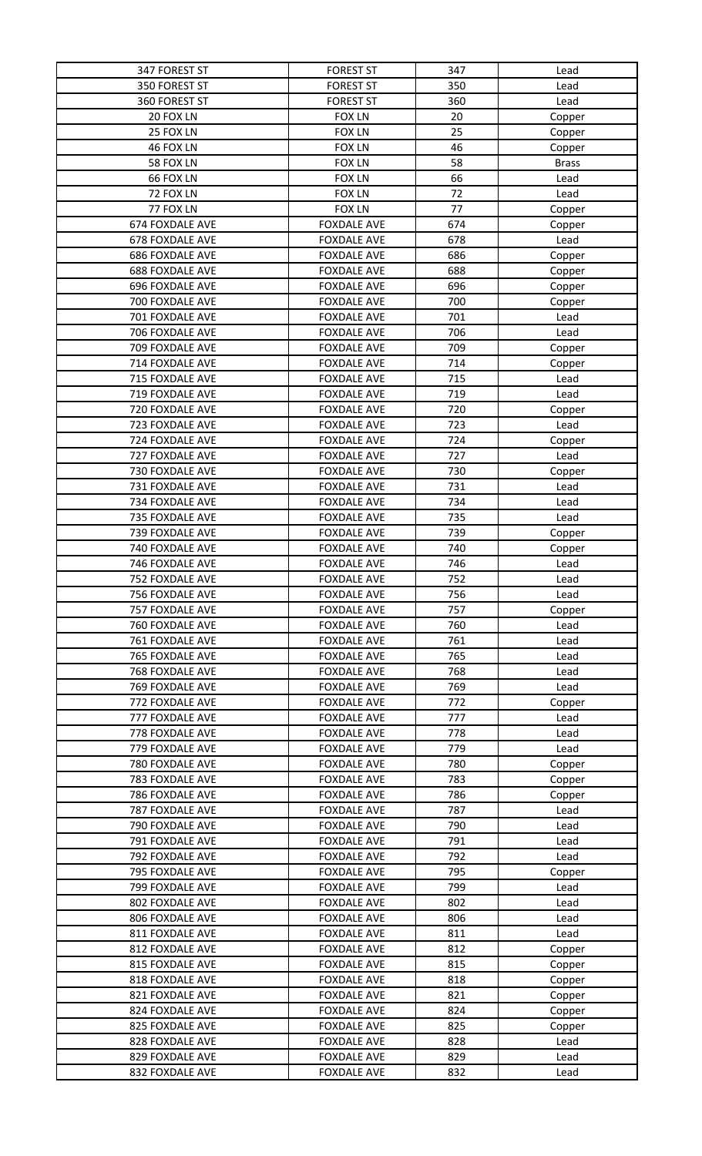| 347 FOREST ST   | <b>FOREST ST</b>   | 347 | Lead         |
|-----------------|--------------------|-----|--------------|
| 350 FOREST ST   | <b>FOREST ST</b>   | 350 | Lead         |
| 360 FOREST ST   | <b>FOREST ST</b>   | 360 | Lead         |
| 20 FOX LN       | <b>FOX LN</b>      | 20  | Copper       |
| 25 FOX LN       | <b>FOX LN</b>      | 25  | Copper       |
| 46 FOX LN       | <b>FOX LN</b>      | 46  | Copper       |
| 58 FOX LN       | <b>FOX LN</b>      | 58  | <b>Brass</b> |
| 66 FOX LN       | <b>FOX LN</b>      | 66  | Lead         |
| 72 FOX LN       | <b>FOX LN</b>      | 72  | Lead         |
| 77 FOX LN       | <b>FOX LN</b>      | 77  | Copper       |
| 674 FOXDALE AVE | <b>FOXDALE AVE</b> | 674 | Copper       |
| 678 FOXDALE AVE | <b>FOXDALE AVE</b> | 678 | Lead         |
| 686 FOXDALE AVE | <b>FOXDALE AVE</b> | 686 | Copper       |
| 688 FOXDALE AVE | <b>FOXDALE AVE</b> | 688 | Copper       |
| 696 FOXDALE AVE | <b>FOXDALE AVE</b> | 696 | Copper       |
| 700 FOXDALE AVE | <b>FOXDALE AVE</b> | 700 | Copper       |
| 701 FOXDALE AVE | <b>FOXDALE AVE</b> | 701 | Lead         |
| 706 FOXDALE AVE | <b>FOXDALE AVE</b> | 706 | Lead         |
| 709 FOXDALE AVE | <b>FOXDALE AVE</b> | 709 | Copper       |
| 714 FOXDALE AVE | <b>FOXDALE AVE</b> | 714 | Copper       |
| 715 FOXDALE AVE | <b>FOXDALE AVE</b> | 715 | Lead         |
| 719 FOXDALE AVE | <b>FOXDALE AVE</b> | 719 | Lead         |
| 720 FOXDALE AVE | <b>FOXDALE AVE</b> | 720 | Copper       |
| 723 FOXDALE AVE | <b>FOXDALE AVE</b> | 723 | Lead         |
| 724 FOXDALE AVE | <b>FOXDALE AVE</b> | 724 | Copper       |
| 727 FOXDALE AVE | <b>FOXDALE AVE</b> | 727 | Lead         |
| 730 FOXDALE AVE | <b>FOXDALE AVE</b> | 730 | Copper       |
| 731 FOXDALE AVE | <b>FOXDALE AVE</b> | 731 | Lead         |
| 734 FOXDALE AVE | <b>FOXDALE AVE</b> | 734 | Lead         |
| 735 FOXDALE AVE | <b>FOXDALE AVE</b> | 735 | Lead         |
| 739 FOXDALE AVE | <b>FOXDALE AVE</b> | 739 | Copper       |
| 740 FOXDALE AVE | <b>FOXDALE AVE</b> | 740 | Copper       |
| 746 FOXDALE AVE | <b>FOXDALE AVE</b> | 746 | Lead         |
| 752 FOXDALE AVE | <b>FOXDALE AVE</b> | 752 | Lead         |
| 756 FOXDALE AVE | <b>FOXDALE AVE</b> | 756 | Lead         |
| 757 FOXDALE AVE | <b>FOXDALE AVE</b> | 757 | Copper       |
| 760 FOXDALE AVE | <b>FOXDALE AVE</b> | 760 | Lead         |
| 761 FOXDALE AVE | <b>FOXDALE AVE</b> | 761 | Lead         |
| 765 FOXDALE AVE | <b>FOXDALE AVE</b> | 765 | Lead         |
| 768 FOXDALE AVE | <b>FOXDALE AVE</b> | 768 | Lead         |
| 769 FOXDALE AVE | <b>FOXDALE AVE</b> | 769 | Lead         |
| 772 FOXDALE AVE | <b>FOXDALE AVE</b> | 772 | Copper       |
| 777 FOXDALE AVE | <b>FOXDALE AVE</b> | 777 | Lead         |
| 778 FOXDALE AVE | <b>FOXDALE AVE</b> | 778 | Lead         |
| 779 FOXDALE AVE | <b>FOXDALE AVE</b> | 779 | Lead         |
| 780 FOXDALE AVE | <b>FOXDALE AVE</b> | 780 | Copper       |
| 783 FOXDALE AVE | <b>FOXDALE AVE</b> | 783 | Copper       |
| 786 FOXDALE AVE | <b>FOXDALE AVE</b> | 786 | Copper       |
| 787 FOXDALE AVE | <b>FOXDALE AVE</b> | 787 | Lead         |
| 790 FOXDALE AVE | <b>FOXDALE AVE</b> | 790 | Lead         |
| 791 FOXDALE AVE | <b>FOXDALE AVE</b> | 791 | Lead         |
| 792 FOXDALE AVE | <b>FOXDALE AVE</b> | 792 | Lead         |
| 795 FOXDALE AVE | <b>FOXDALE AVE</b> | 795 | Copper       |
| 799 FOXDALE AVE | <b>FOXDALE AVE</b> | 799 | Lead         |
| 802 FOXDALE AVE | <b>FOXDALE AVE</b> | 802 | Lead         |
| 806 FOXDALE AVE | <b>FOXDALE AVE</b> | 806 | Lead         |
| 811 FOXDALE AVE | <b>FOXDALE AVE</b> | 811 | Lead         |
| 812 FOXDALE AVE | <b>FOXDALE AVE</b> | 812 | Copper       |
| 815 FOXDALE AVE | <b>FOXDALE AVE</b> | 815 | Copper       |
| 818 FOXDALE AVE | <b>FOXDALE AVE</b> | 818 | Copper       |
| 821 FOXDALE AVE | <b>FOXDALE AVE</b> | 821 | Copper       |
| 824 FOXDALE AVE | <b>FOXDALE AVE</b> | 824 | Copper       |
| 825 FOXDALE AVE | <b>FOXDALE AVE</b> | 825 | Copper       |
| 828 FOXDALE AVE | <b>FOXDALE AVE</b> | 828 | Lead         |
| 829 FOXDALE AVE | <b>FOXDALE AVE</b> | 829 | Lead         |
| 832 FOXDALE AVE | <b>FOXDALE AVE</b> | 832 | Lead         |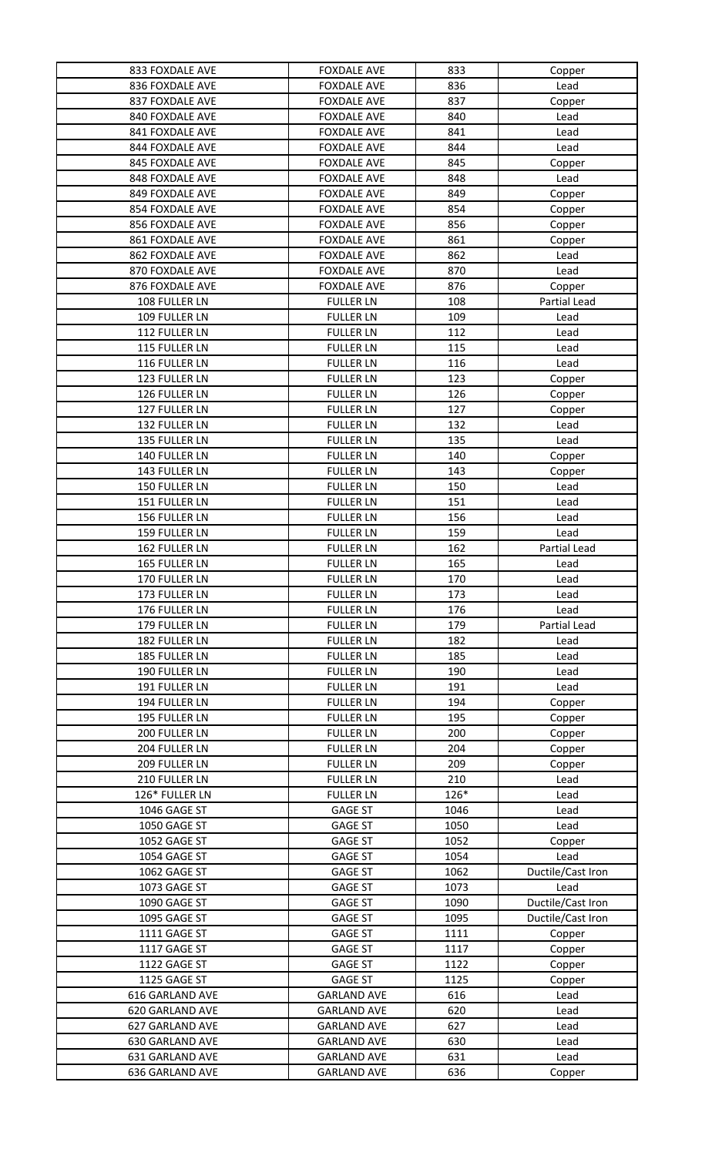| 833 FOXDALE AVE | <b>FOXDALE AVE</b> | 833  | Copper            |
|-----------------|--------------------|------|-------------------|
| 836 FOXDALE AVE | <b>FOXDALE AVE</b> | 836  | Lead              |
| 837 FOXDALE AVE | <b>FOXDALE AVE</b> | 837  | Copper            |
| 840 FOXDALE AVE | <b>FOXDALE AVE</b> | 840  | Lead              |
| 841 FOXDALE AVE | <b>FOXDALE AVE</b> | 841  | Lead              |
| 844 FOXDALE AVE | <b>FOXDALE AVE</b> | 844  | Lead              |
| 845 FOXDALE AVE | <b>FOXDALE AVE</b> | 845  | Copper            |
| 848 FOXDALE AVE | <b>FOXDALE AVE</b> | 848  | Lead              |
| 849 FOXDALE AVE | <b>FOXDALE AVE</b> | 849  | Copper            |
| 854 FOXDALE AVE | <b>FOXDALE AVE</b> | 854  | Copper            |
| 856 FOXDALE AVE | <b>FOXDALE AVE</b> | 856  | Copper            |
| 861 FOXDALE AVE | <b>FOXDALE AVE</b> | 861  |                   |
| 862 FOXDALE AVE |                    | 862  | Copper            |
|                 | <b>FOXDALE AVE</b> |      | Lead              |
| 870 FOXDALE AVE | <b>FOXDALE AVE</b> | 870  | Lead              |
| 876 FOXDALE AVE | <b>FOXDALE AVE</b> | 876  | Copper            |
| 108 FULLER LN   | <b>FULLER LN</b>   | 108  | Partial Lead      |
| 109 FULLER LN   | <b>FULLER LN</b>   | 109  | Lead              |
| 112 FULLER LN   | <b>FULLER LN</b>   | 112  | Lead              |
| 115 FULLER LN   | <b>FULLER LN</b>   | 115  | Lead              |
| 116 FULLER LN   | <b>FULLER LN</b>   | 116  | Lead              |
| 123 FULLER LN   | <b>FULLER LN</b>   | 123  | Copper            |
| 126 FULLER LN   | <b>FULLER LN</b>   | 126  | Copper            |
| 127 FULLER LN   | <b>FULLER LN</b>   | 127  | Copper            |
| 132 FULLER LN   | <b>FULLER LN</b>   | 132  | Lead              |
| 135 FULLER LN   | <b>FULLER LN</b>   | 135  | Lead              |
| 140 FULLER LN   | <b>FULLER LN</b>   | 140  | Copper            |
| 143 FULLER LN   | <b>FULLER LN</b>   | 143  | Copper            |
| 150 FULLER LN   | <b>FULLER LN</b>   | 150  | Lead              |
| 151 FULLER LN   | <b>FULLER LN</b>   | 151  | Lead              |
| 156 FULLER LN   | <b>FULLER LN</b>   | 156  | Lead              |
| 159 FULLER LN   | <b>FULLER LN</b>   | 159  | Lead              |
| 162 FULLER LN   | <b>FULLER LN</b>   | 162  | Partial Lead      |
| 165 FULLER LN   | <b>FULLER LN</b>   | 165  | Lead              |
| 170 FULLER LN   | <b>FULLER LN</b>   | 170  | Lead              |
| 173 FULLER LN   | <b>FULLER LN</b>   | 173  | Lead              |
| 176 FULLER LN   | <b>FULLER LN</b>   | 176  | Lead              |
| 179 FULLER LN   |                    | 179  | Partial Lead      |
| 182 FULLER LN   | <b>FULLER LN</b>   |      |                   |
|                 | <b>FULLER LN</b>   | 182  | Lead              |
| 185 FULLER LN   | <b>FULLER LN</b>   | 185  | Lead              |
| 190 FULLER LN   | <b>FULLER LN</b>   | 190  | Lead              |
| 191 FULLER LN   | <b>FULLER LN</b>   | 191  | Lead              |
| 194 FULLER LN   | <b>FULLER LN</b>   | 194  | Copper            |
| 195 FULLER LN   | <b>FULLER LN</b>   | 195  | Copper            |
| 200 FULLER LN   | <b>FULLER LN</b>   | 200  | Copper            |
| 204 FULLER LN   | <b>FULLER LN</b>   | 204  | Copper            |
| 209 FULLER LN   | <b>FULLER LN</b>   | 209  | Copper            |
| 210 FULLER LN   | <b>FULLER LN</b>   | 210  | Lead              |
| 126* FULLER LN  | <b>FULLER LN</b>   | 126* | Lead              |
| 1046 GAGE ST    | <b>GAGE ST</b>     | 1046 | Lead              |
| 1050 GAGE ST    | <b>GAGE ST</b>     | 1050 | Lead              |
| 1052 GAGE ST    | <b>GAGE ST</b>     | 1052 | Copper            |
| 1054 GAGE ST    | <b>GAGE ST</b>     | 1054 | Lead              |
| 1062 GAGE ST    | <b>GAGE ST</b>     | 1062 | Ductile/Cast Iron |
| 1073 GAGE ST    | <b>GAGE ST</b>     | 1073 | Lead              |
| 1090 GAGE ST    | <b>GAGE ST</b>     | 1090 | Ductile/Cast Iron |
| 1095 GAGE ST    | <b>GAGE ST</b>     | 1095 | Ductile/Cast Iron |
| 1111 GAGE ST    | <b>GAGE ST</b>     | 1111 | Copper            |
| 1117 GAGE ST    | <b>GAGE ST</b>     | 1117 | Copper            |
| 1122 GAGE ST    | <b>GAGE ST</b>     | 1122 | Copper            |
| 1125 GAGE ST    | <b>GAGE ST</b>     | 1125 | Copper            |
| 616 GARLAND AVE | <b>GARLAND AVE</b> | 616  | Lead              |
| 620 GARLAND AVE | <b>GARLAND AVE</b> | 620  | Lead              |
| 627 GARLAND AVE | <b>GARLAND AVE</b> | 627  | Lead              |
| 630 GARLAND AVE | <b>GARLAND AVE</b> | 630  | Lead              |
| 631 GARLAND AVE | <b>GARLAND AVE</b> | 631  | Lead              |
| 636 GARLAND AVE | <b>GARLAND AVE</b> | 636  | Copper            |
|                 |                    |      |                   |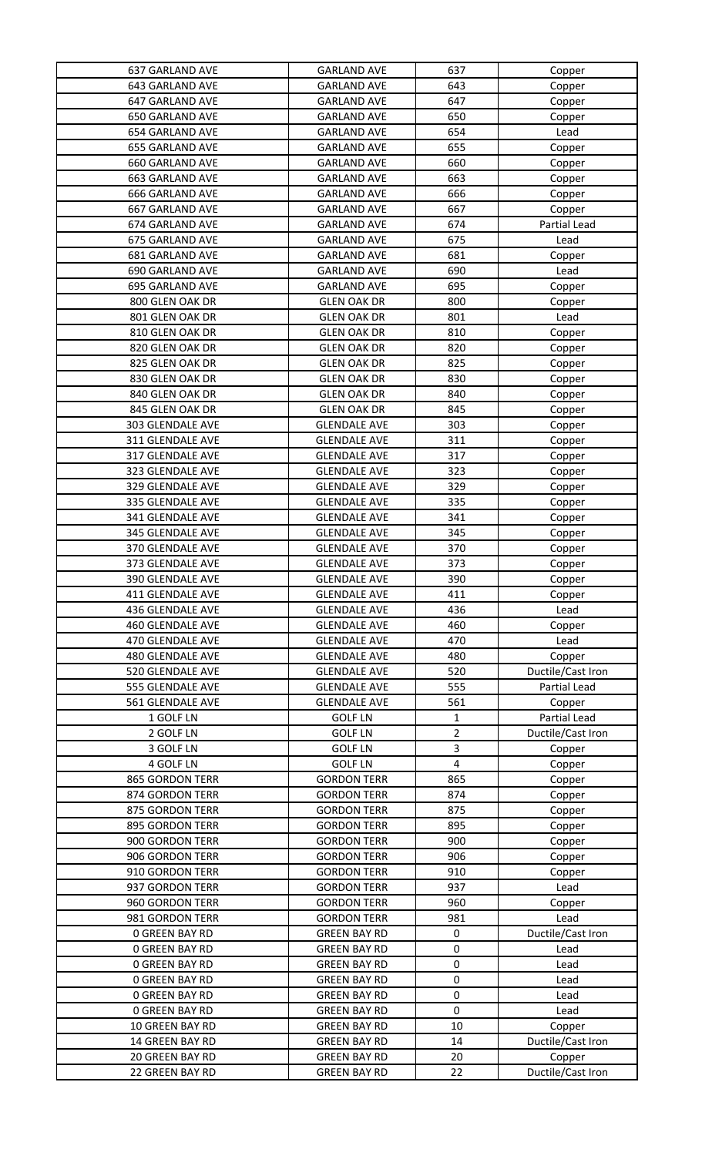| 637 GARLAND AVE              | <b>GARLAND AVE</b>                       | 637                            | Copper              |
|------------------------------|------------------------------------------|--------------------------------|---------------------|
| 643 GARLAND AVE              | <b>GARLAND AVE</b>                       | 643                            | Copper              |
| 647 GARLAND AVE              | <b>GARLAND AVE</b>                       | 647                            | Copper              |
| 650 GARLAND AVE              | <b>GARLAND AVE</b>                       | 650                            | Copper              |
| 654 GARLAND AVE              | <b>GARLAND AVE</b>                       | 654                            | Lead                |
| 655 GARLAND AVE              | <b>GARLAND AVE</b>                       | 655                            | Copper              |
| 660 GARLAND AVE              | <b>GARLAND AVE</b>                       | 660                            | Copper              |
| 663 GARLAND AVE              | <b>GARLAND AVE</b>                       | 663                            | Copper              |
| <b>666 GARLAND AVE</b>       | <b>GARLAND AVE</b>                       | 666                            | Copper              |
| 667 GARLAND AVE              | <b>GARLAND AVE</b>                       | 667                            | Copper              |
| 674 GARLAND AVE              | <b>GARLAND AVE</b>                       | 674                            | Partial Lead        |
| 675 GARLAND AVE              | <b>GARLAND AVE</b>                       | 675                            | Lead                |
| 681 GARLAND AVE              | <b>GARLAND AVE</b>                       | 681                            | Copper              |
| 690 GARLAND AVE              | <b>GARLAND AVE</b>                       | 690                            | Lead                |
| 695 GARLAND AVE              | <b>GARLAND AVE</b>                       | 695                            | Copper              |
| 800 GLEN OAK DR              | <b>GLEN OAK DR</b>                       | 800                            | Copper              |
| 801 GLEN OAK DR              | <b>GLEN OAK DR</b>                       | 801                            | Lead                |
| 810 GLEN OAK DR              | <b>GLEN OAK DR</b>                       | 810                            | Copper              |
| 820 GLEN OAK DR              | <b>GLEN OAK DR</b>                       | 820                            | Copper              |
| 825 GLEN OAK DR              | <b>GLEN OAK DR</b>                       | 825                            | Copper              |
| 830 GLEN OAK DR              | <b>GLEN OAK DR</b>                       | 830                            | Copper              |
| 840 GLEN OAK DR              | <b>GLEN OAK DR</b>                       | 840                            | Copper              |
| 845 GLEN OAK DR              | <b>GLEN OAK DR</b>                       | 845                            | Copper              |
| 303 GLENDALE AVE             | <b>GLENDALE AVE</b>                      | 303                            | Copper              |
| 311 GLENDALE AVE             | <b>GLENDALE AVE</b>                      | 311                            | Copper              |
| 317 GLENDALE AVE             | <b>GLENDALE AVE</b>                      | 317                            | Copper              |
| 323 GLENDALE AVE             | <b>GLENDALE AVE</b>                      | 323                            | Copper              |
| 329 GLENDALE AVE             | <b>GLENDALE AVE</b>                      | 329                            | Copper              |
| 335 GLENDALE AVE             | <b>GLENDALE AVE</b>                      | 335                            | Copper              |
| 341 GLENDALE AVE             | <b>GLENDALE AVE</b>                      | 341                            | Copper              |
| 345 GLENDALE AVE             | <b>GLENDALE AVE</b>                      | 345                            | Copper              |
| 370 GLENDALE AVE             | <b>GLENDALE AVE</b>                      | 370                            | Copper              |
| 373 GLENDALE AVE             | <b>GLENDALE AVE</b>                      | 373                            | Copper              |
| 390 GLENDALE AVE             | <b>GLENDALE AVE</b>                      | 390                            | Copper              |
| 411 GLENDALE AVE             | <b>GLENDALE AVE</b>                      | 411                            | Copper              |
| 436 GLENDALE AVE             | <b>GLENDALE AVE</b>                      | 436                            | Lead                |
| <b>460 GLENDALE AVE</b>      | <b>GLENDALE AVE</b>                      | 460                            | Copper              |
| 470 GLENDALE AVE             | <b>GLENDALE AVE</b>                      | 470                            | Lead                |
| <b>480 GLENDALE AVE</b>      | <b>GLENDALE AVE</b>                      | 480                            | Copper              |
| 520 GLENDALE AVE             | <b>GLENDALE AVE</b>                      | 520                            | Ductile/Cast Iron   |
| 555 GLENDALE AVE             | <b>GLENDALE AVE</b>                      | 555                            | <b>Partial Lead</b> |
| 561 GLENDALE AVE             | <b>GLENDALE AVE</b>                      | 561                            | Copper              |
| 1 GOLF LN                    | <b>GOLF LN</b>                           | 1                              | Partial Lead        |
| 2 GOLF LN                    | <b>GOLF LN</b>                           | $\overline{2}$                 | Ductile/Cast Iron   |
| 3 GOLF LN                    | <b>GOLF LN</b>                           | 3                              | Copper              |
| 4 GOLF LN<br>865 GORDON TERR | <b>GOLF LN</b><br><b>GORDON TERR</b>     | $\overline{\mathbf{4}}$<br>865 | Copper              |
| 874 GORDON TERR              |                                          | 874                            | Copper              |
| 875 GORDON TERR              | <b>GORDON TERR</b><br><b>GORDON TERR</b> | 875                            | Copper              |
| 895 GORDON TERR              | <b>GORDON TERR</b>                       | 895                            | Copper              |
| 900 GORDON TERR              | <b>GORDON TERR</b>                       | 900                            | Copper<br>Copper    |
| 906 GORDON TERR              | <b>GORDON TERR</b>                       | 906                            | Copper              |
| 910 GORDON TERR              | <b>GORDON TERR</b>                       | 910                            | Copper              |
| 937 GORDON TERR              | <b>GORDON TERR</b>                       | 937                            | Lead                |
| 960 GORDON TERR              | <b>GORDON TERR</b>                       | 960                            | Copper              |
| 981 GORDON TERR              | <b>GORDON TERR</b>                       | 981                            | Lead                |
| <b>0 GREEN BAY RD</b>        | <b>GREEN BAY RD</b>                      | $\pmb{0}$                      | Ductile/Cast Iron   |
| <b>0 GREEN BAY RD</b>        | <b>GREEN BAY RD</b>                      | 0                              | Lead                |
| <b>0 GREEN BAY RD</b>        | <b>GREEN BAY RD</b>                      | $\pmb{0}$                      | Lead                |
| <b>0 GREEN BAY RD</b>        | <b>GREEN BAY RD</b>                      | $\pmb{0}$                      | Lead                |
| <b>0 GREEN BAY RD</b>        | <b>GREEN BAY RD</b>                      | $\pmb{0}$                      | Lead                |
| <b>0 GREEN BAY RD</b>        | <b>GREEN BAY RD</b>                      | $\pmb{0}$                      | Lead                |
| 10 GREEN BAY RD              | <b>GREEN BAY RD</b>                      | 10                             | Copper              |
| 14 GREEN BAY RD              | <b>GREEN BAY RD</b>                      | 14                             | Ductile/Cast Iron   |
| <b>20 GREEN BAY RD</b>       | <b>GREEN BAY RD</b>                      | 20                             | Copper              |
| 22 GREEN BAY RD              | <b>GREEN BAY RD</b>                      | 22                             | Ductile/Cast Iron   |
|                              |                                          |                                |                     |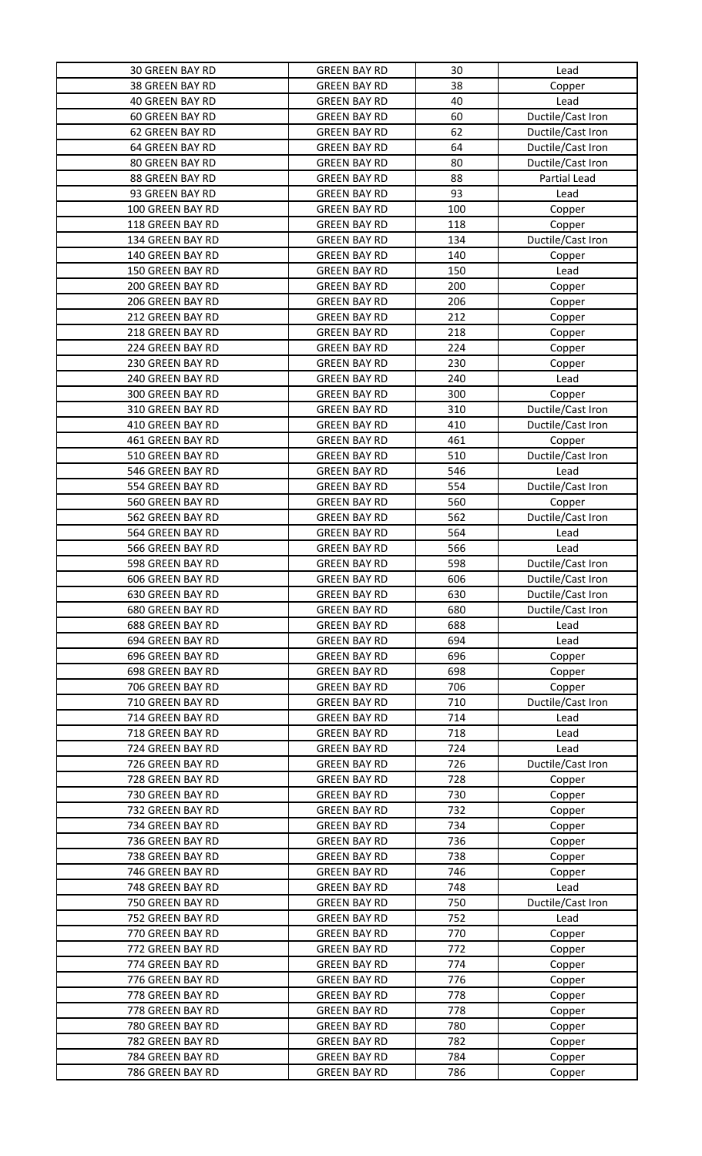| <b>30 GREEN BAY RD</b> | <b>GREEN BAY RD</b> | 30  | Lead              |
|------------------------|---------------------|-----|-------------------|
| 38 GREEN BAY RD        | <b>GREEN BAY RD</b> | 38  | Copper            |
| 40 GREEN BAY RD        | <b>GREEN BAY RD</b> | 40  | Lead              |
| <b>60 GREEN BAY RD</b> | <b>GREEN BAY RD</b> | 60  | Ductile/Cast Iron |
| 62 GREEN BAY RD        | <b>GREEN BAY RD</b> | 62  | Ductile/Cast Iron |
| 64 GREEN BAY RD        | <b>GREEN BAY RD</b> | 64  | Ductile/Cast Iron |
| 80 GREEN BAY RD        | <b>GREEN BAY RD</b> | 80  | Ductile/Cast Iron |
| 88 GREEN BAY RD        | <b>GREEN BAY RD</b> | 88  | Partial Lead      |
| 93 GREEN BAY RD        | <b>GREEN BAY RD</b> | 93  | Lead              |
| 100 GREEN BAY RD       | <b>GREEN BAY RD</b> | 100 | Copper            |
| 118 GREEN BAY RD       | <b>GREEN BAY RD</b> | 118 | Copper            |
| 134 GREEN BAY RD       | <b>GREEN BAY RD</b> | 134 | Ductile/Cast Iron |
| 140 GREEN BAY RD       | <b>GREEN BAY RD</b> | 140 | Copper            |
| 150 GREEN BAY RD       | <b>GREEN BAY RD</b> | 150 | Lead              |
| 200 GREEN BAY RD       | <b>GREEN BAY RD</b> | 200 | Copper            |
| 206 GREEN BAY RD       | <b>GREEN BAY RD</b> | 206 | Copper            |
| 212 GREEN BAY RD       | <b>GREEN BAY RD</b> | 212 | Copper            |
| 218 GREEN BAY RD       | <b>GREEN BAY RD</b> | 218 | Copper            |
| 224 GREEN BAY RD       | <b>GREEN BAY RD</b> | 224 | Copper            |
| 230 GREEN BAY RD       | <b>GREEN BAY RD</b> | 230 | Copper            |
| 240 GREEN BAY RD       | <b>GREEN BAY RD</b> | 240 | Lead              |
| 300 GREEN BAY RD       | <b>GREEN BAY RD</b> | 300 | Copper            |
| 310 GREEN BAY RD       | <b>GREEN BAY RD</b> | 310 | Ductile/Cast Iron |
| 410 GREEN BAY RD       | <b>GREEN BAY RD</b> | 410 | Ductile/Cast Iron |
| 461 GREEN BAY RD       | <b>GREEN BAY RD</b> | 461 | Copper            |
| 510 GREEN BAY RD       | <b>GREEN BAY RD</b> | 510 | Ductile/Cast Iron |
| 546 GREEN BAY RD       | <b>GREEN BAY RD</b> | 546 | Lead              |
| 554 GREEN BAY RD       | <b>GREEN BAY RD</b> | 554 | Ductile/Cast Iron |
| 560 GREEN BAY RD       | <b>GREEN BAY RD</b> | 560 | Copper            |
| 562 GREEN BAY RD       | <b>GREEN BAY RD</b> | 562 | Ductile/Cast Iron |
| 564 GREEN BAY RD       | <b>GREEN BAY RD</b> | 564 | Lead              |
| 566 GREEN BAY RD       | <b>GREEN BAY RD</b> | 566 | Lead              |
| 598 GREEN BAY RD       | <b>GREEN BAY RD</b> | 598 | Ductile/Cast Iron |
| 606 GREEN BAY RD       | <b>GREEN BAY RD</b> | 606 | Ductile/Cast Iron |
| 630 GREEN BAY RD       | <b>GREEN BAY RD</b> | 630 | Ductile/Cast Iron |
| 680 GREEN BAY RD       | <b>GREEN BAY RD</b> | 680 | Ductile/Cast Iron |
| 688 GREEN BAY RD       | <b>GREEN BAY RD</b> | 688 | Lead              |
| 694 GREEN BAY RD       | <b>GREEN BAY RD</b> | 694 | Lead              |
| 696 GREEN BAY RD       | <b>GREEN BAY RD</b> | 696 | Copper            |
| 698 GREEN BAY RD       | <b>GREEN BAY RD</b> | 698 | Copper            |
| 706 GREEN BAY RD       | <b>GREEN BAY RD</b> | 706 | Copper            |
| 710 GREEN BAY RD       | <b>GREEN BAY RD</b> | 710 | Ductile/Cast Iron |
| 714 GREEN BAY RD       | <b>GREEN BAY RD</b> | 714 | Lead              |
| 718 GREEN BAY RD       | <b>GREEN BAY RD</b> | 718 | Lead              |
| 724 GREEN BAY RD       | <b>GREEN BAY RD</b> | 724 | Lead              |
| 726 GREEN BAY RD       | <b>GREEN BAY RD</b> | 726 | Ductile/Cast Iron |
| 728 GREEN BAY RD       | <b>GREEN BAY RD</b> | 728 | Copper            |
| 730 GREEN BAY RD       | <b>GREEN BAY RD</b> | 730 | Copper            |
| 732 GREEN BAY RD       | <b>GREEN BAY RD</b> | 732 | Copper            |
| 734 GREEN BAY RD       | <b>GREEN BAY RD</b> | 734 | Copper            |
| 736 GREEN BAY RD       | <b>GREEN BAY RD</b> | 736 | Copper            |
| 738 GREEN BAY RD       | <b>GREEN BAY RD</b> | 738 | Copper            |
| 746 GREEN BAY RD       | <b>GREEN BAY RD</b> | 746 | Copper            |
| 748 GREEN BAY RD       | <b>GREEN BAY RD</b> | 748 | Lead              |
| 750 GREEN BAY RD       | <b>GREEN BAY RD</b> | 750 | Ductile/Cast Iron |
| 752 GREEN BAY RD       | <b>GREEN BAY RD</b> | 752 | Lead              |
| 770 GREEN BAY RD       | <b>GREEN BAY RD</b> | 770 | Copper            |
| 772 GREEN BAY RD       | <b>GREEN BAY RD</b> | 772 | Copper            |
| 774 GREEN BAY RD       | <b>GREEN BAY RD</b> | 774 | Copper            |
| 776 GREEN BAY RD       | <b>GREEN BAY RD</b> | 776 | Copper            |
| 778 GREEN BAY RD       | <b>GREEN BAY RD</b> | 778 | Copper            |
| 778 GREEN BAY RD       | <b>GREEN BAY RD</b> | 778 | Copper            |
| 780 GREEN BAY RD       | <b>GREEN BAY RD</b> | 780 | Copper            |
| 782 GREEN BAY RD       | <b>GREEN BAY RD</b> | 782 | Copper            |
| 784 GREEN BAY RD       | <b>GREEN BAY RD</b> | 784 | Copper            |
| 786 GREEN BAY RD       | <b>GREEN BAY RD</b> | 786 | Copper            |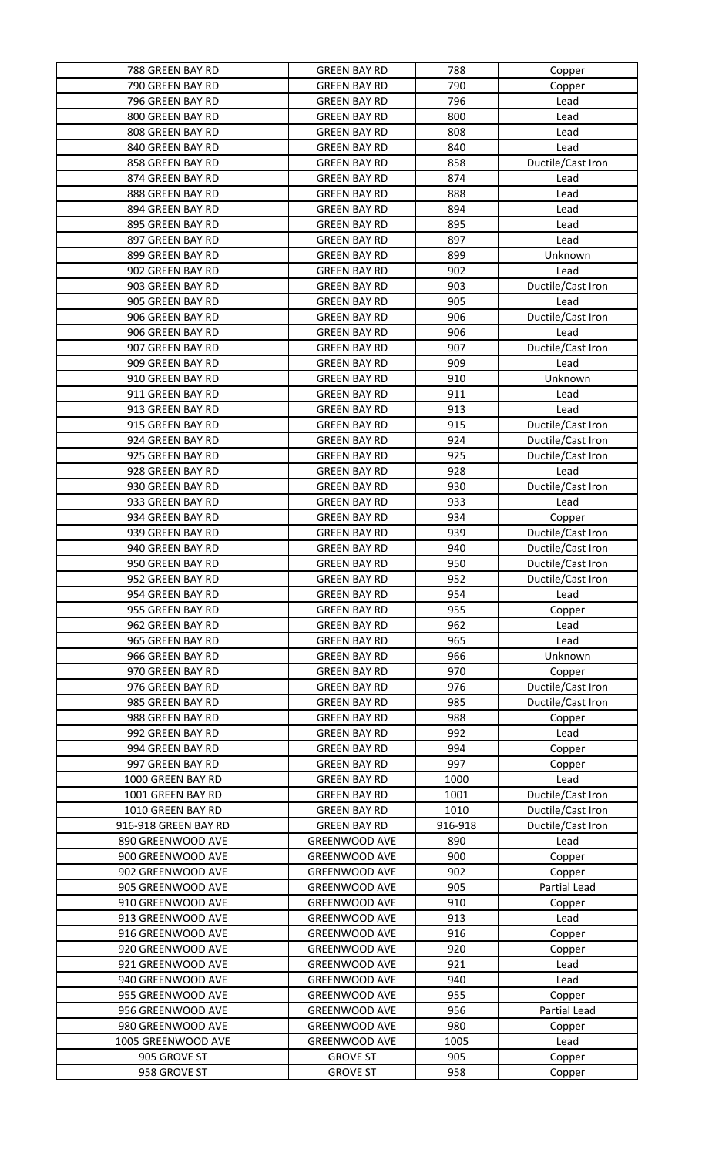| 788 GREEN BAY RD     | <b>GREEN BAY RD</b>  | 788     | Copper            |
|----------------------|----------------------|---------|-------------------|
| 790 GREEN BAY RD     | <b>GREEN BAY RD</b>  | 790     | Copper            |
| 796 GREEN BAY RD     | <b>GREEN BAY RD</b>  | 796     | Lead              |
| 800 GREEN BAY RD     | <b>GREEN BAY RD</b>  | 800     | Lead              |
| 808 GREEN BAY RD     | <b>GREEN BAY RD</b>  | 808     | Lead              |
| 840 GREEN BAY RD     | <b>GREEN BAY RD</b>  | 840     | Lead              |
| 858 GREEN BAY RD     | <b>GREEN BAY RD</b>  | 858     | Ductile/Cast Iron |
| 874 GREEN BAY RD     | <b>GREEN BAY RD</b>  | 874     | Lead              |
| 888 GREEN BAY RD     | <b>GREEN BAY RD</b>  | 888     | Lead              |
| 894 GREEN BAY RD     | <b>GREEN BAY RD</b>  | 894     | Lead              |
| 895 GREEN BAY RD     | <b>GREEN BAY RD</b>  | 895     | Lead              |
| 897 GREEN BAY RD     | <b>GREEN BAY RD</b>  | 897     | Lead              |
| 899 GREEN BAY RD     | <b>GREEN BAY RD</b>  | 899     | Unknown           |
| 902 GREEN BAY RD     | <b>GREEN BAY RD</b>  | 902     | Lead              |
| 903 GREEN BAY RD     | <b>GREEN BAY RD</b>  | 903     | Ductile/Cast Iron |
| 905 GREEN BAY RD     | <b>GREEN BAY RD</b>  | 905     | Lead              |
| 906 GREEN BAY RD     | <b>GREEN BAY RD</b>  | 906     | Ductile/Cast Iron |
| 906 GREEN BAY RD     | <b>GREEN BAY RD</b>  | 906     | Lead              |
| 907 GREEN BAY RD     | <b>GREEN BAY RD</b>  | 907     | Ductile/Cast Iron |
| 909 GREEN BAY RD     | <b>GREEN BAY RD</b>  | 909     | Lead              |
| 910 GREEN BAY RD     | <b>GREEN BAY RD</b>  | 910     | Unknown           |
| 911 GREEN BAY RD     | <b>GREEN BAY RD</b>  | 911     | Lead              |
| 913 GREEN BAY RD     | <b>GREEN BAY RD</b>  | 913     | Lead              |
| 915 GREEN BAY RD     | <b>GREEN BAY RD</b>  | 915     | Ductile/Cast Iron |
| 924 GREEN BAY RD     | <b>GREEN BAY RD</b>  | 924     | Ductile/Cast Iron |
| 925 GREEN BAY RD     | <b>GREEN BAY RD</b>  | 925     | Ductile/Cast Iron |
| 928 GREEN BAY RD     | <b>GREEN BAY RD</b>  | 928     | Lead              |
| 930 GREEN BAY RD     | <b>GREEN BAY RD</b>  | 930     | Ductile/Cast Iron |
| 933 GREEN BAY RD     | <b>GREEN BAY RD</b>  | 933     | Lead              |
| 934 GREEN BAY RD     | <b>GREEN BAY RD</b>  | 934     | Copper            |
| 939 GREEN BAY RD     | <b>GREEN BAY RD</b>  | 939     | Ductile/Cast Iron |
| 940 GREEN BAY RD     | <b>GREEN BAY RD</b>  | 940     | Ductile/Cast Iron |
| 950 GREEN BAY RD     | <b>GREEN BAY RD</b>  | 950     | Ductile/Cast Iron |
| 952 GREEN BAY RD     | <b>GREEN BAY RD</b>  | 952     | Ductile/Cast Iron |
| 954 GREEN BAY RD     | <b>GREEN BAY RD</b>  | 954     | Lead              |
| 955 GREEN BAY RD     | <b>GREEN BAY RD</b>  | 955     | Copper            |
| 962 GREEN BAY RD     | <b>GREEN BAY RD</b>  | 962     | Lead              |
| 965 GREEN BAY RD     | <b>GREEN BAY RD</b>  | 965     | Lead              |
| 966 GREEN BAY RD     | <b>GREEN BAY RD</b>  | 966     | Unknown           |
| 970 GREEN BAY RD     | <b>GREEN BAY RD</b>  | 970     | Copper            |
| 976 GREEN BAY RD     | <b>GREEN BAY RD</b>  | 976     | Ductile/Cast Iron |
| 985 GREEN BAY RD     | <b>GREEN BAY RD</b>  | 985     | Ductile/Cast Iron |
| 988 GREEN BAY RD     | <b>GREEN BAY RD</b>  | 988     | Copper            |
| 992 GREEN BAY RD     | <b>GREEN BAY RD</b>  | 992     | Lead              |
| 994 GREEN BAY RD     | <b>GREEN BAY RD</b>  | 994     | Copper            |
| 997 GREEN BAY RD     | <b>GREEN BAY RD</b>  | 997     | Copper            |
| 1000 GREEN BAY RD    | <b>GREEN BAY RD</b>  | 1000    | Lead              |
| 1001 GREEN BAY RD    | <b>GREEN BAY RD</b>  | 1001    | Ductile/Cast Iron |
| 1010 GREEN BAY RD    | <b>GREEN BAY RD</b>  | 1010    | Ductile/Cast Iron |
| 916-918 GREEN BAY RD | <b>GREEN BAY RD</b>  | 916-918 | Ductile/Cast Iron |
| 890 GREENWOOD AVE    | <b>GREENWOOD AVE</b> | 890     | Lead              |
| 900 GREENWOOD AVE    | <b>GREENWOOD AVE</b> | 900     | Copper            |
| 902 GREENWOOD AVE    | <b>GREENWOOD AVE</b> | 902     | Copper            |
| 905 GREENWOOD AVE    | <b>GREENWOOD AVE</b> | 905     | Partial Lead      |
| 910 GREENWOOD AVE    | <b>GREENWOOD AVE</b> | 910     | Copper            |
| 913 GREENWOOD AVE    | <b>GREENWOOD AVE</b> | 913     | Lead              |
| 916 GREENWOOD AVE    | <b>GREENWOOD AVE</b> | 916     | Copper            |
| 920 GREENWOOD AVE    | <b>GREENWOOD AVE</b> | 920     | Copper            |
| 921 GREENWOOD AVE    | <b>GREENWOOD AVE</b> | 921     | Lead              |
| 940 GREENWOOD AVE    | <b>GREENWOOD AVE</b> | 940     | Lead              |
| 955 GREENWOOD AVE    | <b>GREENWOOD AVE</b> | 955     | Copper            |
| 956 GREENWOOD AVE    | <b>GREENWOOD AVE</b> | 956     | Partial Lead      |
| 980 GREENWOOD AVE    | <b>GREENWOOD AVE</b> | 980     | Copper            |
| 1005 GREENWOOD AVE   | <b>GREENWOOD AVE</b> | 1005    | Lead              |
| 905 GROVE ST         | <b>GROVE ST</b>      | 905     | Copper            |
| 958 GROVE ST         | <b>GROVE ST</b>      | 958     | Copper            |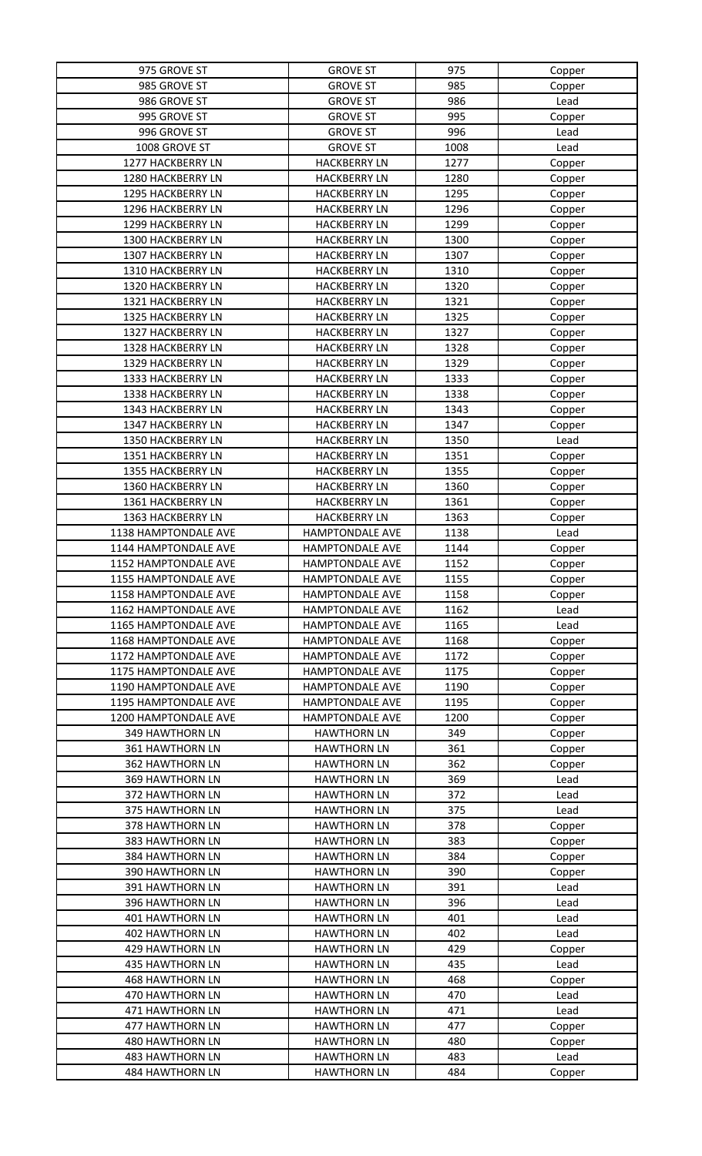| 975 GROVE ST           | <b>GROVE ST</b>        | 975  | Copper |
|------------------------|------------------------|------|--------|
| 985 GROVE ST           | <b>GROVE ST</b>        | 985  | Copper |
| 986 GROVE ST           | <b>GROVE ST</b>        | 986  | Lead   |
| 995 GROVE ST           | <b>GROVE ST</b>        | 995  | Copper |
| 996 GROVE ST           | <b>GROVE ST</b>        | 996  | Lead   |
| 1008 GROVE ST          | <b>GROVE ST</b>        | 1008 | Lead   |
| 1277 HACKBERRY LN      | <b>HACKBERRY LN</b>    | 1277 | Copper |
| 1280 HACKBERRY LN      | <b>HACKBERRY LN</b>    | 1280 | Copper |
| 1295 HACKBERRY LN      | <b>HACKBERRY LN</b>    | 1295 | Copper |
| 1296 HACKBERRY LN      | <b>HACKBERRY LN</b>    | 1296 | Copper |
| 1299 HACKBERRY LN      | <b>HACKBERRY LN</b>    | 1299 |        |
|                        |                        |      | Copper |
| 1300 HACKBERRY LN      | <b>HACKBERRY LN</b>    | 1300 | Copper |
| 1307 HACKBERRY LN      | <b>HACKBERRY LN</b>    | 1307 | Copper |
| 1310 HACKBERRY LN      | <b>HACKBERRY LN</b>    | 1310 | Copper |
| 1320 HACKBERRY LN      | <b>HACKBERRY LN</b>    | 1320 | Copper |
| 1321 HACKBERRY LN      | <b>HACKBERRY LN</b>    | 1321 | Copper |
| 1325 HACKBERRY LN      | <b>HACKBERRY LN</b>    | 1325 | Copper |
| 1327 HACKBERRY LN      | <b>HACKBERRY LN</b>    | 1327 | Copper |
| 1328 HACKBERRY LN      | <b>HACKBERRY LN</b>    | 1328 | Copper |
| 1329 HACKBERRY LN      | <b>HACKBERRY LN</b>    | 1329 | Copper |
| 1333 HACKBERRY LN      | <b>HACKBERRY LN</b>    | 1333 | Copper |
| 1338 HACKBERRY LN      | <b>HACKBERRY LN</b>    | 1338 | Copper |
| 1343 HACKBERRY LN      | <b>HACKBERRY LN</b>    | 1343 | Copper |
| 1347 HACKBERRY LN      | <b>HACKBERRY LN</b>    | 1347 | Copper |
| 1350 HACKBERRY LN      | <b>HACKBERRY LN</b>    | 1350 | Lead   |
| 1351 HACKBERRY LN      | <b>HACKBERRY LN</b>    | 1351 | Copper |
| 1355 HACKBERRY LN      | <b>HACKBERRY LN</b>    | 1355 | Copper |
| 1360 HACKBERRY LN      | <b>HACKBERRY LN</b>    | 1360 | Copper |
| 1361 HACKBERRY LN      | <b>HACKBERRY LN</b>    | 1361 | Copper |
| 1363 HACKBERRY LN      | <b>HACKBERRY LN</b>    | 1363 | Copper |
| 1138 HAMPTONDALE AVE   | HAMPTONDALE AVE        | 1138 | Lead   |
| 1144 HAMPTONDALE AVE   | HAMPTONDALE AVE        | 1144 |        |
| 1152 HAMPTONDALE AVE   | HAMPTONDALE AVE        | 1152 | Copper |
|                        |                        |      | Copper |
| 1155 HAMPTONDALE AVE   | HAMPTONDALE AVE        | 1155 | Copper |
| 1158 HAMPTONDALE AVE   | <b>HAMPTONDALE AVE</b> | 1158 | Copper |
| 1162 HAMPTONDALE AVE   | HAMPTONDALE AVE        | 1162 | Lead   |
| 1165 HAMPTONDALE AVE   | HAMPTONDALE AVE        | 1165 | Lead   |
| 1168 HAMPTONDALE AVE   | <b>HAMPTONDALE AVE</b> | 1168 | Copper |
| 1172 HAMPTONDALE AVE   | <b>HAMPTONDALE AVE</b> | 1172 | Copper |
| 1175 HAMPTONDALE AVE   | <b>HAMPTONDALE AVE</b> | 1175 | Copper |
| 1190 HAMPTONDALE AVE   | <b>HAMPTONDALE AVE</b> | 1190 | Copper |
| 1195 HAMPTONDALE AVE   | <b>HAMPTONDALE AVE</b> | 1195 | Copper |
| 1200 HAMPTONDALE AVE   | HAMPTONDALE AVE        | 1200 | Copper |
| 349 HAWTHORN LN        | <b>HAWTHORN LN</b>     | 349  | Copper |
| 361 HAWTHORN LN        | <b>HAWTHORN LN</b>     | 361  | Copper |
| <b>362 HAWTHORN LN</b> | <b>HAWTHORN LN</b>     | 362  | Copper |
| 369 HAWTHORN LN        | <b>HAWTHORN LN</b>     | 369  | Lead   |
| 372 HAWTHORN LN        | <b>HAWTHORN LN</b>     | 372  | Lead   |
| 375 HAWTHORN LN        | <b>HAWTHORN LN</b>     | 375  | Lead   |
| 378 HAWTHORN LN        | <b>HAWTHORN LN</b>     | 378  | Copper |
| 383 HAWTHORN LN        | <b>HAWTHORN LN</b>     | 383  | Copper |
| 384 HAWTHORN LN        | <b>HAWTHORN LN</b>     | 384  | Copper |
| 390 HAWTHORN LN        | <b>HAWTHORN LN</b>     | 390  | Copper |
| 391 HAWTHORN LN        | <b>HAWTHORN LN</b>     | 391  | Lead   |
| 396 HAWTHORN LN        | <b>HAWTHORN LN</b>     | 396  | Lead   |
| 401 HAWTHORN LN        | <b>HAWTHORN LN</b>     | 401  | Lead   |
| <b>402 HAWTHORN LN</b> | <b>HAWTHORN LN</b>     | 402  | Lead   |
| 429 HAWTHORN LN        | <b>HAWTHORN LN</b>     | 429  | Copper |
| <b>435 HAWTHORN LN</b> | <b>HAWTHORN LN</b>     | 435  | Lead   |
| <b>468 HAWTHORN LN</b> | <b>HAWTHORN LN</b>     | 468  | Copper |
| 470 HAWTHORN LN        | <b>HAWTHORN LN</b>     | 470  | Lead   |
| 471 HAWTHORN LN        | <b>HAWTHORN LN</b>     | 471  | Lead   |
| <b>477 HAWTHORN LN</b> | <b>HAWTHORN LN</b>     | 477  |        |
| 480 HAWTHORN LN        | <b>HAWTHORN LN</b>     | 480  | Copper |
|                        |                        |      | Copper |
| <b>483 HAWTHORN LN</b> | <b>HAWTHORN LN</b>     | 483  | Lead   |
| 484 HAWTHORN LN        | <b>HAWTHORN LN</b>     | 484  | Copper |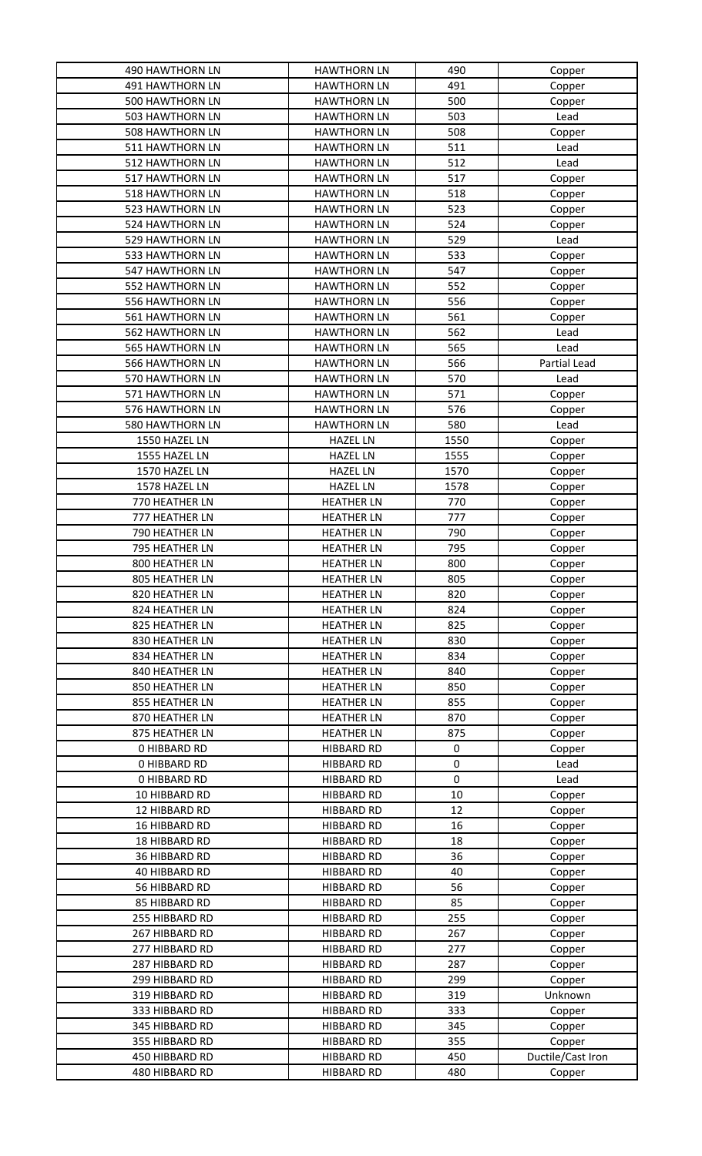| <b>490 HAWTHORN LN</b> | <b>HAWTHORN LN</b> | 490  | Copper            |
|------------------------|--------------------|------|-------------------|
| <b>491 HAWTHORN LN</b> | <b>HAWTHORN LN</b> | 491  | Copper            |
| 500 HAWTHORN LN        | <b>HAWTHORN LN</b> | 500  | Copper            |
| 503 HAWTHORN LN        | <b>HAWTHORN LN</b> | 503  | Lead              |
| <b>508 HAWTHORN LN</b> | <b>HAWTHORN LN</b> | 508  | Copper            |
| 511 HAWTHORN LN        | <b>HAWTHORN LN</b> | 511  | Lead              |
| 512 HAWTHORN LN        | <b>HAWTHORN LN</b> | 512  | Lead              |
| 517 HAWTHORN LN        | <b>HAWTHORN LN</b> | 517  | Copper            |
| 518 HAWTHORN LN        | <b>HAWTHORN LN</b> | 518  | Copper            |
| 523 HAWTHORN LN        | <b>HAWTHORN LN</b> | 523  | Copper            |
| 524 HAWTHORN LN        | <b>HAWTHORN LN</b> | 524  | Copper            |
| 529 HAWTHORN LN        | <b>HAWTHORN LN</b> | 529  | Lead              |
| 533 HAWTHORN LN        | <b>HAWTHORN LN</b> | 533  | Copper            |
| 547 HAWTHORN LN        | <b>HAWTHORN LN</b> | 547  |                   |
| 552 HAWTHORN LN        | <b>HAWTHORN LN</b> | 552  | Copper            |
|                        |                    | 556  | Copper            |
| 556 HAWTHORN LN        | <b>HAWTHORN LN</b> |      | Copper            |
| 561 HAWTHORN LN        | <b>HAWTHORN LN</b> | 561  | Copper            |
| <b>562 HAWTHORN LN</b> | <b>HAWTHORN LN</b> | 562  | Lead              |
| <b>565 HAWTHORN LN</b> | <b>HAWTHORN LN</b> | 565  | Lead              |
| <b>566 HAWTHORN LN</b> | <b>HAWTHORN LN</b> | 566  | Partial Lead      |
| 570 HAWTHORN LN        | <b>HAWTHORN LN</b> | 570  | Lead              |
| 571 HAWTHORN LN        | <b>HAWTHORN LN</b> | 571  | Copper            |
| 576 HAWTHORN LN        | <b>HAWTHORN LN</b> | 576  | Copper            |
| 580 HAWTHORN LN        | <b>HAWTHORN LN</b> | 580  | Lead              |
| 1550 HAZEL LN          | <b>HAZEL LN</b>    | 1550 | Copper            |
| 1555 HAZEL LN          | <b>HAZEL LN</b>    | 1555 | Copper            |
| 1570 HAZEL LN          | <b>HAZEL LN</b>    | 1570 | Copper            |
| 1578 HAZEL LN          | <b>HAZEL LN</b>    | 1578 | Copper            |
| 770 HEATHER LN         | <b>HEATHER LN</b>  | 770  | Copper            |
| 777 HEATHER LN         | <b>HEATHER LN</b>  | 777  | Copper            |
| 790 HEATHER LN         | <b>HEATHER LN</b>  | 790  | Copper            |
| 795 HEATHER LN         | <b>HEATHER LN</b>  | 795  | Copper            |
| 800 HEATHER LN         | <b>HEATHER LN</b>  | 800  | Copper            |
| 805 HEATHER LN         | <b>HEATHER LN</b>  | 805  | Copper            |
| 820 HEATHER LN         | <b>HEATHER LN</b>  | 820  | Copper            |
| 824 HEATHER LN         | <b>HEATHER LN</b>  | 824  | Copper            |
| 825 HEATHER LN         | <b>HEATHER LN</b>  | 825  | Copper            |
| 830 HEATHER LN         | <b>HEATHER LN</b>  | 830  | Copper            |
| 834 HEATHER LN         | <b>HEATHER LN</b>  | 834  | Copper            |
| 840 HEATHER LN         | <b>HEATHER LN</b>  | 840  | Copper            |
| 850 HEATHER LN         | <b>HEATHER LN</b>  | 850  | Copper            |
| 855 HEATHER LN         | <b>HEATHER LN</b>  | 855  | Copper            |
| 870 HEATHER LN         | <b>HEATHER LN</b>  | 870  | Copper            |
| 875 HEATHER LN         | <b>HEATHER LN</b>  | 875  | Copper            |
| <b>0 HIBBARD RD</b>    | <b>HIBBARD RD</b>  | 0    | Copper            |
| <b>0 HIBBARD RD</b>    | <b>HIBBARD RD</b>  | 0    | Lead              |
| <b>0 HIBBARD RD</b>    | <b>HIBBARD RD</b>  | 0    | Lead              |
| 10 HIBBARD RD          | <b>HIBBARD RD</b>  | 10   | Copper            |
| 12 HIBBARD RD          | <b>HIBBARD RD</b>  | 12   |                   |
| 16 HIBBARD RD          | <b>HIBBARD RD</b>  | 16   | Copper            |
|                        |                    |      | Copper            |
| 18 HIBBARD RD          | <b>HIBBARD RD</b>  | 18   | Copper            |
| 36 HIBBARD RD          | <b>HIBBARD RD</b>  | 36   | Copper            |
| 40 HIBBARD RD          | <b>HIBBARD RD</b>  | 40   | Copper            |
| 56 HIBBARD RD          | <b>HIBBARD RD</b>  | 56   | Copper            |
| 85 HIBBARD RD          | <b>HIBBARD RD</b>  | 85   | Copper            |
| 255 HIBBARD RD         | <b>HIBBARD RD</b>  | 255  | Copper            |
| 267 HIBBARD RD         | <b>HIBBARD RD</b>  | 267  | Copper            |
| 277 HIBBARD RD         | <b>HIBBARD RD</b>  | 277  | Copper            |
| 287 HIBBARD RD         | <b>HIBBARD RD</b>  | 287  | Copper            |
| 299 HIBBARD RD         | <b>HIBBARD RD</b>  | 299  | Copper            |
| 319 HIBBARD RD         | <b>HIBBARD RD</b>  | 319  | Unknown           |
| 333 HIBBARD RD         | <b>HIBBARD RD</b>  | 333  | Copper            |
| 345 HIBBARD RD         | <b>HIBBARD RD</b>  | 345  | Copper            |
| 355 HIBBARD RD         | <b>HIBBARD RD</b>  | 355  | Copper            |
| 450 HIBBARD RD         | <b>HIBBARD RD</b>  | 450  | Ductile/Cast Iron |
| 480 HIBBARD RD         | <b>HIBBARD RD</b>  | 480  | Copper            |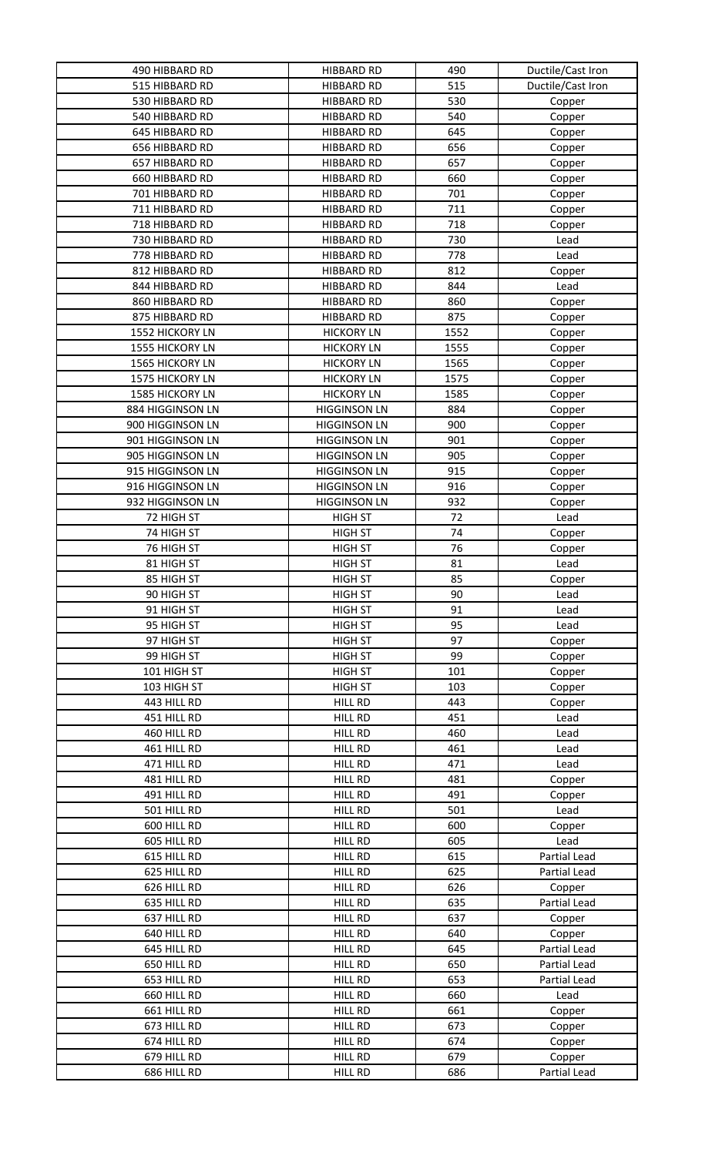| 490 HIBBARD RD         | <b>HIBBARD RD</b>   | 490  | Ductile/Cast Iron |
|------------------------|---------------------|------|-------------------|
| 515 HIBBARD RD         | <b>HIBBARD RD</b>   | 515  | Ductile/Cast Iron |
| 530 HIBBARD RD         | <b>HIBBARD RD</b>   | 530  | Copper            |
| 540 HIBBARD RD         | <b>HIBBARD RD</b>   | 540  | Copper            |
| 645 HIBBARD RD         | <b>HIBBARD RD</b>   | 645  | Copper            |
| 656 HIBBARD RD         | <b>HIBBARD RD</b>   | 656  | Copper            |
| 657 HIBBARD RD         | <b>HIBBARD RD</b>   | 657  | Copper            |
| 660 HIBBARD RD         | <b>HIBBARD RD</b>   | 660  | Copper            |
| 701 HIBBARD RD         | <b>HIBBARD RD</b>   | 701  | Copper            |
| 711 HIBBARD RD         | <b>HIBBARD RD</b>   | 711  | Copper            |
| 718 HIBBARD RD         | <b>HIBBARD RD</b>   | 718  | Copper            |
| 730 HIBBARD RD         | <b>HIBBARD RD</b>   | 730  | Lead              |
| 778 HIBBARD RD         | <b>HIBBARD RD</b>   | 778  | Lead              |
| 812 HIBBARD RD         | <b>HIBBARD RD</b>   | 812  |                   |
| 844 HIBBARD RD         | <b>HIBBARD RD</b>   | 844  | Copper<br>Lead    |
|                        |                     |      |                   |
| 860 HIBBARD RD         | <b>HIBBARD RD</b>   | 860  | Copper            |
| 875 HIBBARD RD         | <b>HIBBARD RD</b>   | 875  | Copper            |
| <b>1552 HICKORY LN</b> | <b>HICKORY LN</b>   | 1552 | Copper            |
| <b>1555 HICKORY LN</b> | <b>HICKORY LN</b>   | 1555 | Copper            |
| 1565 HICKORY LN        | <b>HICKORY LN</b>   | 1565 | Copper            |
| 1575 HICKORY LN        | <b>HICKORY LN</b>   | 1575 | Copper            |
| <b>1585 HICKORY LN</b> | <b>HICKORY LN</b>   | 1585 | Copper            |
| 884 HIGGINSON LN       | <b>HIGGINSON LN</b> | 884  | Copper            |
| 900 HIGGINSON LN       | <b>HIGGINSON LN</b> | 900  | Copper            |
| 901 HIGGINSON LN       | <b>HIGGINSON LN</b> | 901  | Copper            |
| 905 HIGGINSON LN       | <b>HIGGINSON LN</b> | 905  | Copper            |
| 915 HIGGINSON LN       | <b>HIGGINSON LN</b> | 915  | Copper            |
| 916 HIGGINSON LN       | <b>HIGGINSON LN</b> | 916  | Copper            |
| 932 HIGGINSON LN       | <b>HIGGINSON LN</b> | 932  | Copper            |
| 72 HIGH ST             | <b>HIGH ST</b>      | 72   | Lead              |
| 74 HIGH ST             | <b>HIGH ST</b>      | 74   | Copper            |
| 76 HIGH ST             | <b>HIGH ST</b>      | 76   | Copper            |
| 81 HIGH ST             | <b>HIGH ST</b>      | 81   | Lead              |
| 85 HIGH ST             | <b>HIGH ST</b>      | 85   | Copper            |
| 90 HIGH ST             | <b>HIGH ST</b>      | 90   | Lead              |
| 91 HIGH ST             | <b>HIGH ST</b>      | 91   | Lead              |
| 95 HIGH ST             | <b>HIGH ST</b>      | 95   | Lead              |
| 97 HIGH ST             | <b>HIGH ST</b>      | 97   | Copper            |
| 99 HIGH ST             | <b>HIGH ST</b>      | 99   | Copper            |
| 101 HIGH ST            | <b>HIGH ST</b>      | 101  | Copper            |
| 103 HIGH ST            | <b>HIGH ST</b>      | 103  | Copper            |
| 443 HILL RD            | HILL RD             | 443  | Copper            |
| 451 HILL RD            | <b>HILL RD</b>      | 451  | Lead              |
| 460 HILL RD            | HILL RD             | 460  | Lead              |
| 461 HILL RD            | HILL RD             | 461  | Lead              |
| 471 HILL RD            | HILL RD             | 471  | Lead              |
| 481 HILL RD            | <b>HILL RD</b>      | 481  | Copper            |
| 491 HILL RD            | HILL RD             | 491  | Copper            |
| 501 HILL RD            | HILL RD             | 501  | Lead              |
| 600 HILL RD            | <b>HILL RD</b>      | 600  | Copper            |
| 605 HILL RD            | <b>HILL RD</b>      | 605  | Lead              |
| 615 HILL RD            | <b>HILL RD</b>      | 615  | Partial Lead      |
| 625 HILL RD            | <b>HILL RD</b>      | 625  | Partial Lead      |
| 626 HILL RD            | HILL RD             | 626  | Copper            |
| 635 HILL RD            | HILL RD             | 635  | Partial Lead      |
| 637 HILL RD            | HILL RD             | 637  | Copper            |
| 640 HILL RD            | HILL RD             | 640  | Copper            |
| 645 HILL RD            | <b>HILL RD</b>      | 645  | Partial Lead      |
| 650 HILL RD            | HILL RD             | 650  | Partial Lead      |
| 653 HILL RD            | <b>HILL RD</b>      | 653  | Partial Lead      |
| 660 HILL RD            | HILL RD             | 660  | Lead              |
| 661 HILL RD            | <b>HILL RD</b>      | 661  | Copper            |
| 673 HILL RD            | <b>HILL RD</b>      | 673  | Copper            |
| 674 HILL RD            | <b>HILL RD</b>      | 674  | Copper            |
| 679 HILL RD            | HILL RD             | 679  | Copper            |
| 686 HILL RD            | <b>HILL RD</b>      | 686  | Partial Lead      |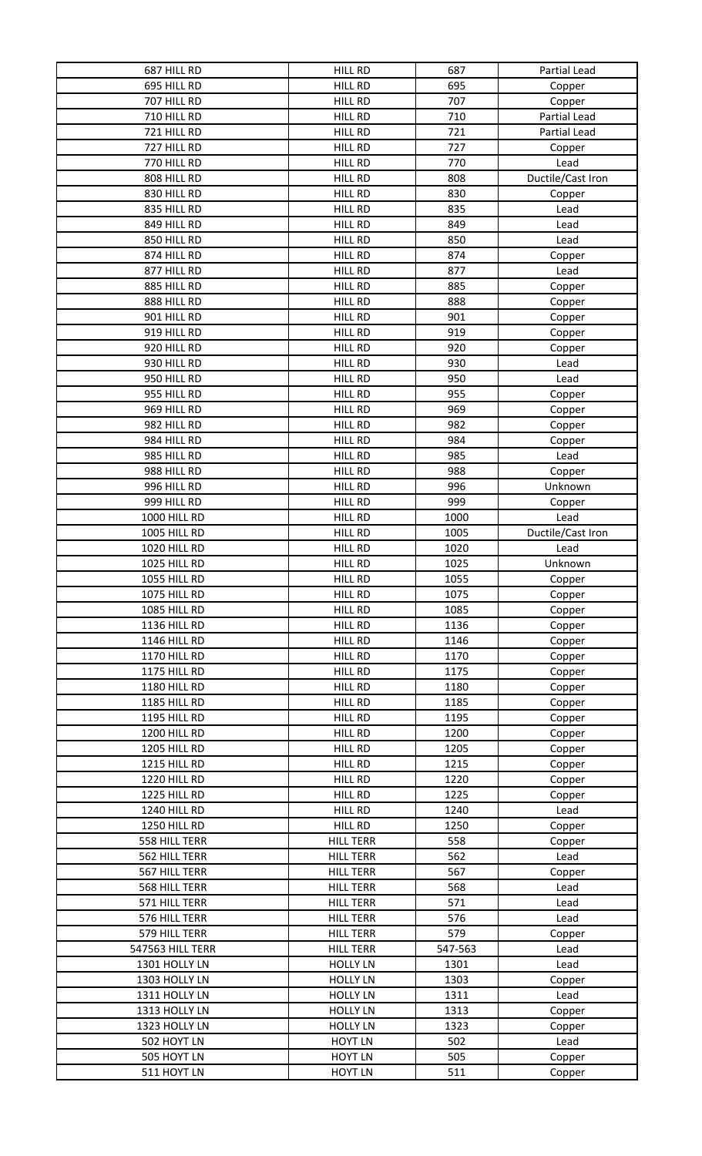| 687 HILL RD         | HILL RD          | 687     | Partial Lead      |
|---------------------|------------------|---------|-------------------|
| 695 HILL RD         | <b>HILL RD</b>   | 695     | Copper            |
| 707 HILL RD         | HILL RD          | 707     | Copper            |
| 710 HILL RD         | <b>HILL RD</b>   | 710     | Partial Lead      |
| 721 HILL RD         | <b>HILL RD</b>   | 721     | Partial Lead      |
| 727 HILL RD         | HILL RD          | 727     | Copper            |
| 770 HILL RD         | <b>HILL RD</b>   | 770     | Lead              |
| 808 HILL RD         | HILL RD          | 808     | Ductile/Cast Iron |
| 830 HILL RD         | <b>HILL RD</b>   | 830     | Copper            |
| 835 HILL RD         | HILL RD          | 835     | Lead              |
| 849 HILL RD         | <b>HILL RD</b>   | 849     | Lead              |
| 850 HILL RD         | <b>HILL RD</b>   | 850     | Lead              |
| 874 HILL RD         | <b>HILL RD</b>   | 874     | Copper            |
| 877 HILL RD         | <b>HILL RD</b>   | 877     | Lead              |
| 885 HILL RD         | HILL RD          | 885     | Copper            |
| 888 HILL RD         | <b>HILL RD</b>   | 888     | Copper            |
| 901 HILL RD         | <b>HILL RD</b>   | 901     | Copper            |
| 919 HILL RD         | <b>HILL RD</b>   | 919     | Copper            |
| 920 HILL RD         | <b>HILL RD</b>   | 920     | Copper            |
| 930 HILL RD         | <b>HILL RD</b>   | 930     | Lead              |
| 950 HILL RD         | HILL RD          | 950     | Lead              |
|                     |                  |         |                   |
| 955 HILL RD         | <b>HILL RD</b>   | 955     | Copper            |
| 969 HILL RD         | <b>HILL RD</b>   | 969     | Copper            |
| 982 HILL RD         | HILL RD          | 982     | Copper            |
| 984 HILL RD         | <b>HILL RD</b>   | 984     | Copper            |
| 985 HILL RD         | HILL RD          | 985     | Lead              |
| 988 HILL RD         | <b>HILL RD</b>   | 988     | Copper            |
| 996 HILL RD         | <b>HILL RD</b>   | 996     | Unknown           |
| 999 HILL RD         | <b>HILL RD</b>   | 999     | Copper            |
| 1000 HILL RD        | <b>HILL RD</b>   | 1000    | Lead              |
| <b>1005 HILL RD</b> | <b>HILL RD</b>   | 1005    | Ductile/Cast Iron |
| <b>1020 HILL RD</b> | <b>HILL RD</b>   | 1020    | Lead              |
| <b>1025 HILL RD</b> | <b>HILL RD</b>   | 1025    | Unknown           |
| <b>1055 HILL RD</b> | HILL RD          | 1055    | Copper            |
| <b>1075 HILL RD</b> | <b>HILL RD</b>   | 1075    | Copper            |
| <b>1085 HILL RD</b> | <b>HILL RD</b>   | 1085    | Copper            |
| 1136 HILL RD        | HILL RD          | 1136    | Copper            |
| <b>1146 HILL RD</b> | <b>HILL RD</b>   | 1146    | Copper            |
| <b>1170 HILL RD</b> | <b>HILL RD</b>   | 1170    | Copper            |
| 1175 HILL RD        | <b>HILL RD</b>   | 1175    | Copper            |
| 1180 HILL RD        | HILL RD          | 1180    | Copper            |
| <b>1185 HILL RD</b> | <b>HILL RD</b>   | 1185    | Copper            |
| <b>1195 HILL RD</b> | HILL RD          | 1195    | Copper            |
| <b>1200 HILL RD</b> | HILL RD          | 1200    | Copper            |
| 1205 HILL RD        | HILL RD          | 1205    | Copper            |
| 1215 HILL RD        | HILL RD          | 1215    | Copper            |
| 1220 HILL RD        | HILL RD          | 1220    | Copper            |
| 1225 HILL RD        | HILL RD          | 1225    | Copper            |
| 1240 HILL RD        | HILL RD          | 1240    | Lead              |
| 1250 HILL RD        | <b>HILL RD</b>   | 1250    | Copper            |
| 558 HILL TERR       | <b>HILL TERR</b> | 558     | Copper            |
| 562 HILL TERR       | <b>HILL TERR</b> | 562     | Lead              |
| 567 HILL TERR       | <b>HILL TERR</b> | 567     | Copper            |
| 568 HILL TERR       | <b>HILL TERR</b> | 568     | Lead              |
| 571 HILL TERR       | <b>HILL TERR</b> | 571     | Lead              |
| 576 HILL TERR       | <b>HILL TERR</b> | 576     | Lead              |
| 579 HILL TERR       | <b>HILL TERR</b> | 579     |                   |
|                     |                  |         | Copper            |
| 547563 HILL TERR    | <b>HILL TERR</b> | 547-563 | Lead              |
| 1301 HOLLY LN       | <b>HOLLY LN</b>  | 1301    | Lead              |
| 1303 HOLLY LN       | <b>HOLLY LN</b>  | 1303    | Copper            |
| 1311 HOLLY LN       | <b>HOLLY LN</b>  | 1311    | Lead              |
| 1313 HOLLY LN       | <b>HOLLY LN</b>  | 1313    | Copper            |
| 1323 HOLLY LN       | <b>HOLLY LN</b>  | 1323    | Copper            |
| 502 HOYT LN         | <b>HOYT LN</b>   | 502     | Lead              |
| 505 HOYT LN         | <b>HOYT LN</b>   | 505     | Copper            |
| 511 HOYT LN         | <b>HOYT LN</b>   | 511     | Copper            |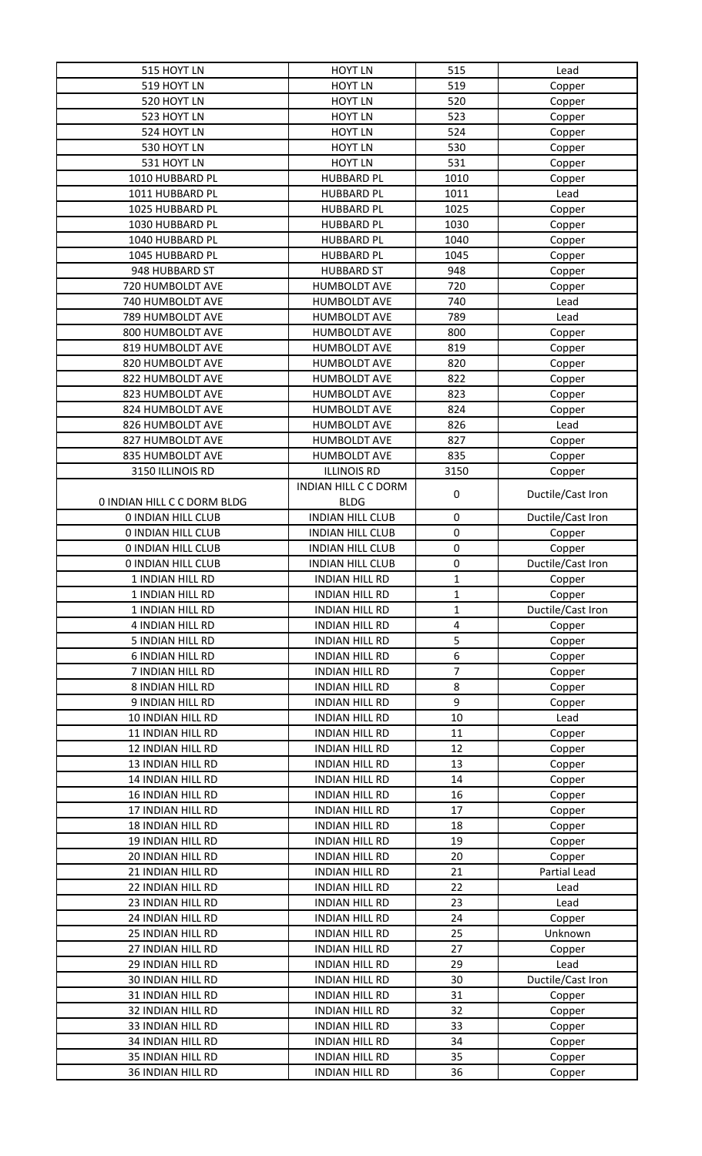| 515 HOYT LN                        | <b>HOYT LN</b>          | 515         | Lead              |
|------------------------------------|-------------------------|-------------|-------------------|
| 519 HOYT LN                        | <b>HOYT LN</b>          | 519         | Copper            |
| 520 HOYT LN                        | <b>HOYT LN</b>          | 520         | Copper            |
| 523 HOYT LN                        | <b>HOYT LN</b>          | 523         | Copper            |
| 524 HOYT LN                        | <b>HOYT LN</b>          | 524         | Copper            |
| 530 HOYT LN                        | <b>HOYT LN</b>          | 530         | Copper            |
| 531 HOYT LN                        | <b>HOYT LN</b>          | 531         | Copper            |
| 1010 HUBBARD PL                    | <b>HUBBARD PL</b>       | 1010        | Copper            |
| 1011 HUBBARD PL                    | <b>HUBBARD PL</b>       | 1011        | Lead              |
| 1025 HUBBARD PL                    | <b>HUBBARD PL</b>       | 1025        | Copper            |
| 1030 HUBBARD PL                    | <b>HUBBARD PL</b>       | 1030        | Copper            |
| 1040 HUBBARD PL                    | <b>HUBBARD PL</b>       | 1040        | Copper            |
| 1045 HUBBARD PL                    | <b>HUBBARD PL</b>       | 1045        |                   |
| 948 HUBBARD ST                     | <b>HUBBARD ST</b>       | 948         | Copper<br>Copper  |
| 720 HUMBOLDT AVE                   | <b>HUMBOLDT AVE</b>     | 720         |                   |
| 740 HUMBOLDT AVE                   |                         |             | Copper            |
|                                    | <b>HUMBOLDT AVE</b>     | 740         | Lead              |
| 789 HUMBOLDT AVE                   | <b>HUMBOLDT AVE</b>     | 789         | Lead              |
| 800 HUMBOLDT AVE                   | <b>HUMBOLDT AVE</b>     | 800         | Copper            |
| 819 HUMBOLDT AVE                   | <b>HUMBOLDT AVE</b>     | 819         | Copper            |
| 820 HUMBOLDT AVE                   | <b>HUMBOLDT AVE</b>     | 820         | Copper            |
| 822 HUMBOLDT AVE                   | <b>HUMBOLDT AVE</b>     | 822         | Copper            |
| 823 HUMBOLDT AVE                   | <b>HUMBOLDT AVE</b>     | 823         | Copper            |
| 824 HUMBOLDT AVE                   | <b>HUMBOLDT AVE</b>     | 824         | Copper            |
| 826 HUMBOLDT AVE                   | <b>HUMBOLDT AVE</b>     | 826         | Lead              |
| 827 HUMBOLDT AVE                   | <b>HUMBOLDT AVE</b>     | 827         | Copper            |
| 835 HUMBOLDT AVE                   | <b>HUMBOLDT AVE</b>     | 835         | Copper            |
| 3150 ILLINOIS RD                   | <b>ILLINOIS RD</b>      | 3150        | Copper            |
|                                    | INDIAN HILL C C DORM    |             |                   |
| <b>0 INDIAN HILL C C DORM BLDG</b> | <b>BLDG</b>             | 0           | Ductile/Cast Iron |
| <b>0 INDIAN HILL CLUB</b>          | <b>INDIAN HILL CLUB</b> | $\pmb{0}$   | Ductile/Cast Iron |
| <b>0 INDIAN HILL CLUB</b>          | <b>INDIAN HILL CLUB</b> | 0           | Copper            |
| <b>0 INDIAN HILL CLUB</b>          | <b>INDIAN HILL CLUB</b> | 0           | Copper            |
| <b>0 INDIAN HILL CLUB</b>          | <b>INDIAN HILL CLUB</b> | 0           | Ductile/Cast Iron |
| 1 INDIAN HILL RD                   | <b>INDIAN HILL RD</b>   | 1           | Copper            |
| 1 INDIAN HILL RD                   | <b>INDIAN HILL RD</b>   | $\mathbf 1$ | Copper            |
| 1 INDIAN HILL RD                   | <b>INDIAN HILL RD</b>   | $\mathbf 1$ | Ductile/Cast Iron |
| 4 INDIAN HILL RD                   | <b>INDIAN HILL RD</b>   | 4           | Copper            |
| 5 INDIAN HILL RD                   | <b>INDIAN HILL RD</b>   | 5           | Copper            |
| <b>6 INDIAN HILL RD</b>            | <b>INDIAN HILL RD</b>   | 6           | Copper            |
| 7 INDIAN HILL RD                   | <b>INDIAN HILL RD</b>   | 7           | Copper            |
| 8 INDIAN HILL RD                   | <b>INDIAN HILL RD</b>   | 8           | Copper            |
| 9 INDIAN HILL RD                   | <b>INDIAN HILL RD</b>   | 9           | Copper            |
| 10 INDIAN HILL RD                  | <b>INDIAN HILL RD</b>   | 10          | Lead              |
| 11 INDIAN HILL RD                  | <b>INDIAN HILL RD</b>   | 11          | Copper            |
| 12 INDIAN HILL RD                  | <b>INDIAN HILL RD</b>   | 12          | Copper            |
| 13 INDIAN HILL RD                  | <b>INDIAN HILL RD</b>   | 13          | Copper            |
| 14 INDIAN HILL RD                  | <b>INDIAN HILL RD</b>   | 14          | Copper            |
| 16 INDIAN HILL RD                  | <b>INDIAN HILL RD</b>   | 16          | Copper            |
| 17 INDIAN HILL RD                  | <b>INDIAN HILL RD</b>   | 17          | Copper            |
| <b>18 INDIAN HILL RD</b>           | <b>INDIAN HILL RD</b>   | 18          | Copper            |
| 19 INDIAN HILL RD                  | <b>INDIAN HILL RD</b>   | 19          | Copper            |
| <b>20 INDIAN HILL RD</b>           | <b>INDIAN HILL RD</b>   | 20          | Copper            |
| 21 INDIAN HILL RD                  | <b>INDIAN HILL RD</b>   | 21          | Partial Lead      |
|                                    |                         | 22          |                   |
| 22 INDIAN HILL RD                  | <b>INDIAN HILL RD</b>   |             | Lead              |
| 23 INDIAN HILL RD                  | <b>INDIAN HILL RD</b>   | 23          | Lead              |
| 24 INDIAN HILL RD                  | <b>INDIAN HILL RD</b>   | 24          | Copper            |
| 25 INDIAN HILL RD                  | <b>INDIAN HILL RD</b>   | 25          | Unknown           |
| 27 INDIAN HILL RD                  | <b>INDIAN HILL RD</b>   | 27          | Copper            |
| 29 INDIAN HILL RD                  | <b>INDIAN HILL RD</b>   | 29          | Lead              |
| <b>30 INDIAN HILL RD</b>           | <b>INDIAN HILL RD</b>   | 30          | Ductile/Cast Iron |
| 31 INDIAN HILL RD                  | <b>INDIAN HILL RD</b>   | 31          | Copper            |
| 32 INDIAN HILL RD                  | <b>INDIAN HILL RD</b>   | 32          | Copper            |
| 33 INDIAN HILL RD                  | <b>INDIAN HILL RD</b>   | 33          | Copper            |
| 34 INDIAN HILL RD                  | <b>INDIAN HILL RD</b>   | 34          | Copper            |
| 35 INDIAN HILL RD                  | <b>INDIAN HILL RD</b>   | 35          | Copper            |
| 36 INDIAN HILL RD                  | <b>INDIAN HILL RD</b>   | 36          | Copper            |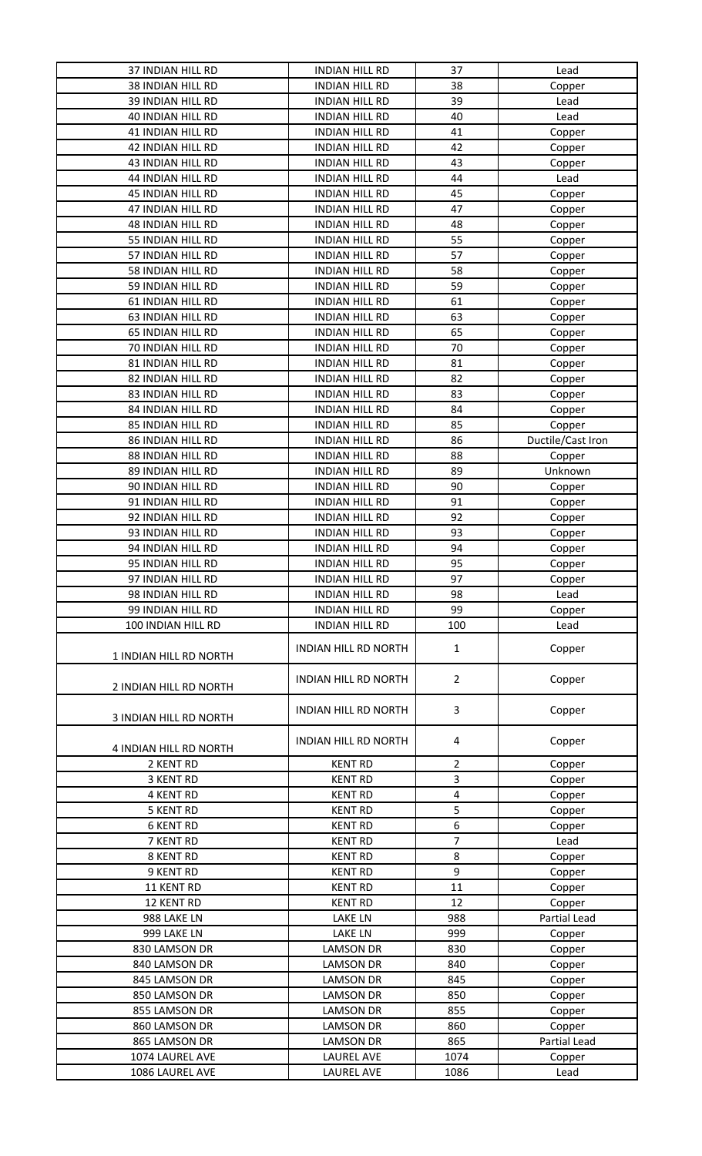| 37 INDIAN HILL RD                  | <b>INDIAN HILL RD</b>                  | 37             | Lead              |
|------------------------------------|----------------------------------------|----------------|-------------------|
| <b>38 INDIAN HILL RD</b>           | <b>INDIAN HILL RD</b>                  | 38             | Copper            |
| 39 INDIAN HILL RD                  | <b>INDIAN HILL RD</b>                  | 39             | Lead              |
| 40 INDIAN HILL RD                  | <b>INDIAN HILL RD</b>                  | 40             | Lead              |
| <b>41 INDIAN HILL RD</b>           | <b>INDIAN HILL RD</b>                  | 41             | Copper            |
| 42 INDIAN HILL RD                  | <b>INDIAN HILL RD</b>                  | 42             | Copper            |
| 43 INDIAN HILL RD                  | <b>INDIAN HILL RD</b>                  | 43             | Copper            |
| <b>44 INDIAN HILL RD</b>           | <b>INDIAN HILL RD</b>                  | 44             | Lead              |
| <b>45 INDIAN HILL RD</b>           | <b>INDIAN HILL RD</b>                  | 45             | Copper            |
| 47 INDIAN HILL RD                  | <b>INDIAN HILL RD</b>                  | 47             | Copper            |
| 48 INDIAN HILL RD                  | <b>INDIAN HILL RD</b>                  | 48             |                   |
| 55 INDIAN HILL RD                  | <b>INDIAN HILL RD</b>                  | 55             | Copper            |
|                                    |                                        |                | Copper            |
| 57 INDIAN HILL RD                  | <b>INDIAN HILL RD</b>                  | 57             | Copper            |
| 58 INDIAN HILL RD                  | <b>INDIAN HILL RD</b>                  | 58             | Copper            |
| 59 INDIAN HILL RD                  | <b>INDIAN HILL RD</b>                  | 59             | Copper            |
| 61 INDIAN HILL RD                  | <b>INDIAN HILL RD</b>                  | 61             | Copper            |
| 63 INDIAN HILL RD                  | <b>INDIAN HILL RD</b>                  | 63             | Copper            |
| 65 INDIAN HILL RD                  | <b>INDIAN HILL RD</b>                  | 65             | Copper            |
| 70 INDIAN HILL RD                  | <b>INDIAN HILL RD</b>                  | 70             | Copper            |
| 81 INDIAN HILL RD                  | <b>INDIAN HILL RD</b>                  | 81             | Copper            |
| 82 INDIAN HILL RD                  | <b>INDIAN HILL RD</b>                  | 82             | Copper            |
| 83 INDIAN HILL RD                  | <b>INDIAN HILL RD</b>                  | 83             | Copper            |
| 84 INDIAN HILL RD                  | <b>INDIAN HILL RD</b>                  | 84             | Copper            |
| 85 INDIAN HILL RD                  | <b>INDIAN HILL RD</b>                  | 85             | Copper            |
| <b>86 INDIAN HILL RD</b>           | <b>INDIAN HILL RD</b>                  | 86             | Ductile/Cast Iron |
| 88 INDIAN HILL RD                  | <b>INDIAN HILL RD</b>                  | 88             | Copper            |
| 89 INDIAN HILL RD                  | <b>INDIAN HILL RD</b>                  | 89             | Unknown           |
| 90 INDIAN HILL RD                  | <b>INDIAN HILL RD</b>                  | 90             | Copper            |
| 91 INDIAN HILL RD                  | <b>INDIAN HILL RD</b>                  | 91             | Copper            |
| 92 INDIAN HILL RD                  | <b>INDIAN HILL RD</b>                  | 92             | Copper            |
| 93 INDIAN HILL RD                  | <b>INDIAN HILL RD</b>                  | 93             |                   |
| 94 INDIAN HILL RD                  | <b>INDIAN HILL RD</b>                  | 94             | Copper            |
|                                    |                                        | 95             | Copper            |
| 95 INDIAN HILL RD                  | <b>INDIAN HILL RD</b>                  |                | Copper            |
| 97 INDIAN HILL RD                  | <b>INDIAN HILL RD</b>                  | 97             | Copper            |
| 98 INDIAN HILL RD                  | <b>INDIAN HILL RD</b>                  | 98             | Lead              |
| 99 INDIAN HILL RD                  | <b>INDIAN HILL RD</b>                  | 99             | Copper            |
| 100 INDIAN HILL RD                 | <b>INDIAN HILL RD</b>                  | 100            | Lead              |
| 1 INDIAN HILL RD NORTH             | <b>INDIAN HILL RD NORTH</b>            | 1              | Copper            |
| 2 INDIAN HILL RD NORTH             | <b>INDIAN HILL RD NORTH</b>            | $\overline{2}$ | Copper            |
| <b>3 INDIAN HILL RD NORTH</b>      | <b>INDIAN HILL RD NORTH</b>            | 3              | Copper            |
| 4 INDIAN HILL RD NORTH             | <b>INDIAN HILL RD NORTH</b>            | 4              | Copper            |
| 2 KENT RD                          | <b>KENT RD</b>                         | 2              | Copper            |
| 3 KENT RD                          | <b>KENT RD</b>                         | 3              | Copper            |
| <b>4 KENT RD</b>                   | <b>KENT RD</b>                         | 4              | Copper            |
| <b>5 KENT RD</b>                   | <b>KENT RD</b>                         | 5              | Copper            |
| <b>6 KENT RD</b>                   | <b>KENT RD</b>                         | 6              | Copper            |
| 7 KENT RD                          | <b>KENT RD</b>                         | $\overline{7}$ | Lead              |
| 8 KENT RD                          | <b>KENT RD</b>                         | 8              | Copper            |
| 9 KENT RD                          | <b>KENT RD</b>                         | 9              | Copper            |
| 11 KENT RD                         | <b>KENT RD</b>                         | 11             | Copper            |
| 12 KENT RD                         | <b>KENT RD</b>                         | 12             | Copper            |
| 988 LAKE LN                        | <b>LAKE LN</b>                         | 988            | Partial Lead      |
| 999 LAKE LN                        | <b>LAKE LN</b>                         | 999            | Copper            |
| 830 LAMSON DR                      | <b>LAMSON DR</b>                       | 830            | Copper            |
| 840 LAMSON DR                      | <b>LAMSON DR</b>                       | 840            | Copper            |
| 845 LAMSON DR                      | <b>LAMSON DR</b>                       | 845            | Copper            |
| 850 LAMSON DR                      |                                        |                |                   |
|                                    |                                        |                |                   |
|                                    | <b>LAMSON DR</b>                       | 850            | Copper            |
| 855 LAMSON DR                      | <b>LAMSON DR</b>                       | 855            | Copper            |
| 860 LAMSON DR                      | <b>LAMSON DR</b>                       | 860            | Copper            |
| 865 LAMSON DR                      | <b>LAMSON DR</b>                       | 865            | Partial Lead      |
| 1074 LAUREL AVE<br>1086 LAUREL AVE | <b>LAUREL AVE</b><br><b>LAUREL AVE</b> | 1074<br>1086   | Copper<br>Lead    |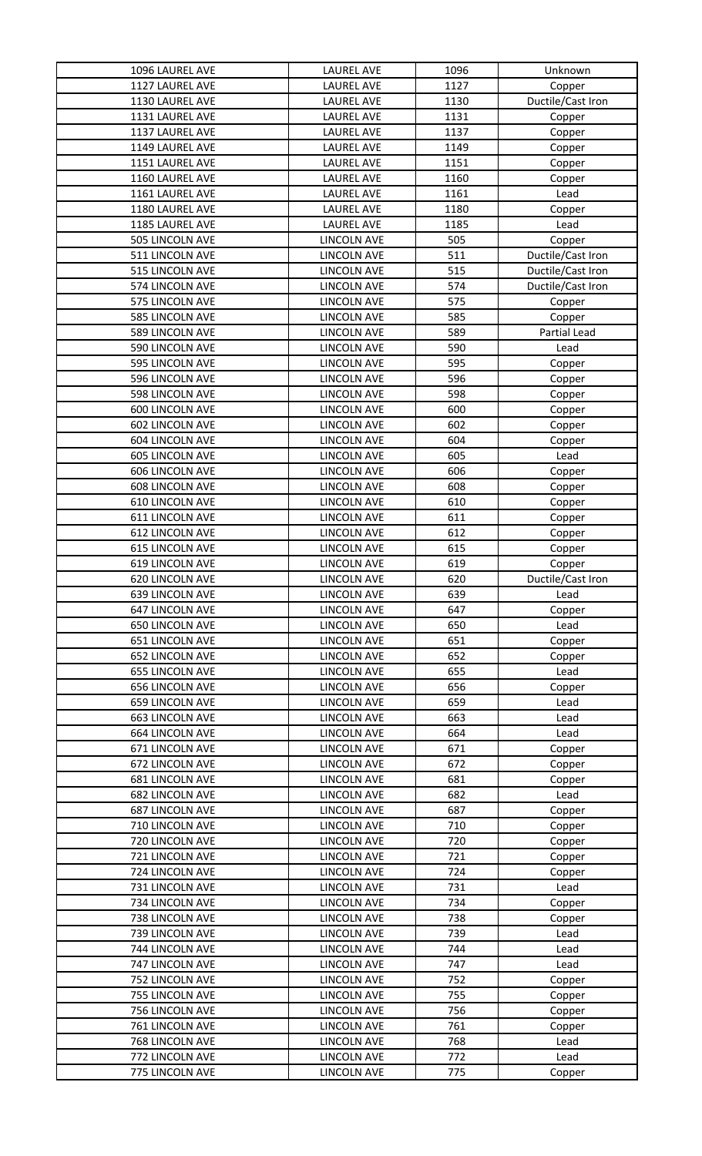| 1096 LAUREL AVE                    | LAUREL AVE                               | 1096       | Unknown           |
|------------------------------------|------------------------------------------|------------|-------------------|
| 1127 LAUREL AVE                    | <b>LAUREL AVE</b>                        | 1127       | Copper            |
| 1130 LAUREL AVE                    | <b>LAUREL AVE</b>                        | 1130       | Ductile/Cast Iron |
| 1131 LAUREL AVE                    | <b>LAUREL AVE</b>                        | 1131       | Copper            |
| 1137 LAUREL AVE                    | <b>LAUREL AVE</b>                        | 1137       | Copper            |
| 1149 LAUREL AVE                    | <b>LAUREL AVE</b>                        | 1149       | Copper            |
| 1151 LAUREL AVE                    | <b>LAUREL AVE</b>                        | 1151       | Copper            |
| 1160 LAUREL AVE                    | <b>LAUREL AVE</b>                        | 1160       | Copper            |
| 1161 LAUREL AVE                    | <b>LAUREL AVE</b>                        | 1161       | Lead              |
| 1180 LAUREL AVE                    | <b>LAUREL AVE</b>                        | 1180       | Copper            |
| 1185 LAUREL AVE                    | <b>LAUREL AVE</b>                        | 1185       | Lead              |
| 505 LINCOLN AVE                    | <b>LINCOLN AVE</b>                       | 505        | Copper            |
| 511 LINCOLN AVE                    | <b>LINCOLN AVE</b>                       | 511        | Ductile/Cast Iron |
| 515 LINCOLN AVE                    | LINCOLN AVE                              | 515        | Ductile/Cast Iron |
| 574 LINCOLN AVE                    | LINCOLN AVE                              | 574        | Ductile/Cast Iron |
| 575 LINCOLN AVE                    | <b>LINCOLN AVE</b>                       | 575        | Copper            |
| 585 LINCOLN AVE                    | <b>LINCOLN AVE</b>                       | 585        | Copper            |
| 589 LINCOLN AVE                    | <b>LINCOLN AVE</b>                       | 589        | Partial Lead      |
| 590 LINCOLN AVE                    | <b>LINCOLN AVE</b>                       | 590        | Lead              |
| 595 LINCOLN AVE                    | <b>LINCOLN AVE</b>                       | 595        | Copper            |
| 596 LINCOLN AVE                    | <b>LINCOLN AVE</b>                       | 596        | Copper            |
| 598 LINCOLN AVE                    | <b>LINCOLN AVE</b>                       | 598        | Copper            |
| 600 LINCOLN AVE                    | <b>LINCOLN AVE</b>                       | 600        | Copper            |
| 602 LINCOLN AVE                    | <b>LINCOLN AVE</b>                       | 602        | Copper            |
| 604 LINCOLN AVE                    | <b>LINCOLN AVE</b>                       | 604        | Copper            |
| 605 LINCOLN AVE                    | LINCOLN AVE                              | 605        | Lead              |
| 606 LINCOLN AVE                    | <b>LINCOLN AVE</b>                       | 606        | Copper            |
| 608 LINCOLN AVE                    | <b>LINCOLN AVE</b>                       | 608        | Copper            |
| <b>610 LINCOLN AVE</b>             | LINCOLN AVE                              | 610        | Copper            |
| 611 LINCOLN AVE                    | <b>LINCOLN AVE</b>                       | 611        | Copper            |
| 612 LINCOLN AVE                    | <b>LINCOLN AVE</b>                       | 612        | Copper            |
| 615 LINCOLN AVE                    | <b>LINCOLN AVE</b>                       | 615        | Copper            |
| 619 LINCOLN AVE                    | <b>LINCOLN AVE</b>                       | 619        | Copper            |
| 620 LINCOLN AVE                    | <b>LINCOLN AVE</b>                       | 620        | Ductile/Cast Iron |
| 639 LINCOLN AVE                    | <b>LINCOLN AVE</b>                       | 639        | Lead              |
| 647 LINCOLN AVE                    | <b>LINCOLN AVE</b>                       | 647        | Copper            |
| 650 LINCOLN AVE                    | <b>LINCOLN AVE</b>                       | 650        | Lead              |
| 651 LINCOLN AVE                    | <b>LINCOLN AVE</b>                       | 651        | Copper            |
| 652 LINCOLN AVE                    | <b>LINCOLN AVE</b>                       | 652        | Copper            |
| 655 LINCOLN AVE                    | <b>LINCOLN AVE</b>                       | 655        | Lead              |
| 656 LINCOLN AVE                    | LINCOLN AVE                              | 656        | Copper            |
| 659 LINCOLN AVE                    | <b>LINCOLN AVE</b>                       | 659        | Lead              |
| 663 LINCOLN AVE                    | <b>LINCOLN AVE</b>                       | 663        | Lead              |
| 664 LINCOLN AVE                    | <b>LINCOLN AVE</b>                       | 664        | Lead              |
| 671 LINCOLN AVE                    | <b>LINCOLN AVE</b>                       | 671<br>672 | Copper            |
| 672 LINCOLN AVE                    | <b>LINCOLN AVE</b>                       |            | Copper            |
| 681 LINCOLN AVE<br>682 LINCOLN AVE | <b>LINCOLN AVE</b><br><b>LINCOLN AVE</b> | 681<br>682 | Copper<br>Lead    |
| 687 LINCOLN AVE                    | <b>LINCOLN AVE</b>                       | 687        |                   |
| 710 LINCOLN AVE                    | <b>LINCOLN AVE</b>                       | 710        | Copper<br>Copper  |
| 720 LINCOLN AVE                    | <b>LINCOLN AVE</b>                       | 720        | Copper            |
| 721 LINCOLN AVE                    | LINCOLN AVE                              | 721        | Copper            |
| 724 LINCOLN AVE                    | <b>LINCOLN AVE</b>                       | 724        | Copper            |
| 731 LINCOLN AVE                    | <b>LINCOLN AVE</b>                       | 731        | Lead              |
| 734 LINCOLN AVE                    | <b>LINCOLN AVE</b>                       | 734        | Copper            |
| 738 LINCOLN AVE                    | <b>LINCOLN AVE</b>                       | 738        | Copper            |
| 739 LINCOLN AVE                    | <b>LINCOLN AVE</b>                       | 739        | Lead              |
| 744 LINCOLN AVE                    | <b>LINCOLN AVE</b>                       | 744        | Lead              |
| 747 LINCOLN AVE                    | <b>LINCOLN AVE</b>                       | 747        | Lead              |
| 752 LINCOLN AVE                    | <b>LINCOLN AVE</b>                       | 752        | Copper            |
| 755 LINCOLN AVE                    | <b>LINCOLN AVE</b>                       | 755        | Copper            |
| 756 LINCOLN AVE                    | <b>LINCOLN AVE</b>                       | 756        | Copper            |
| 761 LINCOLN AVE                    | <b>LINCOLN AVE</b>                       | 761        | Copper            |
| 768 LINCOLN AVE                    | <b>LINCOLN AVE</b>                       | 768        | Lead              |
| 772 LINCOLN AVE                    | <b>LINCOLN AVE</b>                       | 772        | Lead              |
| 775 LINCOLN AVE                    | <b>LINCOLN AVE</b>                       | 775        | Copper            |
|                                    |                                          |            |                   |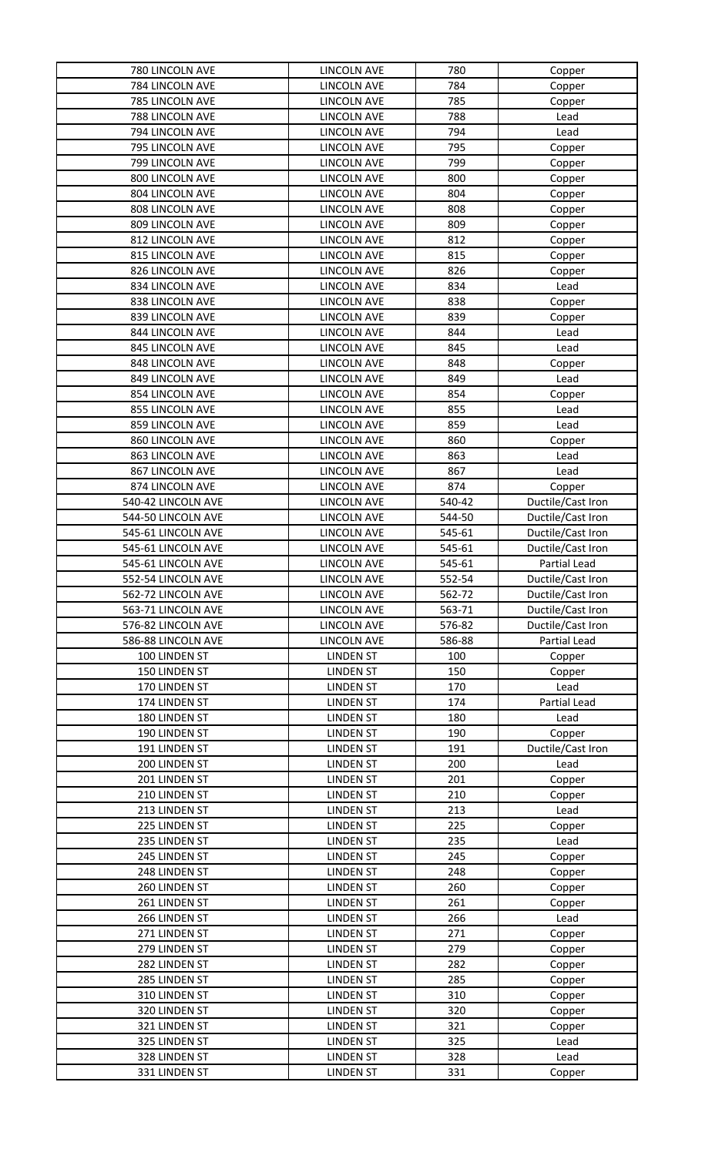| 780 LINCOLN AVE                | LINCOLN AVE                          | 780        | Copper            |
|--------------------------------|--------------------------------------|------------|-------------------|
| 784 LINCOLN AVE                | LINCOLN AVE                          | 784        | Copper            |
| 785 LINCOLN AVE                | <b>LINCOLN AVE</b>                   | 785        | Copper            |
| 788 LINCOLN AVE                | LINCOLN AVE                          | 788        | Lead              |
| 794 LINCOLN AVE                | <b>LINCOLN AVE</b>                   | 794        | Lead              |
| 795 LINCOLN AVE                | <b>LINCOLN AVE</b>                   | 795        | Copper            |
| 799 LINCOLN AVE                | <b>LINCOLN AVE</b>                   | 799        | Copper            |
| 800 LINCOLN AVE                | LINCOLN AVE                          | 800        | Copper            |
| 804 LINCOLN AVE                | <b>LINCOLN AVE</b>                   | 804        | Copper            |
| 808 LINCOLN AVE                | <b>LINCOLN AVE</b>                   | 808        | Copper            |
| 809 LINCOLN AVE                | <b>LINCOLN AVE</b>                   | 809        | Copper            |
| 812 LINCOLN AVE                | <b>LINCOLN AVE</b>                   | 812        | Copper            |
| 815 LINCOLN AVE                | LINCOLN AVE                          | 815        | Copper            |
| 826 LINCOLN AVE                | LINCOLN AVE                          | 826        | Copper            |
| 834 LINCOLN AVE                | LINCOLN AVE                          | 834        | Lead              |
| 838 LINCOLN AVE                | <b>LINCOLN AVE</b>                   | 838        | Copper            |
| 839 LINCOLN AVE                | <b>LINCOLN AVE</b>                   | 839        | Copper            |
| 844 LINCOLN AVE                | <b>LINCOLN AVE</b>                   | 844        | Lead              |
| 845 LINCOLN AVE                | <b>LINCOLN AVE</b>                   | 845        | Lead              |
| 848 LINCOLN AVE                | <b>LINCOLN AVE</b>                   | 848        | Copper            |
| 849 LINCOLN AVE                | <b>LINCOLN AVE</b>                   | 849        | Lead              |
| 854 LINCOLN AVE                | <b>LINCOLN AVE</b>                   | 854        | Copper            |
| 855 LINCOLN AVE                | <b>LINCOLN AVE</b>                   | 855        | Lead              |
| 859 LINCOLN AVE                | <b>LINCOLN AVE</b>                   | 859        | Lead              |
| 860 LINCOLN AVE                | <b>LINCOLN AVE</b>                   | 860        | Copper            |
| 863 LINCOLN AVE                | <b>LINCOLN AVE</b>                   | 863        | Lead              |
| 867 LINCOLN AVE                | <b>LINCOLN AVE</b>                   | 867        | Lead              |
| 874 LINCOLN AVE                | LINCOLN AVE                          | 874        | Copper            |
| 540-42 LINCOLN AVE             | LINCOLN AVE                          | 540-42     | Ductile/Cast Iron |
| 544-50 LINCOLN AVE             | <b>LINCOLN AVE</b>                   | 544-50     | Ductile/Cast Iron |
| 545-61 LINCOLN AVE             | <b>LINCOLN AVE</b>                   | 545-61     | Ductile/Cast Iron |
| 545-61 LINCOLN AVE             | <b>LINCOLN AVE</b>                   | 545-61     | Ductile/Cast Iron |
| 545-61 LINCOLN AVE             | <b>LINCOLN AVE</b>                   | 545-61     | Partial Lead      |
| 552-54 LINCOLN AVE             | <b>LINCOLN AVE</b>                   | 552-54     | Ductile/Cast Iron |
| 562-72 LINCOLN AVE             | LINCOLN AVE                          | 562-72     | Ductile/Cast Iron |
| 563-71 LINCOLN AVE             | LINCOLN AVE                          | 563-71     | Ductile/Cast Iron |
| 576-82 LINCOLN AVE             | <b>LINCOLN AVE</b>                   | 576-82     | Ductile/Cast Iron |
| 586-88 LINCOLN AVE             | <b>LINCOLN AVE</b>                   | 586-88     | Partial Lead      |
| 100 LINDEN ST                  | <b>LINDEN ST</b>                     | 100        | Copper            |
| 150 LINDEN ST                  | <b>LINDEN ST</b>                     | 150        | Copper            |
| 170 LINDEN ST                  | <b>LINDEN ST</b>                     | 170        | Lead              |
| 174 LINDEN ST                  | <b>LINDEN ST</b>                     | 174        | Partial Lead      |
| 180 LINDEN ST<br>190 LINDEN ST | <b>LINDEN ST</b>                     | 180        | Lead              |
|                                | <b>LINDEN ST</b>                     | 190        | Copper            |
| 191 LINDEN ST<br>200 LINDEN ST | <b>LINDEN ST</b>                     | 191<br>200 | Ductile/Cast Iron |
| 201 LINDEN ST                  | <b>LINDEN ST</b><br><b>LINDEN ST</b> | 201        | Lead              |
| 210 LINDEN ST                  | <b>LINDEN ST</b>                     | 210        | Copper            |
| 213 LINDEN ST                  | <b>LINDEN ST</b>                     | 213        | Copper<br>Lead    |
| 225 LINDEN ST                  | <b>LINDEN ST</b>                     | 225        | Copper            |
| 235 LINDEN ST                  | <b>LINDEN ST</b>                     | 235        | Lead              |
| 245 LINDEN ST                  | <b>LINDEN ST</b>                     | 245        | Copper            |
| 248 LINDEN ST                  | <b>LINDEN ST</b>                     | 248        | Copper            |
| 260 LINDEN ST                  | <b>LINDEN ST</b>                     | 260        | Copper            |
| 261 LINDEN ST                  | <b>LINDEN ST</b>                     | 261        | Copper            |
| 266 LINDEN ST                  | <b>LINDEN ST</b>                     | 266        | Lead              |
| 271 LINDEN ST                  | <b>LINDEN ST</b>                     | 271        | Copper            |
| 279 LINDEN ST                  | <b>LINDEN ST</b>                     | 279        | Copper            |
| 282 LINDEN ST                  | <b>LINDEN ST</b>                     | 282        | Copper            |
| 285 LINDEN ST                  | <b>LINDEN ST</b>                     | 285        | Copper            |
| 310 LINDEN ST                  | <b>LINDEN ST</b>                     | 310        | Copper            |
| 320 LINDEN ST                  | <b>LINDEN ST</b>                     | 320        | Copper            |
| 321 LINDEN ST                  | <b>LINDEN ST</b>                     | 321        | Copper            |
| 325 LINDEN ST                  | <b>LINDEN ST</b>                     | 325        | Lead              |
| 328 LINDEN ST                  | <b>LINDEN ST</b>                     | 328        | Lead              |
| 331 LINDEN ST                  | <b>LINDEN ST</b>                     | 331        | Copper            |
|                                |                                      |            |                   |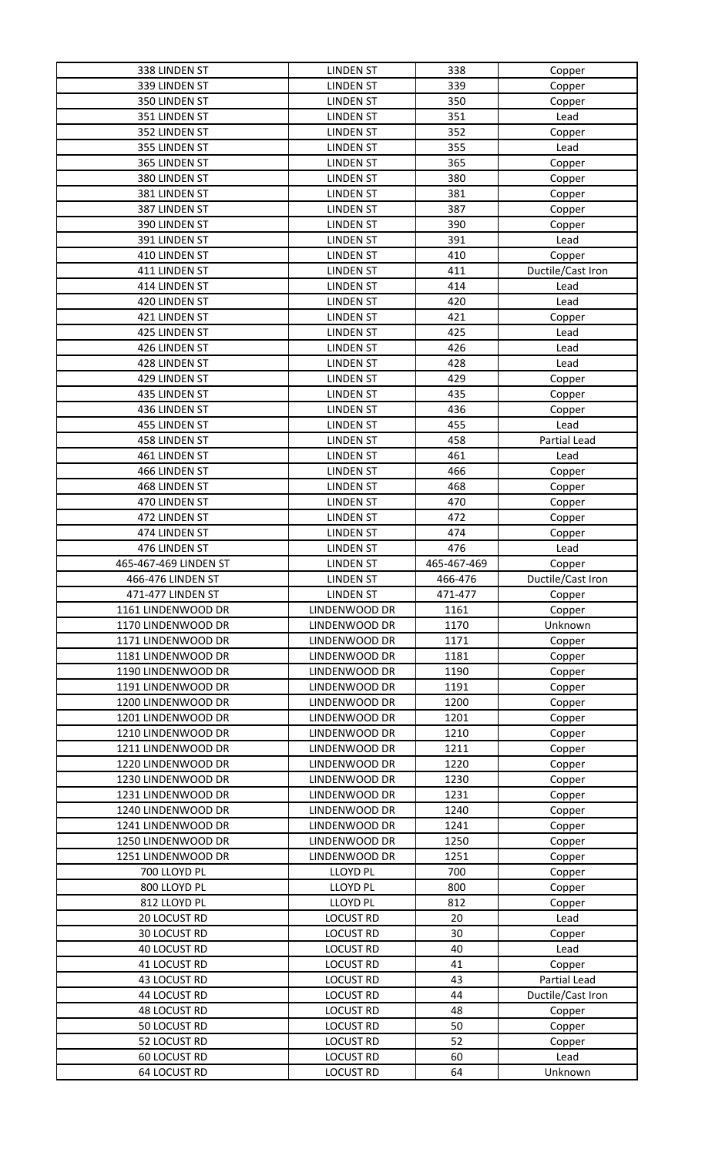| 338 LINDEN ST                              | <b>LINDEN ST</b>                     | 338         | Copper            |
|--------------------------------------------|--------------------------------------|-------------|-------------------|
| 339 LINDEN ST                              | <b>LINDEN ST</b>                     | 339         | Copper            |
| 350 LINDEN ST                              | <b>LINDEN ST</b>                     | 350         | Copper            |
| 351 LINDEN ST                              | <b>LINDEN ST</b>                     | 351         | Lead              |
| 352 LINDEN ST                              | <b>LINDEN ST</b>                     | 352         | Copper            |
| 355 LINDEN ST                              | <b>LINDEN ST</b>                     | 355         | Lead              |
| 365 LINDEN ST                              | <b>LINDEN ST</b>                     | 365         | Copper            |
| 380 LINDEN ST                              | <b>LINDEN ST</b>                     | 380         | Copper            |
| 381 LINDEN ST                              | <b>LINDEN ST</b>                     | 381         | Copper            |
| 387 LINDEN ST                              | <b>LINDEN ST</b>                     | 387         | Copper            |
| 390 LINDEN ST                              | <b>LINDEN ST</b>                     | 390         | Copper            |
| 391 LINDEN ST                              | <b>LINDEN ST</b>                     | 391         | Lead              |
| 410 LINDEN ST                              | <b>LINDEN ST</b>                     | 410         | Copper            |
| 411 LINDEN ST                              | <b>LINDEN ST</b>                     | 411         | Ductile/Cast Iron |
| 414 LINDEN ST                              | <b>LINDEN ST</b>                     | 414         | Lead              |
| 420 LINDEN ST                              | <b>LINDEN ST</b>                     | 420         | Lead              |
| 421 LINDEN ST                              | <b>LINDEN ST</b>                     | 421         | Copper            |
| 425 LINDEN ST                              | <b>LINDEN ST</b>                     | 425         | Lead              |
| 426 LINDEN ST                              | <b>LINDEN ST</b>                     | 426         | Lead              |
| 428 LINDEN ST                              | <b>LINDEN ST</b>                     | 428         | Lead              |
| 429 LINDEN ST                              | <b>LINDEN ST</b>                     | 429         | Copper            |
| 435 LINDEN ST                              | <b>LINDEN ST</b>                     | 435         | Copper            |
| 436 LINDEN ST                              | <b>LINDEN ST</b>                     | 436         | Copper            |
| 455 LINDEN ST                              | <b>LINDEN ST</b>                     | 455         | Lead              |
| 458 LINDEN ST                              | <b>LINDEN ST</b>                     | 458         | Partial Lead      |
| 461 LINDEN ST                              | <b>LINDEN ST</b>                     | 461         | Lead              |
| 466 LINDEN ST                              | <b>LINDEN ST</b>                     | 466         | Copper            |
| 468 LINDEN ST                              | <b>LINDEN ST</b>                     | 468         | Copper            |
| 470 LINDEN ST                              | <b>LINDEN ST</b>                     | 470         | Copper            |
| 472 LINDEN ST                              | <b>LINDEN ST</b>                     | 472         | Copper            |
| 474 LINDEN ST                              | <b>LINDEN ST</b>                     | 474         | Copper            |
| 476 LINDEN ST                              | <b>LINDEN ST</b>                     | 476         | Lead              |
|                                            | <b>LINDEN ST</b>                     | 465-467-469 |                   |
| 465-467-469 LINDEN ST                      |                                      |             | Copper            |
| 466-476 LINDEN ST                          | <b>LINDEN ST</b>                     | 466-476     | Ductile/Cast Iron |
| 471-477 LINDEN ST                          | <b>LINDEN ST</b>                     | 471-477     | Copper            |
| 1161 LINDENWOOD DR                         | LINDENWOOD DR                        | 1161        | Copper            |
| 1170 LINDENWOOD DR                         | LINDENWOOD DR                        | 1170        | Unknown           |
| 1171 LINDENWOOD DR                         | LINDENWOOD DR                        | 1171        | Copper            |
| 1181 LINDENWOOD DR                         | LINDENWOOD DR                        | 1181        | Copper            |
| 1190 LINDENWOOD DR                         | LINDENWOOD DR                        | 1190        | Copper            |
| 1191 LINDENWOOD DR                         | LINDENWOOD DR                        | 1191        | Copper            |
| 1200 LINDENWOOD DR                         | LINDENWOOD DR                        | 1200        | Copper            |
| 1201 LINDENWOOD DR                         | LINDENWOOD DR                        | 1201        | Copper            |
| 1210 LINDENWOOD DR                         | LINDENWOOD DR                        | 1210        | Copper            |
| 1211 LINDENWOOD DR                         | LINDENWOOD DR                        | 1211        | Copper            |
| 1220 LINDENWOOD DR                         | LINDENWOOD DR                        | 1220        | Copper            |
| 1230 LINDENWOOD DR                         | LINDENWOOD DR                        | 1230        | Copper            |
| 1231 LINDENWOOD DR                         | LINDENWOOD DR                        | 1231        | Copper            |
| 1240 LINDENWOOD DR                         | LINDENWOOD DR                        | 1240        | Copper            |
| 1241 LINDENWOOD DR                         | LINDENWOOD DR                        | 1241        | Copper            |
| 1250 LINDENWOOD DR                         | LINDENWOOD DR                        | 1250        | Copper            |
| 1251 LINDENWOOD DR                         | LINDENWOOD DR                        | 1251        | Copper            |
| 700 LLOYD PL                               | <b>LLOYD PL</b>                      | 700         | Copper            |
| 800 LLOYD PL                               | <b>LLOYD PL</b>                      | 800         | Copper            |
| 812 LLOYD PL                               | <b>LLOYD PL</b>                      | 812         | Copper            |
| 20 LOCUST RD                               | <b>LOCUST RD</b>                     | 20          | Lead              |
| 30 LOCUST RD                               | <b>LOCUST RD</b>                     | 30          | Copper            |
| <b>40 LOCUST RD</b>                        | <b>LOCUST RD</b>                     | 40          | Lead              |
| 41 LOCUST RD                               | <b>LOCUST RD</b>                     | 41          | Copper            |
| 43 LOCUST RD                               | <b>LOCUST RD</b>                     | 43          | Partial Lead      |
| 44 LOCUST RD                               | <b>LOCUST RD</b>                     | 44          | Ductile/Cast Iron |
| <b>48 LOCUST RD</b>                        | <b>LOCUST RD</b>                     | 48          | Copper            |
| 50 LOCUST RD                               | <b>LOCUST RD</b>                     | 50          | Copper            |
| 52 LOCUST RD                               | <b>LOCUST RD</b>                     | 52          | Copper            |
| <b>60 LOCUST RD</b><br><b>64 LOCUST RD</b> | <b>LOCUST RD</b><br><b>LOCUST RD</b> | 60<br>64    | Lead<br>Unknown   |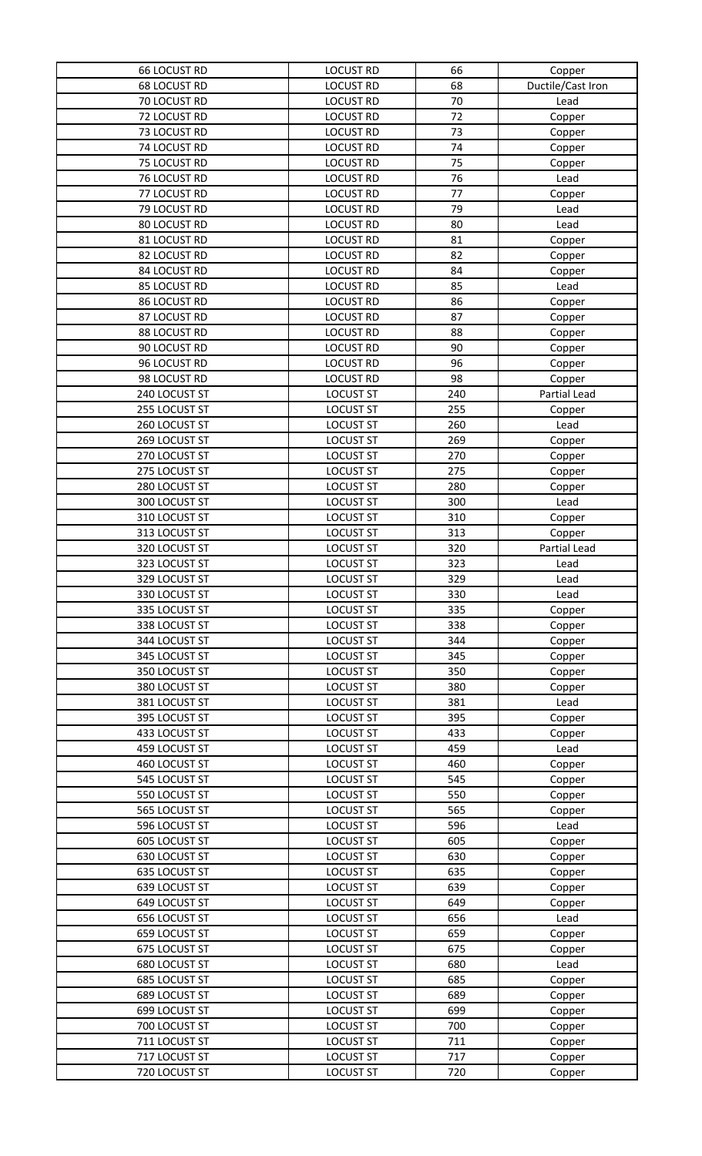| <b>66 LOCUST RD</b>            | <b>LOCUST RD</b>                     | 66         | Copper                 |
|--------------------------------|--------------------------------------|------------|------------------------|
| <b>68 LOCUST RD</b>            | <b>LOCUST RD</b>                     | 68         | Ductile/Cast Iron      |
| 70 LOCUST RD                   | <b>LOCUST RD</b>                     | 70         | Lead                   |
| 72 LOCUST RD                   | <b>LOCUST RD</b>                     | 72         | Copper                 |
| 73 LOCUST RD                   | <b>LOCUST RD</b>                     | 73         | Copper                 |
| 74 LOCUST RD                   | <b>LOCUST RD</b>                     | 74         | Copper                 |
| 75 LOCUST RD                   | <b>LOCUST RD</b>                     | 75         | Copper                 |
| 76 LOCUST RD                   | <b>LOCUST RD</b>                     | 76         | Lead                   |
| 77 LOCUST RD                   | <b>LOCUST RD</b>                     | 77         | Copper                 |
| 79 LOCUST RD                   | <b>LOCUST RD</b>                     | 79         | Lead                   |
| 80 LOCUST RD                   | <b>LOCUST RD</b>                     | 80         | Lead                   |
| 81 LOCUST RD                   | <b>LOCUST RD</b>                     | 81         | Copper                 |
| 82 LOCUST RD                   | <b>LOCUST RD</b>                     | 82         | Copper                 |
| 84 LOCUST RD                   | <b>LOCUST RD</b>                     | 84         | Copper                 |
| 85 LOCUST RD                   | <b>LOCUST RD</b>                     | 85         | Lead                   |
| 86 LOCUST RD                   | <b>LOCUST RD</b>                     | 86         | Copper                 |
| 87 LOCUST RD                   | <b>LOCUST RD</b>                     | 87         | Copper                 |
| 88 LOCUST RD                   | <b>LOCUST RD</b>                     | 88         | Copper                 |
| 90 LOCUST RD                   | <b>LOCUST RD</b>                     | 90         | Copper                 |
| 96 LOCUST RD                   | <b>LOCUST RD</b>                     | 96         | Copper                 |
| 98 LOCUST RD                   | <b>LOCUST RD</b>                     | 98         |                        |
| 240 LOCUST ST                  | <b>LOCUST ST</b>                     | 240        | Copper<br>Partial Lead |
| 255 LOCUST ST                  | <b>LOCUST ST</b>                     | 255        | Copper                 |
| 260 LOCUST ST                  | <b>LOCUST ST</b>                     | 260        | Lead                   |
| 269 LOCUST ST                  | <b>LOCUST ST</b>                     | 269        | Copper                 |
| 270 LOCUST ST                  | <b>LOCUST ST</b>                     | 270        | Copper                 |
| 275 LOCUST ST                  | <b>LOCUST ST</b>                     | 275        |                        |
| 280 LOCUST ST                  | <b>LOCUST ST</b>                     | 280        | Copper                 |
| 300 LOCUST ST                  | <b>LOCUST ST</b>                     | 300        | Copper<br>Lead         |
| 310 LOCUST ST                  | <b>LOCUST ST</b>                     | 310        |                        |
| 313 LOCUST ST                  |                                      | 313        | Copper                 |
| 320 LOCUST ST                  | <b>LOCUST ST</b>                     | 320        | Copper                 |
| 323 LOCUST ST                  | <b>LOCUST ST</b><br><b>LOCUST ST</b> | 323        | Partial Lead           |
| 329 LOCUST ST                  | <b>LOCUST ST</b>                     | 329        | Lead<br>Lead           |
|                                |                                      | 330        |                        |
| 330 LOCUST ST<br>335 LOCUST ST | <b>LOCUST ST</b><br><b>LOCUST ST</b> | 335        | Lead                   |
| 338 LOCUST ST                  | <b>LOCUST ST</b>                     | 338        | Copper                 |
| 344 LOCUST ST                  |                                      | 344        | Copper                 |
| 345 LOCUST ST                  | <b>LOCUST ST</b><br><b>LOCUST ST</b> | 345        | Copper                 |
| 350 LOCUST ST                  | <b>LOCUST ST</b>                     | 350        | Copper                 |
| 380 LOCUST ST                  | <b>LOCUST ST</b>                     | 380        | Copper                 |
|                                |                                      |            | Copper                 |
| 381 LOCUST ST<br>395 LOCUST ST | <b>LOCUST ST</b>                     | 381        | Lead                   |
| 433 LOCUST ST                  | <b>LOCUST ST</b>                     | 395        | Copper                 |
| 459 LOCUST ST                  | <b>LOCUST ST</b>                     | 433<br>459 | Copper                 |
|                                | <b>LOCUST ST</b>                     | 460        | Lead                   |
| 460 LOCUST ST<br>545 LOCUST ST | <b>LOCUST ST</b>                     | 545        | Copper                 |
|                                | <b>LOCUST ST</b>                     | 550        | Copper                 |
| 550 LOCUST ST<br>565 LOCUST ST | <b>LOCUST ST</b><br><b>LOCUST ST</b> | 565        | Copper                 |
| 596 LOCUST ST                  |                                      | 596        | Copper                 |
| 605 LOCUST ST                  | <b>LOCUST ST</b><br><b>LOCUST ST</b> | 605        | Lead                   |
| 630 LOCUST ST                  | <b>LOCUST ST</b>                     | 630        | Copper                 |
| 635 LOCUST ST                  | <b>LOCUST ST</b>                     | 635        | Copper                 |
|                                |                                      | 639        | Copper                 |
| 639 LOCUST ST                  | <b>LOCUST ST</b>                     | 649        | Copper                 |
| 649 LOCUST ST                  | <b>LOCUST ST</b>                     |            | Copper                 |
| 656 LOCUST ST                  | <b>LOCUST ST</b>                     | 656        | Lead                   |
| 659 LOCUST ST                  | <b>LOCUST ST</b><br><b>LOCUST ST</b> | 659<br>675 | Copper                 |
| 675 LOCUST ST                  |                                      |            | Copper                 |
| 680 LOCUST ST                  | <b>LOCUST ST</b>                     | 680        | Lead                   |
| 685 LOCUST ST                  | <b>LOCUST ST</b>                     | 685        | Copper                 |
| 689 LOCUST ST                  | <b>LOCUST ST</b>                     | 689        | Copper                 |
| 699 LOCUST ST                  | <b>LOCUST ST</b>                     | 699        | Copper                 |
| 700 LOCUST ST                  | <b>LOCUST ST</b>                     | 700        | Copper                 |
| 711 LOCUST ST                  | <b>LOCUST ST</b>                     | 711        | Copper                 |
| 717 LOCUST ST                  | <b>LOCUST ST</b>                     | 717        | Copper                 |
| 720 LOCUST ST                  | <b>LOCUST ST</b>                     | 720        | Copper                 |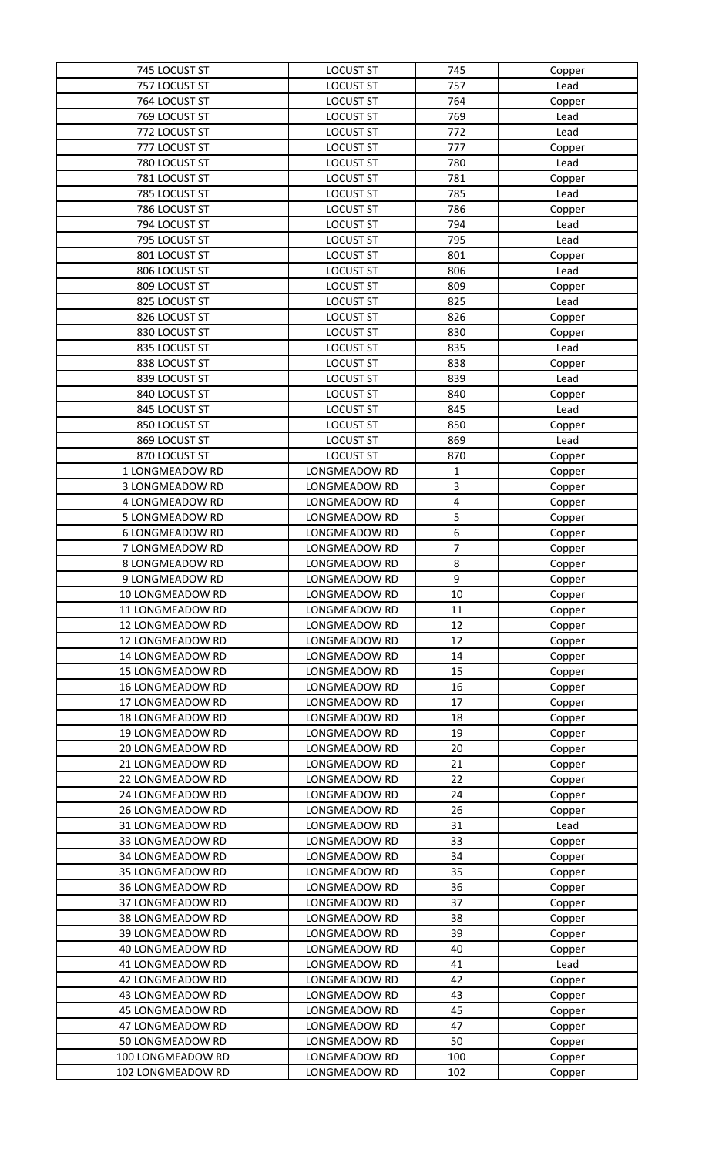| 745 LOCUST ST           | <b>LOCUST ST</b> | 745            | Copper         |
|-------------------------|------------------|----------------|----------------|
| 757 LOCUST ST           | <b>LOCUST ST</b> | 757            | Lead           |
| 764 LOCUST ST           | <b>LOCUST ST</b> | 764            | Copper         |
| 769 LOCUST ST           | <b>LOCUST ST</b> | 769            | Lead           |
| 772 LOCUST ST           | <b>LOCUST ST</b> | 772            | Lead           |
| 777 LOCUST ST           | <b>LOCUST ST</b> | 777            | Copper         |
| 780 LOCUST ST           | <b>LOCUST ST</b> | 780            | Lead           |
| 781 LOCUST ST           | <b>LOCUST ST</b> | 781            | Copper         |
| 785 LOCUST ST           | <b>LOCUST ST</b> | 785            | Lead           |
| 786 LOCUST ST           | <b>LOCUST ST</b> | 786            | Copper         |
| 794 LOCUST ST           | <b>LOCUST ST</b> | 794            | Lead           |
| 795 LOCUST ST           | <b>LOCUST ST</b> | 795            | Lead           |
| 801 LOCUST ST           | <b>LOCUST ST</b> | 801            |                |
| 806 LOCUST ST           | <b>LOCUST ST</b> | 806            | Copper<br>Lead |
| 809 LOCUST ST           | <b>LOCUST ST</b> | 809            |                |
| 825 LOCUST ST           | <b>LOCUST ST</b> | 825            | Copper<br>Lead |
| 826 LOCUST ST           | <b>LOCUST ST</b> | 826            |                |
| 830 LOCUST ST           | <b>LOCUST ST</b> | 830            | Copper         |
|                         |                  |                | Copper         |
| 835 LOCUST ST           | <b>LOCUST ST</b> | 835            | Lead           |
| 838 LOCUST ST           | <b>LOCUST ST</b> | 838            | Copper         |
| 839 LOCUST ST           | <b>LOCUST ST</b> | 839            | Lead           |
| 840 LOCUST ST           | <b>LOCUST ST</b> | 840            | Copper         |
| 845 LOCUST ST           | <b>LOCUST ST</b> | 845            | Lead           |
| 850 LOCUST ST           | <b>LOCUST ST</b> | 850            | Copper         |
| 869 LOCUST ST           | <b>LOCUST ST</b> | 869            | Lead           |
| 870 LOCUST ST           | <b>LOCUST ST</b> | 870            | Copper         |
| 1 LONGMEADOW RD         | LONGMEADOW RD    | 1              | Copper         |
| 3 LONGMEADOW RD         | LONGMEADOW RD    | 3              | Copper         |
| 4 LONGMEADOW RD         | LONGMEADOW RD    | 4              | Copper         |
| 5 LONGMEADOW RD         | LONGMEADOW RD    | 5              | Copper         |
| <b>6 LONGMEADOW RD</b>  | LONGMEADOW RD    | 6              | Copper         |
| 7 LONGMEADOW RD         | LONGMEADOW RD    | $\overline{7}$ | Copper         |
| 8 LONGMEADOW RD         | LONGMEADOW RD    | 8              | Copper         |
| 9 LONGMEADOW RD         | LONGMEADOW RD    | 9              | Copper         |
| 10 LONGMEADOW RD        | LONGMEADOW RD    | 10             | Copper         |
| 11 LONGMEADOW RD        | LONGMEADOW RD    | 11             | Copper         |
| 12 LONGMEADOW RD        | LONGMEADOW RD    | 12             | Copper         |
| 12 LONGMEADOW RD        | LONGMEADOW RD    | 12             | Copper         |
| 14 LONGMEADOW RD        | LONGMEADOW RD    | 14             | Copper         |
| <b>15 LONGMEADOW RD</b> | LONGMEADOW RD    | 15             | Copper         |
| 16 LONGMEADOW RD        | LONGMEADOW RD    | 16             | Copper         |
| 17 LONGMEADOW RD        | LONGMEADOW RD    | 17             | Copper         |
| 18 LONGMEADOW RD        | LONGMEADOW RD    | 18             | Copper         |
| 19 LONGMEADOW RD        | LONGMEADOW RD    | 19             | Copper         |
| 20 LONGMEADOW RD        | LONGMEADOW RD    | 20             | Copper         |
| 21 LONGMEADOW RD        | LONGMEADOW RD    | 21             | Copper         |
| 22 LONGMEADOW RD        | LONGMEADOW RD    | 22             | Copper         |
| 24 LONGMEADOW RD        | LONGMEADOW RD    | 24             | Copper         |
| 26 LONGMEADOW RD        | LONGMEADOW RD    | 26             | Copper         |
| 31 LONGMEADOW RD        | LONGMEADOW RD    | 31             | Lead           |
| 33 LONGMEADOW RD        | LONGMEADOW RD    | 33             | Copper         |
| 34 LONGMEADOW RD        | LONGMEADOW RD    | 34             | Copper         |
| 35 LONGMEADOW RD        | LONGMEADOW RD    | 35             | Copper         |
| 36 LONGMEADOW RD        | LONGMEADOW RD    | 36             | Copper         |
| 37 LONGMEADOW RD        | LONGMEADOW RD    | 37             | Copper         |
| 38 LONGMEADOW RD        | LONGMEADOW RD    | 38             | Copper         |
| 39 LONGMEADOW RD        | LONGMEADOW RD    | 39             | Copper         |
| 40 LONGMEADOW RD        | LONGMEADOW RD    | 40             | Copper         |
| 41 LONGMEADOW RD        | LONGMEADOW RD    | 41             | Lead           |
| 42 LONGMEADOW RD        | LONGMEADOW RD    | 42             | Copper         |
| 43 LONGMEADOW RD        | LONGMEADOW RD    | 43             | Copper         |
| <b>45 LONGMEADOW RD</b> | LONGMEADOW RD    | 45             | Copper         |
| 47 LONGMEADOW RD        | LONGMEADOW RD    | 47             | Copper         |
| 50 LONGMEADOW RD        | LONGMEADOW RD    | 50             | Copper         |
| 100 LONGMEADOW RD       | LONGMEADOW RD    | 100            | Copper         |
| 102 LONGMEADOW RD       | LONGMEADOW RD    | 102            | Copper         |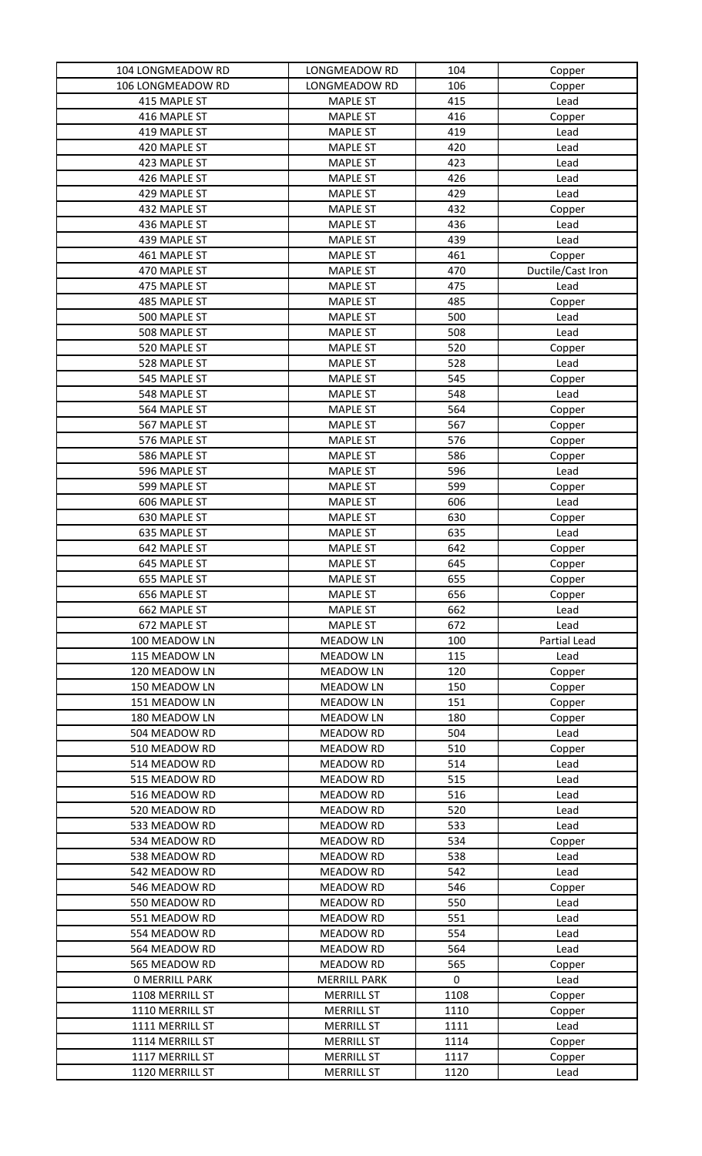| 104 LONGMEADOW RD     | LONGMEADOW RD       | 104       | Copper            |
|-----------------------|---------------------|-----------|-------------------|
| 106 LONGMEADOW RD     | LONGMEADOW RD       | 106       | Copper            |
| 415 MAPLE ST          | <b>MAPLE ST</b>     | 415       | Lead              |
| 416 MAPLE ST          | <b>MAPLE ST</b>     | 416       | Copper            |
| 419 MAPLE ST          | <b>MAPLE ST</b>     | 419       | Lead              |
| 420 MAPLE ST          | <b>MAPLE ST</b>     | 420       | Lead              |
| 423 MAPLE ST          | <b>MAPLE ST</b>     | 423       | Lead              |
| 426 MAPLE ST          | <b>MAPLE ST</b>     | 426       | Lead              |
| 429 MAPLE ST          | <b>MAPLE ST</b>     | 429       | Lead              |
| 432 MAPLE ST          | <b>MAPLE ST</b>     | 432       | Copper            |
| 436 MAPLE ST          | <b>MAPLE ST</b>     | 436       | Lead              |
| 439 MAPLE ST          | <b>MAPLE ST</b>     | 439       | Lead              |
| 461 MAPLE ST          | <b>MAPLE ST</b>     | 461       | Copper            |
| 470 MAPLE ST          | <b>MAPLE ST</b>     | 470       | Ductile/Cast Iron |
| 475 MAPLE ST          | <b>MAPLE ST</b>     | 475       | Lead              |
| 485 MAPLE ST          | <b>MAPLE ST</b>     | 485       | Copper            |
| 500 MAPLE ST          | <b>MAPLE ST</b>     | 500       | Lead              |
| 508 MAPLE ST          | <b>MAPLE ST</b>     | 508       | Lead              |
| 520 MAPLE ST          | <b>MAPLE ST</b>     | 520       | Copper            |
| 528 MAPLE ST          | <b>MAPLE ST</b>     | 528       | Lead              |
| 545 MAPLE ST          | <b>MAPLE ST</b>     | 545       | Copper            |
| 548 MAPLE ST          | <b>MAPLE ST</b>     | 548       | Lead              |
| 564 MAPLE ST          | <b>MAPLE ST</b>     | 564       | Copper            |
| 567 MAPLE ST          | <b>MAPLE ST</b>     | 567       | Copper            |
| 576 MAPLE ST          | <b>MAPLE ST</b>     | 576       | Copper            |
| 586 MAPLE ST          | <b>MAPLE ST</b>     | 586       | Copper            |
| 596 MAPLE ST          | <b>MAPLE ST</b>     | 596       | Lead              |
| 599 MAPLE ST          | <b>MAPLE ST</b>     | 599       | Copper            |
| 606 MAPLE ST          | <b>MAPLE ST</b>     | 606       | Lead              |
| 630 MAPLE ST          | <b>MAPLE ST</b>     | 630       | Copper            |
| 635 MAPLE ST          | <b>MAPLE ST</b>     | 635       | Lead              |
| 642 MAPLE ST          | <b>MAPLE ST</b>     | 642       | Copper            |
| 645 MAPLE ST          | <b>MAPLE ST</b>     | 645       | Copper            |
| 655 MAPLE ST          | <b>MAPLE ST</b>     | 655       | Copper            |
| 656 MAPLE ST          | <b>MAPLE ST</b>     | 656       | Copper            |
| 662 MAPLE ST          | <b>MAPLE ST</b>     | 662       | Lead              |
| 672 MAPLE ST          | <b>MAPLE ST</b>     | 672       | Lead              |
| 100 MEADOW LN         | <b>MEADOW LN</b>    | 100       | Partial Lead      |
| 115 MEADOW LN         | <b>MEADOW LN</b>    | 115       | Lead              |
| 120 MEADOW LN         | <b>MEADOW LN</b>    | 120       | Copper            |
| 150 MEADOW LN         | <b>MEADOW LN</b>    | 150       | Copper            |
| 151 MEADOW LN         | <b>MEADOW LN</b>    | 151       | Copper            |
| 180 MEADOW LN         | <b>MEADOW LN</b>    | 180       | Copper            |
| 504 MEADOW RD         | MEADOW RD           | 504       | Lead              |
| 510 MEADOW RD         | <b>MEADOW RD</b>    | 510       | Copper            |
| 514 MEADOW RD         | <b>MEADOW RD</b>    | 514       | Lead              |
| 515 MEADOW RD         | <b>MEADOW RD</b>    | 515       | Lead              |
| 516 MEADOW RD         | <b>MEADOW RD</b>    | 516       | Lead              |
| 520 MEADOW RD         | <b>MEADOW RD</b>    | 520       | Lead              |
| 533 MEADOW RD         | <b>MEADOW RD</b>    | 533       | Lead              |
| 534 MEADOW RD         | <b>MEADOW RD</b>    | 534       | Copper            |
| 538 MEADOW RD         | MEADOW RD           | 538       | Lead              |
| 542 MEADOW RD         | <b>MEADOW RD</b>    | 542       | Lead              |
| 546 MEADOW RD         | <b>MEADOW RD</b>    | 546       | Copper            |
| 550 MEADOW RD         | <b>MEADOW RD</b>    | 550       | Lead              |
| 551 MEADOW RD         | <b>MEADOW RD</b>    | 551       | Lead              |
| 554 MEADOW RD         | <b>MEADOW RD</b>    | 554       | Lead              |
| 564 MEADOW RD         | MEADOW RD           | 564       | Lead              |
| 565 MEADOW RD         | <b>MEADOW RD</b>    | 565       | Copper            |
| <b>0 MERRILL PARK</b> | <b>MERRILL PARK</b> | $\pmb{0}$ | Lead              |
| 1108 MERRILL ST       | <b>MERRILL ST</b>   | 1108      | Copper            |
| 1110 MERRILL ST       | <b>MERRILL ST</b>   | 1110      | Copper            |
| 1111 MERRILL ST       | <b>MERRILL ST</b>   | 1111      | Lead              |
| 1114 MERRILL ST       | <b>MERRILL ST</b>   | 1114      | Copper            |
| 1117 MERRILL ST       | <b>MERRILL ST</b>   | 1117      | Copper            |
| 1120 MERRILL ST       | <b>MERRILL ST</b>   | 1120      | Lead              |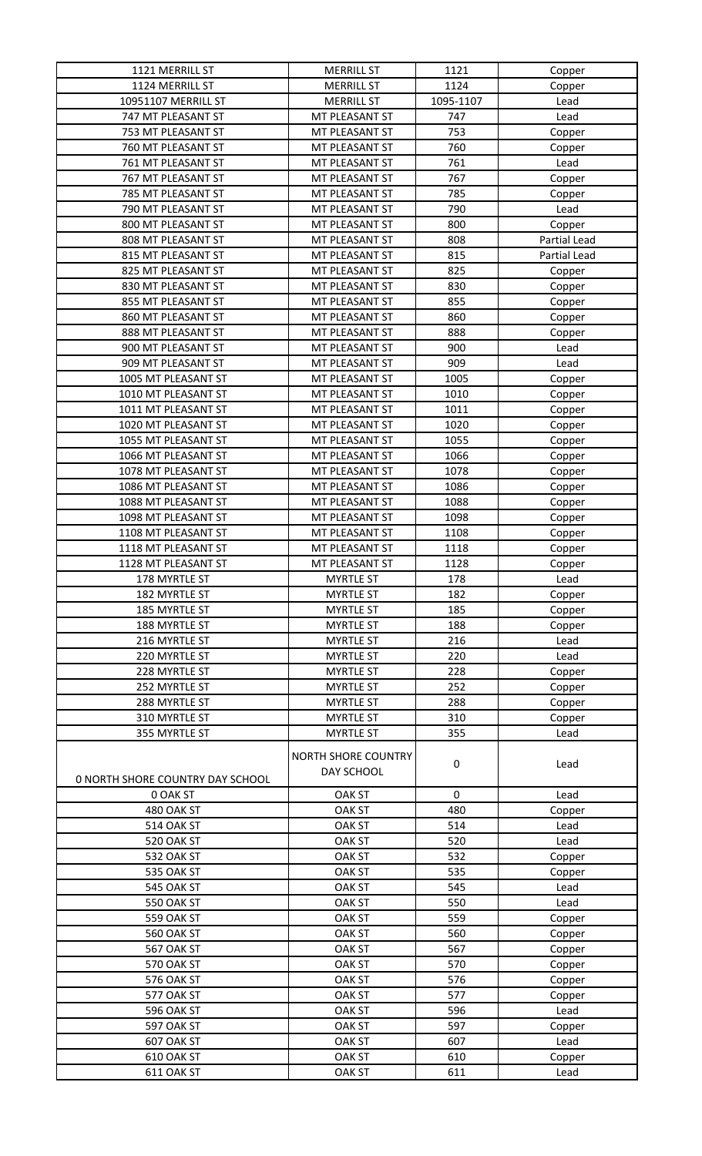| 1121 MERRILL ST                  | <b>MERRILL ST</b>   | 1121      | Copper       |
|----------------------------------|---------------------|-----------|--------------|
| 1124 MERRILL ST                  | <b>MERRILL ST</b>   | 1124      | Copper       |
| 10951107 MERRILL ST              | <b>MERRILL ST</b>   | 1095-1107 | Lead         |
| 747 MT PLEASANT ST               | MT PLEASANT ST      | 747       | Lead         |
| 753 MT PLEASANT ST               | MT PLEASANT ST      | 753       | Copper       |
| 760 MT PLEASANT ST               | MT PLEASANT ST      | 760       | Copper       |
| 761 MT PLEASANT ST               | MT PLEASANT ST      | 761       | Lead         |
| 767 MT PLEASANT ST               | MT PLEASANT ST      | 767       | Copper       |
| 785 MT PLEASANT ST               | MT PLEASANT ST      | 785       | Copper       |
| 790 MT PLEASANT ST               | MT PLEASANT ST      | 790       | Lead         |
| 800 MT PLEASANT ST               | MT PLEASANT ST      | 800       | Copper       |
| 808 MT PLEASANT ST               | MT PLEASANT ST      | 808       | Partial Lead |
| 815 MT PLEASANT ST               | MT PLEASANT ST      | 815       | Partial Lead |
| 825 MT PLEASANT ST               | MT PLEASANT ST      | 825       | Copper       |
| 830 MT PLEASANT ST               | MT PLEASANT ST      | 830       | Copper       |
| 855 MT PLEASANT ST               | MT PLEASANT ST      | 855       | Copper       |
| 860 MT PLEASANT ST               | MT PLEASANT ST      | 860       | Copper       |
| 888 MT PLEASANT ST               | MT PLEASANT ST      | 888       | Copper       |
| 900 MT PLEASANT ST               | MT PLEASANT ST      | 900       | Lead         |
| 909 MT PLEASANT ST               | MT PLEASANT ST      | 909       | Lead         |
| 1005 MT PLEASANT ST              | MT PLEASANT ST      | 1005      | Copper       |
| 1010 MT PLEASANT ST              | MT PLEASANT ST      | 1010      | Copper       |
| 1011 MT PLEASANT ST              | MT PLEASANT ST      | 1011      | Copper       |
| 1020 MT PLEASANT ST              | MT PLEASANT ST      | 1020      | Copper       |
| 1055 MT PLEASANT ST              | MT PLEASANT ST      | 1055      | Copper       |
| 1066 MT PLEASANT ST              | MT PLEASANT ST      | 1066      | Copper       |
| 1078 MT PLEASANT ST              | MT PLEASANT ST      | 1078      | Copper       |
| 1086 MT PLEASANT ST              | MT PLEASANT ST      | 1086      | Copper       |
| 1088 MT PLEASANT ST              | MT PLEASANT ST      | 1088      | Copper       |
| 1098 MT PLEASANT ST              | MT PLEASANT ST      | 1098      | Copper       |
| 1108 MT PLEASANT ST              | MT PLEASANT ST      | 1108      | Copper       |
| 1118 MT PLEASANT ST              | MT PLEASANT ST      | 1118      | Copper       |
| 1128 MT PLEASANT ST              | MT PLEASANT ST      | 1128      | Copper       |
| 178 MYRTLE ST                    | <b>MYRTLE ST</b>    | 178       | Lead         |
| 182 MYRTLE ST                    | <b>MYRTLE ST</b>    | 182       | Copper       |
| 185 MYRTLE ST                    | <b>MYRTLE ST</b>    | 185       | Copper       |
| 188 MYRTLE ST                    | <b>MYRTLE ST</b>    | 188       | Copper       |
| 216 MYRTLE ST                    | <b>MYRTLE ST</b>    | 216       | Lead         |
| 220 MYRTLE ST                    | <b>MYRTLE ST</b>    | 220       | Lead         |
| 228 MYRTLE ST                    | <b>MYRTLE ST</b>    | 228       | Copper       |
| 252 MYRTLE ST                    | <b>MYRTLE ST</b>    | 252       | Copper       |
| 288 MYRTLE ST                    | <b>MYRTLE ST</b>    | 288       | Copper       |
| 310 MYRTLE ST                    | <b>MYRTLE ST</b>    | 310       | Copper       |
| 355 MYRTLE ST                    | <b>MYRTLE ST</b>    | 355       | Lead         |
|                                  |                     |           |              |
|                                  | NORTH SHORE COUNTRY | $\pmb{0}$ | Lead         |
| 0 NORTH SHORE COUNTRY DAY SCHOOL | DAY SCHOOL          |           |              |
| 0 OAK ST                         | <b>OAK ST</b>       | $\pmb{0}$ | Lead         |
| 480 OAK ST                       | <b>OAK ST</b>       | 480       | Copper       |
| <b>514 OAK ST</b>                | <b>OAK ST</b>       | 514       | Lead         |
| 520 OAK ST                       | <b>OAK ST</b>       | 520       | Lead         |
| 532 OAK ST                       | <b>OAK ST</b>       | 532       | Copper       |
| 535 OAK ST                       | <b>OAK ST</b>       | 535       | Copper       |
| 545 OAK ST                       | <b>OAK ST</b>       | 545       | Lead         |
| 550 OAK ST                       | <b>OAK ST</b>       | 550       | Lead         |
| 559 OAK ST                       | <b>OAK ST</b>       | 559       | Copper       |
| 560 OAK ST                       | <b>OAK ST</b>       | 560       | Copper       |
| 567 OAK ST                       | <b>OAK ST</b>       | 567       | Copper       |
| 570 OAK ST                       | <b>OAK ST</b>       | 570       | Copper       |
| 576 OAK ST                       | <b>OAK ST</b>       | 576       | Copper       |
| 577 OAK ST                       | <b>OAK ST</b>       | 577       | Copper       |
| 596 OAK ST                       | <b>OAK ST</b>       | 596       | Lead         |
| 597 OAK ST                       | <b>OAK ST</b>       | 597       | Copper       |
| 607 OAK ST                       | <b>OAK ST</b>       | 607       | Lead         |
| 610 OAK ST                       | <b>OAK ST</b>       | 610       | Copper       |
| 611 OAK ST                       | <b>OAK ST</b>       | 611       | Lead         |
|                                  |                     |           |              |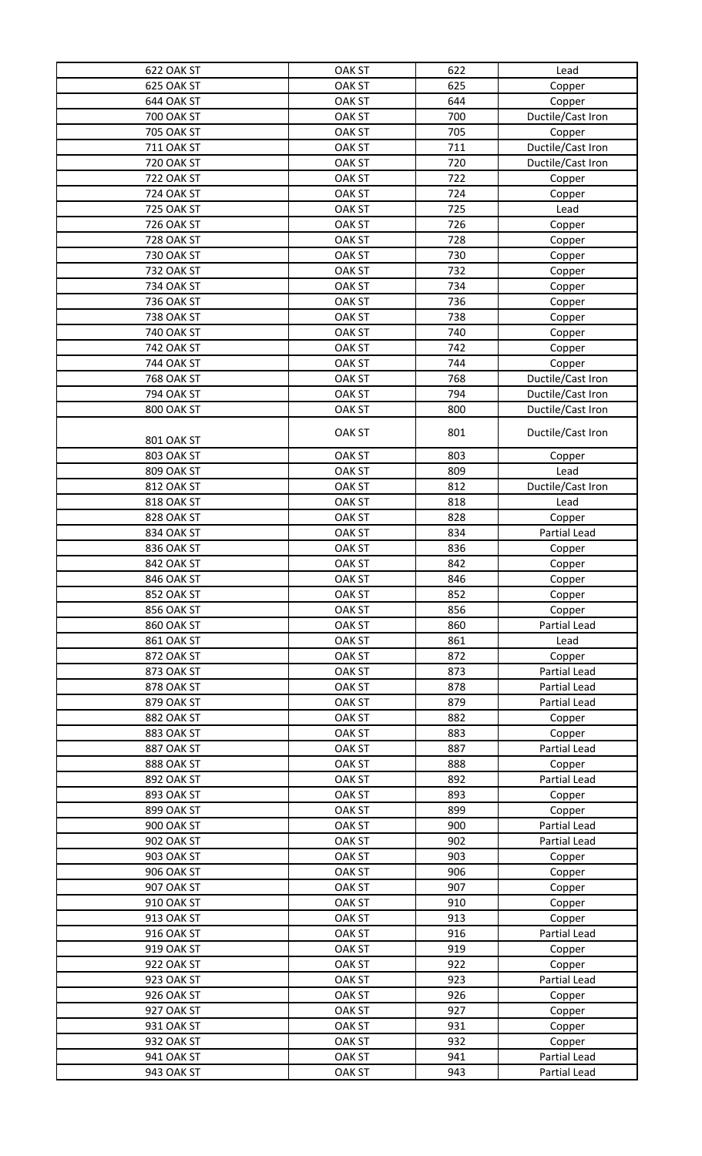| 622 OAK ST        | <b>OAK ST</b> | 622        | Lead              |
|-------------------|---------------|------------|-------------------|
| 625 OAK ST        | <b>OAK ST</b> | 625        | Copper            |
| 644 OAK ST        | <b>OAK ST</b> | 644        | Copper            |
| <b>700 OAK ST</b> | <b>OAK ST</b> | 700        | Ductile/Cast Iron |
| <b>705 OAK ST</b> | <b>OAK ST</b> | 705        | Copper            |
| 711 OAK ST        | <b>OAK ST</b> | 711        | Ductile/Cast Iron |
| <b>720 OAK ST</b> | <b>OAK ST</b> | 720        | Ductile/Cast Iron |
| <b>722 OAK ST</b> | <b>OAK ST</b> | 722        | Copper            |
| <b>724 OAK ST</b> | <b>OAK ST</b> | 724        | Copper            |
| <b>725 OAK ST</b> | <b>OAK ST</b> | 725        | Lead              |
| <b>726 OAK ST</b> | <b>OAK ST</b> | 726        | Copper            |
| <b>728 OAK ST</b> | <b>OAK ST</b> | 728        |                   |
| <b>730 OAK ST</b> |               |            | Copper            |
| <b>732 OAK ST</b> | <b>OAK ST</b> | 730<br>732 | Copper            |
|                   | <b>OAK ST</b> |            | Copper            |
| <b>734 OAK ST</b> | <b>OAK ST</b> | 734        | Copper            |
| <b>736 OAK ST</b> | <b>OAK ST</b> | 736        | Copper            |
| <b>738 OAK ST</b> | <b>OAK ST</b> | 738        | Copper            |
| <b>740 OAK ST</b> | <b>OAK ST</b> | 740        | Copper            |
| 742 OAK ST        | <b>OAK ST</b> | 742        | Copper            |
| <b>744 OAK ST</b> | <b>OAK ST</b> | 744        | Copper            |
| <b>768 OAK ST</b> | <b>OAK ST</b> | 768        | Ductile/Cast Iron |
| <b>794 OAK ST</b> | <b>OAK ST</b> | 794        | Ductile/Cast Iron |
| 800 OAK ST        | <b>OAK ST</b> | 800        | Ductile/Cast Iron |
| 801 OAK ST        | <b>OAK ST</b> | 801        | Ductile/Cast Iron |
| 803 OAK ST        | <b>OAK ST</b> | 803        | Copper            |
| 809 OAK ST        | <b>OAK ST</b> | 809        | Lead              |
| 812 OAK ST        | <b>OAK ST</b> | 812        | Ductile/Cast Iron |
| 818 OAK ST        | <b>OAK ST</b> | 818        | Lead              |
| 828 OAK ST        | <b>OAK ST</b> | 828        | Copper            |
| 834 OAK ST        | <b>OAK ST</b> | 834        | Partial Lead      |
| 836 OAK ST        | <b>OAK ST</b> | 836        | Copper            |
| 842 OAK ST        | <b>OAK ST</b> | 842        | Copper            |
| 846 OAK ST        | <b>OAK ST</b> | 846        | Copper            |
| 852 OAK ST        | <b>OAK ST</b> | 852        | Copper            |
| 856 OAK ST        | <b>OAK ST</b> | 856        | Copper            |
| 860 OAK ST        | <b>OAK ST</b> | 860        | Partial Lead      |
| <b>861 OAK ST</b> | <b>OAK ST</b> | 861        | Lead              |
| 872 OAK ST        | <b>OAK ST</b> | 872        | Copper            |
| 873 OAK ST        | <b>OAK ST</b> | 873        | Partial Lead      |
| 878 OAK ST        | <b>OAK ST</b> | 878        | Partial Lead      |
| 879 OAK ST        | <b>OAK ST</b> | 879        | Partial Lead      |
| 882 OAK ST        | <b>OAK ST</b> | 882        | Copper            |
| 883 OAK ST        | <b>OAK ST</b> | 883        | Copper            |
| 887 OAK ST        | <b>OAK ST</b> | 887        | Partial Lead      |
| 888 OAK ST        | <b>OAK ST</b> | 888        | Copper            |
| 892 OAK ST        | <b>OAK ST</b> | 892        | Partial Lead      |
| 893 OAK ST        | <b>OAK ST</b> | 893        | Copper            |
| 899 OAK ST        | <b>OAK ST</b> | 899        | Copper            |
| <b>900 OAK ST</b> | <b>OAK ST</b> | 900        | Partial Lead      |
| 902 OAK ST        | <b>OAK ST</b> | 902        | Partial Lead      |
| <b>903 OAK ST</b> | <b>OAK ST</b> | 903        | Copper            |
| 906 OAK ST        | <b>OAK ST</b> | 906        | Copper            |
| 907 OAK ST        | <b>OAK ST</b> | 907        | Copper            |
| 910 OAK ST        | <b>OAK ST</b> | 910        | Copper            |
| 913 OAK ST        | <b>OAK ST</b> | 913        | Copper            |
| 916 OAK ST        | <b>OAK ST</b> | 916        | Partial Lead      |
| 919 OAK ST        | <b>OAK ST</b> | 919        | Copper            |
| 922 OAK ST        | <b>OAK ST</b> | 922        | Copper            |
| 923 OAK ST        | <b>OAK ST</b> | 923        | Partial Lead      |
| 926 OAK ST        | <b>OAK ST</b> | 926        | Copper            |
| 927 OAK ST        | <b>OAK ST</b> | 927        | Copper            |
| 931 OAK ST        | <b>OAK ST</b> | 931        | Copper            |
| 932 OAK ST        | <b>OAK ST</b> | 932        | Copper            |
| 941 OAK ST        | <b>OAK ST</b> | 941        | Partial Lead      |
| 943 OAK ST        | <b>OAK ST</b> | 943        | Partial Lead      |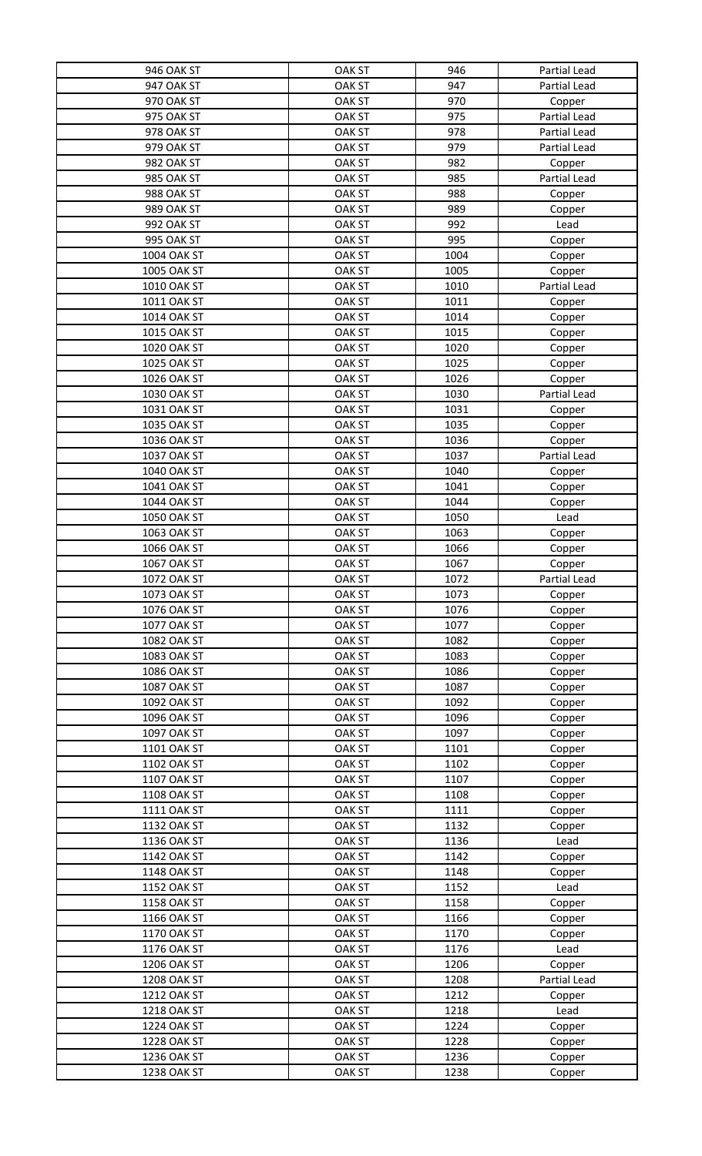| <b>946 OAK ST</b>  | <b>OAK ST</b> | 946  | Partial Lead |
|--------------------|---------------|------|--------------|
| 947 OAK ST         | <b>OAK ST</b> | 947  | Partial Lead |
| 970 OAK ST         | <b>OAK ST</b> | 970  | Copper       |
| 975 OAK ST         | <b>OAK ST</b> | 975  | Partial Lead |
| 978 OAK ST         | <b>OAK ST</b> | 978  | Partial Lead |
| 979 OAK ST         | <b>OAK ST</b> | 979  | Partial Lead |
| 982 OAK ST         | <b>OAK ST</b> | 982  | Copper       |
| 985 OAK ST         | <b>OAK ST</b> | 985  | Partial Lead |
| 988 OAK ST         | <b>OAK ST</b> | 988  | Copper       |
| 989 OAK ST         | <b>OAK ST</b> | 989  | Copper       |
| 992 OAK ST         | <b>OAK ST</b> | 992  | Lead         |
| <b>995 OAK ST</b>  | <b>OAK ST</b> | 995  | Copper       |
| <b>1004 OAK ST</b> | <b>OAK ST</b> | 1004 |              |
| <b>1005 OAK ST</b> | <b>OAK ST</b> | 1005 | Copper       |
| 1010 OAK ST        |               |      | Copper       |
|                    | <b>OAK ST</b> | 1010 | Partial Lead |
| 1011 OAK ST        | <b>OAK ST</b> | 1011 | Copper       |
| 1014 OAK ST        | <b>OAK ST</b> | 1014 | Copper       |
| 1015 OAK ST        | <b>OAK ST</b> | 1015 | Copper       |
| 1020 OAK ST        | <b>OAK ST</b> | 1020 | Copper       |
| <b>1025 OAK ST</b> | <b>OAK ST</b> | 1025 | Copper       |
| 1026 OAK ST        | <b>OAK ST</b> | 1026 | Copper       |
| 1030 OAK ST        | <b>OAK ST</b> | 1030 | Partial Lead |
| 1031 OAK ST        | <b>OAK ST</b> | 1031 | Copper       |
| 1035 OAK ST        | <b>OAK ST</b> | 1035 | Copper       |
| 1036 OAK ST        | <b>OAK ST</b> | 1036 | Copper       |
| 1037 OAK ST        | <b>OAK ST</b> | 1037 | Partial Lead |
| 1040 OAK ST        | <b>OAK ST</b> | 1040 | Copper       |
| 1041 OAK ST        | <b>OAK ST</b> | 1041 | Copper       |
| 1044 OAK ST        | <b>OAK ST</b> | 1044 | Copper       |
| 1050 OAK ST        | <b>OAK ST</b> | 1050 | Lead         |
| 1063 OAK ST        | <b>OAK ST</b> | 1063 | Copper       |
| <b>1066 OAK ST</b> | <b>OAK ST</b> | 1066 | Copper       |
| <b>1067 OAK ST</b> | <b>OAK ST</b> | 1067 | Copper       |
| 1072 OAK ST        | <b>OAK ST</b> | 1072 | Partial Lead |
| 1073 OAK ST        | <b>OAK ST</b> | 1073 |              |
|                    |               |      | Copper       |
| <b>1076 OAK ST</b> | <b>OAK ST</b> | 1076 | Copper       |
| 1077 OAK ST        | <b>OAK ST</b> | 1077 | Copper       |
| <b>1082 OAK ST</b> | <b>OAK ST</b> | 1082 | Copper       |
| 1083 OAK ST        | <b>OAK ST</b> | 1083 | Copper       |
| <b>1086 OAK ST</b> | <b>OAK ST</b> | 1086 | Copper       |
| <b>1087 OAK ST</b> | <b>OAK ST</b> | 1087 | Copper       |
| <b>1092 OAK ST</b> | <b>OAK ST</b> | 1092 | Copper       |
| 1096 OAK ST        | <b>OAK ST</b> | 1096 | Copper       |
| <b>1097 OAK ST</b> | <b>OAK ST</b> | 1097 | Copper       |
| 1101 OAK ST        | <b>OAK ST</b> | 1101 | Copper       |
| 1102 OAK ST        | <b>OAK ST</b> | 1102 | Copper       |
| 1107 OAK ST        | <b>OAK ST</b> | 1107 | Copper       |
| 1108 OAK ST        | <b>OAK ST</b> | 1108 | Copper       |
| 1111 OAK ST        | <b>OAK ST</b> | 1111 | Copper       |
| 1132 OAK ST        | <b>OAK ST</b> | 1132 | Copper       |
| 1136 OAK ST        | <b>OAK ST</b> | 1136 | Lead         |
| 1142 OAK ST        | <b>OAK ST</b> | 1142 | Copper       |
| 1148 OAK ST        | <b>OAK ST</b> | 1148 | Copper       |
| 1152 OAK ST        | <b>OAK ST</b> | 1152 | Lead         |
| 1158 OAK ST        | <b>OAK ST</b> | 1158 | Copper       |
| 1166 OAK ST        | <b>OAK ST</b> | 1166 | Copper       |
| 1170 OAK ST        | <b>OAK ST</b> | 1170 | Copper       |
| 1176 OAK ST        | <b>OAK ST</b> | 1176 | Lead         |
| 1206 OAK ST        | <b>OAK ST</b> | 1206 | Copper       |
| <b>1208 OAK ST</b> | <b>OAK ST</b> | 1208 | Partial Lead |
| 1212 OAK ST        | <b>OAK ST</b> | 1212 | Copper       |
| 1218 OAK ST        | <b>OAK ST</b> | 1218 | Lead         |
| 1224 OAK ST        | <b>OAK ST</b> | 1224 | Copper       |
| <b>1228 OAK ST</b> | <b>OAK ST</b> | 1228 | Copper       |
| 1236 OAK ST        | <b>OAK ST</b> | 1236 |              |
|                    |               |      | Copper       |
| 1238 OAK ST        | <b>OAK ST</b> | 1238 | Copper       |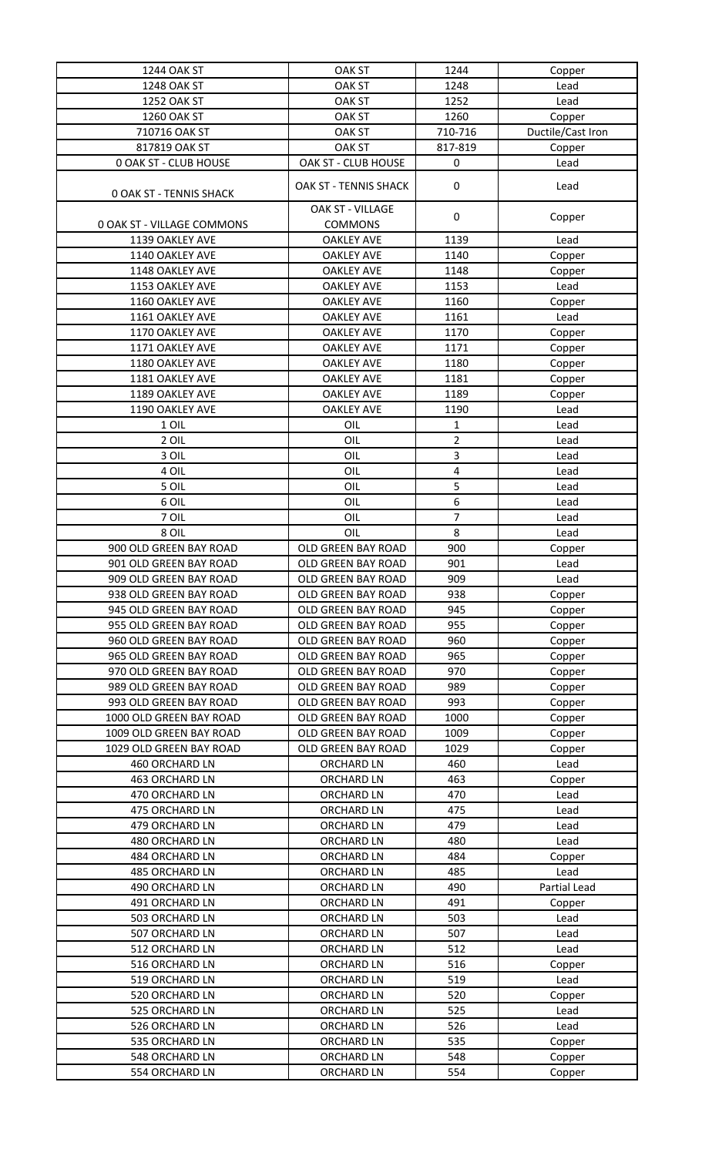| 1244 OAK ST                    | <b>OAK ST</b>                          | 1244           | Copper            |
|--------------------------------|----------------------------------------|----------------|-------------------|
| <b>1248 OAK ST</b>             | <b>OAK ST</b>                          | 1248           | Lead              |
| 1252 OAK ST                    | <b>OAK ST</b>                          | 1252           | Lead              |
| 1260 OAK ST                    | <b>OAK ST</b>                          | 1260           | Copper            |
| 710716 OAK ST                  | <b>OAK ST</b>                          | 710-716        | Ductile/Cast Iron |
| 817819 OAK ST                  | <b>OAK ST</b>                          | 817-819        | Copper            |
| <b>0 OAK ST - CLUB HOUSE</b>   | OAK ST - CLUB HOUSE                    | $\pmb{0}$      | Lead              |
| <b>0 OAK ST - TENNIS SHACK</b> | OAK ST - TENNIS SHACK                  | 0              | Lead              |
| 0 OAK ST - VILLAGE COMMONS     | OAK ST - VILLAGE<br><b>COMMONS</b>     | $\pmb{0}$      | Copper            |
| 1139 OAKLEY AVE                | <b>OAKLEY AVE</b>                      | 1139           | Lead              |
| 1140 OAKLEY AVE                | <b>OAKLEY AVE</b>                      | 1140           |                   |
| 1148 OAKLEY AVE                | <b>OAKLEY AVE</b>                      | 1148           | Copper<br>Copper  |
| 1153 OAKLEY AVE                | <b>OAKLEY AVE</b>                      | 1153           | Lead              |
| 1160 OAKLEY AVE                | <b>OAKLEY AVE</b>                      | 1160           |                   |
| 1161 OAKLEY AVE                | <b>OAKLEY AVE</b>                      | 1161           | Copper<br>Lead    |
| 1170 OAKLEY AVE                | <b>OAKLEY AVE</b>                      | 1170           |                   |
| 1171 OAKLEY AVE                | <b>OAKLEY AVE</b>                      | 1171           | Copper            |
| 1180 OAKLEY AVE                | <b>OAKLEY AVE</b>                      | 1180           | Copper            |
| 1181 OAKLEY AVE                |                                        |                | Copper            |
|                                | <b>OAKLEY AVE</b><br><b>OAKLEY AVE</b> | 1181<br>1189   | Copper            |
| 1189 OAKLEY AVE                |                                        |                | Copper            |
| 1190 OAKLEY AVE                | <b>OAKLEY AVE</b>                      | 1190           | Lead              |
| 1 OIL                          | OIL                                    | 1              | Lead              |
| 2 OIL                          | OIL                                    | $\overline{2}$ | Lead              |
| 3 OIL                          | OIL                                    | 3              | Lead              |
| 4 OIL                          | OIL                                    | 4              | Lead              |
| 5 OIL                          | OIL                                    | 5              | Lead              |
| 6 OIL                          | OIL                                    | 6              | Lead              |
| 7 OIL                          | OIL                                    | 7              | Lead              |
| 8 OIL                          | OIL                                    | 8              | Lead              |
| 900 OLD GREEN BAY ROAD         | OLD GREEN BAY ROAD                     | 900            | Copper            |
| 901 OLD GREEN BAY ROAD         | OLD GREEN BAY ROAD                     | 901            | Lead              |
| 909 OLD GREEN BAY ROAD         | OLD GREEN BAY ROAD                     | 909            | Lead              |
| 938 OLD GREEN BAY ROAD         | OLD GREEN BAY ROAD                     | 938            | Copper            |
| 945 OLD GREEN BAY ROAD         | OLD GREEN BAY ROAD                     | 945            | Copper            |
| 955 OLD GREEN BAY ROAD         | OLD GREEN BAY ROAD                     | 955            | Copper            |
| 960 OLD GREEN BAY ROAD         | OLD GREEN BAY ROAD                     | 960            | Copper            |
| 965 OLD GREEN BAY ROAD         | OLD GREEN BAY ROAD                     | 965            | Copper            |
| 970 OLD GREEN BAY ROAD         | OLD GREEN BAY ROAD                     | 970            | Copper            |
| 989 OLD GREEN BAY ROAD         | OLD GREEN BAY ROAD                     | 989            | Copper            |
| 993 OLD GREEN BAY ROAD         | OLD GREEN BAY ROAD                     | 993            | Copper            |
| 1000 OLD GREEN BAY ROAD        | OLD GREEN BAY ROAD                     | 1000           | Copper            |
| 1009 OLD GREEN BAY ROAD        | OLD GREEN BAY ROAD                     | 1009           | Copper            |
| 1029 OLD GREEN BAY ROAD        | OLD GREEN BAY ROAD                     | 1029           | Copper            |
| 460 ORCHARD LN                 | <b>ORCHARD LN</b>                      | 460            | Lead              |
| 463 ORCHARD LN                 | <b>ORCHARD LN</b>                      | 463            | Copper            |
| 470 ORCHARD LN                 | <b>ORCHARD LN</b>                      | 470            | Lead              |
| 475 ORCHARD LN                 | <b>ORCHARD LN</b>                      | 475            | Lead              |
| 479 ORCHARD LN                 | <b>ORCHARD LN</b>                      | 479            | Lead              |
| 480 ORCHARD LN                 | <b>ORCHARD LN</b>                      | 480            | Lead              |
| 484 ORCHARD LN                 | <b>ORCHARD LN</b>                      | 484            | Copper            |
| 485 ORCHARD LN                 | <b>ORCHARD LN</b>                      | 485            | Lead              |
| 490 ORCHARD LN                 | <b>ORCHARD LN</b>                      | 490            | Partial Lead      |
| 491 ORCHARD LN                 | <b>ORCHARD LN</b>                      | 491            | Copper            |
| 503 ORCHARD LN                 | <b>ORCHARD LN</b>                      | 503            | Lead              |
| 507 ORCHARD LN                 | <b>ORCHARD LN</b>                      | 507            | Lead              |
| 512 ORCHARD LN                 | <b>ORCHARD LN</b>                      | 512            | Lead              |
| 516 ORCHARD LN                 | <b>ORCHARD LN</b>                      | 516            | Copper            |
| 519 ORCHARD LN                 | <b>ORCHARD LN</b>                      | 519            | Lead              |
| 520 ORCHARD LN                 | <b>ORCHARD LN</b>                      | 520            | Copper            |
| 525 ORCHARD LN                 | <b>ORCHARD LN</b>                      | 525            | Lead              |
| 526 ORCHARD LN                 | <b>ORCHARD LN</b>                      | 526            | Lead              |
| 535 ORCHARD LN                 | <b>ORCHARD LN</b>                      | 535            | Copper            |
| 548 ORCHARD LN                 | <b>ORCHARD LN</b>                      | 548            | Copper            |
| 554 ORCHARD LN                 | <b>ORCHARD LN</b>                      | 554            | Copper            |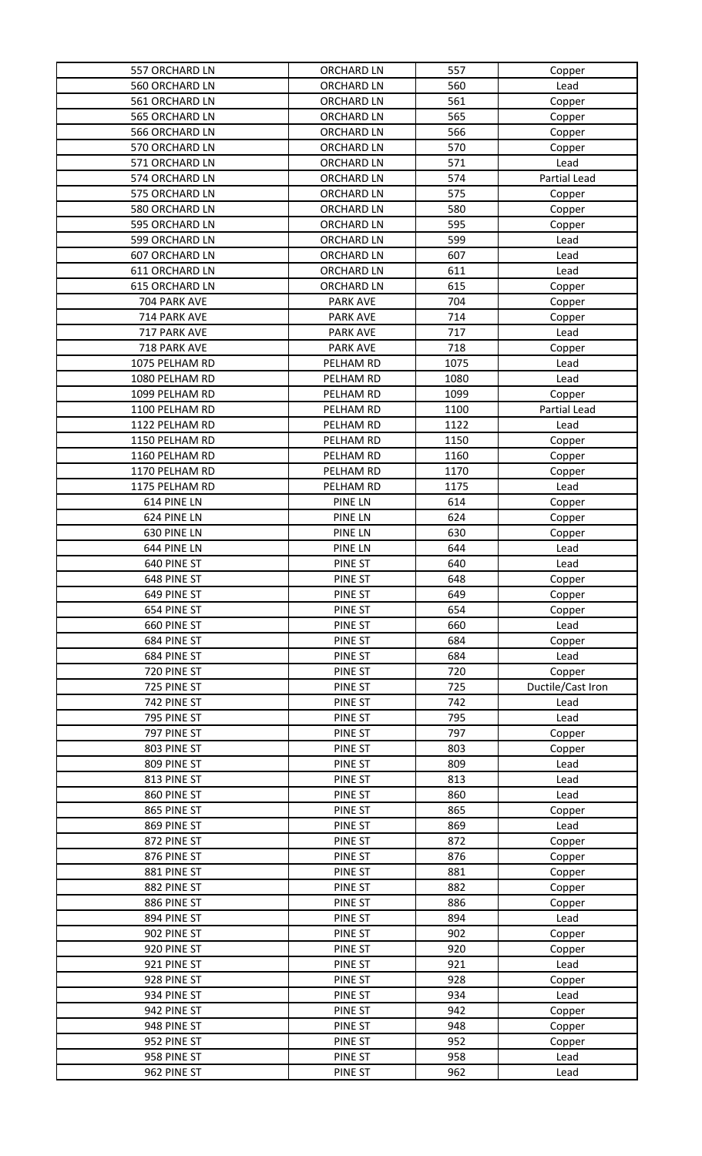| 557 ORCHARD LN | <b>ORCHARD LN</b> | 557  | Copper            |
|----------------|-------------------|------|-------------------|
| 560 ORCHARD LN | <b>ORCHARD LN</b> | 560  | Lead              |
| 561 ORCHARD LN | <b>ORCHARD LN</b> | 561  | Copper            |
| 565 ORCHARD LN | ORCHARD LN        | 565  | Copper            |
| 566 ORCHARD LN | <b>ORCHARD LN</b> | 566  | Copper            |
| 570 ORCHARD LN | <b>ORCHARD LN</b> | 570  | Copper            |
| 571 ORCHARD LN | <b>ORCHARD LN</b> | 571  | Lead              |
| 574 ORCHARD LN | <b>ORCHARD LN</b> | 574  | Partial Lead      |
| 575 ORCHARD LN | <b>ORCHARD LN</b> | 575  | Copper            |
| 580 ORCHARD LN | <b>ORCHARD LN</b> | 580  | Copper            |
| 595 ORCHARD LN | <b>ORCHARD LN</b> | 595  | Copper            |
| 599 ORCHARD LN | <b>ORCHARD LN</b> | 599  | Lead              |
| 607 ORCHARD LN | <b>ORCHARD LN</b> | 607  | Lead              |
| 611 ORCHARD LN | <b>ORCHARD LN</b> | 611  | Lead              |
| 615 ORCHARD LN | <b>ORCHARD LN</b> | 615  | Copper            |
| 704 PARK AVE   | PARK AVE          | 704  | Copper            |
| 714 PARK AVE   | <b>PARK AVE</b>   | 714  | Copper            |
| 717 PARK AVE   | PARK AVE          | 717  | Lead              |
| 718 PARK AVE   | <b>PARK AVE</b>   | 718  | Copper            |
| 1075 PELHAM RD | PELHAM RD         | 1075 | Lead              |
| 1080 PELHAM RD | PELHAM RD         | 1080 | Lead              |
| 1099 PELHAM RD | PELHAM RD         | 1099 | Copper            |
| 1100 PELHAM RD | PELHAM RD         | 1100 | Partial Lead      |
| 1122 PELHAM RD | PELHAM RD         | 1122 | Lead              |
| 1150 PELHAM RD | PELHAM RD         | 1150 | Copper            |
| 1160 PELHAM RD | PELHAM RD         | 1160 | Copper            |
| 1170 PELHAM RD | PELHAM RD         | 1170 | Copper            |
| 1175 PELHAM RD | PELHAM RD         | 1175 | Lead              |
| 614 PINE LN    | PINE LN           | 614  | Copper            |
| 624 PINE LN    | PINE LN           | 624  | Copper            |
| 630 PINE LN    | PINE LN           | 630  | Copper            |
| 644 PINE LN    | PINE LN           | 644  | Lead              |
| 640 PINE ST    | PINE ST           | 640  | Lead              |
| 648 PINE ST    | PINE ST           | 648  | Copper            |
| 649 PINE ST    | PINE ST           | 649  | Copper            |
| 654 PINE ST    | PINE ST           | 654  | Copper            |
| 660 PINE ST    | PINE ST           | 660  | Lead              |
| 684 PINE ST    | PINE ST           | 684  | Copper            |
|                |                   | 684  |                   |
| 684 PINE ST    | PINE ST           |      | Lead              |
| 720 PINE ST    | PINE ST           | 720  | Copper            |
| 725 PINE ST    | PINE ST           | 725  | Ductile/Cast Iron |
| 742 PINE ST    | PINE ST           | 742  | Lead              |
| 795 PINE ST    | PINE ST           | 795  | Lead              |
| 797 PINE ST    | PINE ST           | 797  |                   |
| 803 PINE ST    | PINE ST           | 803  | Copper            |
| 809 PINE ST    | PINE ST           | 809  | Copper<br>Lead    |
| 813 PINE ST    | PINE ST           | 813  | Lead              |
| 860 PINE ST    | PINE ST           | 860  | Lead              |
| 865 PINE ST    | PINE ST           | 865  | Copper            |
| 869 PINE ST    | PINE ST           | 869  | Lead              |
| 872 PINE ST    | PINE ST           | 872  | Copper            |
| 876 PINE ST    | PINE ST           | 876  | Copper            |
| 881 PINE ST    | PINE ST           | 881  | Copper            |
| 882 PINE ST    | PINE ST           | 882  | Copper            |
| 886 PINE ST    | PINE ST           | 886  | Copper            |
| 894 PINE ST    | PINE ST           | 894  | Lead              |
| 902 PINE ST    | PINE ST           | 902  | Copper            |
| 920 PINE ST    | PINE ST           | 920  | Copper            |
| 921 PINE ST    | PINE ST           | 921  | Lead              |
| 928 PINE ST    | PINE ST           | 928  | Copper            |
| 934 PINE ST    | PINE ST           | 934  | Lead              |
| 942 PINE ST    | PINE ST           | 942  | Copper            |
| 948 PINE ST    | PINE ST           | 948  | Copper            |
| 952 PINE ST    | PINE ST           | 952  | Copper            |
| 958 PINE ST    | PINE ST           | 958  | Lead              |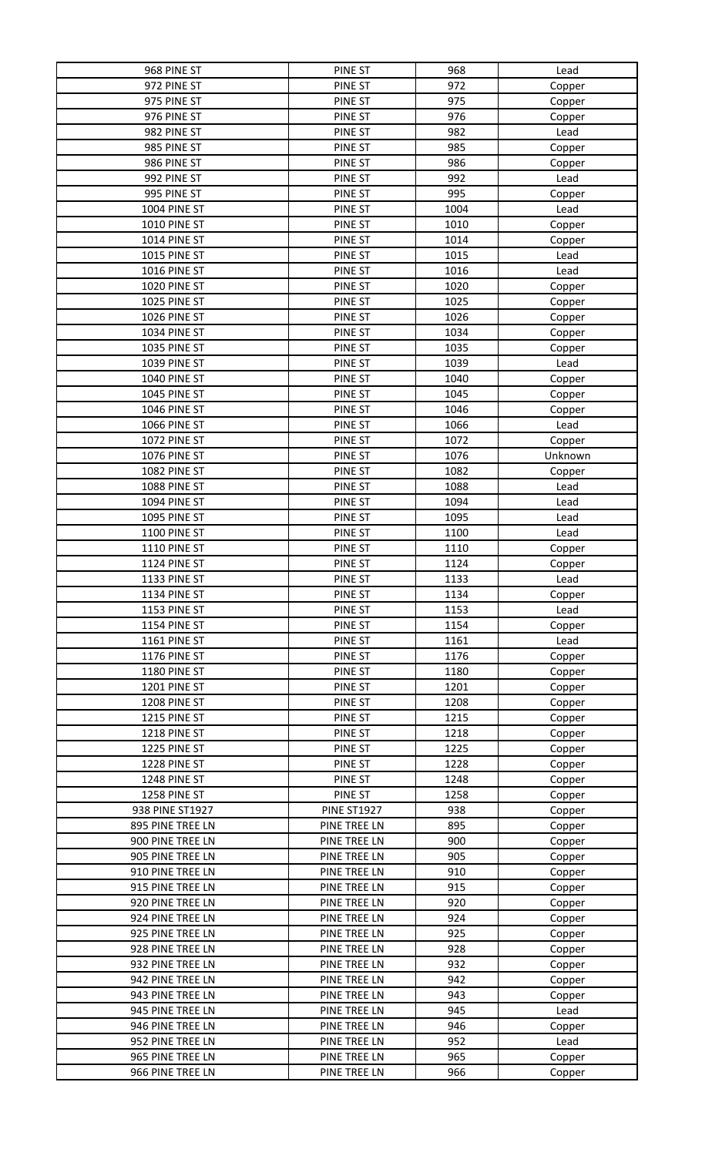| 968 PINE ST         | PINE ST            | 968  | Lead    |
|---------------------|--------------------|------|---------|
| 972 PINE ST         | PINE ST            | 972  | Copper  |
| 975 PINE ST         | PINE ST            | 975  | Copper  |
| 976 PINE ST         | PINE ST            | 976  | Copper  |
| 982 PINE ST         | PINE ST            | 982  | Lead    |
| 985 PINE ST         | PINE ST            | 985  | Copper  |
| 986 PINE ST         | PINE ST            | 986  | Copper  |
| 992 PINE ST         | PINE ST            | 992  | Lead    |
| 995 PINE ST         | PINE ST            | 995  | Copper  |
| 1004 PINE ST        | PINE ST            | 1004 | Lead    |
| 1010 PINE ST        | PINE ST            | 1010 |         |
|                     |                    |      | Copper  |
| 1014 PINE ST        | PINE ST            | 1014 | Copper  |
| 1015 PINE ST        | PINE ST            | 1015 | Lead    |
| 1016 PINE ST        | PINE ST            | 1016 | Lead    |
| 1020 PINE ST        | PINE ST            | 1020 | Copper  |
| 1025 PINE ST        | PINE ST            | 1025 | Copper  |
| 1026 PINE ST        | PINE ST            | 1026 | Copper  |
| 1034 PINE ST        | PINE ST            | 1034 | Copper  |
| 1035 PINE ST        | PINE ST            | 1035 | Copper  |
| 1039 PINE ST        | PINE ST            | 1039 | Lead    |
| 1040 PINE ST        | PINE ST            | 1040 | Copper  |
| 1045 PINE ST        | PINE ST            | 1045 | Copper  |
| 1046 PINE ST        | PINE ST            | 1046 | Copper  |
| 1066 PINE ST        | PINE ST            | 1066 | Lead    |
| 1072 PINE ST        | PINE ST            | 1072 | Copper  |
| 1076 PINE ST        | PINE ST            | 1076 | Unknown |
| 1082 PINE ST        | PINE ST            | 1082 | Copper  |
| 1088 PINE ST        | PINE ST            | 1088 | Lead    |
| 1094 PINE ST        | PINE ST            | 1094 | Lead    |
| 1095 PINE ST        | PINE ST            | 1095 | Lead    |
| 1100 PINE ST        | PINE ST            | 1100 | Lead    |
| <b>1110 PINE ST</b> | PINE ST            | 1110 | Copper  |
| 1124 PINE ST        | PINE ST            | 1124 | Copper  |
| 1133 PINE ST        | PINE ST            | 1133 | Lead    |
| 1134 PINE ST        | PINE ST            | 1134 | Copper  |
| 1153 PINE ST        | PINE ST            | 1153 | Lead    |
| 1154 PINE ST        | PINE ST            | 1154 | Copper  |
| 1161 PINE ST        | PINE ST            | 1161 | Lead    |
| 1176 PINE ST        | PINE ST            | 1176 | Copper  |
| 1180 PINE ST        | PINE ST            | 1180 | Copper  |
| 1201 PINE ST        | PINE ST            | 1201 | Copper  |
| 1208 PINE ST        | PINE ST            | 1208 | Copper  |
| 1215 PINE ST        | PINE ST            | 1215 | Copper  |
| 1218 PINE ST        | PINE ST            | 1218 | Copper  |
| 1225 PINE ST        | PINE ST            | 1225 | Copper  |
| 1228 PINE ST        | PINE ST            | 1228 | Copper  |
| 1248 PINE ST        | PINE ST            | 1248 | Copper  |
| 1258 PINE ST        | PINE ST            | 1258 | Copper  |
| 938 PINE ST1927     | <b>PINE ST1927</b> | 938  | Copper  |
| 895 PINE TREE LN    | PINE TREE LN       | 895  | Copper  |
| 900 PINE TREE LN    | PINE TREE LN       | 900  | Copper  |
| 905 PINE TREE LN    | PINE TREE LN       | 905  | Copper  |
| 910 PINE TREE LN    | PINE TREE LN       | 910  | Copper  |
| 915 PINE TREE LN    | PINE TREE LN       | 915  | Copper  |
| 920 PINE TREE LN    | PINE TREE LN       | 920  | Copper  |
| 924 PINE TREE LN    | PINE TREE LN       | 924  | Copper  |
| 925 PINE TREE LN    | PINE TREE LN       | 925  | Copper  |
| 928 PINE TREE LN    | PINE TREE LN       | 928  | Copper  |
| 932 PINE TREE LN    | PINE TREE LN       | 932  | Copper  |
| 942 PINE TREE LN    | PINE TREE LN       | 942  | Copper  |
| 943 PINE TREE LN    | PINE TREE LN       | 943  | Copper  |
| 945 PINE TREE LN    | PINE TREE LN       | 945  | Lead    |
| 946 PINE TREE LN    | PINE TREE LN       | 946  | Copper  |
| 952 PINE TREE LN    | PINE TREE LN       | 952  | Lead    |
| 965 PINE TREE LN    | PINE TREE LN       | 965  | Copper  |
| 966 PINE TREE LN    | PINE TREE LN       | 966  | Copper  |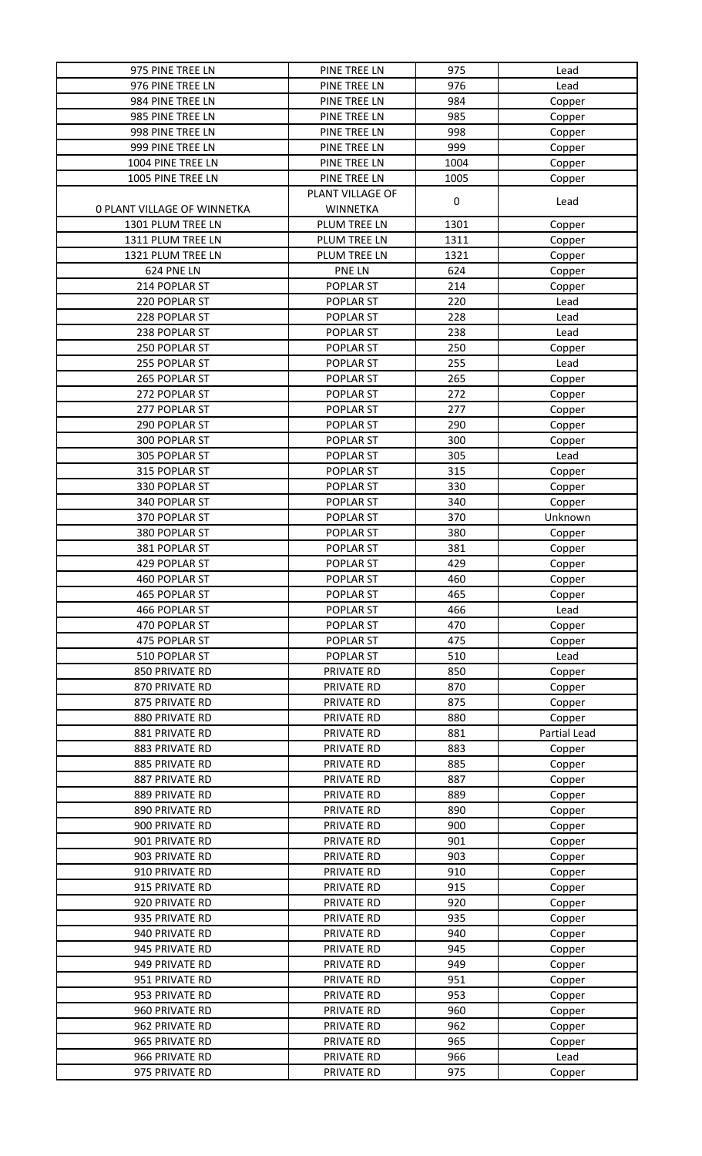| 975 PINE TREE LN            | PINE TREE LN     | 975  | Lead         |
|-----------------------------|------------------|------|--------------|
| 976 PINE TREE LN            | PINE TREE LN     | 976  | Lead         |
| 984 PINE TREE LN            | PINE TREE LN     | 984  | Copper       |
| 985 PINE TREE LN            | PINE TREE LN     | 985  | Copper       |
| 998 PINE TREE LN            | PINE TREE LN     | 998  | Copper       |
| 999 PINE TREE LN            | PINE TREE LN     | 999  | Copper       |
| 1004 PINE TREE LN           |                  | 1004 |              |
|                             | PINE TREE LN     |      | Copper       |
| 1005 PINE TREE LN           | PINE TREE LN     | 1005 | Copper       |
|                             | PLANT VILLAGE OF | 0    | Lead         |
| 0 PLANT VILLAGE OF WINNETKA | <b>WINNETKA</b>  |      |              |
| 1301 PLUM TREE LN           | PLUM TREE LN     | 1301 | Copper       |
| 1311 PLUM TREE LN           | PLUM TREE LN     | 1311 | Copper       |
| 1321 PLUM TREE LN           | PLUM TREE LN     | 1321 | Copper       |
| 624 PNE LN                  | PNE LN           | 624  | Copper       |
| 214 POPLAR ST               | POPLAR ST        | 214  | Copper       |
| 220 POPLAR ST               | POPLAR ST        | 220  | Lead         |
| 228 POPLAR ST               | POPLAR ST        | 228  | Lead         |
| 238 POPLAR ST               | POPLAR ST        | 238  | Lead         |
| 250 POPLAR ST               | POPLAR ST        | 250  | Copper       |
| 255 POPLAR ST               | POPLAR ST        | 255  | Lead         |
| 265 POPLAR ST               | POPLAR ST        | 265  | Copper       |
| 272 POPLAR ST               | POPLAR ST        | 272  |              |
|                             |                  |      | Copper       |
| 277 POPLAR ST               | POPLAR ST        | 277  | Copper       |
| 290 POPLAR ST               | POPLAR ST        | 290  | Copper       |
| 300 POPLAR ST               | POPLAR ST        | 300  | Copper       |
| 305 POPLAR ST               | POPLAR ST        | 305  | Lead         |
| 315 POPLAR ST               | POPLAR ST        | 315  | Copper       |
| 330 POPLAR ST               | POPLAR ST        | 330  | Copper       |
| 340 POPLAR ST               | POPLAR ST        | 340  | Copper       |
| 370 POPLAR ST               | POPLAR ST        | 370  | Unknown      |
| 380 POPLAR ST               | POPLAR ST        | 380  | Copper       |
| 381 POPLAR ST               | POPLAR ST        | 381  | Copper       |
| 429 POPLAR ST               | POPLAR ST        | 429  | Copper       |
| 460 POPLAR ST               | <b>POPLAR ST</b> | 460  | Copper       |
| 465 POPLAR ST               | POPLAR ST        | 465  | Copper       |
| 466 POPLAR ST               | POPLAR ST        | 466  | Lead         |
| 470 POPLAR ST               | POPLAR ST        | 470  | Copper       |
| 475 POPLAR ST               | POPLAR ST        | 475  |              |
| 510 POPLAR ST               |                  | 510  | Copper       |
|                             | POPLAR ST        |      | Lead         |
| 850 PRIVATE RD              | PRIVATE RD       | 850  | Copper       |
| 870 PRIVATE RD              | PRIVATE RD       | 870  | Copper       |
| 875 PRIVATE RD              | PRIVATE RD       | 875  | Copper       |
| 880 PRIVATE RD              | PRIVATE RD       | 880  | Copper       |
| 881 PRIVATE RD              | PRIVATE RD       | 881  | Partial Lead |
| 883 PRIVATE RD              | PRIVATE RD       | 883  | Copper       |
| 885 PRIVATE RD              | PRIVATE RD       | 885  | Copper       |
| 887 PRIVATE RD              | PRIVATE RD       | 887  | Copper       |
| 889 PRIVATE RD              | PRIVATE RD       | 889  | Copper       |
| 890 PRIVATE RD              | PRIVATE RD       | 890  | Copper       |
| 900 PRIVATE RD              | PRIVATE RD       | 900  | Copper       |
| 901 PRIVATE RD              | PRIVATE RD       | 901  | Copper       |
| 903 PRIVATE RD              | PRIVATE RD       | 903  | Copper       |
| 910 PRIVATE RD              | PRIVATE RD       | 910  | Copper       |
| 915 PRIVATE RD              | PRIVATE RD       | 915  | Copper       |
| 920 PRIVATE RD              | PRIVATE RD       | 920  | Copper       |
| 935 PRIVATE RD              | PRIVATE RD       | 935  | Copper       |
| 940 PRIVATE RD              | PRIVATE RD       | 940  |              |
|                             |                  |      | Copper       |
| 945 PRIVATE RD              | PRIVATE RD       | 945  | Copper       |
| 949 PRIVATE RD              | PRIVATE RD       | 949  | Copper       |
| 951 PRIVATE RD              | PRIVATE RD       | 951  | Copper       |
| 953 PRIVATE RD              | PRIVATE RD       | 953  | Copper       |
| 960 PRIVATE RD              | PRIVATE RD       | 960  | Copper       |
| 962 PRIVATE RD              | PRIVATE RD       | 962  | Copper       |
| 965 PRIVATE RD              | PRIVATE RD       | 965  | Copper       |
| 966 PRIVATE RD              | PRIVATE RD       | 966  | Lead         |
| 975 PRIVATE RD              | PRIVATE RD       | 975  | Copper       |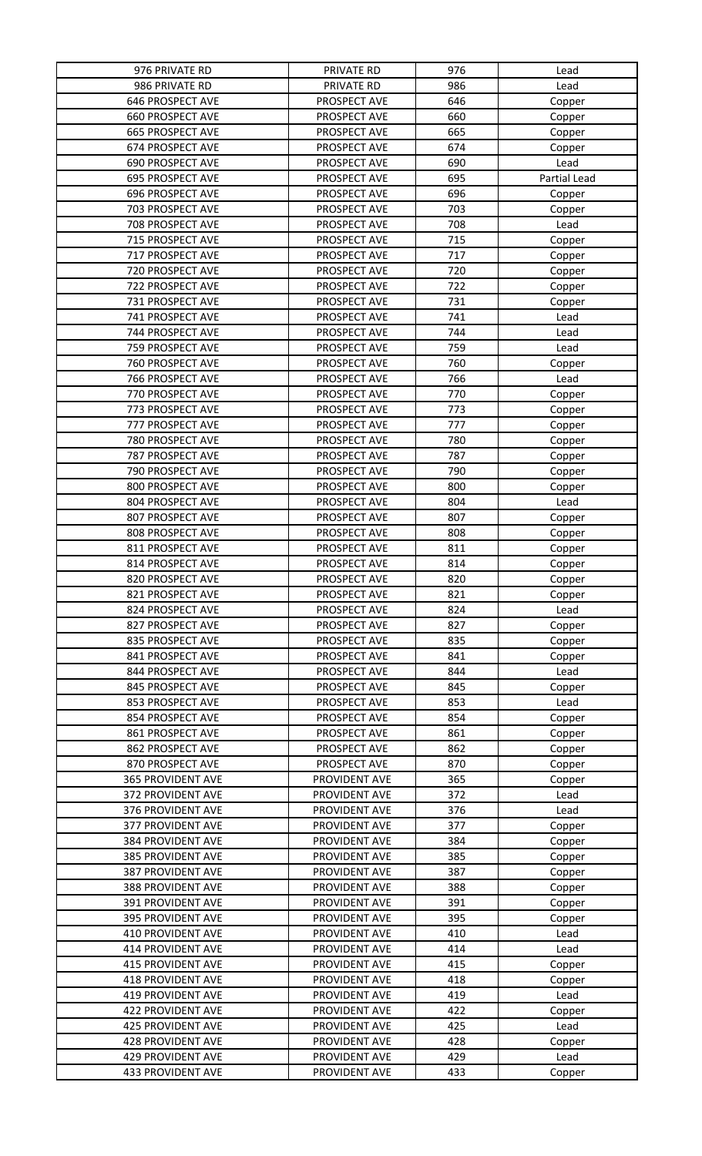| 976 PRIVATE RD           | PRIVATE RD                     | 976 | Lead         |
|--------------------------|--------------------------------|-----|--------------|
| 986 PRIVATE RD           | PRIVATE RD                     | 986 | Lead         |
| 646 PROSPECT AVE         | PROSPECT AVE                   | 646 | Copper       |
| <b>660 PROSPECT AVE</b>  | PROSPECT AVE                   | 660 | Copper       |
| <b>665 PROSPECT AVE</b>  | PROSPECT AVE                   | 665 | Copper       |
| 674 PROSPECT AVE         | PROSPECT AVE                   | 674 | Copper       |
| 690 PROSPECT AVE         | PROSPECT AVE                   | 690 | Lead         |
| 695 PROSPECT AVE         | PROSPECT AVE                   | 695 | Partial Lead |
| 696 PROSPECT AVE         | PROSPECT AVE                   | 696 | Copper       |
| 703 PROSPECT AVE         |                                | 703 |              |
|                          | PROSPECT AVE                   |     | Copper       |
| 708 PROSPECT AVE         | PROSPECT AVE                   | 708 | Lead         |
| 715 PROSPECT AVE         | PROSPECT AVE                   | 715 | Copper       |
| 717 PROSPECT AVE         | PROSPECT AVE                   | 717 | Copper       |
| 720 PROSPECT AVE         | PROSPECT AVE                   | 720 | Copper       |
| 722 PROSPECT AVE         | PROSPECT AVE                   | 722 | Copper       |
| 731 PROSPECT AVE         | PROSPECT AVE                   | 731 | Copper       |
| 741 PROSPECT AVE         | PROSPECT AVE                   | 741 | Lead         |
| 744 PROSPECT AVE         | PROSPECT AVE                   | 744 | Lead         |
| 759 PROSPECT AVE         | PROSPECT AVE                   | 759 | Lead         |
| 760 PROSPECT AVE         | PROSPECT AVE                   | 760 | Copper       |
| 766 PROSPECT AVE         | PROSPECT AVE                   | 766 | Lead         |
| 770 PROSPECT AVE         | PROSPECT AVE                   | 770 | Copper       |
| 773 PROSPECT AVE         | PROSPECT AVE                   | 773 | Copper       |
| 777 PROSPECT AVE         | PROSPECT AVE                   | 777 | Copper       |
| 780 PROSPECT AVE         | PROSPECT AVE                   | 780 | Copper       |
| 787 PROSPECT AVE         | PROSPECT AVE                   | 787 | Copper       |
| 790 PROSPECT AVE         | PROSPECT AVE                   | 790 | Copper       |
| 800 PROSPECT AVE         | PROSPECT AVE                   | 800 | Copper       |
| 804 PROSPECT AVE         | PROSPECT AVE                   | 804 | Lead         |
| 807 PROSPECT AVE         | PROSPECT AVE                   | 807 | Copper       |
| 808 PROSPECT AVE         | PROSPECT AVE                   | 808 |              |
| 811 PROSPECT AVE         |                                | 811 | Copper       |
| 814 PROSPECT AVE         | PROSPECT AVE<br>PROSPECT AVE   | 814 | Copper       |
|                          |                                |     | Copper       |
| 820 PROSPECT AVE         | PROSPECT AVE                   | 820 | Copper       |
| 821 PROSPECT AVE         | PROSPECT AVE                   | 821 | Copper       |
| 824 PROSPECT AVE         | PROSPECT AVE                   | 824 | Lead         |
| 827 PROSPECT AVE         | PROSPECT AVE                   | 827 | Copper       |
| 835 PROSPECT AVE         | PROSPECT AVE                   | 835 | Copper       |
| 841 PROSPECT AVE         | PROSPECT AVE                   | 841 | Copper       |
| 844 PROSPECT AVE         | PROSPECT AVE                   | 844 | Lead         |
| 845 PROSPECT AVE         | PROSPECT AVE                   | 845 | Copper       |
| 853 PROSPECT AVE         | PROSPECT AVE                   | 853 | Lead         |
| 854 PROSPECT AVE         | PROSPECT AVE                   | 854 | Copper       |
| 861 PROSPECT AVE         | PROSPECT AVE                   | 861 | Copper       |
| 862 PROSPECT AVE         | PROSPECT AVE                   | 862 | Copper       |
| 870 PROSPECT AVE         | PROSPECT AVE                   | 870 | Copper       |
| <b>365 PROVIDENT AVE</b> | PROVIDENT AVE                  | 365 | Copper       |
| 372 PROVIDENT AVE        | PROVIDENT AVE                  | 372 | Lead         |
| 376 PROVIDENT AVE        | PROVIDENT AVE                  | 376 | Lead         |
| 377 PROVIDENT AVE        | PROVIDENT AVE                  | 377 | Copper       |
| 384 PROVIDENT AVE        | PROVIDENT AVE                  | 384 | Copper       |
| 385 PROVIDENT AVE        | PROVIDENT AVE                  | 385 | Copper       |
| 387 PROVIDENT AVE        | PROVIDENT AVE                  | 387 | Copper       |
| 388 PROVIDENT AVE        | PROVIDENT AVE                  | 388 | Copper       |
| 391 PROVIDENT AVE        | PROVIDENT AVE                  | 391 | Copper       |
| 395 PROVIDENT AVE        | PROVIDENT AVE                  | 395 | Copper       |
| 410 PROVIDENT AVE        | PROVIDENT AVE                  | 410 | Lead         |
| <b>414 PROVIDENT AVE</b> | PROVIDENT AVE                  | 414 | Lead         |
| <b>415 PROVIDENT AVE</b> | PROVIDENT AVE                  | 415 | Copper       |
| 418 PROVIDENT AVE        | PROVIDENT AVE                  | 418 | Copper       |
| <b>419 PROVIDENT AVE</b> | PROVIDENT AVE                  | 419 | Lead         |
| 422 PROVIDENT AVE        |                                | 422 |              |
| <b>425 PROVIDENT AVE</b> | PROVIDENT AVE<br>PROVIDENT AVE |     | Copper       |
|                          |                                | 425 | Lead         |
| 428 PROVIDENT AVE        | PROVIDENT AVE                  | 428 | Copper       |
| <b>429 PROVIDENT AVE</b> | PROVIDENT AVE                  | 429 | Lead         |
| 433 PROVIDENT AVE        | PROVIDENT AVE                  | 433 | Copper       |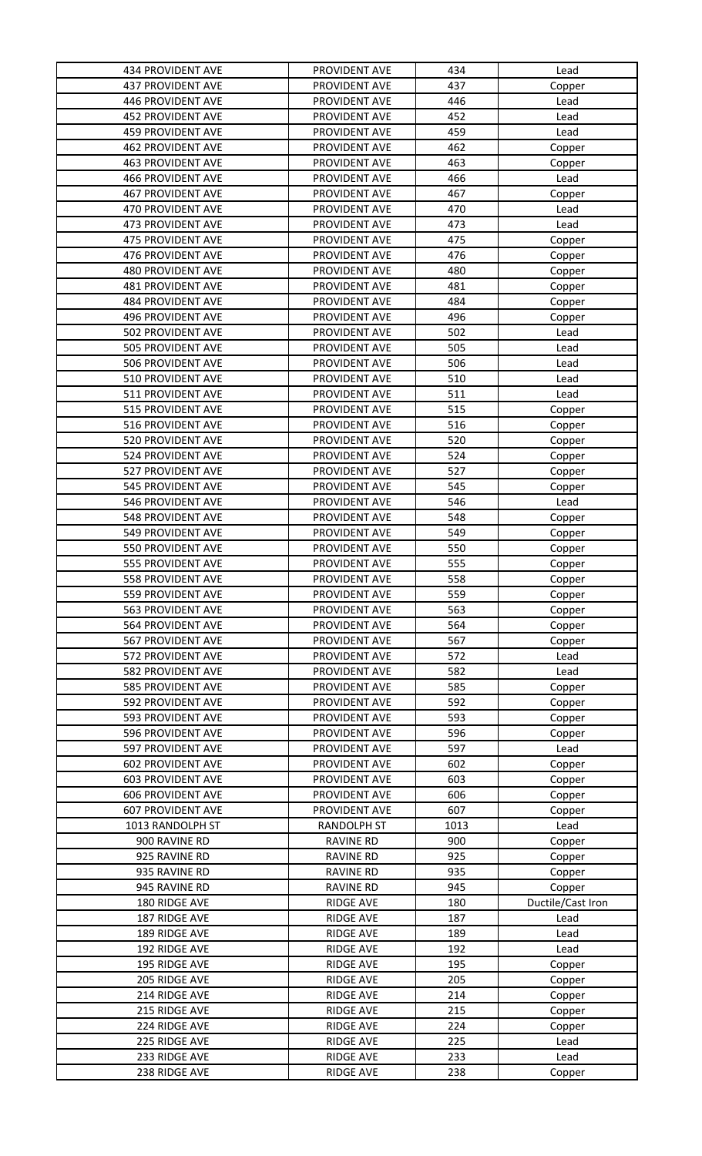| <b>434 PROVIDENT AVE</b> | PROVIDENT AVE      | 434  | Lead              |
|--------------------------|--------------------|------|-------------------|
| <b>437 PROVIDENT AVE</b> | PROVIDENT AVE      | 437  | Copper            |
| 446 PROVIDENT AVE        | PROVIDENT AVE      | 446  | Lead              |
| <b>452 PROVIDENT AVE</b> | PROVIDENT AVE      | 452  | Lead              |
| <b>459 PROVIDENT AVE</b> | PROVIDENT AVE      | 459  | Lead              |
| 462 PROVIDENT AVE        | PROVIDENT AVE      | 462  | Copper            |
| <b>463 PROVIDENT AVE</b> | PROVIDENT AVE      | 463  | Copper            |
| <b>466 PROVIDENT AVE</b> | PROVIDENT AVE      | 466  | Lead              |
| <b>467 PROVIDENT AVE</b> | PROVIDENT AVE      | 467  | Copper            |
| 470 PROVIDENT AVE        | PROVIDENT AVE      | 470  | Lead              |
| 473 PROVIDENT AVE        | PROVIDENT AVE      | 473  | Lead              |
| 475 PROVIDENT AVE        | PROVIDENT AVE      | 475  | Copper            |
| 476 PROVIDENT AVE        | PROVIDENT AVE      | 476  | Copper            |
| 480 PROVIDENT AVE        | PROVIDENT AVE      | 480  | Copper            |
| 481 PROVIDENT AVE        | PROVIDENT AVE      | 481  | Copper            |
| <b>484 PROVIDENT AVE</b> | PROVIDENT AVE      | 484  | Copper            |
| 496 PROVIDENT AVE        | PROVIDENT AVE      | 496  | Copper            |
| 502 PROVIDENT AVE        | PROVIDENT AVE      | 502  | Lead              |
| 505 PROVIDENT AVE        | PROVIDENT AVE      | 505  | Lead              |
| 506 PROVIDENT AVE        | PROVIDENT AVE      | 506  | Lead              |
| 510 PROVIDENT AVE        | PROVIDENT AVE      | 510  | Lead              |
| 511 PROVIDENT AVE        | PROVIDENT AVE      | 511  | Lead              |
| 515 PROVIDENT AVE        | PROVIDENT AVE      | 515  | Copper            |
| 516 PROVIDENT AVE        | PROVIDENT AVE      | 516  | Copper            |
| 520 PROVIDENT AVE        | PROVIDENT AVE      | 520  | Copper            |
| 524 PROVIDENT AVE        | PROVIDENT AVE      | 524  | Copper            |
| 527 PROVIDENT AVE        | PROVIDENT AVE      | 527  | Copper            |
| 545 PROVIDENT AVE        | PROVIDENT AVE      | 545  | Copper            |
| 546 PROVIDENT AVE        | PROVIDENT AVE      | 546  | Lead              |
| <b>548 PROVIDENT AVE</b> | PROVIDENT AVE      | 548  | Copper            |
| 549 PROVIDENT AVE        | PROVIDENT AVE      | 549  | Copper            |
| 550 PROVIDENT AVE        | PROVIDENT AVE      | 550  | Copper            |
| 555 PROVIDENT AVE        | PROVIDENT AVE      | 555  | Copper            |
| 558 PROVIDENT AVE        | PROVIDENT AVE      | 558  | Copper            |
| 559 PROVIDENT AVE        | PROVIDENT AVE      | 559  | Copper            |
| <b>563 PROVIDENT AVE</b> | PROVIDENT AVE      | 563  | Copper            |
| 564 PROVIDENT AVE        | PROVIDENT AVE      | 564  | Copper            |
| 567 PROVIDENT AVE        | PROVIDENT AVE      | 567  | Copper            |
| 572 PROVIDENT AVE        | PROVIDENT AVE      | 572  | Lead              |
| 582 PROVIDENT AVE        | PROVIDENT AVE      | 582  | Lead              |
| 585 PROVIDENT AVE        | PROVIDENT AVE      | 585  | Copper            |
| 592 PROVIDENT AVE        | PROVIDENT AVE      | 592  | Copper            |
| 593 PROVIDENT AVE        | PROVIDENT AVE      | 593  | Copper            |
| 596 PROVIDENT AVE        | PROVIDENT AVE      | 596  | Copper            |
| 597 PROVIDENT AVE        | PROVIDENT AVE      | 597  | Lead              |
| <b>602 PROVIDENT AVE</b> | PROVIDENT AVE      | 602  | Copper            |
| <b>603 PROVIDENT AVE</b> | PROVIDENT AVE      | 603  | Copper            |
| <b>606 PROVIDENT AVE</b> | PROVIDENT AVE      | 606  | Copper            |
| <b>607 PROVIDENT AVE</b> | PROVIDENT AVE      | 607  | Copper            |
| 1013 RANDOLPH ST         | <b>RANDOLPH ST</b> | 1013 | Lead              |
| 900 RAVINE RD            | <b>RAVINE RD</b>   | 900  | Copper            |
| 925 RAVINE RD            | <b>RAVINE RD</b>   | 925  | Copper            |
| 935 RAVINE RD            | <b>RAVINE RD</b>   | 935  | Copper            |
| 945 RAVINE RD            | <b>RAVINE RD</b>   | 945  | Copper            |
| 180 RIDGE AVE            | <b>RIDGE AVE</b>   | 180  | Ductile/Cast Iron |
| 187 RIDGE AVE            | <b>RIDGE AVE</b>   | 187  | Lead              |
| 189 RIDGE AVE            | <b>RIDGE AVE</b>   | 189  | Lead              |
| 192 RIDGE AVE            | <b>RIDGE AVE</b>   | 192  | Lead              |
| 195 RIDGE AVE            | <b>RIDGE AVE</b>   | 195  | Copper            |
| 205 RIDGE AVE            | <b>RIDGE AVE</b>   | 205  | Copper            |
| 214 RIDGE AVE            | <b>RIDGE AVE</b>   | 214  | Copper            |
| 215 RIDGE AVE            | <b>RIDGE AVE</b>   | 215  | Copper            |
| 224 RIDGE AVE            | <b>RIDGE AVE</b>   | 224  | Copper            |
| 225 RIDGE AVE            | <b>RIDGE AVE</b>   | 225  | Lead              |
| 233 RIDGE AVE            | <b>RIDGE AVE</b>   | 233  | Lead              |
| 238 RIDGE AVE            | <b>RIDGE AVE</b>   | 238  | Copper            |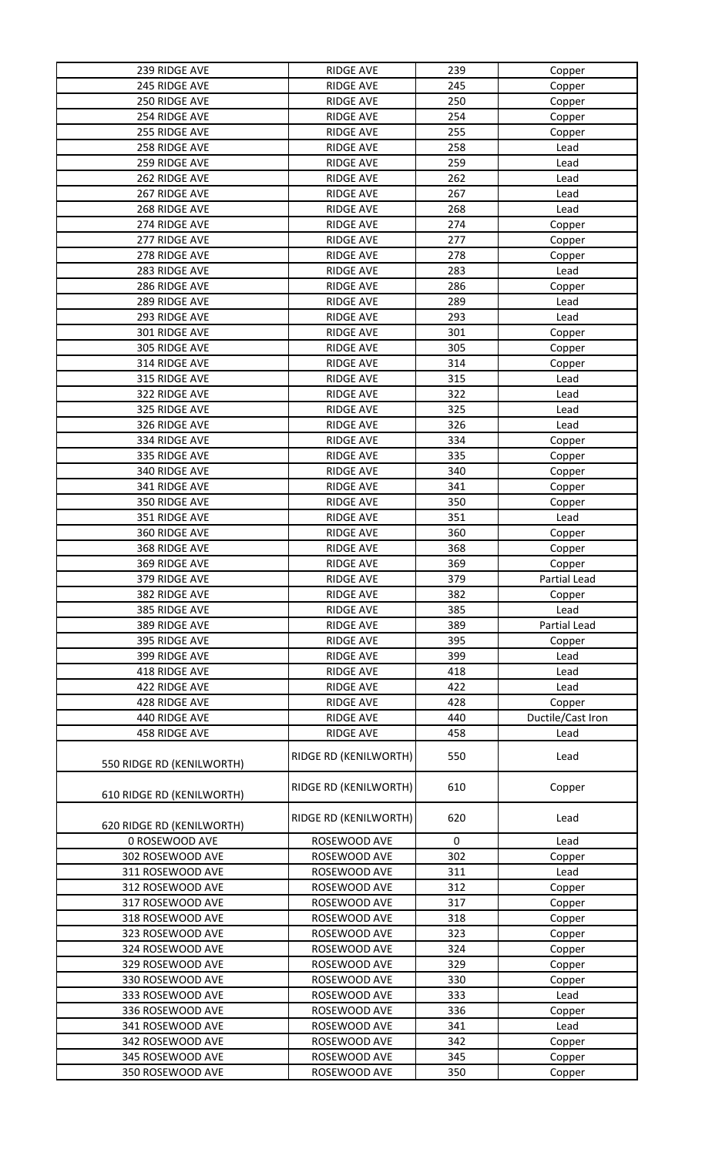| 239 RIDGE AVE             | <b>RIDGE AVE</b>      | 239         | Copper            |
|---------------------------|-----------------------|-------------|-------------------|
| 245 RIDGE AVE             | <b>RIDGE AVE</b>      | 245         | Copper            |
| 250 RIDGE AVE             | <b>RIDGE AVE</b>      | 250         | Copper            |
| 254 RIDGE AVE             | <b>RIDGE AVE</b>      | 254         | Copper            |
| 255 RIDGE AVE             | <b>RIDGE AVE</b>      | 255         | Copper            |
| 258 RIDGE AVE             | <b>RIDGE AVE</b>      | 258         | Lead              |
| 259 RIDGE AVE             | <b>RIDGE AVE</b>      | 259         | Lead              |
| 262 RIDGE AVE             | <b>RIDGE AVE</b>      | 262         | Lead              |
| 267 RIDGE AVE             | <b>RIDGE AVE</b>      | 267         | Lead              |
| 268 RIDGE AVE             | <b>RIDGE AVE</b>      | 268         | Lead              |
| 274 RIDGE AVE             | <b>RIDGE AVE</b>      | 274         | Copper            |
| 277 RIDGE AVE             | <b>RIDGE AVE</b>      | 277         |                   |
| 278 RIDGE AVE             |                       |             | Copper            |
|                           | <b>RIDGE AVE</b>      | 278         | Copper            |
| 283 RIDGE AVE             | <b>RIDGE AVE</b>      | 283         | Lead              |
| 286 RIDGE AVE             | <b>RIDGE AVE</b>      | 286         | Copper            |
| 289 RIDGE AVE             | <b>RIDGE AVE</b>      | 289         | Lead              |
| 293 RIDGE AVE             | <b>RIDGE AVE</b>      | 293         | Lead              |
| 301 RIDGE AVE             | <b>RIDGE AVE</b>      | 301         | Copper            |
| 305 RIDGE AVE             | <b>RIDGE AVE</b>      | 305         | Copper            |
| 314 RIDGE AVE             | <b>RIDGE AVE</b>      | 314         | Copper            |
| 315 RIDGE AVE             | <b>RIDGE AVE</b>      | 315         | Lead              |
| 322 RIDGE AVE             | <b>RIDGE AVE</b>      | 322         | Lead              |
| 325 RIDGE AVE             | <b>RIDGE AVE</b>      | 325         | Lead              |
| 326 RIDGE AVE             | <b>RIDGE AVE</b>      | 326         | Lead              |
| 334 RIDGE AVE             | <b>RIDGE AVE</b>      | 334         | Copper            |
| 335 RIDGE AVE             | <b>RIDGE AVE</b>      | 335         | Copper            |
| 340 RIDGE AVE             | <b>RIDGE AVE</b>      | 340         | Copper            |
| 341 RIDGE AVE             | <b>RIDGE AVE</b>      | 341         | Copper            |
| 350 RIDGE AVE             | <b>RIDGE AVE</b>      | 350         | Copper            |
| 351 RIDGE AVE             | <b>RIDGE AVE</b>      | 351         | Lead              |
| 360 RIDGE AVE             | <b>RIDGE AVE</b>      | 360         | Copper            |
| 368 RIDGE AVE             | <b>RIDGE AVE</b>      | 368         | Copper            |
| 369 RIDGE AVE             | <b>RIDGE AVE</b>      | 369         | Copper            |
| 379 RIDGE AVE             | <b>RIDGE AVE</b>      | 379         | Partial Lead      |
| 382 RIDGE AVE             | <b>RIDGE AVE</b>      | 382         | Copper            |
| 385 RIDGE AVE             | <b>RIDGE AVE</b>      | 385         | Lead              |
| 389 RIDGE AVE             | <b>RIDGE AVE</b>      | 389         | Partial Lead      |
| 395 RIDGE AVE             |                       | 395         |                   |
|                           | <b>RIDGE AVE</b>      | 399         | Copper            |
| 399 RIDGE AVE             | <b>RIDGE AVE</b>      |             | Lead              |
| 418 RIDGE AVE             | <b>RIDGE AVE</b>      | 418         | Lead              |
| 422 RIDGE AVE             | <b>RIDGE AVE</b>      | 422         | Lead              |
| 428 RIDGE AVE             | <b>RIDGE AVE</b>      | 428         | Copper            |
| 440 RIDGE AVE             | <b>RIDGE AVE</b>      | 440         | Ductile/Cast Iron |
| 458 RIDGE AVE             | <b>RIDGE AVE</b>      | 458         | Lead              |
| 550 RIDGE RD (KENILWORTH) | RIDGE RD (KENILWORTH) | 550         | Lead              |
| 610 RIDGE RD (KENILWORTH) | RIDGE RD (KENILWORTH) | 610         | Copper            |
| 620 RIDGE RD (KENILWORTH) | RIDGE RD (KENILWORTH) | 620         | Lead              |
| 0 ROSEWOOD AVE            | ROSEWOOD AVE          | $\mathbf 0$ | Lead              |
| 302 ROSEWOOD AVE          | ROSEWOOD AVE          | 302         | Copper            |
| 311 ROSEWOOD AVE          | ROSEWOOD AVE          | 311         | Lead              |
| 312 ROSEWOOD AVE          | ROSEWOOD AVE          | 312         | Copper            |
| 317 ROSEWOOD AVE          | ROSEWOOD AVE          | 317         | Copper            |
| 318 ROSEWOOD AVE          | ROSEWOOD AVE          | 318         | Copper            |
| 323 ROSEWOOD AVE          | ROSEWOOD AVE          | 323         | Copper            |
| 324 ROSEWOOD AVE          | ROSEWOOD AVE          | 324         | Copper            |
| 329 ROSEWOOD AVE          | ROSEWOOD AVE          | 329         | Copper            |
| 330 ROSEWOOD AVE          | ROSEWOOD AVE          | 330         | Copper            |
| 333 ROSEWOOD AVE          | ROSEWOOD AVE          | 333         | Lead              |
| 336 ROSEWOOD AVE          | ROSEWOOD AVE          | 336         | Copper            |
| 341 ROSEWOOD AVE          | ROSEWOOD AVE          | 341         | Lead              |
| 342 ROSEWOOD AVE          | ROSEWOOD AVE          | 342         | Copper            |
| 345 ROSEWOOD AVE          | ROSEWOOD AVE          | 345         | Copper            |
| 350 ROSEWOOD AVE          | ROSEWOOD AVE          | 350         | Copper            |
|                           |                       |             |                   |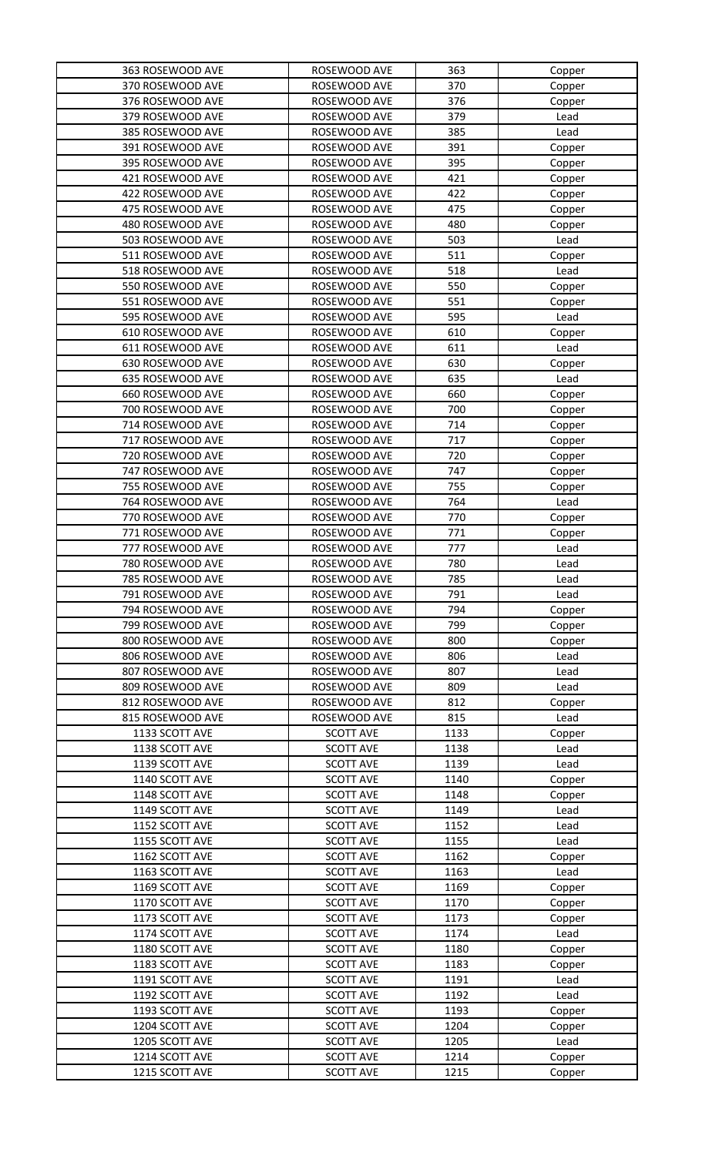| 363 ROSEWOOD AVE | ROSEWOOD AVE     | 363  | Copper |
|------------------|------------------|------|--------|
| 370 ROSEWOOD AVE | ROSEWOOD AVE     | 370  | Copper |
| 376 ROSEWOOD AVE | ROSEWOOD AVE     | 376  | Copper |
| 379 ROSEWOOD AVE | ROSEWOOD AVE     | 379  | Lead   |
| 385 ROSEWOOD AVE | ROSEWOOD AVE     | 385  | Lead   |
| 391 ROSEWOOD AVE | ROSEWOOD AVE     | 391  | Copper |
| 395 ROSEWOOD AVE | ROSEWOOD AVE     | 395  | Copper |
| 421 ROSEWOOD AVE | ROSEWOOD AVE     | 421  | Copper |
| 422 ROSEWOOD AVE | ROSEWOOD AVE     | 422  | Copper |
| 475 ROSEWOOD AVE | ROSEWOOD AVE     | 475  | Copper |
| 480 ROSEWOOD AVE | ROSEWOOD AVE     | 480  | Copper |
| 503 ROSEWOOD AVE | ROSEWOOD AVE     | 503  | Lead   |
| 511 ROSEWOOD AVE | ROSEWOOD AVE     | 511  | Copper |
| 518 ROSEWOOD AVE | ROSEWOOD AVE     | 518  | Lead   |
| 550 ROSEWOOD AVE | ROSEWOOD AVE     | 550  | Copper |
| 551 ROSEWOOD AVE | ROSEWOOD AVE     | 551  | Copper |
| 595 ROSEWOOD AVE | ROSEWOOD AVE     | 595  | Lead   |
| 610 ROSEWOOD AVE | ROSEWOOD AVE     | 610  | Copper |
| 611 ROSEWOOD AVE | ROSEWOOD AVE     | 611  | Lead   |
| 630 ROSEWOOD AVE | ROSEWOOD AVE     | 630  | Copper |
| 635 ROSEWOOD AVE | ROSEWOOD AVE     | 635  | Lead   |
| 660 ROSEWOOD AVE | ROSEWOOD AVE     | 660  | Copper |
| 700 ROSEWOOD AVE | ROSEWOOD AVE     | 700  | Copper |
| 714 ROSEWOOD AVE | ROSEWOOD AVE     | 714  | Copper |
| 717 ROSEWOOD AVE | ROSEWOOD AVE     | 717  | Copper |
| 720 ROSEWOOD AVE | ROSEWOOD AVE     | 720  | Copper |
| 747 ROSEWOOD AVE | ROSEWOOD AVE     | 747  | Copper |
| 755 ROSEWOOD AVE | ROSEWOOD AVE     | 755  | Copper |
| 764 ROSEWOOD AVE | ROSEWOOD AVE     | 764  | Lead   |
| 770 ROSEWOOD AVE | ROSEWOOD AVE     | 770  | Copper |
| 771 ROSEWOOD AVE | ROSEWOOD AVE     | 771  | Copper |
| 777 ROSEWOOD AVE | ROSEWOOD AVE     | 777  | Lead   |
| 780 ROSEWOOD AVE | ROSEWOOD AVE     | 780  | Lead   |
| 785 ROSEWOOD AVE | ROSEWOOD AVE     | 785  | Lead   |
| 791 ROSEWOOD AVE | ROSEWOOD AVE     | 791  | Lead   |
| 794 ROSEWOOD AVE | ROSEWOOD AVE     | 794  | Copper |
| 799 ROSEWOOD AVE | ROSEWOOD AVE     | 799  | Copper |
| 800 ROSEWOOD AVE | ROSEWOOD AVE     | 800  | Copper |
| 806 ROSEWOOD AVE | ROSEWOOD AVE     | 806  | Lead   |
| 807 ROSEWOOD AVE | ROSEWOOD AVE     | 807  | Lead   |
| 809 ROSEWOOD AVE | ROSEWOOD AVE     | 809  | Lead   |
| 812 ROSEWOOD AVE | ROSEWOOD AVE     | 812  | Copper |
| 815 ROSEWOOD AVE | ROSEWOOD AVE     | 815  | Lead   |
| 1133 SCOTT AVE   | <b>SCOTT AVE</b> | 1133 | Copper |
| 1138 SCOTT AVE   | <b>SCOTT AVE</b> | 1138 | Lead   |
| 1139 SCOTT AVE   | <b>SCOTT AVE</b> | 1139 | Lead   |
| 1140 SCOTT AVE   | <b>SCOTT AVE</b> | 1140 | Copper |
| 1148 SCOTT AVE   | <b>SCOTT AVE</b> | 1148 | Copper |
| 1149 SCOTT AVE   | <b>SCOTT AVE</b> | 1149 | Lead   |
| 1152 SCOTT AVE   | <b>SCOTT AVE</b> | 1152 | Lead   |
| 1155 SCOTT AVE   | <b>SCOTT AVE</b> | 1155 | Lead   |
| 1162 SCOTT AVE   | <b>SCOTT AVE</b> | 1162 | Copper |
| 1163 SCOTT AVE   | <b>SCOTT AVE</b> | 1163 | Lead   |
| 1169 SCOTT AVE   | <b>SCOTT AVE</b> | 1169 | Copper |
| 1170 SCOTT AVE   | <b>SCOTT AVE</b> | 1170 | Copper |
| 1173 SCOTT AVE   | <b>SCOTT AVE</b> | 1173 | Copper |
| 1174 SCOTT AVE   | <b>SCOTT AVE</b> | 1174 | Lead   |
| 1180 SCOTT AVE   | <b>SCOTT AVE</b> | 1180 | Copper |
| 1183 SCOTT AVE   | <b>SCOTT AVE</b> | 1183 | Copper |
| 1191 SCOTT AVE   | <b>SCOTT AVE</b> | 1191 | Lead   |
| 1192 SCOTT AVE   | <b>SCOTT AVE</b> | 1192 | Lead   |
| 1193 SCOTT AVE   | <b>SCOTT AVE</b> | 1193 | Copper |
| 1204 SCOTT AVE   | <b>SCOTT AVE</b> | 1204 | Copper |
| 1205 SCOTT AVE   | <b>SCOTT AVE</b> | 1205 | Lead   |
| 1214 SCOTT AVE   | <b>SCOTT AVE</b> | 1214 | Copper |
| 1215 SCOTT AVE   | <b>SCOTT AVE</b> | 1215 | Copper |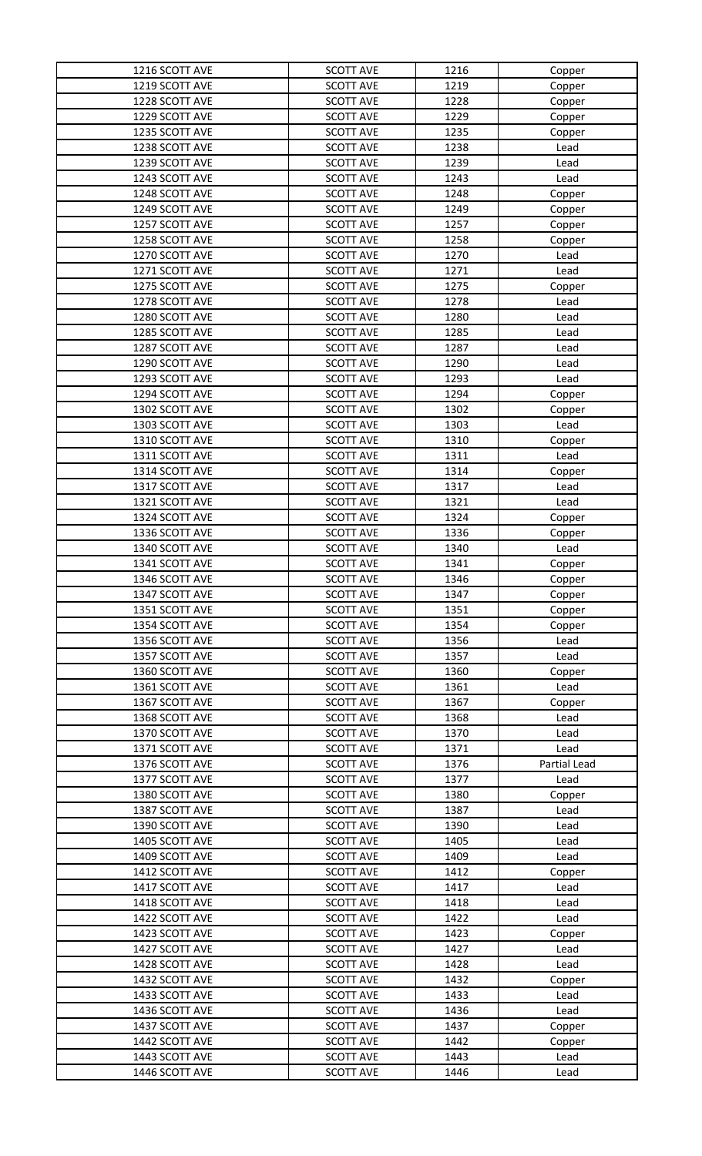| 1216 SCOTT AVE | <b>SCOTT AVE</b> | 1216 | Copper       |
|----------------|------------------|------|--------------|
| 1219 SCOTT AVE | <b>SCOTT AVE</b> | 1219 | Copper       |
| 1228 SCOTT AVE | <b>SCOTT AVE</b> | 1228 | Copper       |
| 1229 SCOTT AVE | <b>SCOTT AVE</b> | 1229 | Copper       |
| 1235 SCOTT AVE | <b>SCOTT AVE</b> | 1235 | Copper       |
| 1238 SCOTT AVE | <b>SCOTT AVE</b> | 1238 | Lead         |
| 1239 SCOTT AVE | <b>SCOTT AVE</b> | 1239 | Lead         |
| 1243 SCOTT AVE | <b>SCOTT AVE</b> | 1243 | Lead         |
| 1248 SCOTT AVE | <b>SCOTT AVE</b> | 1248 | Copper       |
| 1249 SCOTT AVE | <b>SCOTT AVE</b> | 1249 | Copper       |
| 1257 SCOTT AVE | <b>SCOTT AVE</b> | 1257 | Copper       |
| 1258 SCOTT AVE | <b>SCOTT AVE</b> | 1258 | Copper       |
| 1270 SCOTT AVE | <b>SCOTT AVE</b> | 1270 | Lead         |
| 1271 SCOTT AVE | <b>SCOTT AVE</b> | 1271 | Lead         |
| 1275 SCOTT AVE | <b>SCOTT AVE</b> | 1275 | Copper       |
| 1278 SCOTT AVE | <b>SCOTT AVE</b> | 1278 | Lead         |
| 1280 SCOTT AVE | <b>SCOTT AVE</b> | 1280 | Lead         |
| 1285 SCOTT AVE | <b>SCOTT AVE</b> | 1285 | Lead         |
| 1287 SCOTT AVE | <b>SCOTT AVE</b> | 1287 | Lead         |
| 1290 SCOTT AVE | <b>SCOTT AVE</b> | 1290 | Lead         |
| 1293 SCOTT AVE | <b>SCOTT AVE</b> | 1293 | Lead         |
| 1294 SCOTT AVE | <b>SCOTT AVE</b> | 1294 | Copper       |
| 1302 SCOTT AVE | <b>SCOTT AVE</b> | 1302 | Copper       |
| 1303 SCOTT AVE | <b>SCOTT AVE</b> | 1303 | Lead         |
| 1310 SCOTT AVE | <b>SCOTT AVE</b> | 1310 | Copper       |
| 1311 SCOTT AVE | <b>SCOTT AVE</b> | 1311 | Lead         |
| 1314 SCOTT AVE | <b>SCOTT AVE</b> | 1314 | Copper       |
| 1317 SCOTT AVE | <b>SCOTT AVE</b> | 1317 | Lead         |
| 1321 SCOTT AVE | <b>SCOTT AVE</b> | 1321 | Lead         |
| 1324 SCOTT AVE | <b>SCOTT AVE</b> | 1324 | Copper       |
| 1336 SCOTT AVE | <b>SCOTT AVE</b> | 1336 | Copper       |
| 1340 SCOTT AVE | <b>SCOTT AVE</b> | 1340 | Lead         |
| 1341 SCOTT AVE | <b>SCOTT AVE</b> | 1341 | Copper       |
| 1346 SCOTT AVE | <b>SCOTT AVE</b> | 1346 | Copper       |
| 1347 SCOTT AVE | <b>SCOTT AVE</b> | 1347 | Copper       |
| 1351 SCOTT AVE | <b>SCOTT AVE</b> | 1351 | Copper       |
| 1354 SCOTT AVE | <b>SCOTT AVE</b> | 1354 | Copper       |
| 1356 SCOTT AVE | <b>SCOTT AVE</b> | 1356 | Lead         |
| 1357 SCOTT AVE | <b>SCOTT AVE</b> | 1357 | Lead         |
| 1360 SCOTT AVE | <b>SCOTT AVE</b> | 1360 | Copper       |
| 1361 SCOTT AVE | <b>SCOTT AVE</b> | 1361 | Lead         |
| 1367 SCOTT AVE | <b>SCOTT AVE</b> | 1367 | Copper       |
| 1368 SCOTT AVE | <b>SCOTT AVE</b> | 1368 | Lead         |
| 1370 SCOTT AVE | <b>SCOTT AVE</b> | 1370 | Lead         |
| 1371 SCOTT AVE | <b>SCOTT AVE</b> | 1371 | Lead         |
| 1376 SCOTT AVE | <b>SCOTT AVE</b> | 1376 | Partial Lead |
| 1377 SCOTT AVE | <b>SCOTT AVE</b> | 1377 | Lead         |
| 1380 SCOTT AVE | <b>SCOTT AVE</b> | 1380 | Copper       |
| 1387 SCOTT AVE | <b>SCOTT AVE</b> | 1387 | Lead         |
| 1390 SCOTT AVE | <b>SCOTT AVE</b> | 1390 | Lead         |
| 1405 SCOTT AVE | <b>SCOTT AVE</b> | 1405 | Lead         |
| 1409 SCOTT AVE | <b>SCOTT AVE</b> | 1409 | Lead         |
| 1412 SCOTT AVE | <b>SCOTT AVE</b> | 1412 | Copper       |
| 1417 SCOTT AVE | <b>SCOTT AVE</b> | 1417 | Lead         |
| 1418 SCOTT AVE | <b>SCOTT AVE</b> | 1418 | Lead         |
| 1422 SCOTT AVE | <b>SCOTT AVE</b> | 1422 | Lead         |
| 1423 SCOTT AVE | <b>SCOTT AVE</b> | 1423 | Copper       |
| 1427 SCOTT AVE | <b>SCOTT AVE</b> | 1427 | Lead         |
| 1428 SCOTT AVE | <b>SCOTT AVE</b> | 1428 | Lead         |
| 1432 SCOTT AVE | <b>SCOTT AVE</b> | 1432 | Copper       |
| 1433 SCOTT AVE | <b>SCOTT AVE</b> | 1433 | Lead         |
| 1436 SCOTT AVE | <b>SCOTT AVE</b> | 1436 | Lead         |
| 1437 SCOTT AVE | <b>SCOTT AVE</b> | 1437 | Copper       |
| 1442 SCOTT AVE | <b>SCOTT AVE</b> | 1442 | Copper       |
| 1443 SCOTT AVE | <b>SCOTT AVE</b> | 1443 | Lead         |
| 1446 SCOTT AVE | <b>SCOTT AVE</b> | 1446 | Lead         |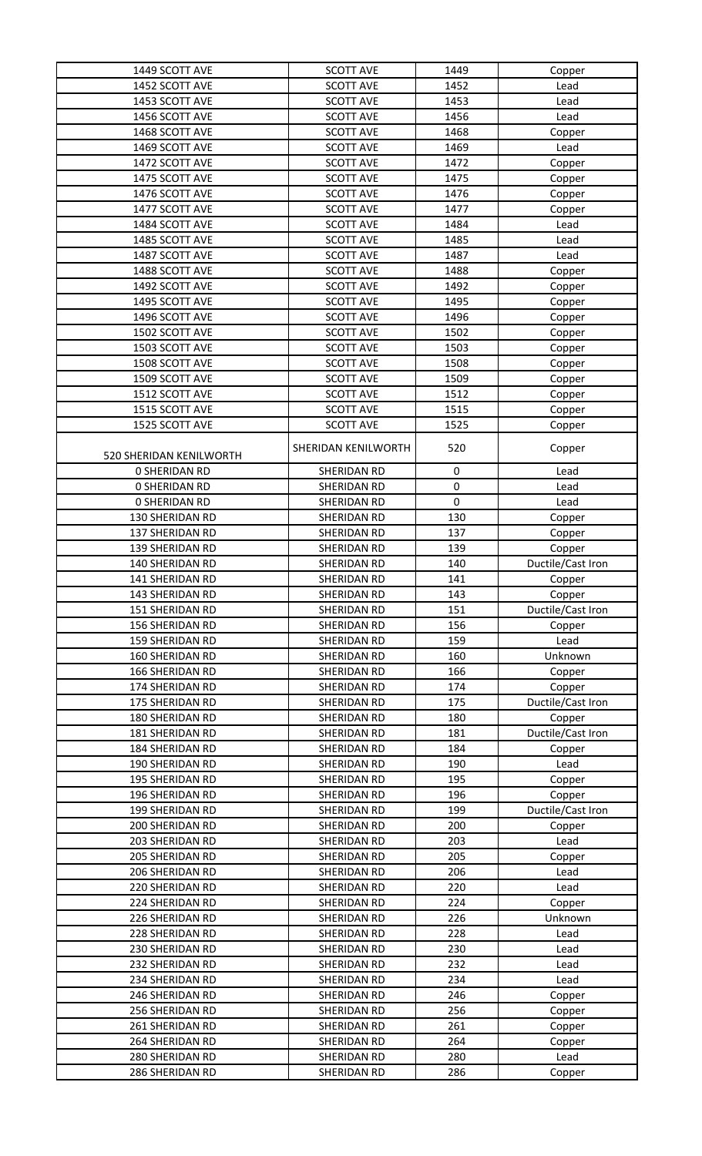| 1449 SCOTT AVE                     | <b>SCOTT AVE</b>           | 1449        | Copper                      |
|------------------------------------|----------------------------|-------------|-----------------------------|
| 1452 SCOTT AVE                     | <b>SCOTT AVE</b>           | 1452        | Lead                        |
| 1453 SCOTT AVE                     | <b>SCOTT AVE</b>           | 1453        | Lead                        |
| 1456 SCOTT AVE                     | <b>SCOTT AVE</b>           | 1456        | Lead                        |
| 1468 SCOTT AVE                     | <b>SCOTT AVE</b>           | 1468        | Copper                      |
| 1469 SCOTT AVE                     | <b>SCOTT AVE</b>           | 1469        | Lead                        |
| 1472 SCOTT AVE                     | <b>SCOTT AVE</b>           | 1472        | Copper                      |
| 1475 SCOTT AVE                     | <b>SCOTT AVE</b>           | 1475        | Copper                      |
| 1476 SCOTT AVE                     | <b>SCOTT AVE</b>           | 1476        | Copper                      |
| 1477 SCOTT AVE                     | <b>SCOTT AVE</b>           | 1477        | Copper                      |
| 1484 SCOTT AVE                     | <b>SCOTT AVE</b>           | 1484        | Lead                        |
| 1485 SCOTT AVE                     | <b>SCOTT AVE</b>           | 1485        | Lead                        |
| 1487 SCOTT AVE                     | <b>SCOTT AVE</b>           | 1487        | Lead                        |
| 1488 SCOTT AVE                     | <b>SCOTT AVE</b>           | 1488        | Copper                      |
| 1492 SCOTT AVE                     | <b>SCOTT AVE</b>           | 1492        | Copper                      |
| 1495 SCOTT AVE                     | <b>SCOTT AVE</b>           | 1495        | Copper                      |
| 1496 SCOTT AVE                     | <b>SCOTT AVE</b>           | 1496        | Copper                      |
| 1502 SCOTT AVE                     | <b>SCOTT AVE</b>           | 1502        | Copper                      |
| 1503 SCOTT AVE                     | <b>SCOTT AVE</b>           | 1503        | Copper                      |
| 1508 SCOTT AVE                     | <b>SCOTT AVE</b>           | 1508        | Copper                      |
| 1509 SCOTT AVE                     | <b>SCOTT AVE</b>           | 1509        | Copper                      |
| 1512 SCOTT AVE                     | <b>SCOTT AVE</b>           | 1512        | Copper                      |
| 1515 SCOTT AVE                     | <b>SCOTT AVE</b>           | 1515        | Copper                      |
| 1525 SCOTT AVE                     | <b>SCOTT AVE</b>           | 1525        | Copper                      |
| 520 SHERIDAN KENILWORTH            | SHERIDAN KENILWORTH        | 520         | Copper                      |
| <b>0 SHERIDAN RD</b>               | SHERIDAN RD                | 0           | Lead                        |
| <b>0 SHERIDAN RD</b>               | SHERIDAN RD                | $\mathbf 0$ | Lead                        |
| <b>0 SHERIDAN RD</b>               | SHERIDAN RD                | 0           | Lead                        |
| 130 SHERIDAN RD                    | SHERIDAN RD                | 130         |                             |
|                                    |                            |             | Copper                      |
| 137 SHERIDAN RD<br>139 SHERIDAN RD | SHERIDAN RD<br>SHERIDAN RD | 137         | Copper                      |
| 140 SHERIDAN RD                    | SHERIDAN RD                | 139<br>140  | Copper<br>Ductile/Cast Iron |
| 141 SHERIDAN RD                    | SHERIDAN RD                | 141         | Copper                      |
| 143 SHERIDAN RD                    | SHERIDAN RD                | 143         | Copper                      |
| 151 SHERIDAN RD                    | SHERIDAN RD                | 151         | Ductile/Cast Iron           |
| 156 SHERIDAN RD                    | SHERIDAN RD                | 156         | Copper                      |
| <b>159 SHERIDAN RD</b>             | SHERIDAN RD                | 159         | Lead                        |
| 160 SHERIDAN RD                    | SHERIDAN RD                | 160         | Unknown                     |
| <b>166 SHERIDAN RD</b>             | SHERIDAN RD                | 166         | Copper                      |
| 174 SHERIDAN RD                    | SHERIDAN RD                | 174         | Copper                      |
| 175 SHERIDAN RD                    | SHERIDAN RD                | 175         | Ductile/Cast Iron           |
| 180 SHERIDAN RD                    | SHERIDAN RD                | 180         | Copper                      |
| 181 SHERIDAN RD                    | SHERIDAN RD                | 181         | Ductile/Cast Iron           |
| 184 SHERIDAN RD                    | SHERIDAN RD                | 184         | Copper                      |
| 190 SHERIDAN RD                    | SHERIDAN RD                | 190         | Lead                        |
| <b>195 SHERIDAN RD</b>             | SHERIDAN RD                | 195         | Copper                      |
| 196 SHERIDAN RD                    | SHERIDAN RD                | 196         | Copper                      |
| 199 SHERIDAN RD                    | SHERIDAN RD                | 199         | Ductile/Cast Iron           |
| 200 SHERIDAN RD                    | SHERIDAN RD                | 200         | Copper                      |
| 203 SHERIDAN RD                    | SHERIDAN RD                | 203         | Lead                        |
| 205 SHERIDAN RD                    | SHERIDAN RD                | 205         | Copper                      |
| 206 SHERIDAN RD                    | SHERIDAN RD                | 206         | Lead                        |
| 220 SHERIDAN RD                    | SHERIDAN RD                | 220         | Lead                        |
| 224 SHERIDAN RD                    | SHERIDAN RD                | 224         | Copper                      |
| 226 SHERIDAN RD                    | SHERIDAN RD                | 226         | Unknown                     |
| 228 SHERIDAN RD                    | SHERIDAN RD                | 228         | Lead                        |
| 230 SHERIDAN RD                    | SHERIDAN RD                | 230         | Lead                        |
| 232 SHERIDAN RD                    | SHERIDAN RD                | 232         | Lead                        |
| 234 SHERIDAN RD                    | SHERIDAN RD                | 234         | Lead                        |
| 246 SHERIDAN RD                    | SHERIDAN RD                | 246         | Copper                      |
| 256 SHERIDAN RD                    | SHERIDAN RD                | 256         | Copper                      |
| 261 SHERIDAN RD                    | SHERIDAN RD                | 261         | Copper                      |
| 264 SHERIDAN RD                    | SHERIDAN RD                | 264         | Copper                      |
| 280 SHERIDAN RD                    | SHERIDAN RD                | 280         | Lead                        |
| 286 SHERIDAN RD                    | SHERIDAN RD                | 286         | Copper                      |
|                                    |                            |             |                             |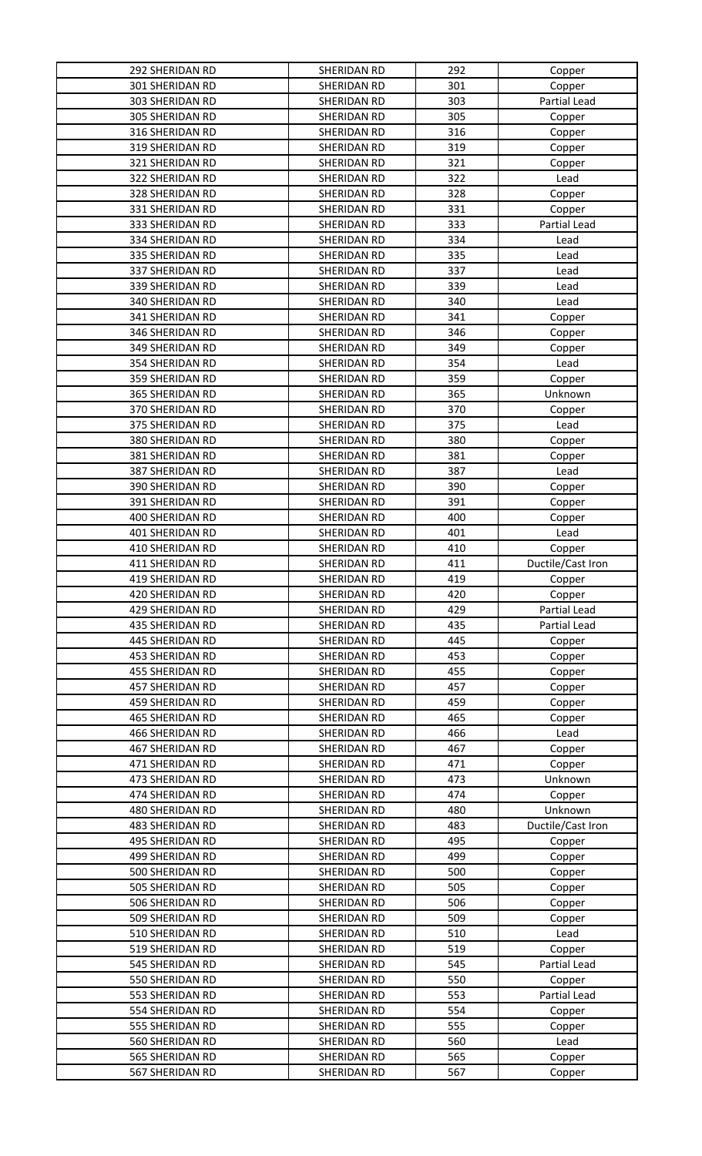| <b>292 SHERIDAN RD</b> | SHERIDAN RD | 292 | Copper            |
|------------------------|-------------|-----|-------------------|
| <b>301 SHERIDAN RD</b> | SHERIDAN RD | 301 | Copper            |
| 303 SHERIDAN RD        | SHERIDAN RD | 303 | Partial Lead      |
| 305 SHERIDAN RD        | SHERIDAN RD | 305 | Copper            |
| 316 SHERIDAN RD        | SHERIDAN RD | 316 | Copper            |
| 319 SHERIDAN RD        | SHERIDAN RD | 319 | Copper            |
| 321 SHERIDAN RD        | SHERIDAN RD | 321 | Copper            |
| 322 SHERIDAN RD        | SHERIDAN RD | 322 | Lead              |
| 328 SHERIDAN RD        | SHERIDAN RD | 328 | Copper            |
| 331 SHERIDAN RD        | SHERIDAN RD | 331 | Copper            |
| 333 SHERIDAN RD        | SHERIDAN RD | 333 | Partial Lead      |
| 334 SHERIDAN RD        | SHERIDAN RD | 334 | Lead              |
| 335 SHERIDAN RD        | SHERIDAN RD | 335 | Lead              |
| 337 SHERIDAN RD        | SHERIDAN RD | 337 | Lead              |
| 339 SHERIDAN RD        | SHERIDAN RD | 339 | Lead              |
| 340 SHERIDAN RD        | SHERIDAN RD | 340 | Lead              |
| 341 SHERIDAN RD        | SHERIDAN RD | 341 | Copper            |
| 346 SHERIDAN RD        | SHERIDAN RD | 346 | Copper            |
| 349 SHERIDAN RD        | SHERIDAN RD | 349 | Copper            |
| 354 SHERIDAN RD        | SHERIDAN RD | 354 | Lead              |
| 359 SHERIDAN RD        | SHERIDAN RD | 359 | Copper            |
| 365 SHERIDAN RD        | SHERIDAN RD | 365 | Unknown           |
| 370 SHERIDAN RD        | SHERIDAN RD | 370 | Copper            |
| 375 SHERIDAN RD        | SHERIDAN RD | 375 | Lead              |
| 380 SHERIDAN RD        | SHERIDAN RD | 380 | Copper            |
| 381 SHERIDAN RD        | SHERIDAN RD | 381 | Copper            |
| 387 SHERIDAN RD        | SHERIDAN RD | 387 | Lead              |
| 390 SHERIDAN RD        | SHERIDAN RD | 390 | Copper            |
| 391 SHERIDAN RD        | SHERIDAN RD | 391 | Copper            |
| 400 SHERIDAN RD        | SHERIDAN RD | 400 | Copper            |
| 401 SHERIDAN RD        | SHERIDAN RD | 401 | Lead              |
| 410 SHERIDAN RD        | SHERIDAN RD | 410 | Copper            |
| 411 SHERIDAN RD        | SHERIDAN RD | 411 | Ductile/Cast Iron |
| 419 SHERIDAN RD        | SHERIDAN RD | 419 | Copper            |
| 420 SHERIDAN RD        |             |     |                   |
|                        | SHERIDAN RD | 420 | Copper            |
| 429 SHERIDAN RD        | SHERIDAN RD | 429 | Partial Lead      |
| 435 SHERIDAN RD        | SHERIDAN RD | 435 | Partial Lead      |
| 445 SHERIDAN RD        | SHERIDAN RD | 445 | Copper            |
| 453 SHERIDAN RD        | SHERIDAN RD | 453 | Copper            |
| <b>455 SHERIDAN RD</b> | SHERIDAN RD | 455 | Copper            |
| 457 SHERIDAN RD        | SHERIDAN RD | 457 | Copper            |
| <b>459 SHERIDAN RD</b> | SHERIDAN RD | 459 | Copper            |
| <b>465 SHERIDAN RD</b> | SHERIDAN RD | 465 | Copper            |
| <b>466 SHERIDAN RD</b> | SHERIDAN RD | 466 | Lead              |
| 467 SHERIDAN RD        | SHERIDAN RD | 467 | Copper            |
| 471 SHERIDAN RD        | SHERIDAN RD | 471 | Copper            |
| 473 SHERIDAN RD        | SHERIDAN RD | 473 | Unknown           |
| 474 SHERIDAN RD        | SHERIDAN RD | 474 | Copper            |
| 480 SHERIDAN RD        | SHERIDAN RD | 480 | Unknown           |
| 483 SHERIDAN RD        | SHERIDAN RD | 483 | Ductile/Cast Iron |
| 495 SHERIDAN RD        | SHERIDAN RD | 495 | Copper            |
| 499 SHERIDAN RD        | SHERIDAN RD | 499 | Copper            |
| 500 SHERIDAN RD        | SHERIDAN RD | 500 | Copper            |
| 505 SHERIDAN RD        | SHERIDAN RD | 505 | Copper            |
| 506 SHERIDAN RD        | SHERIDAN RD | 506 | Copper            |
| 509 SHERIDAN RD        | SHERIDAN RD | 509 | Copper            |
| 510 SHERIDAN RD        | SHERIDAN RD | 510 | Lead              |
| 519 SHERIDAN RD        | SHERIDAN RD | 519 | Copper            |
| 545 SHERIDAN RD        | SHERIDAN RD | 545 | Partial Lead      |
| 550 SHERIDAN RD        | SHERIDAN RD | 550 | Copper            |
| 553 SHERIDAN RD        | SHERIDAN RD | 553 | Partial Lead      |
| 554 SHERIDAN RD        | SHERIDAN RD | 554 | Copper            |
| 555 SHERIDAN RD        | SHERIDAN RD | 555 | Copper            |
| 560 SHERIDAN RD        | SHERIDAN RD | 560 | Lead              |
| 565 SHERIDAN RD        | SHERIDAN RD | 565 | Copper            |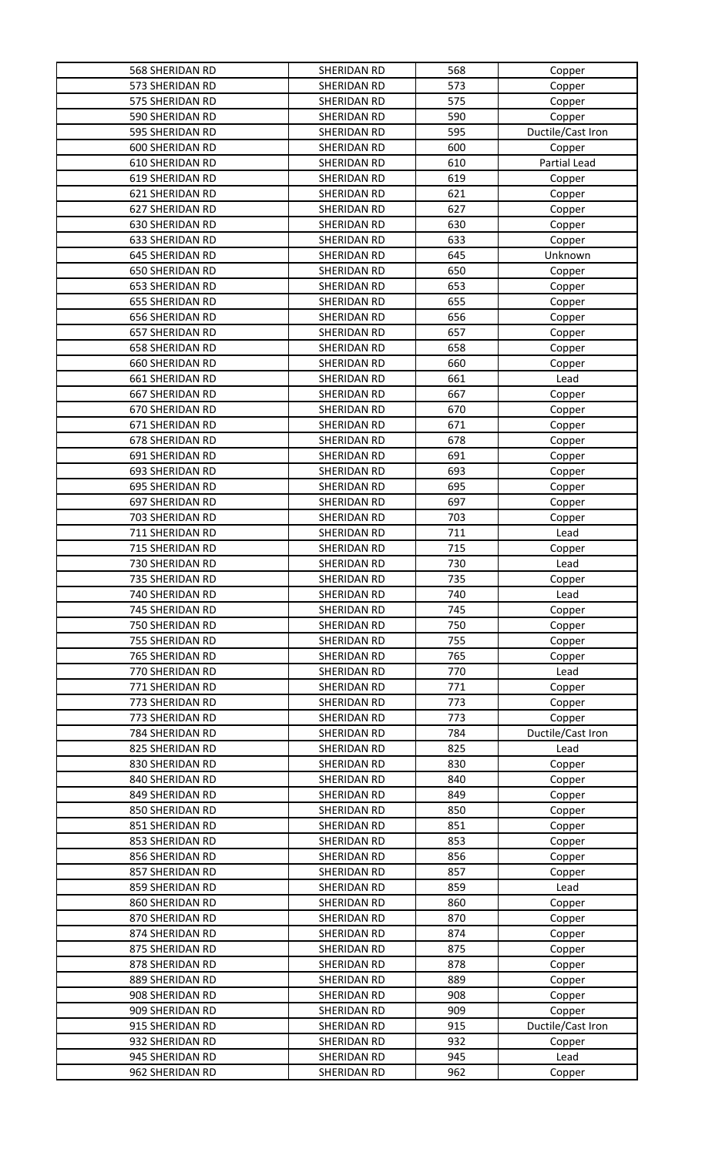| 568 SHERIDAN RD        | SHERIDAN RD | 568 | Copper            |
|------------------------|-------------|-----|-------------------|
| 573 SHERIDAN RD        | SHERIDAN RD | 573 | Copper            |
| 575 SHERIDAN RD        | SHERIDAN RD | 575 | Copper            |
| 590 SHERIDAN RD        | SHERIDAN RD | 590 | Copper            |
| 595 SHERIDAN RD        | SHERIDAN RD | 595 | Ductile/Cast Iron |
| 600 SHERIDAN RD        | SHERIDAN RD | 600 | Copper            |
| 610 SHERIDAN RD        | SHERIDAN RD | 610 | Partial Lead      |
| 619 SHERIDAN RD        | SHERIDAN RD | 619 | Copper            |
| 621 SHERIDAN RD        | SHERIDAN RD | 621 | Copper            |
| 627 SHERIDAN RD        | SHERIDAN RD | 627 | Copper            |
| 630 SHERIDAN RD        | SHERIDAN RD | 630 | Copper            |
| 633 SHERIDAN RD        | SHERIDAN RD | 633 | Copper            |
| 645 SHERIDAN RD        | SHERIDAN RD | 645 | Unknown           |
| <b>650 SHERIDAN RD</b> | SHERIDAN RD | 650 | Copper            |
| <b>653 SHERIDAN RD</b> | SHERIDAN RD | 653 | Copper            |
| 655 SHERIDAN RD        | SHERIDAN RD | 655 | Copper            |
| <b>656 SHERIDAN RD</b> | SHERIDAN RD | 656 | Copper            |
| 657 SHERIDAN RD        | SHERIDAN RD | 657 | Copper            |
| <b>658 SHERIDAN RD</b> | SHERIDAN RD | 658 | Copper            |
| 660 SHERIDAN RD        | SHERIDAN RD | 660 | Copper            |
| 661 SHERIDAN RD        | SHERIDAN RD | 661 | Lead              |
| 667 SHERIDAN RD        | SHERIDAN RD | 667 | Copper            |
| 670 SHERIDAN RD        | SHERIDAN RD | 670 | Copper            |
| 671 SHERIDAN RD        | SHERIDAN RD | 671 | Copper            |
| 678 SHERIDAN RD        | SHERIDAN RD | 678 | Copper            |
| 691 SHERIDAN RD        | SHERIDAN RD | 691 | Copper            |
| 693 SHERIDAN RD        | SHERIDAN RD | 693 | Copper            |
| 695 SHERIDAN RD        | SHERIDAN RD | 695 | Copper            |
| 697 SHERIDAN RD        | SHERIDAN RD | 697 | Copper            |
| 703 SHERIDAN RD        | SHERIDAN RD | 703 | Copper            |
| 711 SHERIDAN RD        | SHERIDAN RD | 711 | Lead              |
| 715 SHERIDAN RD        | SHERIDAN RD | 715 | Copper            |
| 730 SHERIDAN RD        | SHERIDAN RD | 730 | Lead              |
| 735 SHERIDAN RD        | SHERIDAN RD | 735 | Copper            |
| 740 SHERIDAN RD        | SHERIDAN RD | 740 | Lead              |
| 745 SHERIDAN RD        | SHERIDAN RD | 745 | Copper            |
| 750 SHERIDAN RD        | SHERIDAN RD | 750 | Copper            |
| 755 SHERIDAN RD        | SHERIDAN RD | 755 | Copper            |
| 765 SHERIDAN RD        | SHERIDAN RD | 765 | Copper            |
| 770 SHERIDAN RD        | SHERIDAN RD | 770 | Lead              |
| 771 SHERIDAN RD        | SHERIDAN RD | 771 | Copper            |
| 773 SHERIDAN RD        | SHERIDAN RD | 773 | Copper            |
| 773 SHERIDAN RD        | SHERIDAN RD | 773 | Copper            |
| 784 SHERIDAN RD        | SHERIDAN RD | 784 | Ductile/Cast Iron |
| 825 SHERIDAN RD        | SHERIDAN RD | 825 | Lead              |
| 830 SHERIDAN RD        | SHERIDAN RD | 830 | Copper            |
| 840 SHERIDAN RD        | SHERIDAN RD | 840 | Copper            |
| 849 SHERIDAN RD        | SHERIDAN RD | 849 | Copper            |
| 850 SHERIDAN RD        | SHERIDAN RD | 850 | Copper            |
| 851 SHERIDAN RD        | SHERIDAN RD | 851 | Copper            |
| 853 SHERIDAN RD        | SHERIDAN RD | 853 | Copper            |
| 856 SHERIDAN RD        | SHERIDAN RD | 856 | Copper            |
| 857 SHERIDAN RD        | SHERIDAN RD | 857 | Copper            |
| 859 SHERIDAN RD        | SHERIDAN RD | 859 | Lead              |
| 860 SHERIDAN RD        | SHERIDAN RD | 860 | Copper            |
| 870 SHERIDAN RD        | SHERIDAN RD | 870 | Copper            |
| 874 SHERIDAN RD        | SHERIDAN RD | 874 | Copper            |
| 875 SHERIDAN RD        | SHERIDAN RD | 875 | Copper            |
| 878 SHERIDAN RD        | SHERIDAN RD | 878 | Copper            |
| 889 SHERIDAN RD        | SHERIDAN RD | 889 | Copper            |
| 908 SHERIDAN RD        | SHERIDAN RD | 908 | Copper            |
| 909 SHERIDAN RD        | SHERIDAN RD | 909 | Copper            |
| 915 SHERIDAN RD        | SHERIDAN RD | 915 | Ductile/Cast Iron |
| 932 SHERIDAN RD        | SHERIDAN RD | 932 | Copper            |
| 945 SHERIDAN RD        | SHERIDAN RD | 945 | Lead              |
|                        | SHERIDAN RD | 962 | Copper            |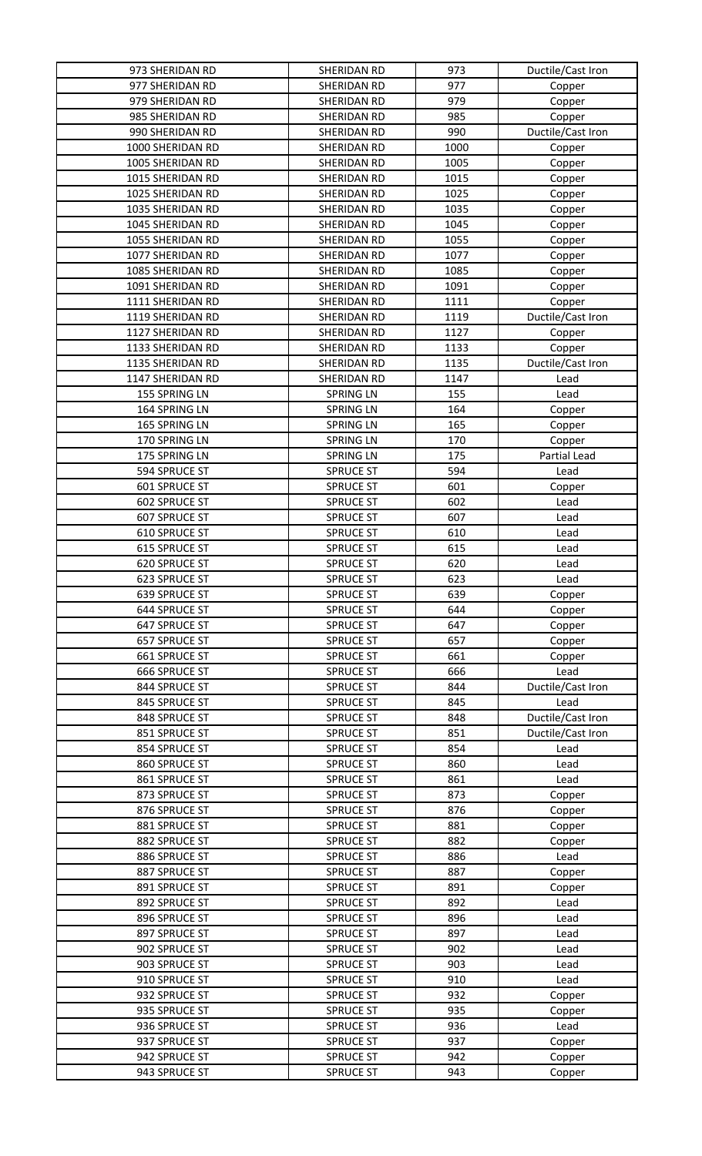| 973 SHERIDAN RD      | SHERIDAN RD      | 973  | Ductile/Cast Iron |
|----------------------|------------------|------|-------------------|
| 977 SHERIDAN RD      | SHERIDAN RD      | 977  | Copper            |
| 979 SHERIDAN RD      | SHERIDAN RD      | 979  | Copper            |
| 985 SHERIDAN RD      | SHERIDAN RD      | 985  | Copper            |
| 990 SHERIDAN RD      | SHERIDAN RD      | 990  | Ductile/Cast Iron |
| 1000 SHERIDAN RD     | SHERIDAN RD      | 1000 | Copper            |
| 1005 SHERIDAN RD     | SHERIDAN RD      | 1005 | Copper            |
| 1015 SHERIDAN RD     | SHERIDAN RD      | 1015 | Copper            |
| 1025 SHERIDAN RD     | SHERIDAN RD      | 1025 | Copper            |
| 1035 SHERIDAN RD     | SHERIDAN RD      | 1035 | Copper            |
| 1045 SHERIDAN RD     | SHERIDAN RD      | 1045 | Copper            |
| 1055 SHERIDAN RD     | SHERIDAN RD      | 1055 | Copper            |
| 1077 SHERIDAN RD     | SHERIDAN RD      | 1077 | Copper            |
| 1085 SHERIDAN RD     | SHERIDAN RD      | 1085 | Copper            |
| 1091 SHERIDAN RD     | SHERIDAN RD      | 1091 | Copper            |
| 1111 SHERIDAN RD     | SHERIDAN RD      | 1111 | Copper            |
| 1119 SHERIDAN RD     | SHERIDAN RD      | 1119 | Ductile/Cast Iron |
| 1127 SHERIDAN RD     | SHERIDAN RD      | 1127 | Copper            |
| 1133 SHERIDAN RD     | SHERIDAN RD      | 1133 | Copper            |
| 1135 SHERIDAN RD     | SHERIDAN RD      | 1135 | Ductile/Cast Iron |
| 1147 SHERIDAN RD     | SHERIDAN RD      | 1147 | Lead              |
| 155 SPRING LN        | <b>SPRING LN</b> | 155  | Lead              |
| 164 SPRING LN        | <b>SPRING LN</b> | 164  | Copper            |
| 165 SPRING LN        | <b>SPRING LN</b> | 165  | Copper            |
| 170 SPRING LN        | <b>SPRING LN</b> | 170  | Copper            |
| 175 SPRING LN        | <b>SPRING LN</b> | 175  | Partial Lead      |
| 594 SPRUCE ST        | <b>SPRUCE ST</b> | 594  | Lead              |
| 601 SPRUCE ST        | <b>SPRUCE ST</b> | 601  | Copper            |
| 602 SPRUCE ST        | <b>SPRUCE ST</b> | 602  | Lead              |
| 607 SPRUCE ST        | <b>SPRUCE ST</b> | 607  | Lead              |
| 610 SPRUCE ST        | <b>SPRUCE ST</b> | 610  | Lead              |
| 615 SPRUCE ST        | <b>SPRUCE ST</b> | 615  | Lead              |
| 620 SPRUCE ST        | <b>SPRUCE ST</b> | 620  | Lead              |
| 623 SPRUCE ST        | SPRUCE ST        | 623  | Lead              |
| <b>639 SPRUCE ST</b> | <b>SPRUCE ST</b> | 639  | Copper            |
| 644 SPRUCE ST        | <b>SPRUCE ST</b> | 644  | Copper            |
| 647 SPRUCE ST        | <b>SPRUCE ST</b> | 647  | Copper            |
| <b>657 SPRUCE ST</b> | <b>SPRUCE ST</b> | 657  | Copper            |
| 661 SPRUCE ST        | <b>SPRUCE ST</b> | 661  | Copper            |
| 666 SPRUCE ST        | <b>SPRUCE ST</b> | 666  | Lead              |
| 844 SPRUCE ST        | <b>SPRUCE ST</b> | 844  | Ductile/Cast Iron |
| 845 SPRUCE ST        | <b>SPRUCE ST</b> | 845  | Lead              |
| 848 SPRUCE ST        | <b>SPRUCE ST</b> | 848  | Ductile/Cast Iron |
| 851 SPRUCE ST        | <b>SPRUCE ST</b> | 851  | Ductile/Cast Iron |
| 854 SPRUCE ST        | <b>SPRUCE ST</b> | 854  | Lead              |
| 860 SPRUCE ST        | <b>SPRUCE ST</b> | 860  | Lead              |
| 861 SPRUCE ST        | <b>SPRUCE ST</b> | 861  | Lead              |
| 873 SPRUCE ST        | <b>SPRUCE ST</b> | 873  | Copper            |
| 876 SPRUCE ST        | <b>SPRUCE ST</b> | 876  | Copper            |
| 881 SPRUCE ST        | <b>SPRUCE ST</b> | 881  | Copper            |
| 882 SPRUCE ST        | <b>SPRUCE ST</b> | 882  | Copper            |
| 886 SPRUCE ST        | <b>SPRUCE ST</b> | 886  | Lead              |
| 887 SPRUCE ST        | <b>SPRUCE ST</b> | 887  | Copper            |
| 891 SPRUCE ST        | <b>SPRUCE ST</b> | 891  | Copper            |
| 892 SPRUCE ST        | <b>SPRUCE ST</b> | 892  | Lead              |
| 896 SPRUCE ST        | <b>SPRUCE ST</b> | 896  | Lead              |
| 897 SPRUCE ST        | <b>SPRUCE ST</b> | 897  | Lead              |
| 902 SPRUCE ST        | <b>SPRUCE ST</b> | 902  | Lead              |
| 903 SPRUCE ST        | <b>SPRUCE ST</b> | 903  | Lead              |
| 910 SPRUCE ST        | <b>SPRUCE ST</b> | 910  | Lead              |
| 932 SPRUCE ST        | <b>SPRUCE ST</b> | 932  | Copper            |
| 935 SPRUCE ST        | <b>SPRUCE ST</b> | 935  | Copper            |
| 936 SPRUCE ST        | <b>SPRUCE ST</b> | 936  | Lead              |
| 937 SPRUCE ST        | <b>SPRUCE ST</b> | 937  | Copper            |
| 942 SPRUCE ST        | <b>SPRUCE ST</b> | 942  | Copper            |
| 943 SPRUCE ST        | <b>SPRUCE ST</b> | 943  | Copper            |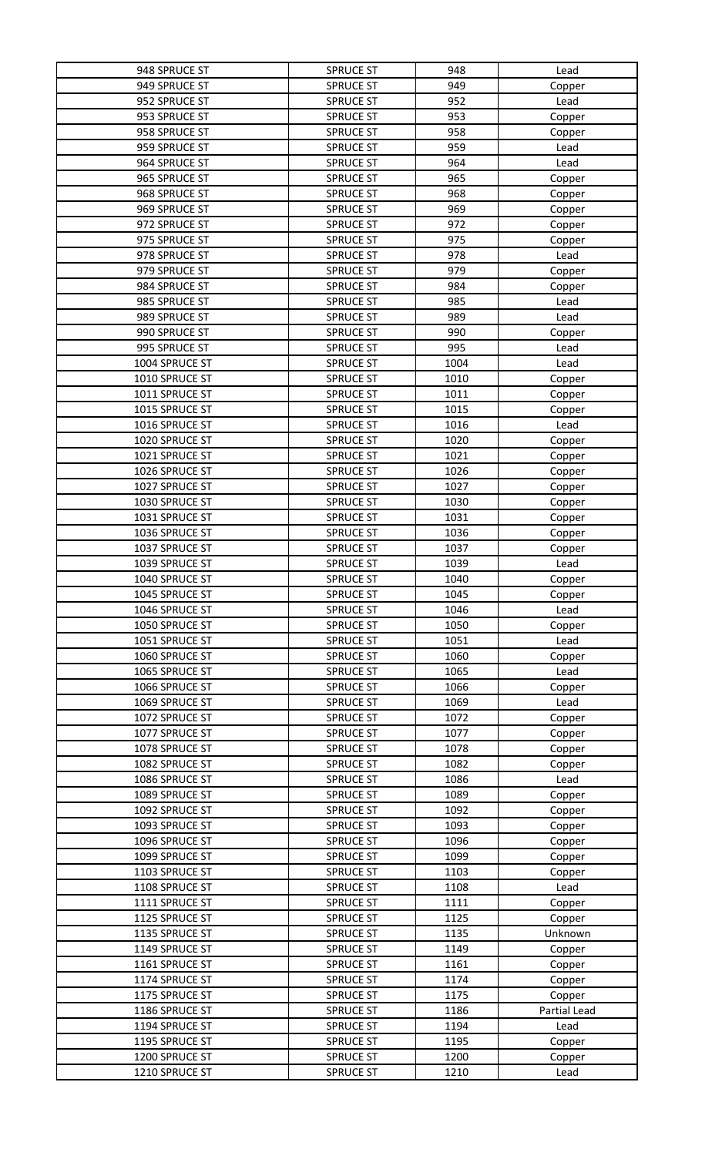| 948 SPRUCE ST  | <b>SPRUCE ST</b> | 948  | Lead         |
|----------------|------------------|------|--------------|
| 949 SPRUCE ST  | <b>SPRUCE ST</b> | 949  | Copper       |
| 952 SPRUCE ST  | <b>SPRUCE ST</b> | 952  | Lead         |
| 953 SPRUCE ST  | <b>SPRUCE ST</b> | 953  | Copper       |
| 958 SPRUCE ST  | <b>SPRUCE ST</b> | 958  | Copper       |
| 959 SPRUCE ST  | <b>SPRUCE ST</b> | 959  | Lead         |
| 964 SPRUCE ST  | <b>SPRUCE ST</b> | 964  | Lead         |
| 965 SPRUCE ST  | <b>SPRUCE ST</b> | 965  | Copper       |
| 968 SPRUCE ST  | <b>SPRUCE ST</b> | 968  |              |
|                |                  |      | Copper       |
| 969 SPRUCE ST  | <b>SPRUCE ST</b> | 969  | Copper       |
| 972 SPRUCE ST  | <b>SPRUCE ST</b> | 972  | Copper       |
| 975 SPRUCE ST  | <b>SPRUCE ST</b> | 975  | Copper       |
| 978 SPRUCE ST  | <b>SPRUCE ST</b> | 978  | Lead         |
| 979 SPRUCE ST  | <b>SPRUCE ST</b> | 979  | Copper       |
| 984 SPRUCE ST  | <b>SPRUCE ST</b> | 984  | Copper       |
| 985 SPRUCE ST  | <b>SPRUCE ST</b> | 985  | Lead         |
| 989 SPRUCE ST  | <b>SPRUCE ST</b> | 989  | Lead         |
| 990 SPRUCE ST  | <b>SPRUCE ST</b> | 990  | Copper       |
| 995 SPRUCE ST  | <b>SPRUCE ST</b> | 995  | Lead         |
| 1004 SPRUCE ST | <b>SPRUCE ST</b> | 1004 | Lead         |
| 1010 SPRUCE ST | <b>SPRUCE ST</b> | 1010 | Copper       |
| 1011 SPRUCE ST | <b>SPRUCE ST</b> | 1011 | Copper       |
| 1015 SPRUCE ST | <b>SPRUCE ST</b> | 1015 | Copper       |
| 1016 SPRUCE ST | <b>SPRUCE ST</b> | 1016 | Lead         |
| 1020 SPRUCE ST | <b>SPRUCE ST</b> | 1020 | Copper       |
| 1021 SPRUCE ST | <b>SPRUCE ST</b> | 1021 |              |
| 1026 SPRUCE ST |                  | 1026 | Copper       |
|                | <b>SPRUCE ST</b> |      | Copper       |
| 1027 SPRUCE ST | <b>SPRUCE ST</b> | 1027 | Copper       |
| 1030 SPRUCE ST | <b>SPRUCE ST</b> | 1030 | Copper       |
| 1031 SPRUCE ST | <b>SPRUCE ST</b> | 1031 | Copper       |
| 1036 SPRUCE ST | <b>SPRUCE ST</b> | 1036 | Copper       |
| 1037 SPRUCE ST | <b>SPRUCE ST</b> | 1037 | Copper       |
| 1039 SPRUCE ST | <b>SPRUCE ST</b> | 1039 | Lead         |
| 1040 SPRUCE ST | SPRUCE ST        | 1040 | Copper       |
| 1045 SPRUCE ST | <b>SPRUCE ST</b> | 1045 | Copper       |
| 1046 SPRUCE ST | <b>SPRUCE ST</b> | 1046 | Lead         |
| 1050 SPRUCE ST | <b>SPRUCE ST</b> | 1050 | Copper       |
| 1051 SPRUCE ST | <b>SPRUCE ST</b> | 1051 | Lead         |
| 1060 SPRUCE ST | <b>SPRUCE ST</b> | 1060 | Copper       |
| 1065 SPRUCE ST | <b>SPRUCE ST</b> | 1065 | Lead         |
| 1066 SPRUCE ST | <b>SPRUCE ST</b> | 1066 | Copper       |
| 1069 SPRUCE ST | <b>SPRUCE ST</b> | 1069 | Lead         |
| 1072 SPRUCE ST | <b>SPRUCE ST</b> | 1072 | Copper       |
| 1077 SPRUCE ST | <b>SPRUCE ST</b> | 1077 | Copper       |
| 1078 SPRUCE ST | <b>SPRUCE ST</b> | 1078 | Copper       |
| 1082 SPRUCE ST | <b>SPRUCE ST</b> | 1082 | Copper       |
| 1086 SPRUCE ST | <b>SPRUCE ST</b> | 1086 | Lead         |
| 1089 SPRUCE ST | <b>SPRUCE ST</b> | 1089 |              |
| 1092 SPRUCE ST |                  |      | Copper       |
|                | <b>SPRUCE ST</b> | 1092 | Copper       |
| 1093 SPRUCE ST | <b>SPRUCE ST</b> | 1093 | Copper       |
| 1096 SPRUCE ST | <b>SPRUCE ST</b> | 1096 | Copper       |
| 1099 SPRUCE ST | <b>SPRUCE ST</b> | 1099 | Copper       |
| 1103 SPRUCE ST | <b>SPRUCE ST</b> | 1103 | Copper       |
| 1108 SPRUCE ST | <b>SPRUCE ST</b> | 1108 | Lead         |
| 1111 SPRUCE ST | <b>SPRUCE ST</b> | 1111 | Copper       |
| 1125 SPRUCE ST | <b>SPRUCE ST</b> | 1125 | Copper       |
| 1135 SPRUCE ST | <b>SPRUCE ST</b> | 1135 | Unknown      |
| 1149 SPRUCE ST | <b>SPRUCE ST</b> | 1149 | Copper       |
| 1161 SPRUCE ST | <b>SPRUCE ST</b> | 1161 | Copper       |
| 1174 SPRUCE ST | <b>SPRUCE ST</b> | 1174 | Copper       |
| 1175 SPRUCE ST | <b>SPRUCE ST</b> | 1175 | Copper       |
| 1186 SPRUCE ST | <b>SPRUCE ST</b> | 1186 | Partial Lead |
| 1194 SPRUCE ST | <b>SPRUCE ST</b> | 1194 | Lead         |
| 1195 SPRUCE ST | <b>SPRUCE ST</b> | 1195 | Copper       |
| 1200 SPRUCE ST | <b>SPRUCE ST</b> | 1200 | Copper       |
| 1210 SPRUCE ST | <b>SPRUCE ST</b> | 1210 | Lead         |
|                |                  |      |              |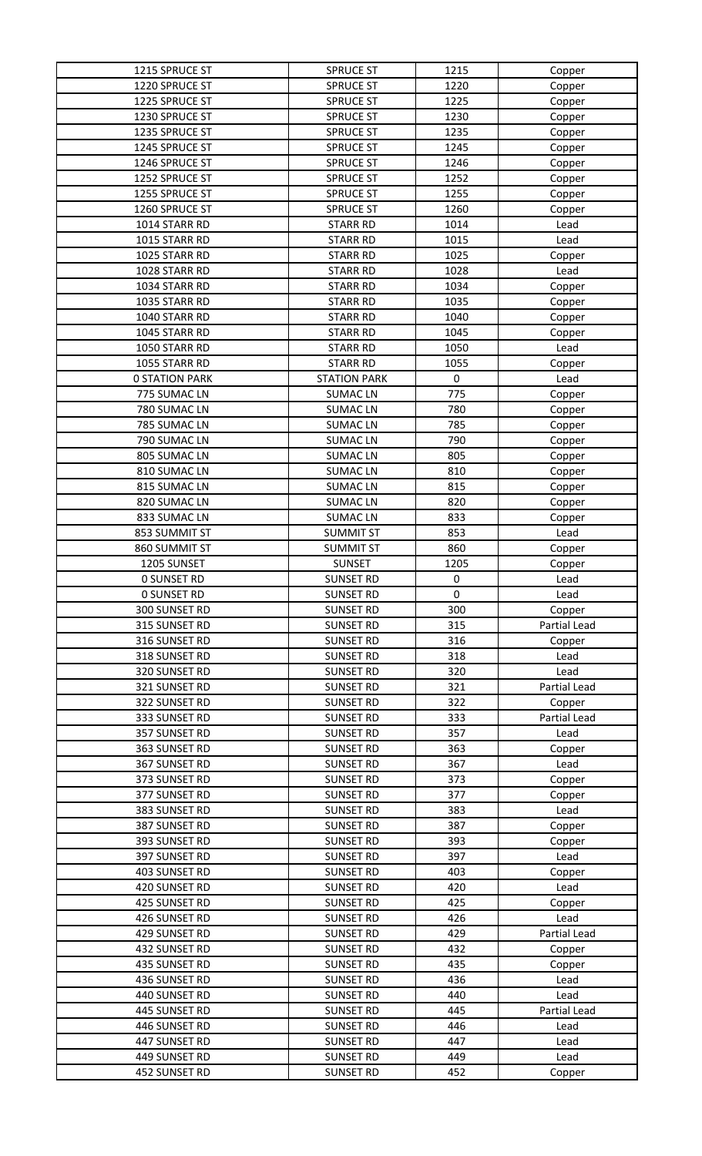| 1215 SPRUCE ST        | <b>SPRUCE ST</b>    | 1215 | Copper       |
|-----------------------|---------------------|------|--------------|
| 1220 SPRUCE ST        | <b>SPRUCE ST</b>    | 1220 | Copper       |
| 1225 SPRUCE ST        | <b>SPRUCE ST</b>    | 1225 | Copper       |
| 1230 SPRUCE ST        | <b>SPRUCE ST</b>    | 1230 | Copper       |
| 1235 SPRUCE ST        | <b>SPRUCE ST</b>    | 1235 | Copper       |
| 1245 SPRUCE ST        | <b>SPRUCE ST</b>    | 1245 | Copper       |
| 1246 SPRUCE ST        | <b>SPRUCE ST</b>    | 1246 | Copper       |
| 1252 SPRUCE ST        | <b>SPRUCE ST</b>    | 1252 | Copper       |
| 1255 SPRUCE ST        | <b>SPRUCE ST</b>    | 1255 | Copper       |
| 1260 SPRUCE ST        | <b>SPRUCE ST</b>    | 1260 | Copper       |
| 1014 STARR RD         | <b>STARR RD</b>     | 1014 | Lead         |
| 1015 STARR RD         | <b>STARR RD</b>     | 1015 | Lead         |
| 1025 STARR RD         | <b>STARR RD</b>     | 1025 | Copper       |
| 1028 STARR RD         | <b>STARR RD</b>     | 1028 | Lead         |
| 1034 STARR RD         | <b>STARR RD</b>     | 1034 | Copper       |
| 1035 STARR RD         | <b>STARR RD</b>     | 1035 | Copper       |
| 1040 STARR RD         | <b>STARR RD</b>     | 1040 | Copper       |
| 1045 STARR RD         | <b>STARR RD</b>     | 1045 | Copper       |
| 1050 STARR RD         | <b>STARR RD</b>     | 1050 | Lead         |
| 1055 STARR RD         | <b>STARR RD</b>     | 1055 | Copper       |
| <b>0 STATION PARK</b> | <b>STATION PARK</b> | 0    | Lead         |
| 775 SUMAC LN          | <b>SUMACLN</b>      | 775  | Copper       |
| 780 SUMAC LN          | <b>SUMACLN</b>      | 780  | Copper       |
| 785 SUMAC LN          | <b>SUMACLN</b>      | 785  | Copper       |
| 790 SUMAC LN          | <b>SUMACLN</b>      | 790  | Copper       |
| 805 SUMAC LN          | <b>SUMACLN</b>      | 805  | Copper       |
| 810 SUMAC LN          | <b>SUMACLN</b>      | 810  | Copper       |
| 815 SUMAC LN          | <b>SUMACLN</b>      | 815  | Copper       |
| 820 SUMAC LN          | <b>SUMACLN</b>      | 820  | Copper       |
| 833 SUMAC LN          | <b>SUMACLN</b>      | 833  | Copper       |
| 853 SUMMIT ST         | <b>SUMMIT ST</b>    | 853  | Lead         |
| 860 SUMMIT ST         | <b>SUMMIT ST</b>    | 860  | Copper       |
| 1205 SUNSET           | <b>SUNSET</b>       | 1205 | Copper       |
| <b>0 SUNSET RD</b>    | <b>SUNSET RD</b>    | 0    | Lead         |
| <b>0 SUNSET RD</b>    | <b>SUNSET RD</b>    | 0    | Lead         |
| 300 SUNSET RD         | <b>SUNSET RD</b>    | 300  | Copper       |
| 315 SUNSET RD         | <b>SUNSET RD</b>    | 315  | Partial Lead |
| 316 SUNSET RD         | <b>SUNSET RD</b>    | 316  | Copper       |
| 318 SUNSET RD         | <b>SUNSET RD</b>    | 318  | Lead         |
| 320 SUNSET RD         | <b>SUNSET RD</b>    | 320  | Lead         |
| 321 SUNSET RD         | <b>SUNSET RD</b>    | 321  | Partial Lead |
| 322 SUNSET RD         | <b>SUNSET RD</b>    | 322  | Copper       |
| 333 SUNSET RD         | <b>SUNSET RD</b>    | 333  | Partial Lead |
| 357 SUNSET RD         | <b>SUNSET RD</b>    | 357  | Lead         |
| 363 SUNSET RD         | <b>SUNSET RD</b>    | 363  | Copper       |
| 367 SUNSET RD         | <b>SUNSET RD</b>    | 367  | Lead         |
| 373 SUNSET RD         | <b>SUNSET RD</b>    | 373  | Copper       |
| 377 SUNSET RD         | <b>SUNSET RD</b>    | 377  | Copper       |
| 383 SUNSET RD         | <b>SUNSET RD</b>    | 383  | Lead         |
| 387 SUNSET RD         | <b>SUNSET RD</b>    | 387  | Copper       |
| 393 SUNSET RD         | <b>SUNSET RD</b>    | 393  | Copper       |
| 397 SUNSET RD         | <b>SUNSET RD</b>    | 397  | Lead         |
| 403 SUNSET RD         | <b>SUNSET RD</b>    | 403  | Copper       |
| 420 SUNSET RD         | <b>SUNSET RD</b>    | 420  | Lead         |
| 425 SUNSET RD         | <b>SUNSET RD</b>    | 425  | Copper       |
| 426 SUNSET RD         | <b>SUNSET RD</b>    | 426  | Lead         |
| 429 SUNSET RD         | <b>SUNSET RD</b>    | 429  | Partial Lead |
| 432 SUNSET RD         | <b>SUNSET RD</b>    | 432  | Copper       |
| 435 SUNSET RD         | <b>SUNSET RD</b>    | 435  | Copper       |
| 436 SUNSET RD         | <b>SUNSET RD</b>    | 436  | Lead         |
| 440 SUNSET RD         | <b>SUNSET RD</b>    | 440  | Lead         |
| 445 SUNSET RD         | <b>SUNSET RD</b>    | 445  | Partial Lead |
| 446 SUNSET RD         | <b>SUNSET RD</b>    | 446  | Lead         |
| 447 SUNSET RD         | <b>SUNSET RD</b>    | 447  | Lead         |
| 449 SUNSET RD         | <b>SUNSET RD</b>    | 449  | Lead         |
| 452 SUNSET RD         | <b>SUNSET RD</b>    | 452  | Copper       |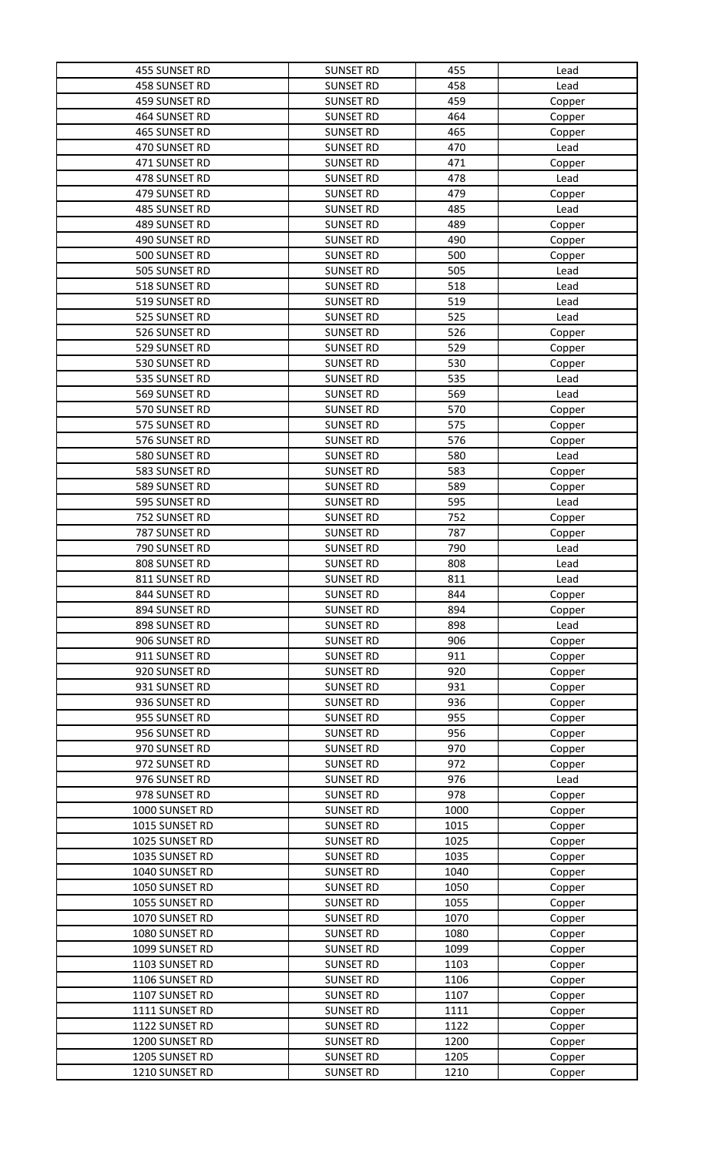| 455 SUNSET RD  | <b>SUNSET RD</b> | 455  | Lead   |
|----------------|------------------|------|--------|
| 458 SUNSET RD  | <b>SUNSET RD</b> | 458  | Lead   |
| 459 SUNSET RD  | <b>SUNSET RD</b> | 459  | Copper |
| 464 SUNSET RD  | <b>SUNSET RD</b> | 464  | Copper |
| 465 SUNSET RD  | <b>SUNSET RD</b> | 465  | Copper |
| 470 SUNSET RD  | <b>SUNSET RD</b> | 470  | Lead   |
| 471 SUNSET RD  | <b>SUNSET RD</b> | 471  | Copper |
| 478 SUNSET RD  | <b>SUNSET RD</b> | 478  | Lead   |
| 479 SUNSET RD  | <b>SUNSET RD</b> | 479  | Copper |
| 485 SUNSET RD  | <b>SUNSET RD</b> | 485  | Lead   |
|                | <b>SUNSET RD</b> | 489  |        |
| 489 SUNSET RD  |                  |      | Copper |
| 490 SUNSET RD  | <b>SUNSET RD</b> | 490  | Copper |
| 500 SUNSET RD  | <b>SUNSET RD</b> | 500  | Copper |
| 505 SUNSET RD  | <b>SUNSET RD</b> | 505  | Lead   |
| 518 SUNSET RD  | <b>SUNSET RD</b> | 518  | Lead   |
| 519 SUNSET RD  | <b>SUNSET RD</b> | 519  | Lead   |
| 525 SUNSET RD  | <b>SUNSET RD</b> | 525  | Lead   |
| 526 SUNSET RD  | <b>SUNSET RD</b> | 526  | Copper |
| 529 SUNSET RD  | <b>SUNSET RD</b> | 529  | Copper |
| 530 SUNSET RD  | <b>SUNSET RD</b> | 530  | Copper |
| 535 SUNSET RD  | <b>SUNSET RD</b> | 535  | Lead   |
| 569 SUNSET RD  | <b>SUNSET RD</b> | 569  | Lead   |
| 570 SUNSET RD  | <b>SUNSET RD</b> | 570  | Copper |
| 575 SUNSET RD  | <b>SUNSET RD</b> | 575  | Copper |
| 576 SUNSET RD  | <b>SUNSET RD</b> | 576  | Copper |
| 580 SUNSET RD  | <b>SUNSET RD</b> | 580  | Lead   |
| 583 SUNSET RD  | <b>SUNSET RD</b> | 583  | Copper |
| 589 SUNSET RD  | <b>SUNSET RD</b> | 589  | Copper |
| 595 SUNSET RD  | <b>SUNSET RD</b> | 595  | Lead   |
| 752 SUNSET RD  | <b>SUNSET RD</b> | 752  | Copper |
| 787 SUNSET RD  | <b>SUNSET RD</b> | 787  | Copper |
| 790 SUNSET RD  | <b>SUNSET RD</b> | 790  | Lead   |
| 808 SUNSET RD  | <b>SUNSET RD</b> | 808  | Lead   |
| 811 SUNSET RD  | <b>SUNSET RD</b> | 811  | Lead   |
| 844 SUNSET RD  | <b>SUNSET RD</b> | 844  | Copper |
| 894 SUNSET RD  | <b>SUNSET RD</b> | 894  | Copper |
| 898 SUNSET RD  | <b>SUNSET RD</b> | 898  | Lead   |
| 906 SUNSET RD  | <b>SUNSET RD</b> | 906  | Copper |
| 911 SUNSET RD  | <b>SUNSET RD</b> | 911  | Copper |
| 920 SUNSET RD  | <b>SUNSET RD</b> | 920  | Copper |
| 931 SUNSET RD  | <b>SUNSET RD</b> | 931  | Copper |
| 936 SUNSET RD  | <b>SUNSET RD</b> | 936  | Copper |
| 955 SUNSET RD  | <b>SUNSET RD</b> | 955  | Copper |
| 956 SUNSET RD  | <b>SUNSET RD</b> | 956  | Copper |
| 970 SUNSET RD  | <b>SUNSET RD</b> | 970  | Copper |
| 972 SUNSET RD  | <b>SUNSET RD</b> | 972  | Copper |
| 976 SUNSET RD  | <b>SUNSET RD</b> | 976  | Lead   |
| 978 SUNSET RD  | <b>SUNSET RD</b> | 978  | Copper |
| 1000 SUNSET RD | <b>SUNSET RD</b> | 1000 | Copper |
| 1015 SUNSET RD | <b>SUNSET RD</b> | 1015 | Copper |
| 1025 SUNSET RD | <b>SUNSET RD</b> | 1025 | Copper |
| 1035 SUNSET RD | <b>SUNSET RD</b> | 1035 | Copper |
| 1040 SUNSET RD | <b>SUNSET RD</b> | 1040 | Copper |
| 1050 SUNSET RD | <b>SUNSET RD</b> | 1050 | Copper |
| 1055 SUNSET RD | <b>SUNSET RD</b> | 1055 | Copper |
| 1070 SUNSET RD | <b>SUNSET RD</b> | 1070 | Copper |
| 1080 SUNSET RD | <b>SUNSET RD</b> | 1080 | Copper |
| 1099 SUNSET RD | <b>SUNSET RD</b> | 1099 | Copper |
| 1103 SUNSET RD | <b>SUNSET RD</b> | 1103 | Copper |
| 1106 SUNSET RD | <b>SUNSET RD</b> | 1106 | Copper |
| 1107 SUNSET RD | <b>SUNSET RD</b> | 1107 | Copper |
| 1111 SUNSET RD | <b>SUNSET RD</b> | 1111 | Copper |
| 1122 SUNSET RD | <b>SUNSET RD</b> | 1122 | Copper |
| 1200 SUNSET RD | <b>SUNSET RD</b> | 1200 | Copper |
| 1205 SUNSET RD | <b>SUNSET RD</b> | 1205 | Copper |
| 1210 SUNSET RD | <b>SUNSET RD</b> | 1210 | Copper |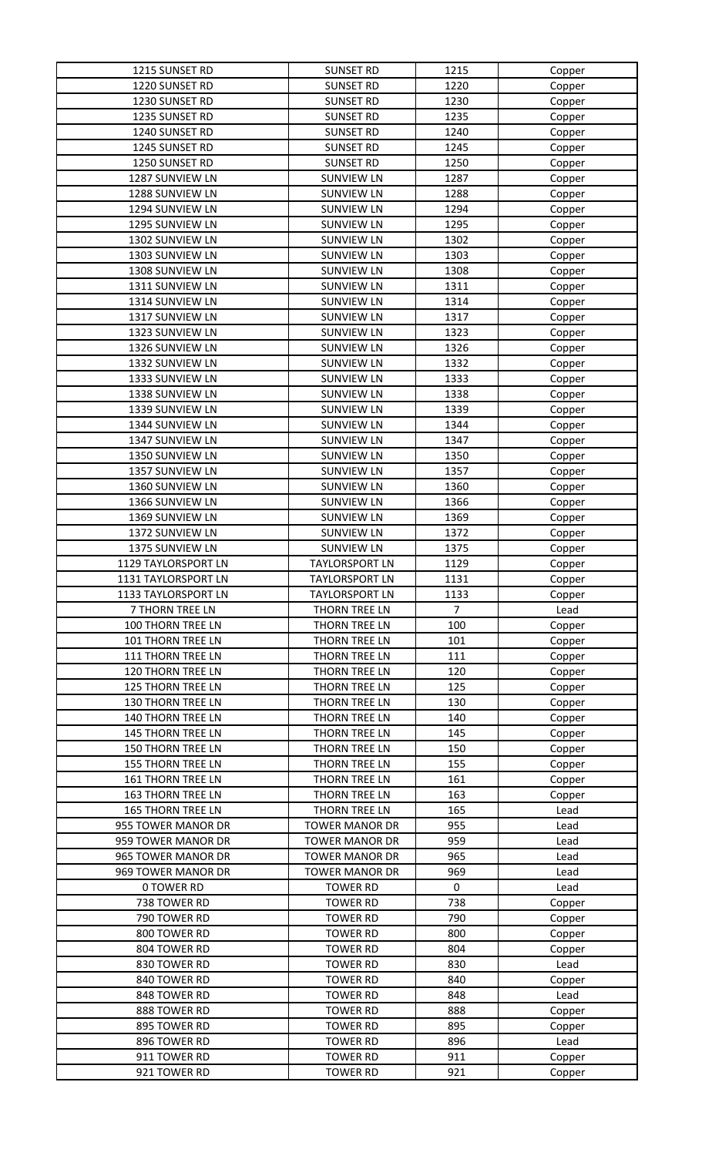| 1215 SUNSET RD           | <b>SUNSET RD</b>      | 1215           | Copper |
|--------------------------|-----------------------|----------------|--------|
| 1220 SUNSET RD           | <b>SUNSET RD</b>      | 1220           | Copper |
| 1230 SUNSET RD           | <b>SUNSET RD</b>      | 1230           | Copper |
| 1235 SUNSET RD           | <b>SUNSET RD</b>      | 1235           | Copper |
| 1240 SUNSET RD           | <b>SUNSET RD</b>      | 1240           | Copper |
| 1245 SUNSET RD           | <b>SUNSET RD</b>      | 1245           | Copper |
| 1250 SUNSET RD           | <b>SUNSET RD</b>      | 1250           | Copper |
| 1287 SUNVIEW LN          | <b>SUNVIEW LN</b>     | 1287           | Copper |
| 1288 SUNVIEW LN          | <b>SUNVIEW LN</b>     | 1288           |        |
|                          |                       |                | Copper |
| 1294 SUNVIEW LN          | <b>SUNVIEW LN</b>     | 1294           | Copper |
| 1295 SUNVIEW LN          | <b>SUNVIEW LN</b>     | 1295           | Copper |
| 1302 SUNVIEW LN          | <b>SUNVIEW LN</b>     | 1302           | Copper |
| 1303 SUNVIEW LN          | <b>SUNVIEW LN</b>     | 1303           | Copper |
| 1308 SUNVIEW LN          | <b>SUNVIEW LN</b>     | 1308           | Copper |
| 1311 SUNVIEW LN          | <b>SUNVIEW LN</b>     | 1311           | Copper |
| 1314 SUNVIEW LN          | <b>SUNVIEW LN</b>     | 1314           | Copper |
| 1317 SUNVIEW LN          | <b>SUNVIEW LN</b>     | 1317           | Copper |
| 1323 SUNVIEW LN          | <b>SUNVIEW LN</b>     | 1323           | Copper |
| 1326 SUNVIEW LN          | <b>SUNVIEW LN</b>     | 1326           | Copper |
| 1332 SUNVIEW LN          | <b>SUNVIEW LN</b>     | 1332           | Copper |
| 1333 SUNVIEW LN          | <b>SUNVIEW LN</b>     | 1333           | Copper |
| 1338 SUNVIEW LN          | <b>SUNVIEW LN</b>     | 1338           | Copper |
| 1339 SUNVIEW LN          | <b>SUNVIEW LN</b>     | 1339           | Copper |
| 1344 SUNVIEW LN          | <b>SUNVIEW LN</b>     | 1344           | Copper |
| 1347 SUNVIEW LN          | <b>SUNVIEW LN</b>     | 1347           | Copper |
| 1350 SUNVIEW LN          | <b>SUNVIEW LN</b>     | 1350           |        |
|                          |                       |                | Copper |
| 1357 SUNVIEW LN          | <b>SUNVIEW LN</b>     | 1357           | Copper |
| 1360 SUNVIEW LN          | <b>SUNVIEW LN</b>     | 1360           | Copper |
| 1366 SUNVIEW LN          | <b>SUNVIEW LN</b>     | 1366           | Copper |
| 1369 SUNVIEW LN          | <b>SUNVIEW LN</b>     | 1369           | Copper |
| 1372 SUNVIEW LN          | <b>SUNVIEW LN</b>     | 1372           | Copper |
| 1375 SUNVIEW LN          | <b>SUNVIEW LN</b>     | 1375           | Copper |
| 1129 TAYLORSPORT LN      | <b>TAYLORSPORT LN</b> | 1129           | Copper |
| 1131 TAYLORSPORT LN      | <b>TAYLORSPORT LN</b> | 1131           | Copper |
| 1133 TAYLORSPORT LN      | <b>TAYLORSPORT LN</b> | 1133           | Copper |
| 7 THORN TREE LN          | THORN TREE LN         | $\overline{7}$ | Lead   |
| 100 THORN TREE LN        | THORN TREE LN         | 100            | Copper |
| 101 THORN TREE LN        | THORN TREE LN         | 101            | Copper |
| 111 THORN TREE LN        | THORN TREE LN         | 111            | Copper |
| 120 THORN TREE LN        | THORN TREE LN         | 120            | Copper |
| <b>125 THORN TREE LN</b> | THORN TREE LN         | 125            | Copper |
| <b>130 THORN TREE LN</b> | THORN TREE LN         | 130            | Copper |
| 140 THORN TREE LN        | THORN TREE LN         | 140            | Copper |
| 145 THORN TREE LN        | THORN TREE LN         | 145            | Copper |
| <b>150 THORN TREE LN</b> | THORN TREE LN         | 150            | Copper |
| <b>155 THORN TREE LN</b> | THORN TREE LN         | 155            |        |
|                          |                       | 161            | Copper |
| 161 THORN TREE LN        | THORN TREE LN         |                | Copper |
| <b>163 THORN TREE LN</b> | THORN TREE LN         | 163            | Copper |
| <b>165 THORN TREE LN</b> | THORN TREE LN         | 165            | Lead   |
| 955 TOWER MANOR DR       | <b>TOWER MANOR DR</b> | 955            | Lead   |
| 959 TOWER MANOR DR       | <b>TOWER MANOR DR</b> | 959            | Lead   |
| 965 TOWER MANOR DR       | <b>TOWER MANOR DR</b> | 965            | Lead   |
| 969 TOWER MANOR DR       | <b>TOWER MANOR DR</b> | 969            | Lead   |
| <b>0 TOWER RD</b>        | <b>TOWER RD</b>       | $\mathbf 0$    | Lead   |
| 738 TOWER RD             | <b>TOWER RD</b>       | 738            | Copper |
| 790 TOWER RD             | <b>TOWER RD</b>       | 790            | Copper |
| 800 TOWER RD             | <b>TOWER RD</b>       | 800            | Copper |
| 804 TOWER RD             | <b>TOWER RD</b>       | 804            | Copper |
| 830 TOWER RD             | <b>TOWER RD</b>       | 830            | Lead   |
| 840 TOWER RD             | <b>TOWER RD</b>       | 840            | Copper |
| 848 TOWER RD             | <b>TOWER RD</b>       | 848            | Lead   |
| 888 TOWER RD             | <b>TOWER RD</b>       | 888            | Copper |
| 895 TOWER RD             | <b>TOWER RD</b>       | 895            | Copper |
| 896 TOWER RD             | <b>TOWER RD</b>       | 896            | Lead   |
| 911 TOWER RD             | <b>TOWER RD</b>       | 911            | Copper |
| 921 TOWER RD             | <b>TOWER RD</b>       | 921            |        |
|                          |                       |                | Copper |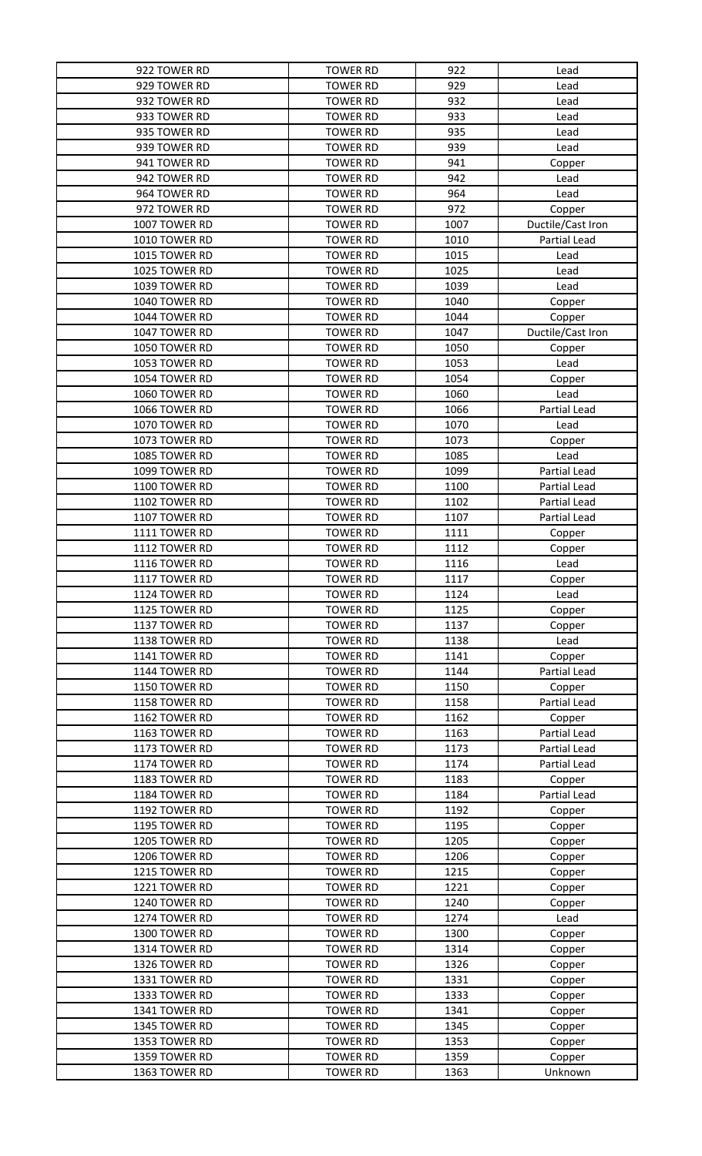| 922 TOWER RD  | <b>TOWER RD</b> | 922          | Lead              |
|---------------|-----------------|--------------|-------------------|
| 929 TOWER RD  | <b>TOWER RD</b> | 929          | Lead              |
| 932 TOWER RD  | <b>TOWER RD</b> | 932          | Lead              |
| 933 TOWER RD  | <b>TOWER RD</b> | 933          | Lead              |
| 935 TOWER RD  | <b>TOWER RD</b> | 935          | Lead              |
| 939 TOWER RD  | <b>TOWER RD</b> | 939          | Lead              |
| 941 TOWER RD  | <b>TOWER RD</b> | 941          | Copper            |
| 942 TOWER RD  | <b>TOWER RD</b> | 942          | Lead              |
| 964 TOWER RD  | <b>TOWER RD</b> | 964          | Lead              |
| 972 TOWER RD  | <b>TOWER RD</b> | 972          | Copper            |
| 1007 TOWER RD | <b>TOWER RD</b> | 1007         | Ductile/Cast Iron |
| 1010 TOWER RD | <b>TOWER RD</b> | 1010         | Partial Lead      |
| 1015 TOWER RD |                 |              |                   |
|               | <b>TOWER RD</b> | 1015<br>1025 | Lead              |
| 1025 TOWER RD | <b>TOWER RD</b> |              | Lead              |
| 1039 TOWER RD | <b>TOWER RD</b> | 1039         | Lead              |
| 1040 TOWER RD | <b>TOWER RD</b> | 1040         | Copper            |
| 1044 TOWER RD | <b>TOWER RD</b> | 1044         | Copper            |
| 1047 TOWER RD | <b>TOWER RD</b> | 1047         | Ductile/Cast Iron |
| 1050 TOWER RD | <b>TOWER RD</b> | 1050         | Copper            |
| 1053 TOWER RD | <b>TOWER RD</b> | 1053         | Lead              |
| 1054 TOWER RD | <b>TOWER RD</b> | 1054         | Copper            |
| 1060 TOWER RD | <b>TOWER RD</b> | 1060         | Lead              |
| 1066 TOWER RD | <b>TOWER RD</b> | 1066         | Partial Lead      |
| 1070 TOWER RD | <b>TOWER RD</b> | 1070         | Lead              |
| 1073 TOWER RD | <b>TOWER RD</b> | 1073         | Copper            |
| 1085 TOWER RD | <b>TOWER RD</b> | 1085         | Lead              |
| 1099 TOWER RD | <b>TOWER RD</b> | 1099         | Partial Lead      |
| 1100 TOWER RD | <b>TOWER RD</b> | 1100         | Partial Lead      |
| 1102 TOWER RD | <b>TOWER RD</b> | 1102         | Partial Lead      |
| 1107 TOWER RD | <b>TOWER RD</b> | 1107         | Partial Lead      |
| 1111 TOWER RD | <b>TOWER RD</b> | 1111         | Copper            |
| 1112 TOWER RD | <b>TOWER RD</b> | 1112         | Copper            |
| 1116 TOWER RD | <b>TOWER RD</b> | 1116         | Lead              |
| 1117 TOWER RD | <b>TOWER RD</b> | 1117         | Copper            |
| 1124 TOWER RD | <b>TOWER RD</b> | 1124         | Lead              |
| 1125 TOWER RD | <b>TOWER RD</b> | 1125         | Copper            |
| 1137 TOWER RD | <b>TOWER RD</b> | 1137         | Copper            |
| 1138 TOWER RD | <b>TOWER RD</b> | 1138         | Lead              |
| 1141 TOWER RD | <b>TOWER RD</b> | 1141         | Copper            |
| 1144 TOWER RD | <b>TOWER RD</b> | 1144         | Partial Lead      |
| 1150 TOWER RD | <b>TOWER RD</b> | 1150         | Copper            |
| 1158 TOWER RD | <b>TOWER RD</b> | 1158         | Partial Lead      |
|               |                 |              |                   |
| 1162 TOWER RD | <b>TOWER RD</b> | 1162         | Copper            |
| 1163 TOWER RD | <b>TOWER RD</b> | 1163         | Partial Lead      |
| 1173 TOWER RD | <b>TOWER RD</b> | 1173         | Partial Lead      |
| 1174 TOWER RD | <b>TOWER RD</b> | 1174         | Partial Lead      |
| 1183 TOWER RD | <b>TOWER RD</b> | 1183         | Copper            |
| 1184 TOWER RD | <b>TOWER RD</b> | 1184         | Partial Lead      |
| 1192 TOWER RD | <b>TOWER RD</b> | 1192         | Copper            |
| 1195 TOWER RD | <b>TOWER RD</b> | 1195         | Copper            |
| 1205 TOWER RD | <b>TOWER RD</b> | 1205         | Copper            |
| 1206 TOWER RD | <b>TOWER RD</b> | 1206         | Copper            |
| 1215 TOWER RD | <b>TOWER RD</b> | 1215         | Copper            |
| 1221 TOWER RD | <b>TOWER RD</b> | 1221         | Copper            |
| 1240 TOWER RD | <b>TOWER RD</b> | 1240         | Copper            |
| 1274 TOWER RD | <b>TOWER RD</b> | 1274         | Lead              |
| 1300 TOWER RD | <b>TOWER RD</b> | 1300         | Copper            |
| 1314 TOWER RD | <b>TOWER RD</b> | 1314         | Copper            |
| 1326 TOWER RD | <b>TOWER RD</b> | 1326         | Copper            |
| 1331 TOWER RD | <b>TOWER RD</b> | 1331         | Copper            |
| 1333 TOWER RD | <b>TOWER RD</b> | 1333         | Copper            |
| 1341 TOWER RD | <b>TOWER RD</b> | 1341         | Copper            |
| 1345 TOWER RD | <b>TOWER RD</b> | 1345         | Copper            |
| 1353 TOWER RD | <b>TOWER RD</b> | 1353         | Copper            |
| 1359 TOWER RD | <b>TOWER RD</b> | 1359         | Copper            |
| 1363 TOWER RD | <b>TOWER RD</b> | 1363         | Unknown           |
|               |                 |              |                   |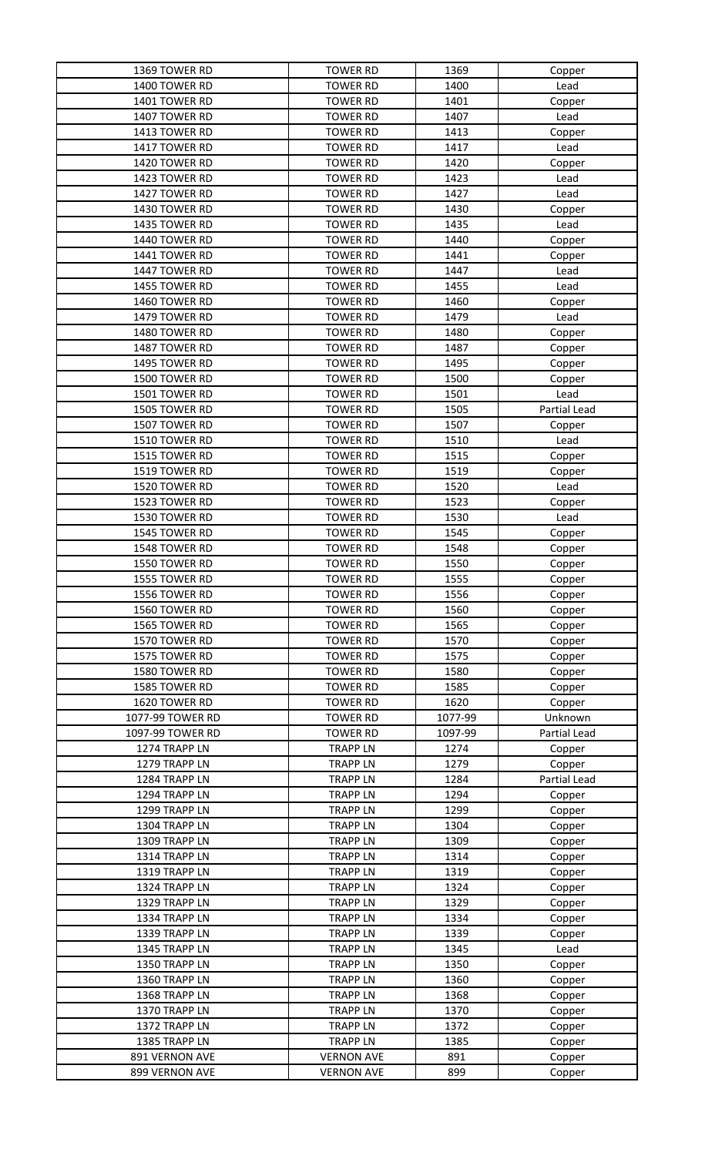| 1369 TOWER RD    | <b>TOWER RD</b>   | 1369    | Copper       |
|------------------|-------------------|---------|--------------|
| 1400 TOWER RD    | <b>TOWER RD</b>   | 1400    | Lead         |
| 1401 TOWER RD    | <b>TOWER RD</b>   | 1401    | Copper       |
| 1407 TOWER RD    | <b>TOWER RD</b>   | 1407    | Lead         |
| 1413 TOWER RD    | <b>TOWER RD</b>   | 1413    | Copper       |
| 1417 TOWER RD    | <b>TOWER RD</b>   | 1417    | Lead         |
| 1420 TOWER RD    | <b>TOWER RD</b>   | 1420    | Copper       |
| 1423 TOWER RD    | <b>TOWER RD</b>   | 1423    | Lead         |
| 1427 TOWER RD    | <b>TOWER RD</b>   | 1427    | Lead         |
| 1430 TOWER RD    | <b>TOWER RD</b>   | 1430    | Copper       |
| 1435 TOWER RD    | <b>TOWER RD</b>   | 1435    | Lead         |
| 1440 TOWER RD    | <b>TOWER RD</b>   | 1440    | Copper       |
| 1441 TOWER RD    | <b>TOWER RD</b>   | 1441    | Copper       |
| 1447 TOWER RD    | <b>TOWER RD</b>   | 1447    | Lead         |
| 1455 TOWER RD    | <b>TOWER RD</b>   | 1455    | Lead         |
| 1460 TOWER RD    | <b>TOWER RD</b>   | 1460    | Copper       |
| 1479 TOWER RD    | <b>TOWER RD</b>   | 1479    | Lead         |
| 1480 TOWER RD    |                   | 1480    |              |
|                  | <b>TOWER RD</b>   |         | Copper       |
| 1487 TOWER RD    | <b>TOWER RD</b>   | 1487    | Copper       |
| 1495 TOWER RD    | <b>TOWER RD</b>   | 1495    | Copper       |
| 1500 TOWER RD    | <b>TOWER RD</b>   | 1500    | Copper       |
| 1501 TOWER RD    | <b>TOWER RD</b>   | 1501    | Lead         |
| 1505 TOWER RD    | <b>TOWER RD</b>   | 1505    | Partial Lead |
| 1507 TOWER RD    | <b>TOWER RD</b>   | 1507    | Copper       |
| 1510 TOWER RD    | <b>TOWER RD</b>   | 1510    | Lead         |
| 1515 TOWER RD    | <b>TOWER RD</b>   | 1515    | Copper       |
| 1519 TOWER RD    | <b>TOWER RD</b>   | 1519    | Copper       |
| 1520 TOWER RD    | <b>TOWER RD</b>   | 1520    | Lead         |
| 1523 TOWER RD    | <b>TOWER RD</b>   | 1523    | Copper       |
| 1530 TOWER RD    | <b>TOWER RD</b>   | 1530    | Lead         |
| 1545 TOWER RD    | <b>TOWER RD</b>   | 1545    | Copper       |
| 1548 TOWER RD    | <b>TOWER RD</b>   | 1548    | Copper       |
| 1550 TOWER RD    | <b>TOWER RD</b>   | 1550    | Copper       |
| 1555 TOWER RD    | <b>TOWER RD</b>   | 1555    | Copper       |
| 1556 TOWER RD    | <b>TOWER RD</b>   | 1556    | Copper       |
| 1560 TOWER RD    | <b>TOWER RD</b>   | 1560    | Copper       |
| 1565 TOWER RD    | <b>TOWER RD</b>   | 1565    | Copper       |
| 1570 TOWER RD    | <b>TOWER RD</b>   | 1570    | Copper       |
| 1575 TOWER RD    | <b>TOWER RD</b>   | 1575    | Copper       |
| 1580 TOWER RD    | <b>TOWER RD</b>   | 1580    | Copper       |
| 1585 TOWER RD    | <b>TOWER RD</b>   | 1585    | Copper       |
| 1620 TOWER RD    | <b>TOWER RD</b>   | 1620    | Copper       |
| 1077-99 TOWER RD | <b>TOWER RD</b>   | 1077-99 | Unknown      |
| 1097-99 TOWER RD | <b>TOWER RD</b>   | 1097-99 | Partial Lead |
| 1274 TRAPP LN    | <b>TRAPP LN</b>   | 1274    | Copper       |
| 1279 TRAPP LN    | <b>TRAPP LN</b>   | 1279    | Copper       |
| 1284 TRAPP LN    | <b>TRAPP LN</b>   | 1284    | Partial Lead |
| 1294 TRAPP LN    | <b>TRAPP LN</b>   | 1294    | Copper       |
| 1299 TRAPP LN    | <b>TRAPP LN</b>   | 1299    | Copper       |
| 1304 TRAPP LN    | <b>TRAPP LN</b>   | 1304    | Copper       |
| 1309 TRAPP LN    | <b>TRAPP LN</b>   | 1309    | Copper       |
| 1314 TRAPP LN    | <b>TRAPP LN</b>   | 1314    | Copper       |
| 1319 TRAPP LN    | <b>TRAPP LN</b>   | 1319    | Copper       |
| 1324 TRAPP LN    | <b>TRAPP LN</b>   | 1324    | Copper       |
| 1329 TRAPP LN    | <b>TRAPP LN</b>   | 1329    | Copper       |
| 1334 TRAPP LN    | <b>TRAPP LN</b>   | 1334    |              |
| 1339 TRAPP LN    |                   |         | Copper       |
|                  | <b>TRAPP LN</b>   | 1339    | Copper       |
| 1345 TRAPP LN    | <b>TRAPP LN</b>   | 1345    | Lead         |
| 1350 TRAPP LN    | <b>TRAPP LN</b>   | 1350    | Copper       |
| 1360 TRAPP LN    | <b>TRAPP LN</b>   | 1360    | Copper       |
| 1368 TRAPP LN    | <b>TRAPP LN</b>   | 1368    | Copper       |
| 1370 TRAPP LN    | <b>TRAPP LN</b>   | 1370    | Copper       |
| 1372 TRAPP LN    | <b>TRAPP LN</b>   | 1372    | Copper       |
| 1385 TRAPP LN    | <b>TRAPP LN</b>   | 1385    | Copper       |
| 891 VERNON AVE   | <b>VERNON AVE</b> | 891     | Copper       |
| 899 VERNON AVE   | <b>VERNON AVE</b> | 899     | Copper       |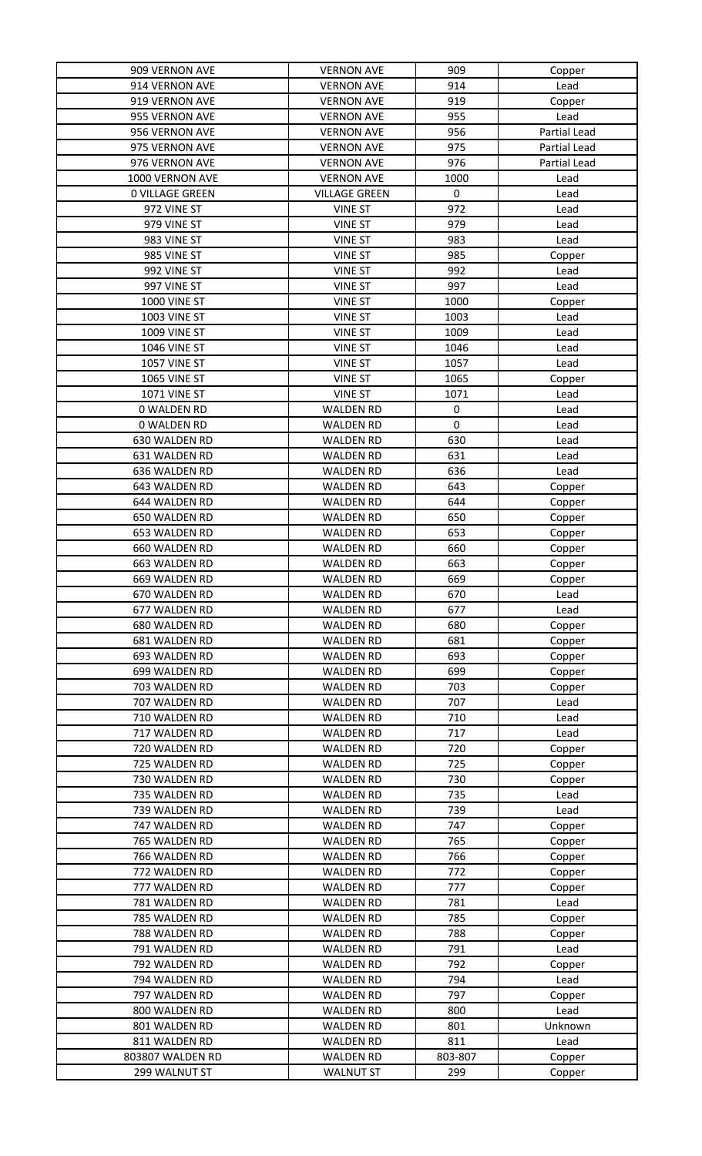| 909 VERNON AVE                 | <b>VERNON AVE</b>                    | 909         | Copper       |
|--------------------------------|--------------------------------------|-------------|--------------|
| 914 VERNON AVE                 | <b>VERNON AVE</b>                    | 914         | Lead         |
| 919 VERNON AVE                 | <b>VERNON AVE</b>                    | 919         | Copper       |
| 955 VERNON AVE                 | <b>VERNON AVE</b>                    | 955         | Lead         |
| 956 VERNON AVE                 | <b>VERNON AVE</b>                    | 956         | Partial Lead |
| 975 VERNON AVE                 | <b>VERNON AVE</b>                    | 975         | Partial Lead |
| 976 VERNON AVE                 | <b>VERNON AVE</b>                    | 976         | Partial Lead |
| 1000 VERNON AVE                | <b>VERNON AVE</b>                    | 1000        | Lead         |
| <b>0 VILLAGE GREEN</b>         | <b>VILLAGE GREEN</b>                 | $\pmb{0}$   | Lead         |
| 972 VINE ST                    | <b>VINE ST</b>                       | 972         | Lead         |
|                                |                                      | 979         |              |
| 979 VINE ST                    | <b>VINE ST</b>                       |             | Lead         |
| 983 VINE ST                    | <b>VINE ST</b>                       | 983         | Lead         |
| 985 VINE ST                    | <b>VINE ST</b>                       | 985         | Copper       |
| 992 VINE ST                    | <b>VINE ST</b>                       | 992         | Lead         |
| 997 VINE ST                    | <b>VINE ST</b>                       | 997         | Lead         |
| 1000 VINE ST                   | <b>VINE ST</b>                       | 1000        | Copper       |
| <b>1003 VINE ST</b>            | <b>VINE ST</b>                       | 1003        | Lead         |
| 1009 VINE ST                   | <b>VINE ST</b>                       | 1009        | Lead         |
| 1046 VINE ST                   | <b>VINE ST</b>                       | 1046        | Lead         |
| 1057 VINE ST                   | <b>VINE ST</b>                       | 1057        | Lead         |
| 1065 VINE ST                   | <b>VINE ST</b>                       | 1065        | Copper       |
| <b>1071 VINE ST</b>            | <b>VINE ST</b>                       | 1071        | Lead         |
| 0 WALDEN RD                    | <b>WALDEN RD</b>                     | $\pmb{0}$   | Lead         |
| 0 WALDEN RD                    | <b>WALDEN RD</b>                     | $\mathbf 0$ | Lead         |
| 630 WALDEN RD                  | <b>WALDEN RD</b>                     | 630         | Lead         |
| 631 WALDEN RD                  | <b>WALDEN RD</b>                     | 631         | Lead         |
| 636 WALDEN RD                  | <b>WALDEN RD</b>                     | 636         | Lead         |
| 643 WALDEN RD                  | <b>WALDEN RD</b>                     | 643         | Copper       |
| 644 WALDEN RD                  | <b>WALDEN RD</b>                     | 644         | Copper       |
| 650 WALDEN RD                  | <b>WALDEN RD</b>                     | 650         | Copper       |
| 653 WALDEN RD                  | <b>WALDEN RD</b>                     | 653         | Copper       |
| 660 WALDEN RD                  | <b>WALDEN RD</b>                     | 660         | Copper       |
| 663 WALDEN RD                  | <b>WALDEN RD</b>                     | 663         | Copper       |
| 669 WALDEN RD                  | <b>WALDEN RD</b>                     | 669         | Copper       |
| 670 WALDEN RD                  | <b>WALDEN RD</b>                     | 670         | Lead         |
| 677 WALDEN RD                  | <b>WALDEN RD</b>                     | 677         | Lead         |
| 680 WALDEN RD                  | <b>WALDEN RD</b>                     | 680         | Copper       |
| 681 WALDEN RD                  | <b>WALDEN RD</b>                     | 681         | Copper       |
| 693 WALDEN RD                  | <b>WALDEN RD</b>                     | 693         | Copper       |
| 699 WALDEN RD                  | <b>WALDEN RD</b>                     | 699         | Copper       |
| 703 WALDEN RD                  | <b>WALDEN RD</b>                     | 703         | Copper       |
| 707 WALDEN RD                  | <b>WALDEN RD</b>                     | 707         | Lead         |
| 710 WALDEN RD                  | <b>WALDEN RD</b>                     | 710         | Lead         |
| 717 WALDEN RD                  | <b>WALDEN RD</b>                     | 717         | Lead         |
| 720 WALDEN RD                  | <b>WALDEN RD</b>                     | 720         |              |
|                                |                                      |             | Copper       |
| 725 WALDEN RD<br>730 WALDEN RD | <b>WALDEN RD</b><br><b>WALDEN RD</b> | 725<br>730  | Copper       |
|                                |                                      |             | Copper       |
| 735 WALDEN RD                  | <b>WALDEN RD</b>                     | 735         | Lead         |
| 739 WALDEN RD                  | <b>WALDEN RD</b>                     | 739         | Lead         |
| 747 WALDEN RD                  | <b>WALDEN RD</b>                     | 747         | Copper       |
| 765 WALDEN RD                  | <b>WALDEN RD</b>                     | 765         | Copper       |
| 766 WALDEN RD                  | <b>WALDEN RD</b>                     | 766         | Copper       |
| 772 WALDEN RD                  | <b>WALDEN RD</b>                     | 772         | Copper       |
| 777 WALDEN RD                  | <b>WALDEN RD</b>                     | 777         | Copper       |
| 781 WALDEN RD                  | <b>WALDEN RD</b>                     | 781         | Lead         |
| 785 WALDEN RD                  | <b>WALDEN RD</b>                     | 785         | Copper       |
| 788 WALDEN RD                  | <b>WALDEN RD</b>                     | 788         | Copper       |
| 791 WALDEN RD                  | <b>WALDEN RD</b>                     | 791         | Lead         |
| 792 WALDEN RD                  | <b>WALDEN RD</b>                     | 792         | Copper       |
| 794 WALDEN RD                  | <b>WALDEN RD</b>                     | 794         | Lead         |
| 797 WALDEN RD                  | <b>WALDEN RD</b>                     | 797         | Copper       |
| 800 WALDEN RD                  | <b>WALDEN RD</b>                     | 800         | Lead         |
| 801 WALDEN RD                  | <b>WALDEN RD</b>                     | 801         | Unknown      |
| 811 WALDEN RD                  | <b>WALDEN RD</b>                     | 811         | Lead         |
| 803807 WALDEN RD               | <b>WALDEN RD</b>                     | 803-807     | Copper       |
| 299 WALNUT ST                  | <b>WALNUT ST</b>                     | 299         | Copper       |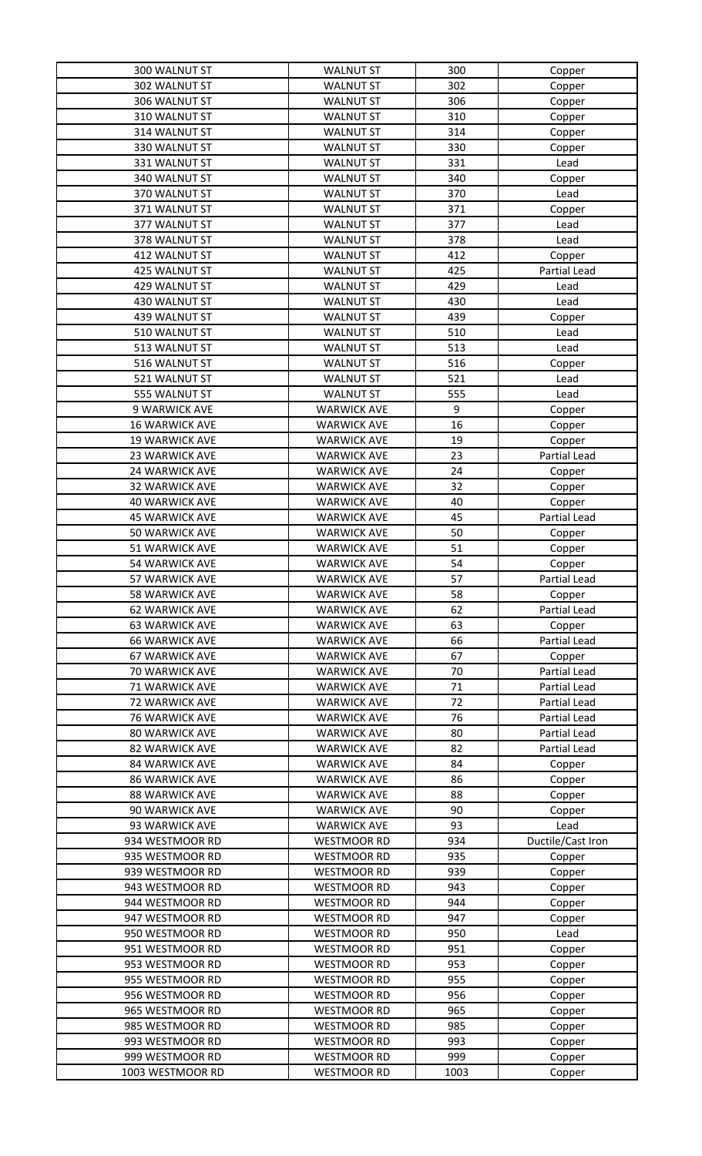| 300 WALNUT ST         | <b>WALNUT ST</b>   | 300             | Copper              |
|-----------------------|--------------------|-----------------|---------------------|
| 302 WALNUT ST         | <b>WALNUT ST</b>   | 302             | Copper              |
| 306 WALNUT ST         | <b>WALNUT ST</b>   | 306             | Copper              |
| 310 WALNUT ST         | <b>WALNUT ST</b>   | 310             | Copper              |
| 314 WALNUT ST         | <b>WALNUT ST</b>   | 314             | Copper              |
| 330 WALNUT ST         | <b>WALNUT ST</b>   | 330             | Copper              |
| 331 WALNUT ST         | <b>WALNUT ST</b>   | 331             | Lead                |
| 340 WALNUT ST         | <b>WALNUT ST</b>   | 340             | Copper              |
| 370 WALNUT ST         | <b>WALNUT ST</b>   | 370             | Lead                |
| 371 WALNUT ST         | <b>WALNUT ST</b>   | 371             | Copper              |
| 377 WALNUT ST         | <b>WALNUT ST</b>   | 377             | Lead                |
| 378 WALNUT ST         | <b>WALNUT ST</b>   | 378             | Lead                |
| 412 WALNUT ST         | <b>WALNUT ST</b>   | 412             | Copper              |
| 425 WALNUT ST         | <b>WALNUT ST</b>   | 425             | Partial Lead        |
| 429 WALNUT ST         | <b>WALNUT ST</b>   | 429             | Lead                |
| 430 WALNUT ST         | <b>WALNUT ST</b>   | 430             | Lead                |
| 439 WALNUT ST         | <b>WALNUT ST</b>   | 439             | Copper              |
| 510 WALNUT ST         | <b>WALNUT ST</b>   | 510             | Lead                |
| 513 WALNUT ST         | <b>WALNUT ST</b>   | 513             | Lead                |
| 516 WALNUT ST         | <b>WALNUT ST</b>   | 516             | Copper              |
| 521 WALNUT ST         | <b>WALNUT ST</b>   | 521             | Lead                |
| 555 WALNUT ST         | <b>WALNUT ST</b>   | 555             | Lead                |
| 9 WARWICK AVE         | <b>WARWICK AVE</b> | 9               | Copper              |
| <b>16 WARWICK AVE</b> | <b>WARWICK AVE</b> | 16              | Copper              |
| <b>19 WARWICK AVE</b> | <b>WARWICK AVE</b> | 19              | Copper              |
| <b>23 WARWICK AVE</b> | <b>WARWICK AVE</b> | 23              | Partial Lead        |
| 24 WARWICK AVE        | <b>WARWICK AVE</b> | 24              | Copper              |
| 32 WARWICK AVE        | <b>WARWICK AVE</b> | 32              | Copper              |
| <b>40 WARWICK AVE</b> | <b>WARWICK AVE</b> | 40              | Copper              |
| <b>45 WARWICK AVE</b> | <b>WARWICK AVE</b> | 45              | Partial Lead        |
| 50 WARWICK AVE        | <b>WARWICK AVE</b> | 50              | Copper              |
| 51 WARWICK AVE        | <b>WARWICK AVE</b> | 51              | Copper              |
| <b>54 WARWICK AVE</b> | <b>WARWICK AVE</b> | 54              | Copper              |
| 57 WARWICK AVE        | <b>WARWICK AVE</b> | $\overline{57}$ | Partial Lead        |
| 58 WARWICK AVE        | <b>WARWICK AVE</b> | 58              | Copper              |
| 62 WARWICK AVE        | <b>WARWICK AVE</b> | 62              | Partial Lead        |
| <b>63 WARWICK AVE</b> | <b>WARWICK AVE</b> | 63              | Copper              |
| <b>66 WARWICK AVE</b> | <b>WARWICK AVE</b> | 66              | Partial Lead        |
| <b>67 WARWICK AVE</b> | <b>WARWICK AVE</b> | 67              | Copper              |
| 70 WARWICK AVE        | <b>WARWICK AVE</b> | 70              | <b>Partial Lead</b> |
| 71 WARWICK AVE        | <b>WARWICK AVE</b> | 71              | Partial Lead        |
| 72 WARWICK AVE        | <b>WARWICK AVE</b> | 72              | Partial Lead        |
| <b>76 WARWICK AVE</b> | <b>WARWICK AVE</b> | 76              | Partial Lead        |
| <b>80 WARWICK AVE</b> | <b>WARWICK AVE</b> | 80              | Partial Lead        |
| 82 WARWICK AVE        | <b>WARWICK AVE</b> | 82              | Partial Lead        |
| <b>84 WARWICK AVE</b> | <b>WARWICK AVE</b> | 84              | Copper              |
| <b>86 WARWICK AVE</b> | <b>WARWICK AVE</b> | 86              | Copper              |
| <b>88 WARWICK AVE</b> | <b>WARWICK AVE</b> | 88              | Copper              |
| 90 WARWICK AVE        | <b>WARWICK AVE</b> | 90              | Copper              |
| 93 WARWICK AVE        | <b>WARWICK AVE</b> | 93              | Lead                |
| 934 WESTMOOR RD       | <b>WESTMOOR RD</b> | 934             | Ductile/Cast Iron   |
| 935 WESTMOOR RD       | <b>WESTMOOR RD</b> | 935             | Copper              |
| 939 WESTMOOR RD       | <b>WESTMOOR RD</b> | 939             | Copper              |
| 943 WESTMOOR RD       | <b>WESTMOOR RD</b> | 943             | Copper              |
| 944 WESTMOOR RD       | <b>WESTMOOR RD</b> | 944             | Copper              |
| 947 WESTMOOR RD       | <b>WESTMOOR RD</b> | 947             | Copper              |
| 950 WESTMOOR RD       | <b>WESTMOOR RD</b> | 950             | Lead                |
| 951 WESTMOOR RD       | <b>WESTMOOR RD</b> | 951             | Copper              |
| 953 WESTMOOR RD       | <b>WESTMOOR RD</b> | 953             | Copper              |
| 955 WESTMOOR RD       | <b>WESTMOOR RD</b> | 955             | Copper              |
| 956 WESTMOOR RD       | <b>WESTMOOR RD</b> | 956             | Copper              |
| 965 WESTMOOR RD       | <b>WESTMOOR RD</b> | 965             | Copper              |
| 985 WESTMOOR RD       | <b>WESTMOOR RD</b> | 985             | Copper              |
| 993 WESTMOOR RD       | <b>WESTMOOR RD</b> | 993             | Copper              |
| 999 WESTMOOR RD       | <b>WESTMOOR RD</b> | 999             | Copper              |
| 1003 WESTMOOR RD      | <b>WESTMOOR RD</b> | 1003            |                     |
|                       |                    |                 | Copper              |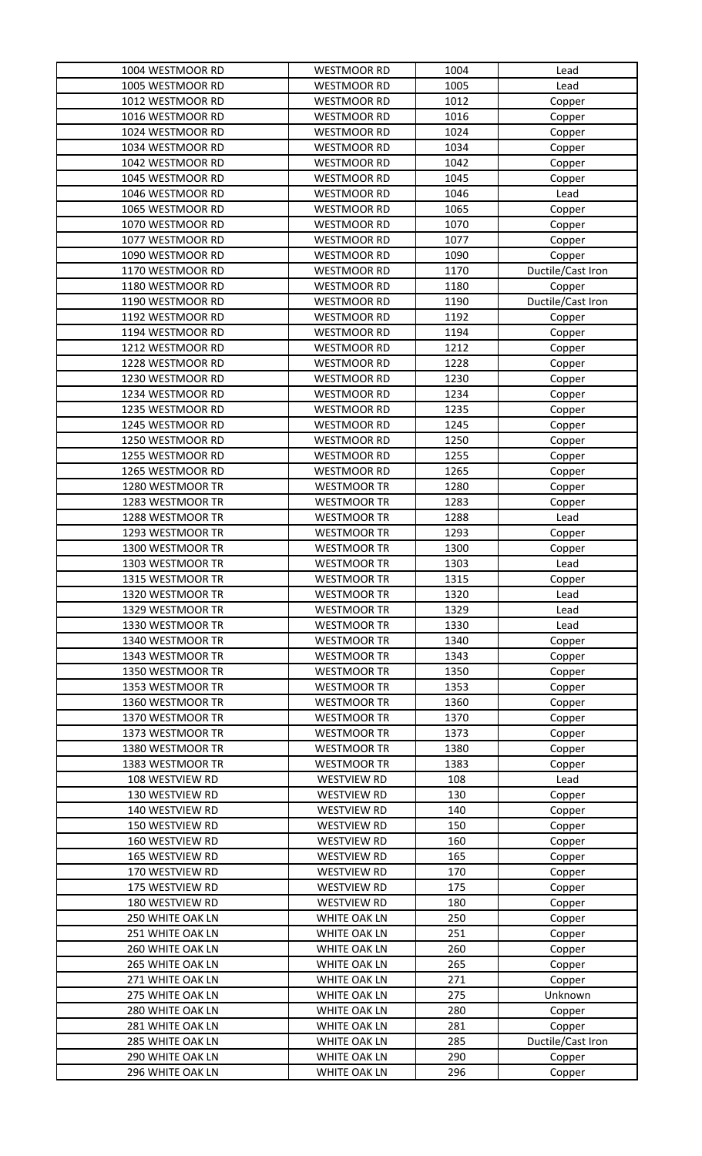| 1004 WESTMOOR RD | <b>WESTMOOR RD</b>  | 1004 | Lead              |
|------------------|---------------------|------|-------------------|
| 1005 WESTMOOR RD | <b>WESTMOOR RD</b>  | 1005 | Lead              |
| 1012 WESTMOOR RD | <b>WESTMOOR RD</b>  | 1012 | Copper            |
| 1016 WESTMOOR RD | <b>WESTMOOR RD</b>  | 1016 | Copper            |
| 1024 WESTMOOR RD | <b>WESTMOOR RD</b>  | 1024 | Copper            |
| 1034 WESTMOOR RD | <b>WESTMOOR RD</b>  | 1034 | Copper            |
| 1042 WESTMOOR RD | <b>WESTMOOR RD</b>  | 1042 | Copper            |
| 1045 WESTMOOR RD | <b>WESTMOOR RD</b>  | 1045 | Copper            |
| 1046 WESTMOOR RD | <b>WESTMOOR RD</b>  | 1046 | Lead              |
| 1065 WESTMOOR RD | <b>WESTMOOR RD</b>  | 1065 | Copper            |
| 1070 WESTMOOR RD | <b>WESTMOOR RD</b>  | 1070 | Copper            |
| 1077 WESTMOOR RD | <b>WESTMOOR RD</b>  | 1077 | Copper            |
| 1090 WESTMOOR RD | <b>WESTMOOR RD</b>  | 1090 | Copper            |
| 1170 WESTMOOR RD | <b>WESTMOOR RD</b>  | 1170 | Ductile/Cast Iron |
| 1180 WESTMOOR RD | <b>WESTMOOR RD</b>  | 1180 | Copper            |
| 1190 WESTMOOR RD | <b>WESTMOOR RD</b>  | 1190 | Ductile/Cast Iron |
| 1192 WESTMOOR RD | <b>WESTMOOR RD</b>  | 1192 | Copper            |
| 1194 WESTMOOR RD | <b>WESTMOOR RD</b>  | 1194 | Copper            |
| 1212 WESTMOOR RD | <b>WESTMOOR RD</b>  | 1212 | Copper            |
| 1228 WESTMOOR RD | <b>WESTMOOR RD</b>  | 1228 | Copper            |
| 1230 WESTMOOR RD | <b>WESTMOOR RD</b>  | 1230 | Copper            |
| 1234 WESTMOOR RD | <b>WESTMOOR RD</b>  | 1234 | Copper            |
| 1235 WESTMOOR RD | <b>WESTMOOR RD</b>  | 1235 | Copper            |
| 1245 WESTMOOR RD | <b>WESTMOOR RD</b>  | 1245 | Copper            |
| 1250 WESTMOOR RD | <b>WESTMOOR RD</b>  | 1250 | Copper            |
| 1255 WESTMOOR RD | <b>WESTMOOR RD</b>  | 1255 | Copper            |
| 1265 WESTMOOR RD | <b>WESTMOOR RD</b>  | 1265 | Copper            |
| 1280 WESTMOOR TR | <b>WESTMOOR TR</b>  | 1280 | Copper            |
| 1283 WESTMOOR TR | <b>WESTMOOR TR</b>  | 1283 | Copper            |
| 1288 WESTMOOR TR | <b>WESTMOOR TR</b>  | 1288 | Lead              |
| 1293 WESTMOOR TR | <b>WESTMOOR TR</b>  | 1293 | Copper            |
| 1300 WESTMOOR TR | <b>WESTMOOR TR</b>  | 1300 | Copper            |
| 1303 WESTMOOR TR | <b>WESTMOOR TR</b>  | 1303 | Lead              |
| 1315 WESTMOOR TR | <b>WESTMOOR TR</b>  | 1315 | Copper            |
| 1320 WESTMOOR TR | <b>WESTMOOR TR</b>  | 1320 | Lead              |
| 1329 WESTMOOR TR | <b>WESTMOOR TR</b>  | 1329 | Lead              |
| 1330 WESTMOOR TR | <b>WESTMOOR TR</b>  | 1330 | Lead              |
| 1340 WESTMOOR TR | <b>WESTMOOR TR</b>  | 1340 | Copper            |
| 1343 WESTMOOR TR | <b>WESTMOOR TR</b>  | 1343 | Copper            |
| 1350 WESTMOOR TR | <b>WESTMOOR TR</b>  | 1350 | Copper            |
| 1353 WESTMOOR TR | <b>WESTMOOR TR</b>  | 1353 | Copper            |
| 1360 WESTMOOR TR | <b>WESTMOOR TR</b>  | 1360 | Copper            |
| 1370 WESTMOOR TR | <b>WESTMOOR TR</b>  | 1370 | Copper            |
| 1373 WESTMOOR TR | <b>WESTMOOR TR</b>  | 1373 | Copper            |
| 1380 WESTMOOR TR | <b>WESTMOOR TR</b>  | 1380 | Copper            |
| 1383 WESTMOOR TR | <b>WESTMOOR TR</b>  | 1383 | Copper            |
| 108 WESTVIEW RD  | <b>WESTVIEW RD</b>  | 108  | Lead              |
| 130 WESTVIEW RD  | <b>WESTVIEW RD</b>  | 130  | Copper            |
| 140 WESTVIEW RD  | <b>WESTVIEW RD</b>  | 140  | Copper            |
| 150 WESTVIEW RD  | <b>WESTVIEW RD</b>  | 150  | Copper            |
| 160 WESTVIEW RD  | <b>WESTVIEW RD</b>  | 160  | Copper            |
| 165 WESTVIEW RD  | <b>WESTVIEW RD</b>  | 165  | Copper            |
| 170 WESTVIEW RD  | <b>WESTVIEW RD</b>  | 170  | Copper            |
| 175 WESTVIEW RD  | <b>WESTVIEW RD</b>  | 175  | Copper            |
| 180 WESTVIEW RD  | <b>WESTVIEW RD</b>  | 180  | Copper            |
| 250 WHITE OAK LN | WHITE OAK LN        | 250  | Copper            |
| 251 WHITE OAK LN | WHITE OAK LN        | 251  | Copper            |
| 260 WHITE OAK LN | <b>WHITE OAK LN</b> | 260  | Copper            |
| 265 WHITE OAK LN | <b>WHITE OAK LN</b> | 265  | Copper            |
| 271 WHITE OAK LN | WHITE OAK LN        | 271  | Copper            |
| 275 WHITE OAK LN | WHITE OAK LN        | 275  | Unknown           |
| 280 WHITE OAK LN | WHITE OAK LN        | 280  | Copper            |
| 281 WHITE OAK LN | <b>WHITE OAK LN</b> | 281  | Copper            |
| 285 WHITE OAK LN | WHITE OAK LN        | 285  | Ductile/Cast Iron |
| 290 WHITE OAK LN | WHITE OAK LN        | 290  | Copper            |
| 296 WHITE OAK LN | WHITE OAK LN        | 296  | Copper            |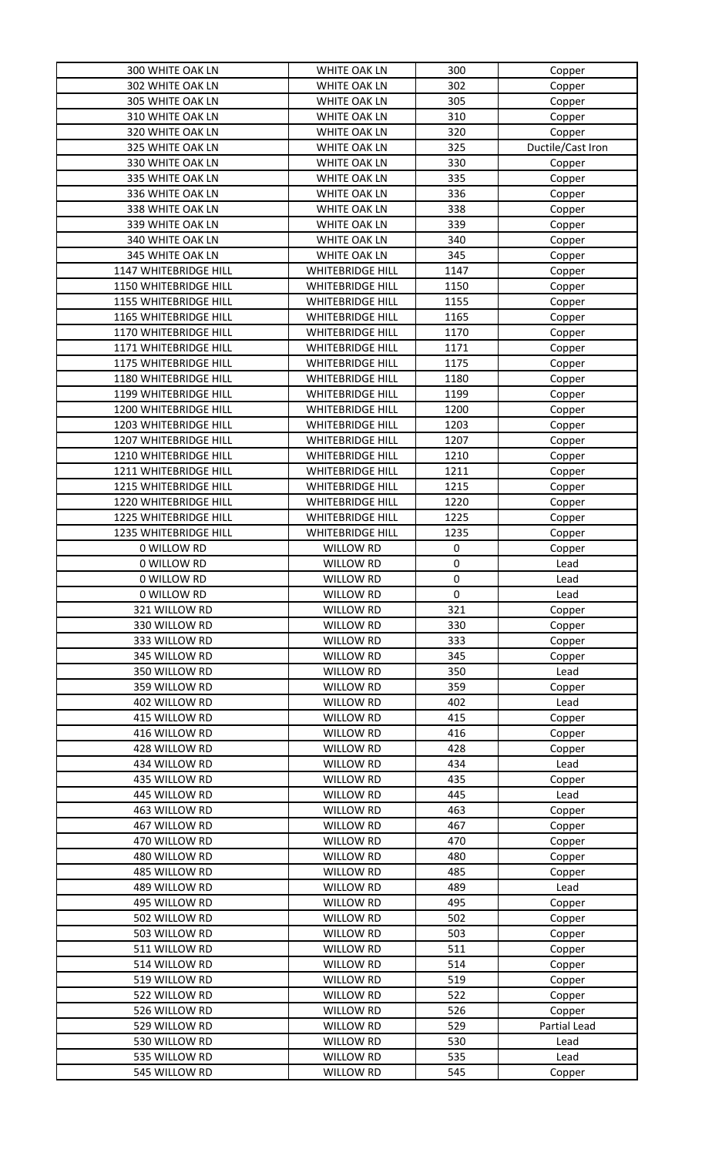| 300 WHITE OAK LN      | <b>WHITE OAK LN</b>     | 300         | Copper            |
|-----------------------|-------------------------|-------------|-------------------|
| 302 WHITE OAK LN      | <b>WHITE OAK LN</b>     | 302         | Copper            |
| 305 WHITE OAK LN      | WHITE OAK LN            | 305         | Copper            |
| 310 WHITE OAK LN      | WHITE OAK LN            | 310         | Copper            |
| 320 WHITE OAK LN      | <b>WHITE OAK LN</b>     | 320         | Copper            |
| 325 WHITE OAK LN      | WHITE OAK LN            | 325         | Ductile/Cast Iron |
| 330 WHITE OAK LN      | WHITE OAK LN            | 330         | Copper            |
| 335 WHITE OAK LN      | <b>WHITE OAK LN</b>     | 335         | Copper            |
| 336 WHITE OAK LN      | WHITE OAK LN            | 336         | Copper            |
| 338 WHITE OAK LN      | WHITE OAK LN            | 338         | Copper            |
| 339 WHITE OAK LN      | WHITE OAK LN            | 339         | Copper            |
| 340 WHITE OAK LN      | WHITE OAK LN            | 340         | Copper            |
| 345 WHITE OAK LN      | WHITE OAK LN            | 345         | Copper            |
| 1147 WHITEBRIDGE HILL | <b>WHITEBRIDGE HILL</b> | 1147        | Copper            |
| 1150 WHITEBRIDGE HILL | <b>WHITEBRIDGE HILL</b> | 1150        | Copper            |
| 1155 WHITEBRIDGE HILL | <b>WHITEBRIDGE HILL</b> | 1155        | Copper            |
| 1165 WHITEBRIDGE HILL | <b>WHITEBRIDGE HILL</b> | 1165        | Copper            |
| 1170 WHITEBRIDGE HILL | <b>WHITEBRIDGE HILL</b> | 1170        |                   |
| 1171 WHITEBRIDGE HILL |                         | 1171        | Copper            |
|                       | <b>WHITEBRIDGE HILL</b> | 1175        | Copper            |
| 1175 WHITEBRIDGE HILL | <b>WHITEBRIDGE HILL</b> |             | Copper            |
| 1180 WHITEBRIDGE HILL | <b>WHITEBRIDGE HILL</b> | 1180        | Copper            |
| 1199 WHITEBRIDGE HILL | <b>WHITEBRIDGE HILL</b> | 1199        | Copper            |
| 1200 WHITEBRIDGE HILL | <b>WHITEBRIDGE HILL</b> | 1200        | Copper            |
| 1203 WHITEBRIDGE HILL | <b>WHITEBRIDGE HILL</b> | 1203        | Copper            |
| 1207 WHITEBRIDGE HILL | <b>WHITEBRIDGE HILL</b> | 1207        | Copper            |
| 1210 WHITEBRIDGE HILL | <b>WHITEBRIDGE HILL</b> | 1210        | Copper            |
| 1211 WHITEBRIDGE HILL | <b>WHITEBRIDGE HILL</b> | 1211        | Copper            |
| 1215 WHITEBRIDGE HILL | <b>WHITEBRIDGE HILL</b> | 1215        | Copper            |
| 1220 WHITEBRIDGE HILL | <b>WHITEBRIDGE HILL</b> | 1220        | Copper            |
| 1225 WHITEBRIDGE HILL | <b>WHITEBRIDGE HILL</b> | 1225        | Copper            |
| 1235 WHITEBRIDGE HILL | <b>WHITEBRIDGE HILL</b> | 1235        | Copper            |
| 0 WILLOW RD           | <b>WILLOW RD</b>        | $\pmb{0}$   | Copper            |
| 0 WILLOW RD           | <b>WILLOW RD</b>        | $\pmb{0}$   | Lead              |
| 0 WILLOW RD           | WILLOW RD               | $\pmb{0}$   | Lead              |
| 0 WILLOW RD           | WILLOW RD               | $\mathbf 0$ | Lead              |
| 321 WILLOW RD         | WILLOW RD               | 321         | Copper            |
| 330 WILLOW RD         | WILLOW RD               | 330         | Copper            |
| 333 WILLOW RD         | <b>WILLOW RD</b>        | 333         | Copper            |
| 345 WILLOW RD         | WILLOW RD               | 345         | Copper            |
| 350 WILLOW RD         | <b>WILLOW RD</b>        | 350         | Lead              |
| 359 WILLOW RD         | <b>WILLOW RD</b>        | 359         | Copper            |
| 402 WILLOW RD         | <b>WILLOW RD</b>        | 402         | Lead              |
| 415 WILLOW RD         | <b>WILLOW RD</b>        | 415         | Copper            |
| 416 WILLOW RD         | WILLOW RD               | 416         | Copper            |
| 428 WILLOW RD         | WILLOW RD               | 428         | Copper            |
| 434 WILLOW RD         | <b>WILLOW RD</b>        | 434         | Lead              |
| 435 WILLOW RD         | <b>WILLOW RD</b>        | 435         | Copper            |
| 445 WILLOW RD         | <b>WILLOW RD</b>        | 445         | Lead              |
| 463 WILLOW RD         | <b>WILLOW RD</b>        | 463         | Copper            |
| 467 WILLOW RD         | <b>WILLOW RD</b>        | 467         | Copper            |
| 470 WILLOW RD         | WILLOW RD               | 470         | Copper            |
| 480 WILLOW RD         | <b>WILLOW RD</b>        | 480         | Copper            |
| 485 WILLOW RD         | WILLOW RD               | 485         | Copper            |
| 489 WILLOW RD         | <b>WILLOW RD</b>        | 489         |                   |
| 495 WILLOW RD         | <b>WILLOW RD</b>        | 495         | Lead              |
| 502 WILLOW RD         |                         | 502         | Copper            |
|                       | WILLOW RD               |             | Copper            |
| 503 WILLOW RD         | WILLOW RD               | 503         | Copper            |
| 511 WILLOW RD         | <b>WILLOW RD</b>        | 511         | Copper            |
| 514 WILLOW RD         | <b>WILLOW RD</b>        | 514         | Copper            |
| 519 WILLOW RD         | <b>WILLOW RD</b>        | 519         | Copper            |
| 522 WILLOW RD         | WILLOW RD               | 522         | Copper            |
| 526 WILLOW RD         | <b>WILLOW RD</b>        | 526         | Copper            |
| 529 WILLOW RD         | <b>WILLOW RD</b>        | 529         | Partial Lead      |
| 530 WILLOW RD         | <b>WILLOW RD</b>        | 530         | Lead              |
| 535 WILLOW RD         | <b>WILLOW RD</b>        | 535         | Lead              |
| 545 WILLOW RD         | <b>WILLOW RD</b>        | 545         | Copper            |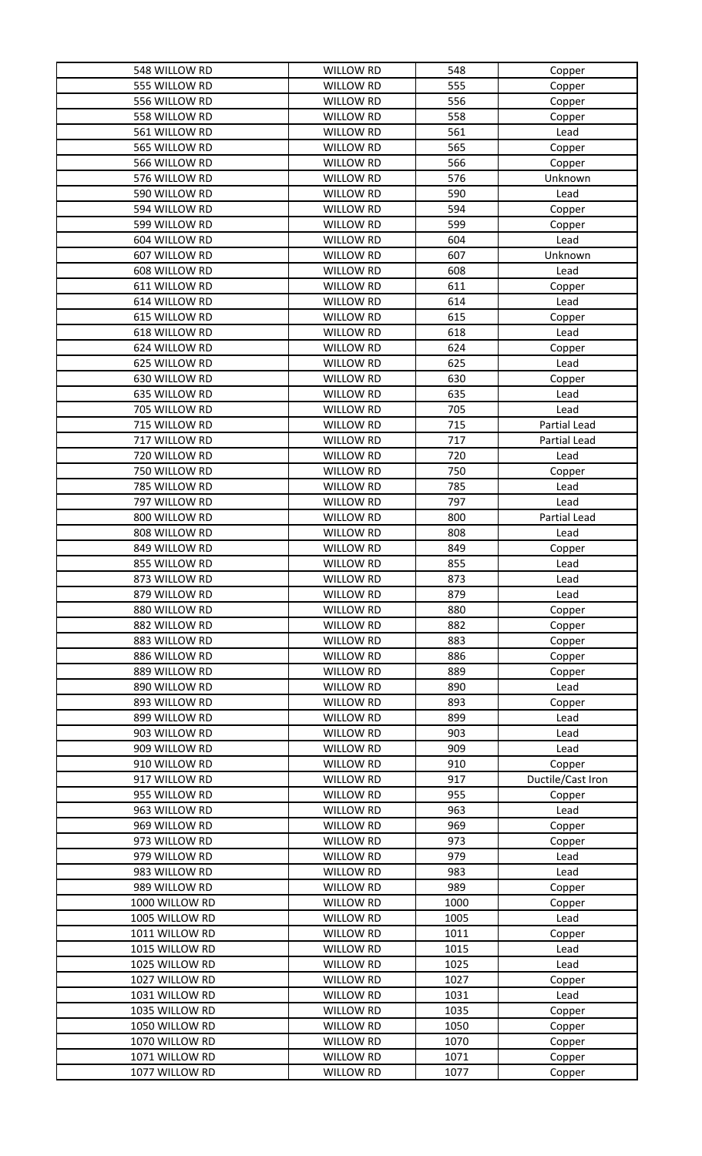| 548 WILLOW RD  | <b>WILLOW RD</b> | 548  | Copper            |
|----------------|------------------|------|-------------------|
| 555 WILLOW RD  | WILLOW RD        | 555  | Copper            |
| 556 WILLOW RD  | WILLOW RD        | 556  | Copper            |
| 558 WILLOW RD  | <b>WILLOW RD</b> | 558  | Copper            |
| 561 WILLOW RD  | WILLOW RD        | 561  | Lead              |
| 565 WILLOW RD  | WILLOW RD        | 565  | Copper            |
| 566 WILLOW RD  | WILLOW RD        | 566  | Copper            |
| 576 WILLOW RD  | WILLOW RD        | 576  | Unknown           |
| 590 WILLOW RD  | <b>WILLOW RD</b> | 590  | Lead              |
| 594 WILLOW RD  | WILLOW RD        | 594  | Copper            |
| 599 WILLOW RD  | <b>WILLOW RD</b> | 599  | Copper            |
| 604 WILLOW RD  | WILLOW RD        | 604  | Lead              |
| 607 WILLOW RD  | WILLOW RD        | 607  | Unknown           |
| 608 WILLOW RD  | WILLOW RD        | 608  | Lead              |
| 611 WILLOW RD  | WILLOW RD        | 611  | Copper            |
| 614 WILLOW RD  | <b>WILLOW RD</b> | 614  | Lead              |
| 615 WILLOW RD  | <b>WILLOW RD</b> | 615  | Copper            |
| 618 WILLOW RD  | WILLOW RD        | 618  | Lead              |
| 624 WILLOW RD  | WILLOW RD        | 624  |                   |
| 625 WILLOW RD  | WILLOW RD        | 625  | Copper<br>Lead    |
|                |                  | 630  |                   |
| 630 WILLOW RD  | WILLOW RD        |      | Copper            |
| 635 WILLOW RD  | WILLOW RD        | 635  | Lead              |
| 705 WILLOW RD  | WILLOW RD        | 705  | Lead              |
| 715 WILLOW RD  | <b>WILLOW RD</b> | 715  | Partial Lead      |
| 717 WILLOW RD  | <b>WILLOW RD</b> | 717  | Partial Lead      |
| 720 WILLOW RD  | WILLOW RD        | 720  | Lead              |
| 750 WILLOW RD  | WILLOW RD        | 750  | Copper            |
| 785 WILLOW RD  | WILLOW RD        | 785  | Lead              |
| 797 WILLOW RD  | <b>WILLOW RD</b> | 797  | Lead              |
| 800 WILLOW RD  | WILLOW RD        | 800  | Partial Lead      |
| 808 WILLOW RD  | <b>WILLOW RD</b> | 808  | Lead              |
| 849 WILLOW RD  | WILLOW RD        | 849  | Copper            |
| 855 WILLOW RD  | <b>WILLOW RD</b> | 855  | Lead              |
| 873 WILLOW RD  | <b>WILLOW RD</b> | 873  | Lead              |
| 879 WILLOW RD  | WILLOW RD        | 879  | Lead              |
| 880 WILLOW RD  | WILLOW RD        | 880  | Copper            |
| 882 WILLOW RD  | <b>WILLOW RD</b> | 882  | Copper            |
| 883 WILLOW RD  | <b>WILLOW RD</b> | 883  | Copper            |
| 886 WILLOW RD  | WILLOW RD        | 886  | Copper            |
| 889 WILLOW RD  | <b>WILLOW RD</b> | 889  | Copper            |
| 890 WILLOW RD  | <b>WILLOW RD</b> | 890  | Lead              |
| 893 WILLOW RD  | <b>WILLOW RD</b> | 893  | Copper            |
| 899 WILLOW RD  | WILLOW RD        | 899  | Lead              |
| 903 WILLOW RD  | <b>WILLOW RD</b> | 903  | Lead              |
| 909 WILLOW RD  | <b>WILLOW RD</b> | 909  | Lead              |
| 910 WILLOW RD  | <b>WILLOW RD</b> | 910  | Copper            |
| 917 WILLOW RD  | <b>WILLOW RD</b> | 917  | Ductile/Cast Iron |
| 955 WILLOW RD  | <b>WILLOW RD</b> | 955  | Copper            |
| 963 WILLOW RD  | <b>WILLOW RD</b> | 963  | Lead              |
| 969 WILLOW RD  | <b>WILLOW RD</b> | 969  | Copper            |
| 973 WILLOW RD  | <b>WILLOW RD</b> | 973  | Copper            |
| 979 WILLOW RD  | <b>WILLOW RD</b> | 979  | Lead              |
| 983 WILLOW RD  | <b>WILLOW RD</b> | 983  | Lead              |
| 989 WILLOW RD  | <b>WILLOW RD</b> | 989  |                   |
| 1000 WILLOW RD | <b>WILLOW RD</b> | 1000 | Copper            |
|                |                  |      | Copper            |
| 1005 WILLOW RD | <b>WILLOW RD</b> | 1005 | Lead              |
| 1011 WILLOW RD | WILLOW RD        | 1011 | Copper            |
| 1015 WILLOW RD | WILLOW RD        | 1015 | Lead              |
| 1025 WILLOW RD | <b>WILLOW RD</b> | 1025 | Lead              |
| 1027 WILLOW RD |                  | 1027 | Copper            |
|                | WILLOW RD        |      |                   |
| 1031 WILLOW RD | WILLOW RD        | 1031 | Lead              |
| 1035 WILLOW RD | <b>WILLOW RD</b> | 1035 | Copper            |
| 1050 WILLOW RD | WILLOW RD        | 1050 | Copper            |
| 1070 WILLOW RD | WILLOW RD        | 1070 | Copper            |
| 1071 WILLOW RD | WILLOW RD        | 1071 | Copper            |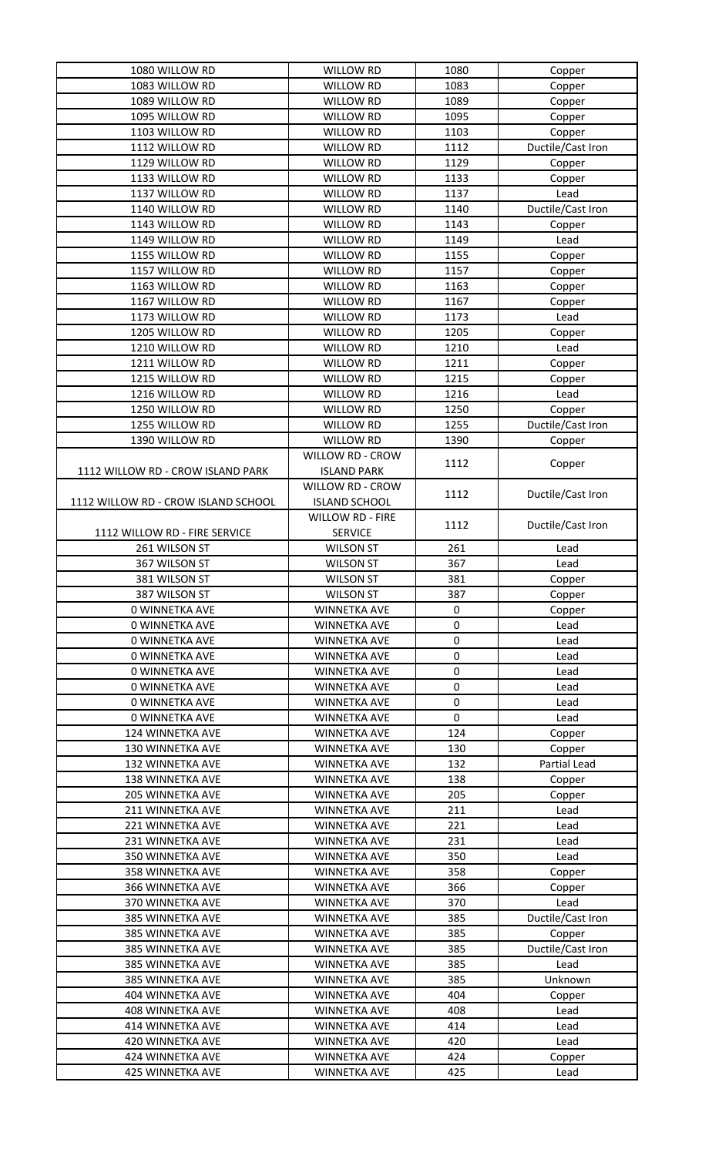| 1080 WILLOW RD                              | <b>WILLOW RD</b>                           | 1080        | Copper            |
|---------------------------------------------|--------------------------------------------|-------------|-------------------|
| 1083 WILLOW RD                              | <b>WILLOW RD</b>                           | 1083        | Copper            |
| 1089 WILLOW RD                              | <b>WILLOW RD</b>                           | 1089        | Copper            |
| 1095 WILLOW RD                              | WILLOW RD                                  | 1095        | Copper            |
| 1103 WILLOW RD                              | WILLOW RD                                  | 1103        | Copper            |
| 1112 WILLOW RD                              | <b>WILLOW RD</b>                           | 1112        | Ductile/Cast Iron |
| 1129 WILLOW RD                              | WILLOW RD                                  | 1129        | Copper            |
| 1133 WILLOW RD                              | WILLOW RD                                  | 1133        | Copper            |
| 1137 WILLOW RD                              | <b>WILLOW RD</b>                           | 1137        | Lead              |
| 1140 WILLOW RD                              | <b>WILLOW RD</b>                           | 1140        | Ductile/Cast Iron |
| 1143 WILLOW RD                              | WILLOW RD                                  | 1143        | Copper            |
| 1149 WILLOW RD                              | WILLOW RD                                  | 1149        | Lead              |
| 1155 WILLOW RD                              | WILLOW RD                                  | 1155        | Copper            |
| 1157 WILLOW RD                              | <b>WILLOW RD</b>                           | 1157        | Copper            |
| 1163 WILLOW RD                              | <b>WILLOW RD</b>                           | 1163        | Copper            |
| 1167 WILLOW RD                              | <b>WILLOW RD</b>                           | 1167        | Copper            |
| 1173 WILLOW RD                              | <b>WILLOW RD</b>                           | 1173        | Lead              |
| 1205 WILLOW RD                              | <b>WILLOW RD</b>                           | 1205        | Copper            |
| 1210 WILLOW RD                              | <b>WILLOW RD</b>                           | 1210        | Lead              |
| 1211 WILLOW RD                              | <b>WILLOW RD</b>                           | 1211        | Copper            |
| 1215 WILLOW RD                              | <b>WILLOW RD</b>                           | 1215        | Copper            |
| 1216 WILLOW RD                              | WILLOW RD                                  | 1216        | Lead              |
| 1250 WILLOW RD                              | <b>WILLOW RD</b>                           | 1250        | Copper            |
| 1255 WILLOW RD                              | WILLOW RD                                  | 1255        | Ductile/Cast Iron |
| 1390 WILLOW RD                              | WILLOW RD                                  | 1390        | Copper            |
|                                             | <b>WILLOW RD - CROW</b>                    |             |                   |
| 1112 WILLOW RD - CROW ISLAND PARK           | <b>ISLAND PARK</b>                         | 1112        | Copper            |
|                                             | <b>WILLOW RD - CROW</b>                    |             |                   |
| 1112 WILLOW RD - CROW ISLAND SCHOOL         | <b>ISLAND SCHOOL</b>                       | 1112        | Ductile/Cast Iron |
|                                             | <b>WILLOW RD - FIRE</b>                    |             |                   |
| 1112 WILLOW RD - FIRE SERVICE               | <b>SERVICE</b>                             | 1112        | Ductile/Cast Iron |
| 261 WILSON ST                               | <b>WILSON ST</b>                           | 261         | Lead              |
| 367 WILSON ST                               | <b>WILSON ST</b>                           | 367         | Lead              |
| 381 WILSON ST                               | <b>WILSON ST</b>                           | 381         | Copper            |
| 387 WILSON ST                               | <b>WILSON ST</b>                           | 387         |                   |
| <b>0 WINNETKA AVE</b>                       | <b>WINNETKA AVE</b>                        | 0           | Copper            |
| <b>0 WINNETKA AVE</b>                       |                                            | 0           | Copper<br>Lead    |
| 0 WINNETKA AVE                              | <b>WINNETKA AVE</b>                        | $\mathbf 0$ | Lead              |
|                                             | <b>WINNETKA AVE</b>                        |             |                   |
|                                             |                                            |             |                   |
| 0 WINNETKA AVE                              | WINNETKA AVE                               | 0           | Lead              |
| 0 WINNETKA AVE                              | <b>WINNETKA AVE</b>                        | 0           | Lead              |
| 0 WINNETKA AVE                              | <b>WINNETKA AVE</b>                        | 0           | Lead              |
| <b>0 WINNETKA AVE</b>                       | <b>WINNETKA AVE</b>                        | 0           | Lead              |
| 0 WINNETKA AVE                              | <b>WINNETKA AVE</b>                        | $\mathbf 0$ | Lead              |
| 124 WINNETKA AVE                            | WINNETKA AVE                               | 124         | Copper            |
| 130 WINNETKA AVE                            | <b>WINNETKA AVE</b>                        | 130         | Copper            |
| <b>132 WINNETKA AVE</b>                     | <b>WINNETKA AVE</b>                        | 132         | Partial Lead      |
| <b>138 WINNETKA AVE</b>                     | <b>WINNETKA AVE</b>                        | 138         | Copper            |
| <b>205 WINNETKA AVE</b>                     | WINNETKA AVE                               | 205         | Copper            |
| 211 WINNETKA AVE                            | <b>WINNETKA AVE</b>                        | 211         | Lead              |
| 221 WINNETKA AVE                            | <b>WINNETKA AVE</b>                        | 221         | Lead              |
| 231 WINNETKA AVE                            | <b>WINNETKA AVE</b>                        | 231         | Lead              |
| 350 WINNETKA AVE                            | <b>WINNETKA AVE</b>                        | 350         | Lead              |
| 358 WINNETKA AVE                            | <b>WINNETKA AVE</b>                        | 358         | Copper            |
| <b>366 WINNETKA AVE</b>                     | <b>WINNETKA AVE</b>                        | 366         | Copper            |
| 370 WINNETKA AVE                            | <b>WINNETKA AVE</b>                        | 370         | Lead              |
| 385 WINNETKA AVE                            | <b>WINNETKA AVE</b>                        | 385         | Ductile/Cast Iron |
| 385 WINNETKA AVE                            | <b>WINNETKA AVE</b>                        | 385         | Copper            |
| 385 WINNETKA AVE                            | <b>WINNETKA AVE</b>                        | 385         | Ductile/Cast Iron |
| 385 WINNETKA AVE                            | <b>WINNETKA AVE</b>                        | 385         | Lead              |
| 385 WINNETKA AVE                            | <b>WINNETKA AVE</b>                        | 385         | Unknown           |
| 404 WINNETKA AVE                            | <b>WINNETKA AVE</b>                        | 404         | Copper            |
| <b>408 WINNETKA AVE</b>                     | <b>WINNETKA AVE</b>                        | 408         | Lead              |
| 414 WINNETKA AVE                            | <b>WINNETKA AVE</b>                        | 414         | Lead              |
| 420 WINNETKA AVE                            | <b>WINNETKA AVE</b>                        | 420         | Lead              |
| 424 WINNETKA AVE<br><b>425 WINNETKA AVE</b> | <b>WINNETKA AVE</b><br><b>WINNETKA AVE</b> | 424<br>425  | Copper            |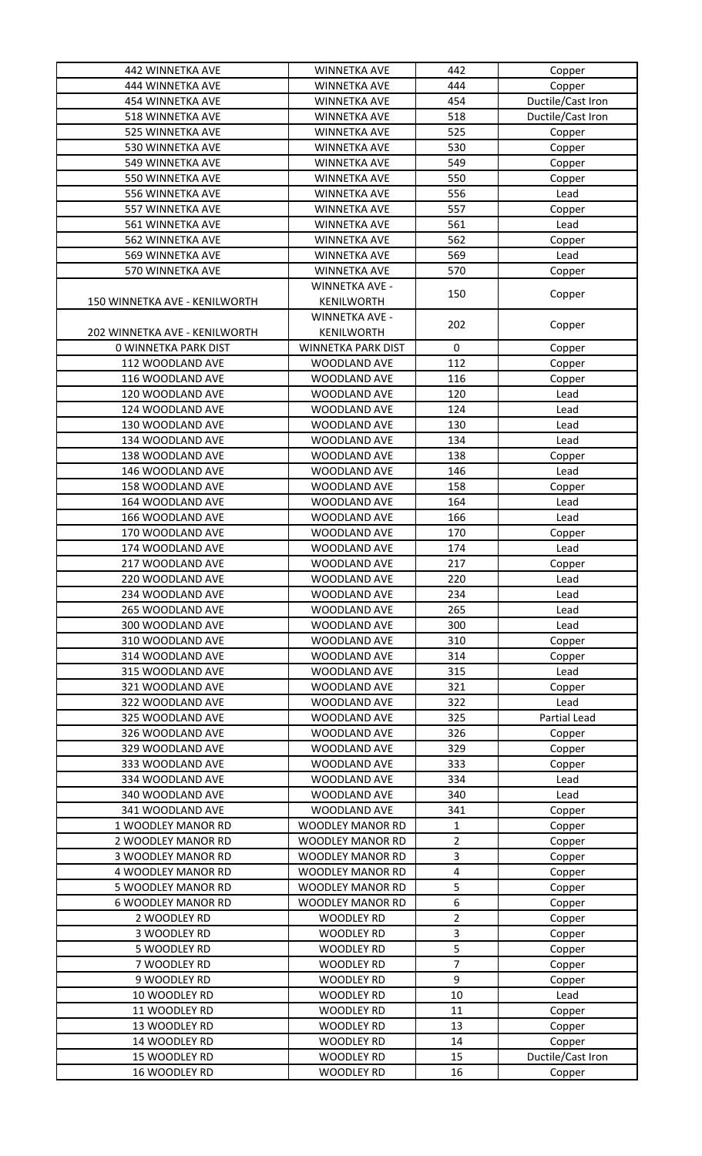| 442 WINNETKA AVE              | <b>WINNETKA AVE</b>     | 442                 | Copper            |
|-------------------------------|-------------------------|---------------------|-------------------|
| 444 WINNETKA AVE              | <b>WINNETKA AVE</b>     | 444                 | Copper            |
| <b>454 WINNETKA AVE</b>       | <b>WINNETKA AVE</b>     | 454                 | Ductile/Cast Iron |
| 518 WINNETKA AVE              | <b>WINNETKA AVE</b>     | 518                 | Ductile/Cast Iron |
| 525 WINNETKA AVE              | <b>WINNETKA AVE</b>     | 525                 | Copper            |
| 530 WINNETKA AVE              | <b>WINNETKA AVE</b>     | 530                 | Copper            |
| 549 WINNETKA AVE              | <b>WINNETKA AVE</b>     | 549                 | Copper            |
| 550 WINNETKA AVE              | WINNETKA AVE            | 550                 | Copper            |
| 556 WINNETKA AVE              | <b>WINNETKA AVE</b>     | 556                 | Lead              |
| 557 WINNETKA AVE              | WINNETKA AVE            | 557                 | Copper            |
| 561 WINNETKA AVE              | <b>WINNETKA AVE</b>     | 561                 | Lead              |
| 562 WINNETKA AVE              | WINNETKA AVE            | 562                 |                   |
|                               |                         |                     | Copper            |
| 569 WINNETKA AVE              | <b>WINNETKA AVE</b>     | 569                 | Lead              |
| 570 WINNETKA AVE              | WINNETKA AVE            | 570                 | Copper            |
|                               | <b>WINNETKA AVE -</b>   | 150                 | Copper            |
| 150 WINNETKA AVE - KENILWORTH | KENILWORTH              |                     |                   |
|                               | <b>WINNETKA AVE -</b>   | 202                 | Copper            |
| 202 WINNETKA AVE - KENILWORTH | <b>KENILWORTH</b>       |                     |                   |
| <b>0 WINNETKA PARK DIST</b>   | WINNETKA PARK DIST      | 0                   | Copper            |
| 112 WOODLAND AVE              | WOODLAND AVE            | 112                 | Copper            |
| 116 WOODLAND AVE              | WOODLAND AVE            | 116                 | Copper            |
| 120 WOODLAND AVE              | WOODLAND AVE            | 120                 | Lead              |
| 124 WOODLAND AVE              | WOODLAND AVE            | 124                 | Lead              |
| 130 WOODLAND AVE              | WOODLAND AVE            | 130                 | Lead              |
| 134 WOODLAND AVE              | WOODLAND AVE            | 134                 | Lead              |
| 138 WOODLAND AVE              | WOODLAND AVE            | 138                 | Copper            |
| 146 WOODLAND AVE              | WOODLAND AVE            | 146                 | Lead              |
| 158 WOODLAND AVE              | WOODLAND AVE            | 158                 | Copper            |
| 164 WOODLAND AVE              | WOODLAND AVE            | 164                 | Lead              |
| 166 WOODLAND AVE              | WOODLAND AVE            | 166                 | Lead              |
| 170 WOODLAND AVE              | WOODLAND AVE            | 170                 | Copper            |
| 174 WOODLAND AVE              | WOODLAND AVE            | 174                 | Lead              |
| 217 WOODLAND AVE              | WOODLAND AVE            | 217                 | Copper            |
| 220 WOODLAND AVE              | WOODLAND AVE            | 220                 | Lead              |
| 234 WOODLAND AVE              | WOODLAND AVE            | 234                 | Lead              |
| 265 WOODLAND AVE              | WOODLAND AVE            | 265                 | Lead              |
| 300 WOODLAND AVE              | WOODLAND AVE            | 300                 | Lead              |
| 310 WOODLAND AVE              | WOODLAND AVE            | 310                 | Copper            |
| 314 WOODLAND AVE              | <b>WOODLAND AVE</b>     | 314                 | Copper            |
| 315 WOODLAND AVE              | WOODLAND AVE            | 315                 | Lead              |
| 321 WOODLAND AVE              | WOODLAND AVE            | 321                 | Copper            |
| 322 WOODLAND AVE              | WOODLAND AVE            | 322                 | Lead              |
| 325 WOODLAND AVE              | WOODLAND AVE            | 325                 | Partial Lead      |
| 326 WOODLAND AVE              | WOODLAND AVE            | 326                 | Copper            |
| 329 WOODLAND AVE              | WOODLAND AVE            | 329                 | Copper            |
| 333 WOODLAND AVE              | WOODLAND AVE            | 333                 | Copper            |
| 334 WOODLAND AVE              | WOODLAND AVE            | 334                 | Lead              |
| 340 WOODLAND AVE              | WOODLAND AVE            | 340                 | Lead              |
| 341 WOODLAND AVE              | WOODLAND AVE            | 341                 | Copper            |
| 1 WOODLEY MANOR RD            | <b>WOODLEY MANOR RD</b> |                     |                   |
| 2 WOODLEY MANOR RD            |                         | 1<br>$\overline{c}$ | Copper            |
|                               | WOODLEY MANOR RD        |                     | Copper            |
| <b>3 WOODLEY MANOR RD</b>     | <b>WOODLEY MANOR RD</b> | 3                   | Copper            |
| 4 WOODLEY MANOR RD            | <b>WOODLEY MANOR RD</b> | 4                   | Copper            |
| 5 WOODLEY MANOR RD            | <b>WOODLEY MANOR RD</b> | 5                   | Copper            |
| <b>6 WOODLEY MANOR RD</b>     | <b>WOODLEY MANOR RD</b> | 6                   | Copper            |
| 2 WOODLEY RD                  | <b>WOODLEY RD</b>       | $\overline{2}$      | Copper            |
| 3 WOODLEY RD                  | WOODLEY RD              | 3                   | Copper            |
| 5 WOODLEY RD                  | <b>WOODLEY RD</b>       | 5                   | Copper            |
| 7 WOODLEY RD                  | <b>WOODLEY RD</b>       | $\overline{7}$      | Copper            |
| 9 WOODLEY RD                  | <b>WOODLEY RD</b>       | 9                   | Copper            |
| 10 WOODLEY RD                 | <b>WOODLEY RD</b>       | 10                  | Lead              |
| 11 WOODLEY RD                 | <b>WOODLEY RD</b>       | 11                  | Copper            |
| 13 WOODLEY RD                 | <b>WOODLEY RD</b>       | 13                  | Copper            |
| 14 WOODLEY RD                 | <b>WOODLEY RD</b>       | 14                  | Copper            |
| 15 WOODLEY RD                 | <b>WOODLEY RD</b>       | 15                  | Ductile/Cast Iron |
| 16 WOODLEY RD                 | <b>WOODLEY RD</b>       | 16                  | Copper            |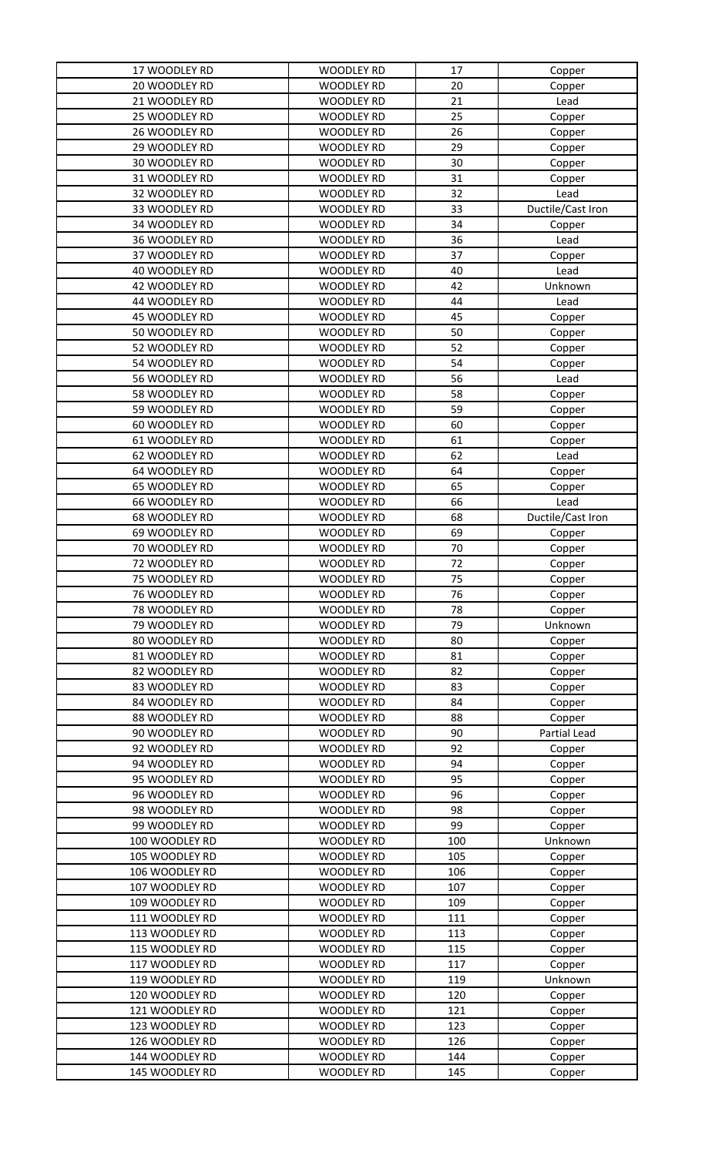| 17 WOODLEY RD  | <b>WOODLEY RD</b> | 17  | Copper            |
|----------------|-------------------|-----|-------------------|
| 20 WOODLEY RD  | <b>WOODLEY RD</b> | 20  | Copper            |
| 21 WOODLEY RD  | <b>WOODLEY RD</b> | 21  | Lead              |
| 25 WOODLEY RD  | <b>WOODLEY RD</b> | 25  | Copper            |
| 26 WOODLEY RD  | <b>WOODLEY RD</b> | 26  | Copper            |
| 29 WOODLEY RD  | <b>WOODLEY RD</b> | 29  | Copper            |
| 30 WOODLEY RD  | <b>WOODLEY RD</b> | 30  | Copper            |
| 31 WOODLEY RD  | <b>WOODLEY RD</b> | 31  | Copper            |
| 32 WOODLEY RD  | <b>WOODLEY RD</b> | 32  | Lead              |
| 33 WOODLEY RD  | WOODLEY RD        | 33  | Ductile/Cast Iron |
| 34 WOODLEY RD  | <b>WOODLEY RD</b> | 34  | Copper            |
| 36 WOODLEY RD  | <b>WOODLEY RD</b> | 36  | Lead              |
| 37 WOODLEY RD  | <b>WOODLEY RD</b> | 37  | Copper            |
| 40 WOODLEY RD  | WOODLEY RD        | 40  | Lead              |
| 42 WOODLEY RD  | WOODLEY RD        | 42  | Unknown           |
| 44 WOODLEY RD  | <b>WOODLEY RD</b> | 44  | Lead              |
| 45 WOODLEY RD  | WOODLEY RD        | 45  | Copper            |
| 50 WOODLEY RD  | <b>WOODLEY RD</b> | 50  | Copper            |
| 52 WOODLEY RD  | <b>WOODLEY RD</b> | 52  | Copper            |
| 54 WOODLEY RD  | <b>WOODLEY RD</b> | 54  | Copper            |
| 56 WOODLEY RD  | <b>WOODLEY RD</b> | 56  | Lead              |
| 58 WOODLEY RD  | <b>WOODLEY RD</b> | 58  | Copper            |
| 59 WOODLEY RD  | <b>WOODLEY RD</b> | 59  | Copper            |
| 60 WOODLEY RD  | <b>WOODLEY RD</b> | 60  | Copper            |
| 61 WOODLEY RD  | <b>WOODLEY RD</b> | 61  | Copper            |
| 62 WOODLEY RD  | <b>WOODLEY RD</b> | 62  | Lead              |
| 64 WOODLEY RD  | WOODLEY RD        | 64  | Copper            |
| 65 WOODLEY RD  | <b>WOODLEY RD</b> | 65  | Copper            |
| 66 WOODLEY RD  | <b>WOODLEY RD</b> | 66  | Lead              |
| 68 WOODLEY RD  | <b>WOODLEY RD</b> | 68  | Ductile/Cast Iron |
| 69 WOODLEY RD  | WOODLEY RD        | 69  | Copper            |
| 70 WOODLEY RD  | <b>WOODLEY RD</b> | 70  | Copper            |
| 72 WOODLEY RD  | <b>WOODLEY RD</b> | 72  | Copper            |
| 75 WOODLEY RD  | <b>WOODLEY RD</b> | 75  | Copper            |
| 76 WOODLEY RD  | <b>WOODLEY RD</b> | 76  | Copper            |
| 78 WOODLEY RD  | <b>WOODLEY RD</b> | 78  | Copper            |
| 79 WOODLEY RD  | <b>WOODLEY RD</b> | 79  | Unknown           |
| 80 WOODLEY RD  | <b>WOODLEY RD</b> | 80  | Copper            |
| 81 WOODLEY RD  | <b>WOODLEY RD</b> | 81  | Copper            |
| 82 WOODLEY RD  | <b>WOODLEY RD</b> | 82  | Copper            |
| 83 WOODLEY RD  | <b>WOODLEY RD</b> | 83  | Copper            |
| 84 WOODLEY RD  | WOODLEY RD        | 84  | Copper            |
| 88 WOODLEY RD  | <b>WOODLEY RD</b> | 88  | Copper            |
| 90 WOODLEY RD  | <b>WOODLEY RD</b> | 90  | Partial Lead      |
| 92 WOODLEY RD  | <b>WOODLEY RD</b> | 92  | Copper            |
| 94 WOODLEY RD  | <b>WOODLEY RD</b> | 94  | Copper            |
| 95 WOODLEY RD  | <b>WOODLEY RD</b> | 95  | Copper            |
| 96 WOODLEY RD  | <b>WOODLEY RD</b> | 96  | Copper            |
| 98 WOODLEY RD  | <b>WOODLEY RD</b> | 98  | Copper            |
| 99 WOODLEY RD  | <b>WOODLEY RD</b> | 99  | Copper            |
| 100 WOODLEY RD | <b>WOODLEY RD</b> | 100 | Unknown           |
| 105 WOODLEY RD | <b>WOODLEY RD</b> | 105 | Copper            |
| 106 WOODLEY RD | <b>WOODLEY RD</b> | 106 | Copper            |
| 107 WOODLEY RD | <b>WOODLEY RD</b> | 107 | Copper            |
| 109 WOODLEY RD | <b>WOODLEY RD</b> | 109 | Copper            |
| 111 WOODLEY RD | <b>WOODLEY RD</b> | 111 | Copper            |
| 113 WOODLEY RD | <b>WOODLEY RD</b> | 113 | Copper            |
| 115 WOODLEY RD | <b>WOODLEY RD</b> | 115 | Copper            |
| 117 WOODLEY RD | <b>WOODLEY RD</b> | 117 | Copper            |
| 119 WOODLEY RD | <b>WOODLEY RD</b> | 119 | Unknown           |
| 120 WOODLEY RD | <b>WOODLEY RD</b> | 120 | Copper            |
| 121 WOODLEY RD | <b>WOODLEY RD</b> | 121 | Copper            |
| 123 WOODLEY RD | <b>WOODLEY RD</b> | 123 | Copper            |
| 126 WOODLEY RD | <b>WOODLEY RD</b> | 126 | Copper            |
| 144 WOODLEY RD | <b>WOODLEY RD</b> | 144 | Copper            |
| 145 WOODLEY RD | <b>WOODLEY RD</b> | 145 | Copper            |
|                |                   |     |                   |